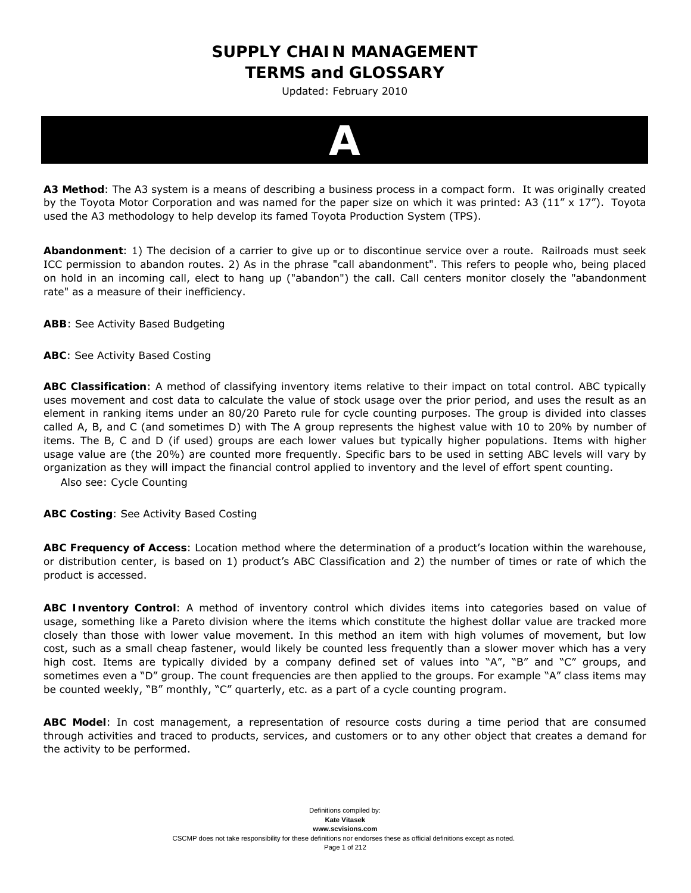Updated: February 2010



**A3 Method**: The A3 system is a means of describing a business process in a compact form. It was originally created by the Toyota Motor Corporation and was named for the paper size on which it was printed: A3 ( $11'' \times 17''$ ). Toyota used the A3 methodology to help develop its famed Toyota Production System (TPS).

**Abandonment**: 1) The decision of a carrier to give up or to discontinue service over a route. Railroads must seek ICC permission to abandon routes. 2) As in the phrase "call abandonment". This refers to people who, being placed on hold in an incoming call, elect to hang up ("abandon") the call. Call centers monitor closely the "abandonment rate" as a measure of their inefficiency.

**ABB**: See *Activity Based Budgeting*

#### **ABC**: See *Activity Based Costing*

**ABC Classification**: A method of classifying inventory items relative to their impact on total control. ABC typically uses movement and cost data to calculate the value of stock usage over the prior period, and uses the result as an element in ranking items under an 80/20 Pareto rule for cycle counting purposes. The group is divided into classes called A, B, and C (and sometimes D) with The A group represents the highest value with 10 to 20% by number of items. The B, C and D (if used) groups are each lower values but typically higher populations. Items with higher usage value are (the 20%) are counted more frequently. Specific bars to be used in setting ABC levels will vary by organization as they will impact the financial control applied to inventory and the level of effort spent counting.

Also see: *Cycle Counting*

#### **ABC Costing**: See *Activity Based Costing*

**ABC Frequency of Access**: Location method where the determination of a product's location within the warehouse, or distribution center, is based on 1) product's ABC Classification and 2) the number of times or rate of which the product is accessed.

**ABC Inventory Control**: A method of inventory control which divides items into categories based on value of usage, something like a Pareto division where the items which constitute the highest dollar value are tracked more closely than those with lower value movement. In this method an item with high volumes of movement, but low cost, such as a small cheap fastener, would likely be counted less frequently than a slower mover which has a very high cost. Items are typically divided by a company defined set of values into "A", "B" and "C" groups, and sometimes even a "D" group. The count frequencies are then applied to the groups. For example "A" class items may be counted weekly, "B" monthly, "C" quarterly, etc. as a part of a cycle counting program.

**ABC Model**: In cost management, a representation of resource costs during a time period that are consumed through activities and traced to products, services, and customers or to any other object that creates a demand for the activity to be performed.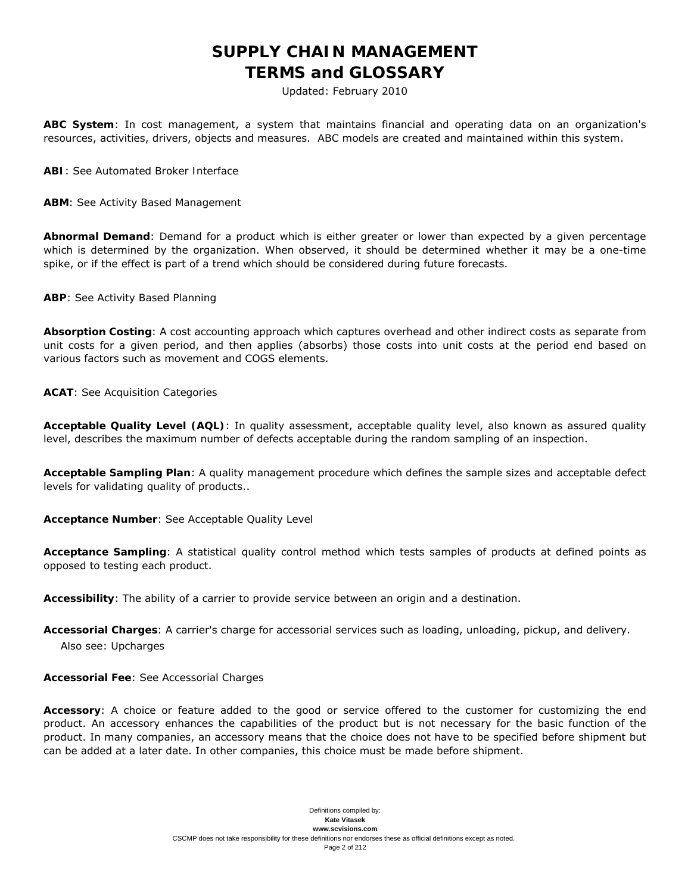Updated: February 2010

**ABC System**: In cost management, a system that maintains financial and operating data on an organization's resources, activities, drivers, objects and measures. ABC models are created and maintained within this system.

**ABI**: See *Automated Broker Interface*

**ABM**: See *Activity Based Management*

**Abnormal Demand**: Demand for a product which is either greater or lower than expected by a given percentage which is determined by the organization. When observed, it should be determined whether it may be a one-time spike, or if the effect is part of a trend which should be considered during future forecasts.

**ABP**: See *Activity Based Planning*

**Absorption Costing**: A cost accounting approach which captures overhead and other indirect costs as separate from unit costs for a given period, and then applies (absorbs) those costs into unit costs at the period end based on various factors such as movement and COGS elements.

**ACAT**: See *Acquisition Categories* 

**Acceptable Quality Level (AQL)**: In quality assessment, acceptable quality level, also known as assured quality level, describes the maximum number of defects acceptable during the random sampling of an inspection.

**Acceptable Sampling Plan**: A quality management procedure which defines the sample sizes and acceptable defect levels for validating quality of products..

**Acceptance Number**: See *Acceptable Quality Level*

**Acceptance Sampling**: A statistical quality control method which tests samples of products at defined points as opposed to testing each product.

**Accessibility**: The ability of a carrier to provide service between an origin and a destination.

**Accessorial Charges**: A carrier's charge for accessorial services such as loading, unloading, pickup, and delivery. Also see: *Upcharges*

**Accessorial Fee**: See *Accessorial Charges*

**Accessory**: A choice or feature added to the good or service offered to the customer for customizing the end product. An accessory enhances the capabilities of the product but is not necessary for the basic function of the product. In many companies, an accessory means that the choice does not have to be specified before shipment but can be added at a later date. In other companies, this choice must be made before shipment.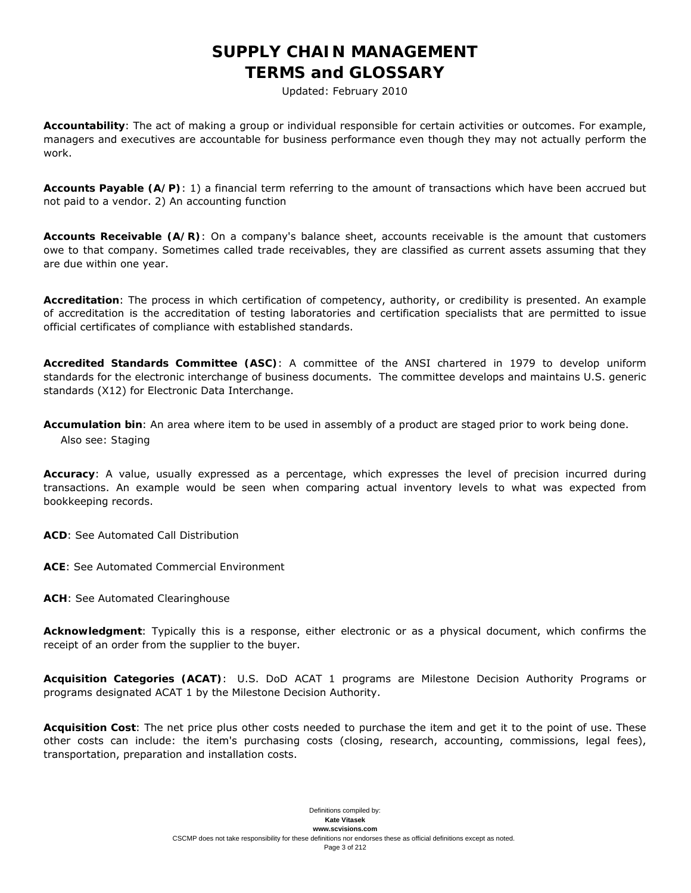Updated: February 2010

**Accountability**: The act of making a group or individual responsible for certain activities or outcomes. For example, managers and executives are accountable for business performance even though they may not actually perform the work.

**Accounts Payable (A/P)**: 1) a financial term referring to the amount of transactions which have been accrued but not paid to a vendor. 2) An accounting function

**Accounts Receivable (A/R)**: On a company's balance sheet, accounts receivable is the amount that customers owe to that company. Sometimes called trade receivables, they are classified as current assets assuming that they are due within one year.

**Accreditation**: The process in which certification of competency, authority, or credibility is presented. An example of accreditation is the accreditation of testing laboratories and certification specialists that are permitted to issue official certificates of compliance with established standards.

**Accredited Standards Committee (ASC)**: A committee of the ANSI chartered in 1979 to develop uniform standards for the electronic interchange of business documents. The committee develops and maintains U.S. generic standards (X12) for Electronic Data Interchange.

**Accumulation bin**: An area where item to be used in assembly of a product are staged prior to work being done. Also see: *Staging*

**Accuracy**: A value, usually expressed as a percentage, which expresses the level of precision incurred during transactions. An example would be seen when comparing actual inventory levels to what was expected from bookkeeping records.

**ACD**: See *Automated Call Distribution*

**ACE**: See *Automated Commercial Environment*

**ACH**: See *Automated Clearinghouse*

**Acknowledgment**: Typically this is a response, either electronic or as a physical document, which confirms the receipt of an order from the supplier to the buyer.

**Acquisition Categories (ACAT)**: U.S. DoD ACAT 1 programs are Milestone Decision Authority Programs or programs designated ACAT 1 by the Milestone Decision Authority.

**Acquisition Cost**: The net price plus other costs needed to purchase the item and get it to the point of use. These other costs can include: the item's purchasing costs (closing, research, accounting, commissions, legal fees), transportation, preparation and installation costs.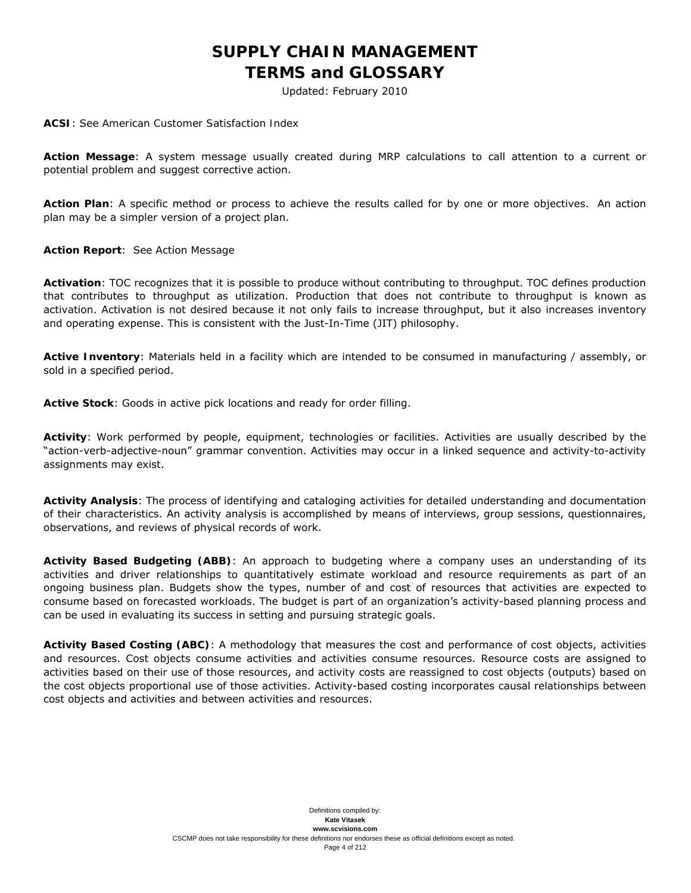Updated: February 2010

**ACSI**: See *American Customer Satisfaction Index*

**Action Message**: A system message usually created during MRP calculations to call attention to a current or potential problem and suggest corrective action.

**Action Plan**: A specific method or process to achieve the results called for by one or more objectives. An action plan may be a simpler version of a project plan.

**Action Report**: See *Action Message*

**Activation**: TOC recognizes that it is possible to produce without contributing to throughput. TOC defines production that contributes to throughput as utilization. Production that does not contribute to throughput is known as activation. Activation is not desired because it not only fails to increase throughput, but it also increases inventory and operating expense. This is consistent with the Just-In-Time (JIT) philosophy.

**Active Inventory**: Materials held in a facility which are intended to be consumed in manufacturing / assembly, or sold in a specified period.

**Active Stock**: Goods in active pick locations and ready for order filling.

**Activity**: Work performed by people, equipment, technologies or facilities. Activities are usually described by the "action-verb-adjective-noun" grammar convention. Activities may occur in a linked sequence and activity-to-activity assignments may exist.

**Activity Analysis**: The process of identifying and cataloging activities for detailed understanding and documentation of their characteristics. An activity analysis is accomplished by means of interviews, group sessions, questionnaires, observations, and reviews of physical records of work.

**Activity Based Budgeting (ABB)**: An approach to budgeting where a company uses an understanding of its activities and driver relationships to quantitatively estimate workload and resource requirements as part of an ongoing business plan. Budgets show the types, number of and cost of resources that activities are expected to consume based on forecasted workloads. The budget is part of an organization's activity-based planning process and can be used in evaluating its success in setting and pursuing strategic goals.

**Activity Based Costing (ABC)**: A methodology that measures the cost and performance of cost objects, activities and resources. Cost objects consume activities and activities consume resources. Resource costs are assigned to activities based on their use of those resources, and activity costs are reassigned to cost objects (outputs) based on the cost objects proportional use of those activities. Activity-based costing incorporates causal relationships between cost objects and activities and between activities and resources.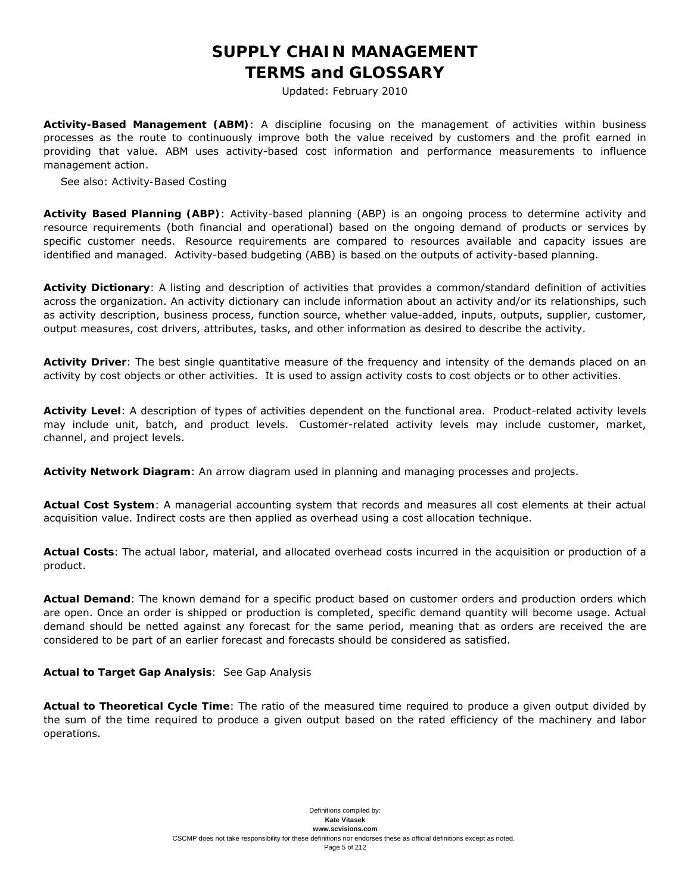Updated: February 2010

**Activity-Based Management (ABM)**: A discipline focusing on the management of activities within business processes as the route to continuously improve both the value received by customers and the profit earned in providing that value. ABM uses activity-based cost information and performance measurements to influence management action.

See also: *Activity-Based Costing*

**Activity Based Planning (ABP)**: Activity-based planning (ABP) is an ongoing process to determine activity and resource requirements (both financial and operational) based on the ongoing demand of products or services by specific customer needs. Resource requirements are compared to resources available and capacity issues are identified and managed. Activity-based budgeting (ABB) is based on the outputs of activity-based planning.

**Activity Dictionary**: A listing and description of activities that provides a common/standard definition of activities across the organization. An activity dictionary can include information about an activity and/or its relationships, such as activity description, business process, function source, whether value-added, inputs, outputs, supplier, customer, output measures, cost drivers, attributes, tasks, and other information as desired to describe the activity.

**Activity Driver**: The best single quantitative measure of the frequency and intensity of the demands placed on an activity by cost objects or other activities. It is used to assign activity costs to cost objects or to other activities.

**Activity Level**: A description of types of activities dependent on the functional area. Product-related activity levels may include unit, batch, and product levels. Customer-related activity levels may include customer, market, channel, and project levels.

**Activity Network Diagram**: An arrow diagram used in planning and managing processes and projects.

**Actual Cost System**: A managerial accounting system that records and measures all cost elements at their actual acquisition value. Indirect costs are then applied as overhead using a cost allocation technique.

**Actual Costs**: The actual labor, material, and allocated overhead costs incurred in the acquisition or production of a product.

**Actual Demand**: The known demand for a specific product based on customer orders and production orders which are open. Once an order is shipped or production is completed, specific demand quantity will become usage. Actual demand should be netted against any forecast for the same period, meaning that as orders are received the are considered to be part of an earlier forecast and forecasts should be considered as satisfied.

#### **Actual to Target Gap Analysis**: See *Gap Analysis*

**Actual to Theoretical Cycle Time**: The ratio of the measured time required to produce a given output divided by the sum of the time required to produce a given output based on the rated efficiency of the machinery and labor operations.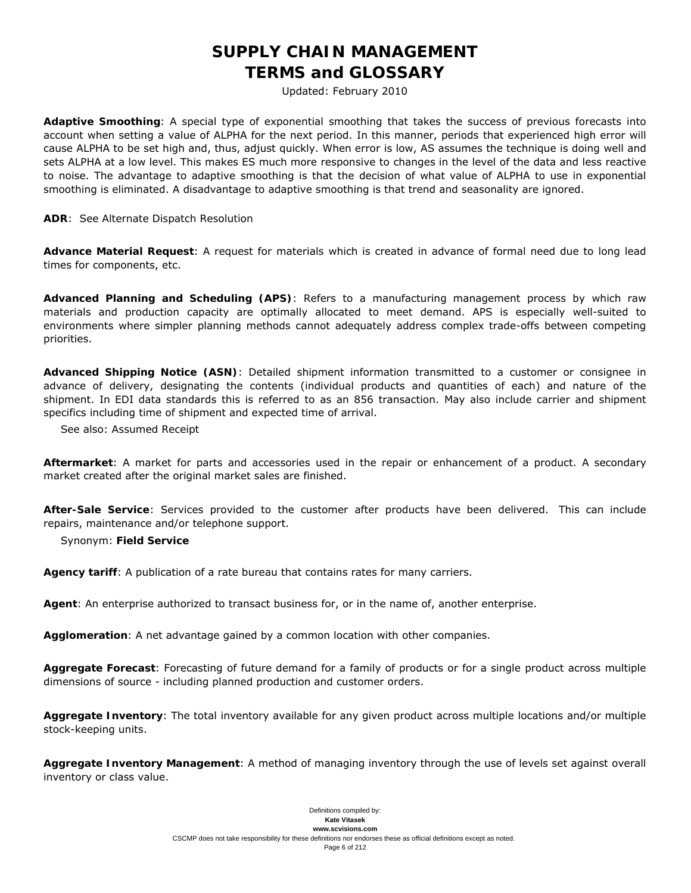Updated: February 2010

**Adaptive Smoothing**: A special type of exponential smoothing that takes the success of previous forecasts into account when setting a value of ALPHA for the next period. In this manner, periods that experienced high error will cause ALPHA to be set high and, thus, adjust quickly. When error is low, AS assumes the technique is doing well and sets ALPHA at a low level. This makes ES much more responsive to changes in the level of the data and less reactive to noise. The advantage to adaptive smoothing is that the decision of what value of ALPHA to use in exponential smoothing is eliminated. A disadvantage to adaptive smoothing is that trend and seasonality are ignored.

#### **ADR**: See *Alternate Dispatch Resolution*

**Advance Material Request**: A request for materials which is created in advance of formal need due to long lead times for components, etc.

**Advanced Planning and Scheduling (APS)**: Refers to a manufacturing management process by which raw materials and production capacity are optimally allocated to meet demand. APS is especially well-suited to environments where simpler planning methods cannot adequately address complex trade-offs between competing priorities.

**Advanced Shipping Notice (ASN)**: Detailed shipment information transmitted to a customer or consignee in advance of delivery, designating the contents (individual products and quantities of each) and nature of the shipment. In EDI data standards this is referred to as an 856 transaction. May also include carrier and shipment specifics including time of shipment and expected time of arrival.

See also: *Assumed Receipt*

**Aftermarket**: A market for parts and accessories used in the repair or enhancement of a product. A secondary market created after the original market sales are finished.

**After-Sale Service**: Services provided to the customer after products have been delivered. This can include repairs, maintenance and/or telephone support.

#### Synonym: *Field Service*

**Agency tariff**: A publication of a rate bureau that contains rates for many carriers.

**Agent**: An enterprise authorized to transact business for, or in the name of, another enterprise.

**Agglomeration**: A net advantage gained by a common location with other companies.

**Aggregate Forecast**: Forecasting of future demand for a family of products or for a single product across multiple dimensions of source - including planned production and customer orders.

**Aggregate Inventory**: The total inventory available for any given product across multiple locations and/or multiple stock-keeping units.

**Aggregate Inventory Management**: A method of managing inventory through the use of levels set against overall inventory or class value.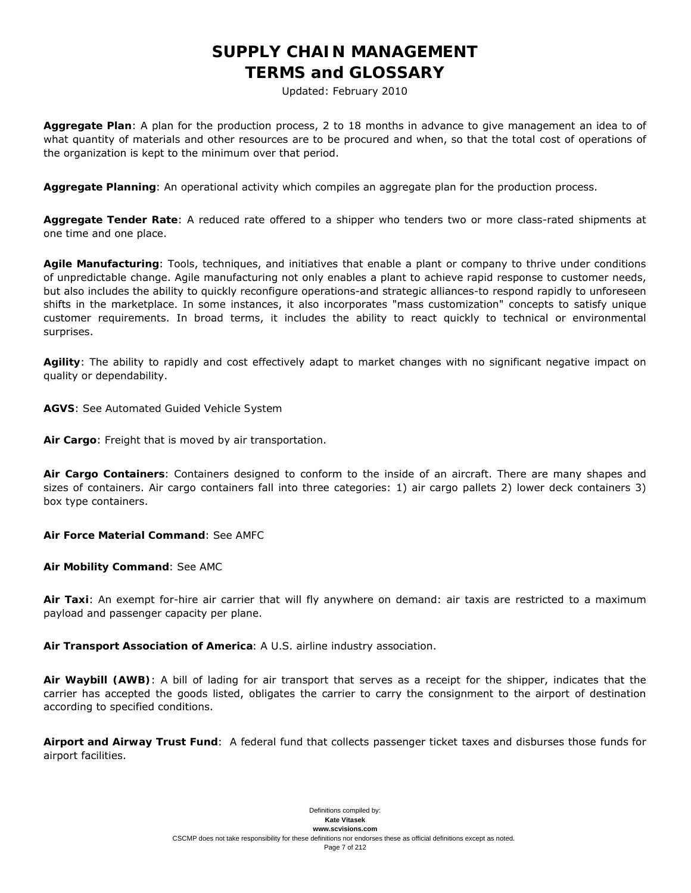Updated: February 2010

**Aggregate Plan**: A plan for the production process, 2 to 18 months in advance to give management an idea to of what quantity of materials and other resources are to be procured and when, so that the total cost of operations of the organization is kept to the minimum over that period.

**Aggregate Planning**: An operational activity which compiles an aggregate plan for the production process.

**Aggregate Tender Rate**: A reduced rate offered to a shipper who tenders two or more class-rated shipments at one time and one place.

**Agile Manufacturing**: Tools, techniques, and initiatives that enable a plant or company to thrive under conditions of unpredictable change. Agile manufacturing not only enables a plant to achieve rapid response to customer needs, but also includes the ability to quickly reconfigure operations-and strategic alliances-to respond rapidly to unforeseen shifts in the marketplace. In some instances, it also incorporates "mass customization" concepts to satisfy unique customer requirements. In broad terms, it includes the ability to react quickly to technical or environmental surprises.

**Agility**: The ability to rapidly and cost effectively adapt to market changes with no significant negative impact on quality or dependability.

**AGVS**: See *Automated Guided Vehicle System*

**Air Cargo**: Freight that is moved by air transportation.

**Air Cargo Containers**: Containers designed to conform to the inside of an aircraft. There are many shapes and sizes of containers. Air cargo containers fall into three categories: 1) air cargo pallets 2) lower deck containers 3) box type containers.

**Air Force Material Command**: See *AMFC*

**Air Mobility Command**: See *AMC*

**Air Taxi**: An exempt for-hire air carrier that will fly anywhere on demand: air taxis are restricted to a maximum payload and passenger capacity per plane.

**Air Transport Association of America**: A U.S. airline industry association.

**Air Waybill (AWB)**: A bill of lading for air transport that serves as a receipt for the shipper, indicates that the carrier has accepted the goods listed, obligates the carrier to carry the consignment to the airport of destination according to specified conditions.

**Airport and Airway Trust Fund**: A federal fund that collects passenger ticket taxes and disburses those funds for airport facilities.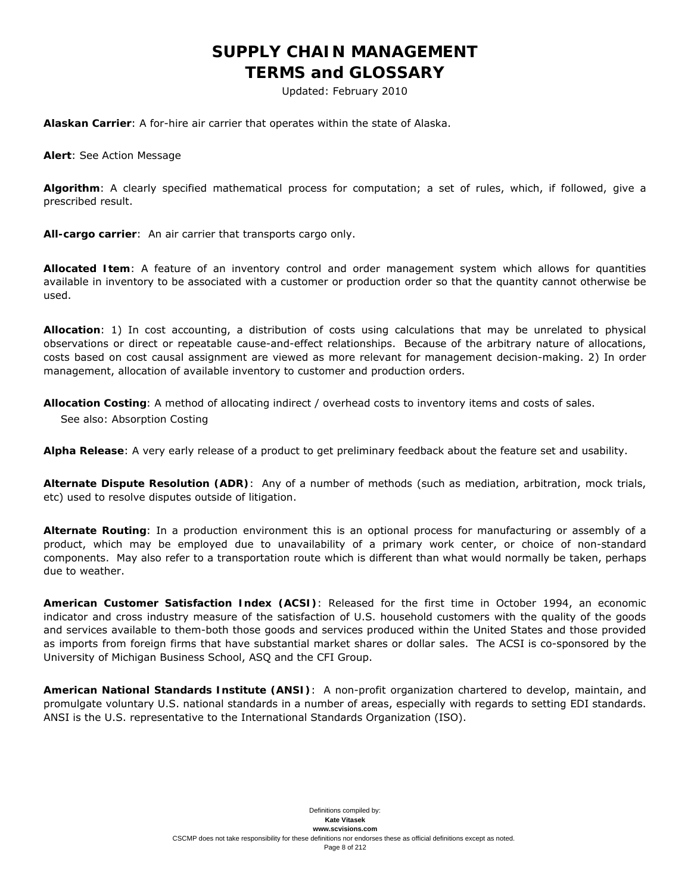Updated: February 2010

**Alaskan Carrier**: A for-hire air carrier that operates within the state of Alaska.

**Alert**: See *Action Message*

**Algorithm**: A clearly specified mathematical process for computation; a set of rules, which, if followed, give a prescribed result.

**All-cargo carrier**: An air carrier that transports cargo only.

**Allocated Item**: A feature of an inventory control and order management system which allows for quantities available in inventory to be associated with a customer or production order so that the quantity cannot otherwise be used.

**Allocation**: 1) In cost accounting, a distribution of costs using calculations that may be unrelated to physical observations or direct or repeatable cause-and-effect relationships. Because of the arbitrary nature of allocations, costs based on cost causal assignment are viewed as more relevant for management decision-making. 2) In order management, allocation of available inventory to customer and production orders.

**Allocation Costing**: A method of allocating indirect / overhead costs to inventory items and costs of sales.

See also: *Absorption Costing*

**Alpha Release**: A very early release of a product to get preliminary feedback about the feature set and usability.

**Alternate Dispute Resolution (ADR)**: Any of a number of methods (such as mediation, arbitration, mock trials, etc) used to resolve disputes outside of litigation.

**Alternate Routing**: In a production environment this is an optional process for manufacturing or assembly of a product, which may be employed due to unavailability of a primary work center, or choice of non-standard components. May also refer to a transportation route which is different than what would normally be taken, perhaps due to weather.

**American Customer Satisfaction Index (ACSI)**: Released for the first time in October 1994, an economic indicator and cross industry measure of the satisfaction of U.S. household customers with the quality of the goods and services available to them-both those goods and services produced within the United States and those provided as imports from foreign firms that have substantial market shares or dollar sales. The ACSI is co-sponsored by the University of Michigan Business School, ASQ and the CFI Group.

**American National Standards Institute (ANSI)**: A non-profit organization chartered to develop, maintain, and promulgate voluntary U.S. national standards in a number of areas, especially with regards to setting EDI standards. ANSI is the U.S. representative to the International Standards Organization (ISO).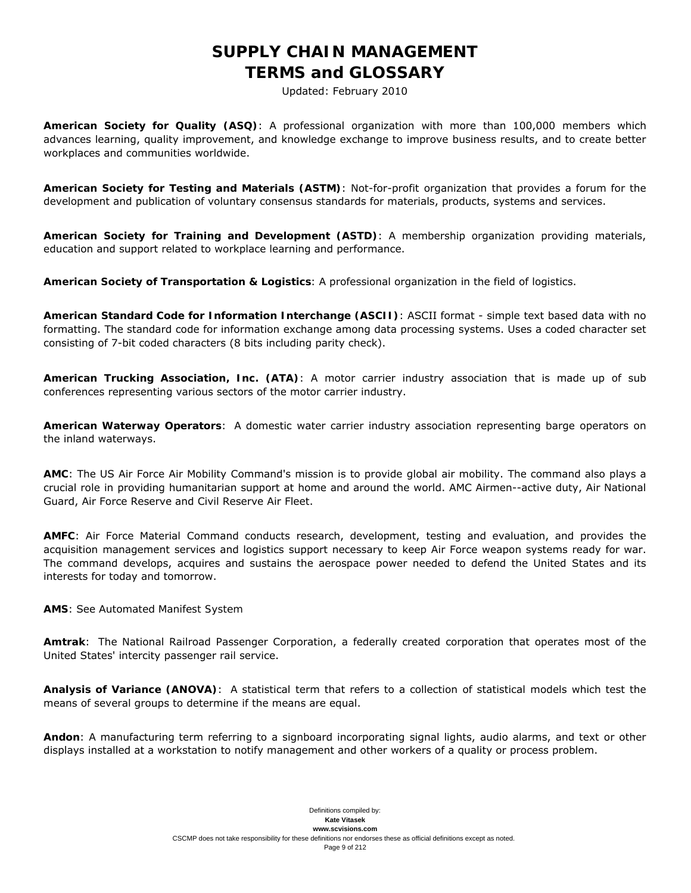Updated: February 2010

**American Society for Quality (ASQ)**: A professional organization with more than 100,000 members which advances learning, quality improvement, and knowledge exchange to improve business results, and to create better workplaces and communities worldwide.

**American Society for Testing and Materials (ASTM)**: Not-for-profit organization that provides a forum for the development and publication of voluntary consensus standards for materials, products, systems and services.

**American Society for Training and Development (ASTD)**: A membership organization providing materials, education and support related to workplace learning and performance.

**American Society of Transportation & Logistics**: A professional organization in the field of logistics.

**American Standard Code for Information Interchange (ASCII)**: ASCII format - simple text based data with no formatting. The standard code for information exchange among data processing systems. Uses a coded character set consisting of 7-bit coded characters (8 bits including parity check).

**American Trucking Association, Inc. (ATA)**: A motor carrier industry association that is made up of sub conferences representing various sectors of the motor carrier industry.

**American Waterway Operators**: A domestic water carrier industry association representing barge operators on the inland waterways.

**AMC**: The US Air Force Air Mobility Command's mission is to provide global air mobility. The command also plays a crucial role in providing humanitarian support at home and around the world. AMC Airmen--active duty, Air National Guard, Air Force Reserve and Civil Reserve Air Fleet.

**AMFC**: Air Force Material Command conducts research, development, testing and evaluation, and provides the acquisition management services and logistics support necessary to keep Air Force weapon systems ready for war. The command develops, acquires and sustains the aerospace power needed to defend the United States and its interests for today and tomorrow.

#### **AMS**: See *Automated Manifest System*

**Amtrak**: The National Railroad Passenger Corporation, a federally created corporation that operates most of the United States' intercity passenger rail service.

**Analysis of Variance (ANOVA)**: A statistical term that refers to a collection of statistical models which test the means of several groups to determine if the means are equal.

**Andon**: A manufacturing term referring to a signboard incorporating signal lights, audio alarms, and text or other displays installed at a workstation to notify management and other workers of a quality or process problem.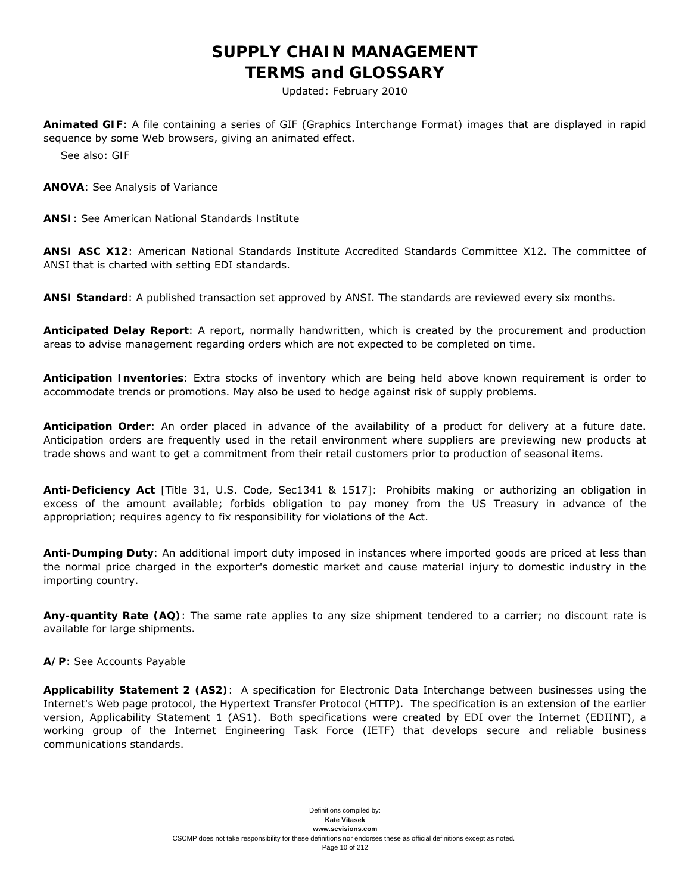Updated: February 2010

**Animated GIF**: A file containing a series of GIF (Graphics Interchange Format) images that are displayed in rapid sequence by some Web browsers, giving an animated effect.

See also: *GIF*

**ANOVA**: See *Analysis of Variance*

**ANSI**: See *American National Standards Institute*

**ANSI ASC X12**: American National Standards Institute Accredited Standards Committee X12. The committee of ANSI that is charted with setting EDI standards.

**ANSI Standard**: A published transaction set approved by ANSI. The standards are reviewed every six months.

**Anticipated Delay Report**: A report, normally handwritten, which is created by the procurement and production areas to advise management regarding orders which are not expected to be completed on time.

**Anticipation Inventories**: Extra stocks of inventory which are being held above known requirement is order to accommodate trends or promotions. May also be used to hedge against risk of supply problems.

**Anticipation Order**: An order placed in advance of the availability of a product for delivery at a future date. Anticipation orders are frequently used in the retail environment where suppliers are previewing new products at trade shows and want to get a commitment from their retail customers prior to production of seasonal items.

**Anti-Deficiency Act** [Title 31, U.S. Code, Sec1341 & 1517]: Prohibits making or authorizing an obligation in excess of the amount available; forbids obligation to pay money from the US Treasury in advance of the appropriation; requires agency to fix responsibility for violations of the Act.

**Anti-Dumping Duty**: An additional import duty imposed in instances where imported goods are priced at less than the normal price charged in the exporter's domestic market and cause material injury to domestic industry in the importing country.

**Any-quantity Rate (AQ)**: The same rate applies to any size shipment tendered to a carrier; no discount rate is available for large shipments.

#### **A/P**: See *Accounts Payable*

**Applicability Statement 2 (AS2)**: Aspecification for Electronic Data Interchange between businesses using the Internet's Web page protocol, the Hypertext Transfer Protocol (HTTP). The specification is an extension of the earlier version, Applicability Statement 1 (AS1). Both specifications were created by EDI over the Internet (EDIINT), a working group of the Internet Engineering Task Force (IETF) that develops secure and reliable business communications standards.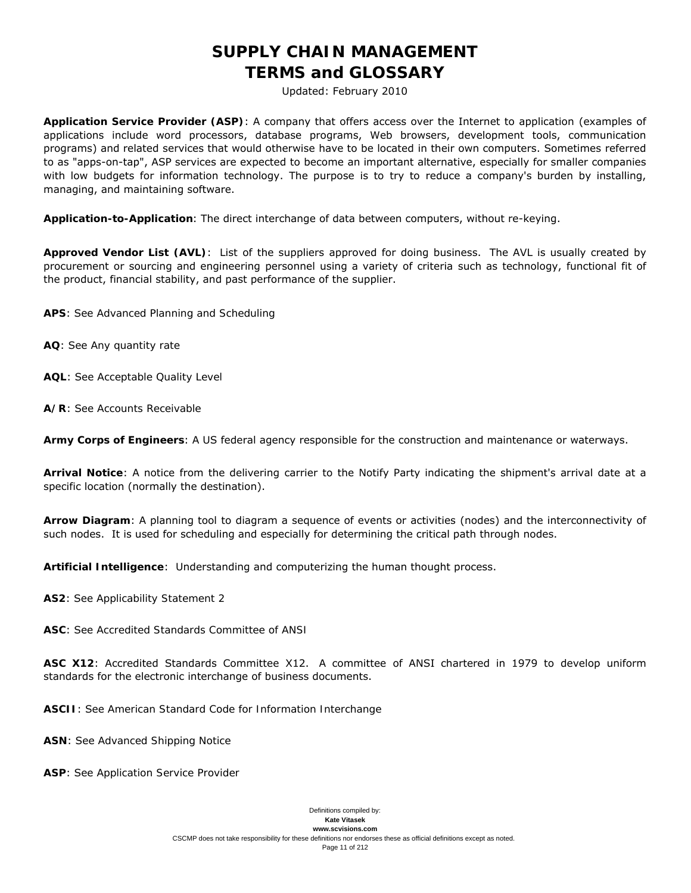Updated: February 2010

**Application Service Provider (ASP)**: A company that offers access over the Internet to application (examples of applications include word processors, database programs, Web browsers, development tools, communication programs) and related services that would otherwise have to be located in their own computers. Sometimes referred to as "apps-on-tap", ASP services are expected to become an important alternative, especially for smaller companies with low budgets for information technology. The purpose is to try to reduce a company's burden by installing, managing, and maintaining software.

**Application-to-Application**: The direct interchange of data between computers, without re-keying.

**Approved Vendor List (AVL)**: List of the suppliers approved for doing business. The AVL is usually created by procurement or sourcing and engineering personnel using a variety of criteria such as technology, functional fit of the product, financial stability, and past performance of the supplier.

**APS**: See *Advanced Planning and Scheduling*

**AQ**: See *Any quantity rate*

**AQL**: See *Acceptable Quality Level*

**A/R**: See *Accounts Receivable*

**Army Corps of Engineers**: A US federal agency responsible for the construction and maintenance or waterways.

**Arrival Notice**: A notice from the delivering carrier to the Notify Party indicating the shipment's arrival date at a specific location (normally the destination).

**Arrow Diagram**: A planning tool to diagram a sequence of events or activities (nodes) and the interconnectivity of such nodes. It is used for scheduling and especially for determining the critical path through nodes.

**Artificial Intelligence**: Understanding and computerizing the human thought process.

**AS2**: See *Applicability Statement 2*

**ASC**: See *Accredited Standards Committee of ANSI*

**ASC X12**: Accredited Standards Committee X12. A committee of ANSI chartered in 1979 to develop uniform standards for the electronic interchange of business documents.

**ASCII**: See *American Standard Code for Information Interchange*

**ASN**: See *Advanced Shipping Notice*

**ASP**: See *Application Service Provider*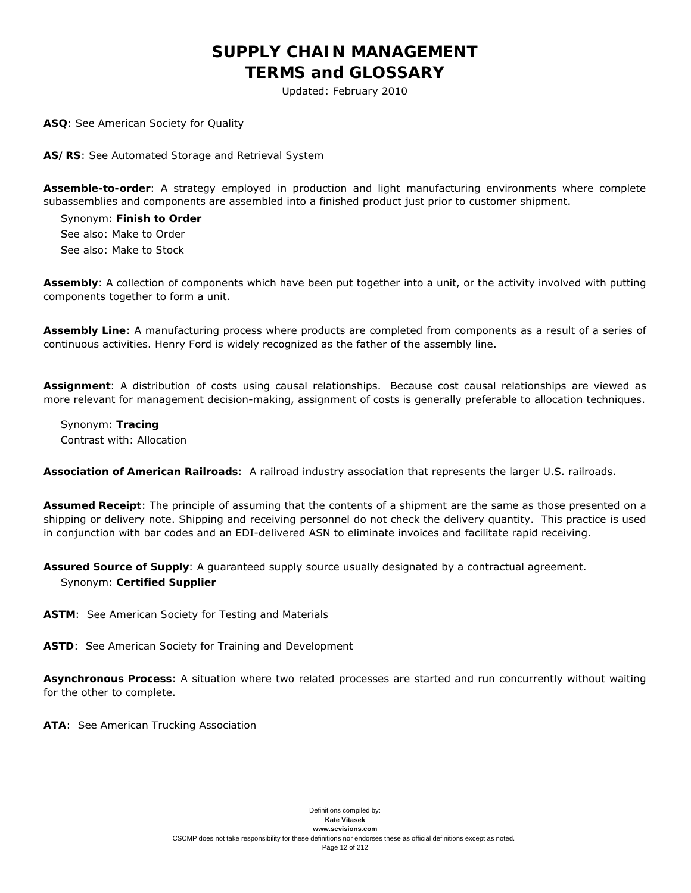Updated: February 2010

**ASQ**: See *American Society for Quality*

**AS/RS**: See *Automated Storage and Retrieval System*

**Assemble-to-order**: A strategy employed in production and light manufacturing environments where complete subassemblies and components are assembled into a finished product just prior to customer shipment.

See also: *Make to Stock* See also: *Make to Order* Synonym: *Finish to Order*

**Assembly**: A collection of components which have been put together into a unit, or the activity involved with putting components together to form a unit.

**Assembly Line**: A manufacturing process where products are completed from components as a result of a series of continuous activities. Henry Ford is widely recognized as the father of the assembly line.

**Assignment**: A distribution of costs using causal relationships. Because cost causal relationships are viewed as more relevant for management decision-making, assignment of costs is generally preferable to allocation techniques.

Contrast with: *Allocation* Synonym: *Tracing*

**Association of American Railroads**: A railroad industry association that represents the larger U.S. railroads.

**Assumed Receipt**: The principle of assuming that the contents of a shipment are the same as those presented on a shipping or delivery note. Shipping and receiving personnel do not check the delivery quantity. This practice is used in conjunction with bar codes and an EDI-delivered ASN to eliminate invoices and facilitate rapid receiving.

**Assured Source of Supply**: A guaranteed supply source usually designated by a contractual agreement. Synonym: *Certified Supplier*

**ASTM**: See *American Society for Testing and Materials*

**ASTD**: See *American Society for Training and Development*

**Asynchronous Process**: A situation where two related processes are started and run concurrently without waiting for the other to complete.

**ATA**: See *American Trucking Association*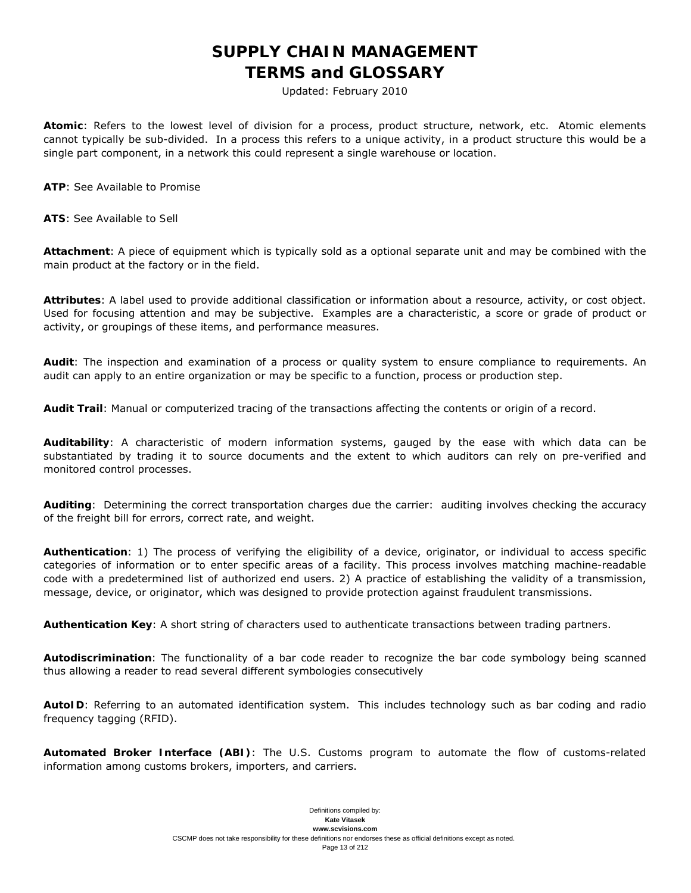Updated: February 2010

**Atomic**: Refers to the lowest level of division for a process, product structure, network, etc. Atomic elements cannot typically be sub-divided. In a process this refers to a unique activity, in a product structure this would be a single part component, in a network this could represent a single warehouse or location.

**ATP**: See *Available to Promise*

**ATS**: See *Available to Sell*

**Attachment**: A piece of equipment which is typically sold as a optional separate unit and may be combined with the main product at the factory or in the field.

**Attributes**: A label used to provide additional classification or information about a resource, activity, or cost object. Used for focusing attention and may be subjective. Examples are a characteristic, a score or grade of product or activity, or groupings of these items, and performance measures.

**Audit**: The inspection and examination of a process or quality system to ensure compliance to requirements. An audit can apply to an entire organization or may be specific to a function, process or production step.

**Audit Trail**: Manual or computerized tracing of the transactions affecting the contents or origin of a record.

**Auditability**: A characteristic of modern information systems, gauged by the ease with which data can be substantiated by trading it to source documents and the extent to which auditors can rely on pre-verified and monitored control processes.

**Auditing**: Determining the correct transportation charges due the carrier: auditing involves checking the accuracy of the freight bill for errors, correct rate, and weight.

**Authentication**: 1) The process of verifying the eligibility of a device, originator, or individual to access specific categories of information or to enter specific areas of a facility. This process involves matching machine-readable code with a predetermined list of authorized end users. 2) A practice of establishing the validity of a transmission, message, device, or originator, which was designed to provide protection against fraudulent transmissions.

**Authentication Key**: A short string of characters used to authenticate transactions between trading partners.

**Autodiscrimination**: The functionality of a bar code reader to recognize the bar code symbology being scanned thus allowing a reader to read several different symbologies consecutively

**AutoID**: Referring to an automated identification system. This includes technology such as bar coding and radio frequency tagging (RFID).

**Automated Broker Interface (ABI)**: The U.S. Customs program to automate the flow of customs-related information among customs brokers, importers, and carriers.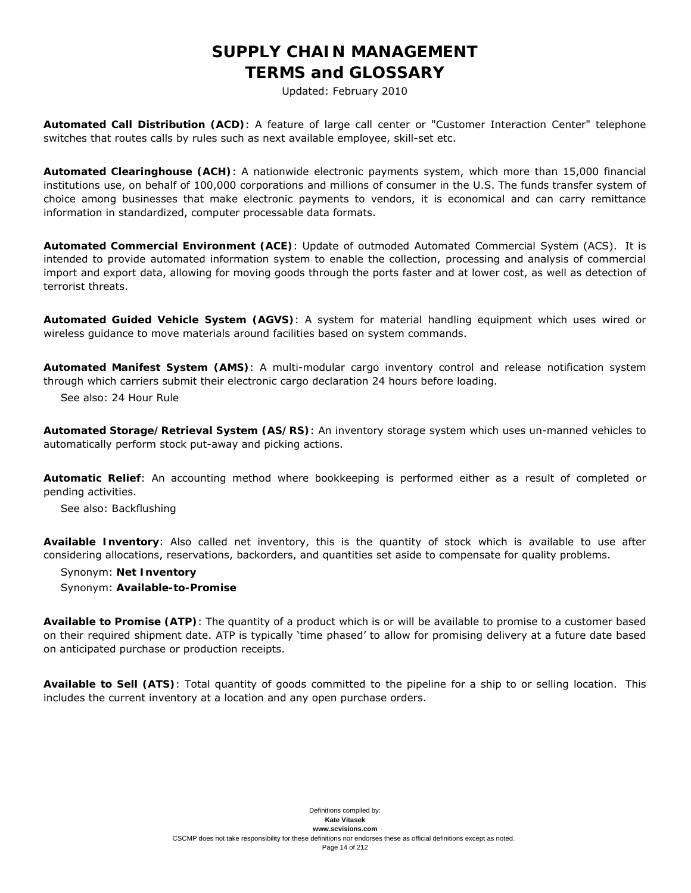Updated: February 2010

**Automated Call Distribution (ACD)**: A feature of large call center or "Customer Interaction Center" telephone switches that routes calls by rules such as next available employee, skill-set etc.

**Automated Clearinghouse (ACH)**: A nationwide electronic payments system, which more than 15,000 financial institutions use, on behalf of 100,000 corporations and millions of consumer in the U.S. The funds transfer system of choice among businesses that make electronic payments to vendors, it is economical and can carry remittance information in standardized, computer processable data formats.

**Automated Commercial Environment (ACE)**: Update of outmoded Automated Commercial System (ACS). It is intended to provide automated information system to enable the collection, processing and analysis of commercial import and export data, allowing for moving goods through the ports faster and at lower cost, as well as detection of terrorist threats.

**Automated Guided Vehicle System (AGVS)**: A system for material handling equipment which uses wired or wireless guidance to move materials around facilities based on system commands.

**Automated Manifest System (AMS)**: A multi-modular cargo inventory control and release notification system through which carriers submit their electronic cargo declaration 24 hours before loading.

See also: *24 Hour Rule*

**Automated Storage/Retrieval System (AS/RS)**: An inventory storage system which uses un-manned vehicles to automatically perform stock put-away and picking actions.

**Automatic Relief**: An accounting method where bookkeeping is performed either as a result of completed or pending activities.

See also: *Backflushing*

**Available Inventory**: Also called net inventory, this is the quantity of stock which is available to use after considering allocations, reservations, backorders, and quantities set aside to compensate for quality problems.

Synonym: *Available-to-Promise* Synonym: *Net Inventory*

**Available to Promise (ATP)**: The quantity of a product which is or will be available to promise to a customer based on their required shipment date. ATP is typically 'time phased' to allow for promising delivery at a future date based on anticipated purchase or production receipts.

**Available to Sell (ATS)**: Total quantity of goods committed to the pipeline for a ship to or selling location. This includes the current inventory at a location and any open purchase orders.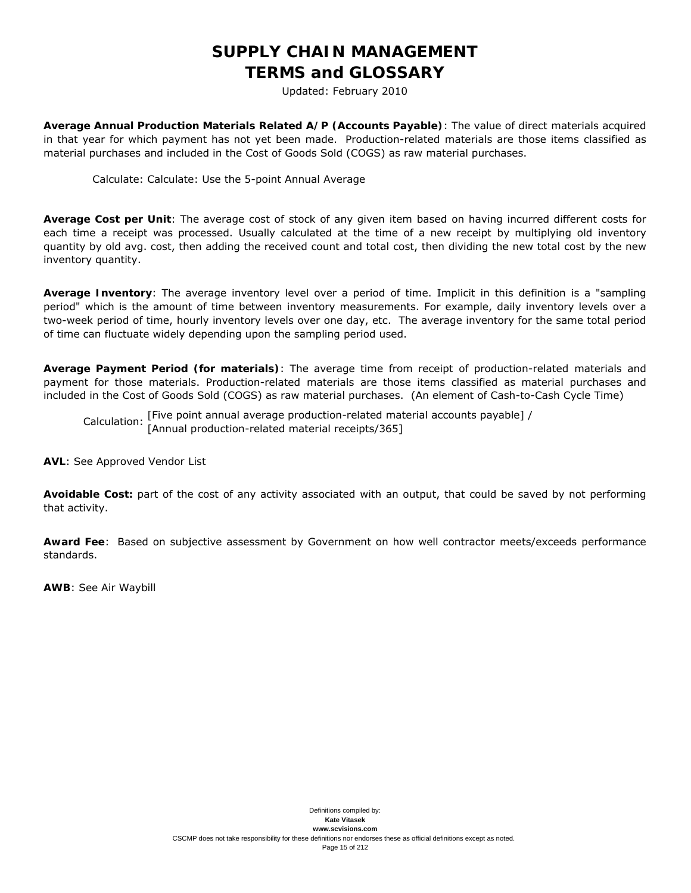Updated: February 2010

**Average Annual Production Materials Related A/P (Accounts Payable)**: The value of direct materials acquired in that year for which payment has not yet been made. Production-related materials are those items classified as material purchases and included in the Cost of Goods Sold (COGS) as raw material purchases.

Calculate: Calculate: Use the 5-point Annual Average

**Average Cost per Unit**: The average cost of stock of any given item based on having incurred different costs for each time a receipt was processed. Usually calculated at the time of a new receipt by multiplying old inventory quantity by old avg. cost, then adding the received count and total cost, then dividing the new total cost by the new inventory quantity.

**Average Inventory**: The average inventory level over a period of time. Implicit in this definition is a "sampling period" which is the amount of time between inventory measurements. For example, daily inventory levels over a two-week period of time, hourly inventory levels over one day, etc. The average inventory for the same total period of time can fluctuate widely depending upon the sampling period used.

**Average Payment Period (for materials)**: The average time from receipt of production-related materials and payment for those materials. Production-related materials are those items classified as material purchases and included in the Cost of Goods Sold (COGS) as raw material purchases. (An element of Cash-to-Cash Cycle Time)

[Five point annual average production-related material accounts payable] / Calculation: [Annual production-related material receipts/365]

**AVL**: See *Approved Vendor List*

**Avoidable Cost:** part of the cost of any activity associated with an output, that could be saved by not performing that activity.

**Award Fee**: Based on subjective assessment by Government on how well contractor meets/exceeds performance standards.

**AWB**: See *Air Waybill*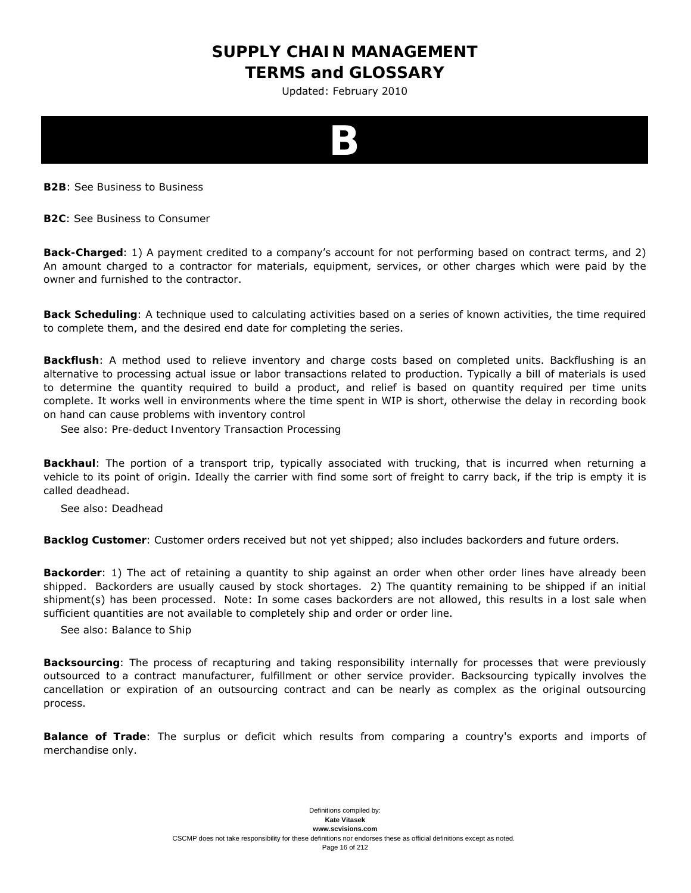Updated: February 2010



**B2B**: See *Business to Business*

**B2C**: See *Business to Consumer*

**Back-Charged**: 1) A payment credited to a company's account for not performing based on contract terms, and 2) An amount charged to a contractor for materials, equipment, services, or other charges which were paid by the owner and furnished to the contractor.

**Back Scheduling**: A technique used to calculating activities based on a series of known activities, the time required to complete them, and the desired end date for completing the series.

**Backflush**: A method used to relieve inventory and charge costs based on completed units. Backflushing is an alternative to processing actual issue or labor transactions related to production. Typically a bill of materials is used to determine the quantity required to build a product, and relief is based on quantity required per time units complete. It works well in environments where the time spent in WIP is short, otherwise the delay in recording book on hand can cause problems with inventory control

See also: *Pre-deduct Inventory Transaction Processing*

**Backhaul**: The portion of a transport trip, typically associated with trucking, that is incurred when returning a vehicle to its point of origin. Ideally the carrier with find some sort of freight to carry back, if the trip is empty it is called deadhead.

See also: *Deadhead*

**Backlog Customer**: Customer orders received but not yet shipped; also includes backorders and future orders.

**Backorder**: 1) The act of retaining a quantity to ship against an order when other order lines have already been shipped. Backorders are usually caused by stock shortages. 2) The quantity remaining to be shipped if an initial shipment(s) has been processed. Note: In some cases backorders are not allowed, this results in a lost sale when sufficient quantities are not available to completely ship and order or order line.

See also: *Balance to Ship*

**Backsourcing**: The process of recapturing and taking responsibility internally for processes that were previously outsourced to a contract manufacturer, fulfillment or other service provider. Backsourcing typically involves the cancellation or expiration of an outsourcing contract and can be nearly as complex as the original outsourcing process.

**Balance of Trade**: The surplus or deficit which results from comparing a country's exports and imports of merchandise only.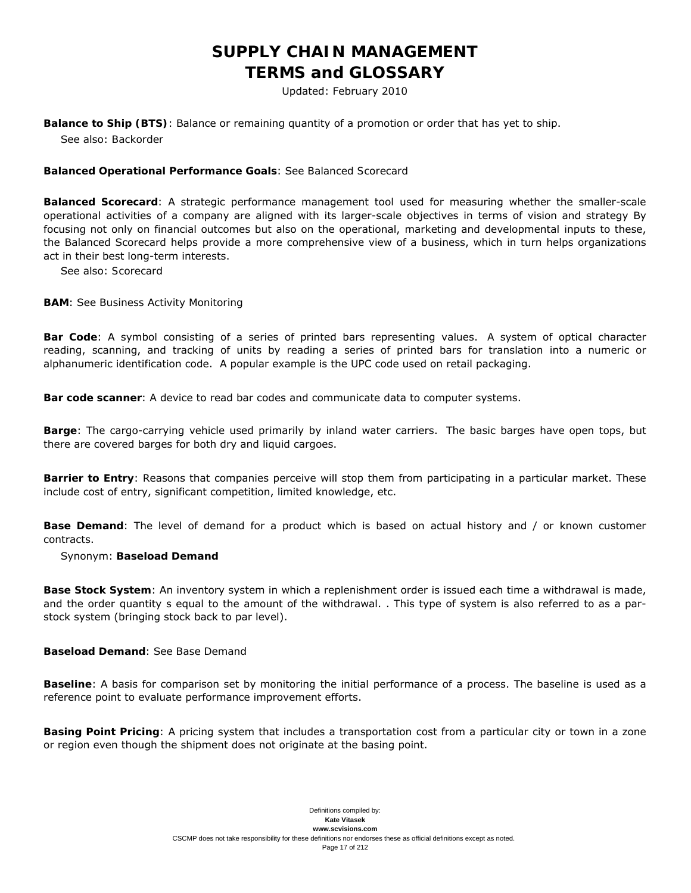Updated: February 2010

# **Balance to Ship (BTS)**: Balance or remaining quantity of a promotion or order that has yet to ship.

See also: *Backorder*

#### **Balanced Operational Performance Goals**: See *Balanced Scorecard*

**Balanced Scorecard**: A strategic performance management tool used for measuring whether the smaller-scale operational activities of a company are aligned with its larger-scale objectives in terms of vision and strategy By focusing not only on financial outcomes but also on the operational, marketing and developmental inputs to these, the Balanced Scorecard helps provide a more comprehensive view of a business, which in turn helps organizations act in their best long-term interests.

See also: *Scorecard*

**BAM**: See *Business Activity Monitoring*

**Bar Code**: A symbol consisting of a series of printed bars representing values. A system of optical character reading, scanning, and tracking of units by reading a series of printed bars for translation into a numeric or alphanumeric identification code. A popular example is the UPC code used on retail packaging.

**Bar code scanner**: A device to read bar codes and communicate data to computer systems.

**Barge**: The cargo-carrying vehicle used primarily by inland water carriers. The basic barges have open tops, but there are covered barges for both dry and liquid cargoes.

**Barrier to Entry**: Reasons that companies perceive will stop them from participating in a particular market. These include cost of entry, significant competition, limited knowledge, etc.

**Base Demand**: The level of demand for a product which is based on actual history and / or known customer contracts.

#### Synonym: *Baseload Demand*

**Base Stock System**: An inventory system in which a replenishment order is issued each time a withdrawal is made, and the order quantity s equal to the amount of the withdrawal. . This type of system is also referred to as a parstock system (bringing stock back to par level).

#### **Baseload Demand**: See *Base Demand*

**Baseline**: A basis for comparison set by monitoring the initial performance of a process. The baseline is used as a reference point to evaluate performance improvement efforts.

**Basing Point Pricing**: A pricing system that includes a transportation cost from a particular city or town in a zone or region even though the shipment does not originate at the basing point.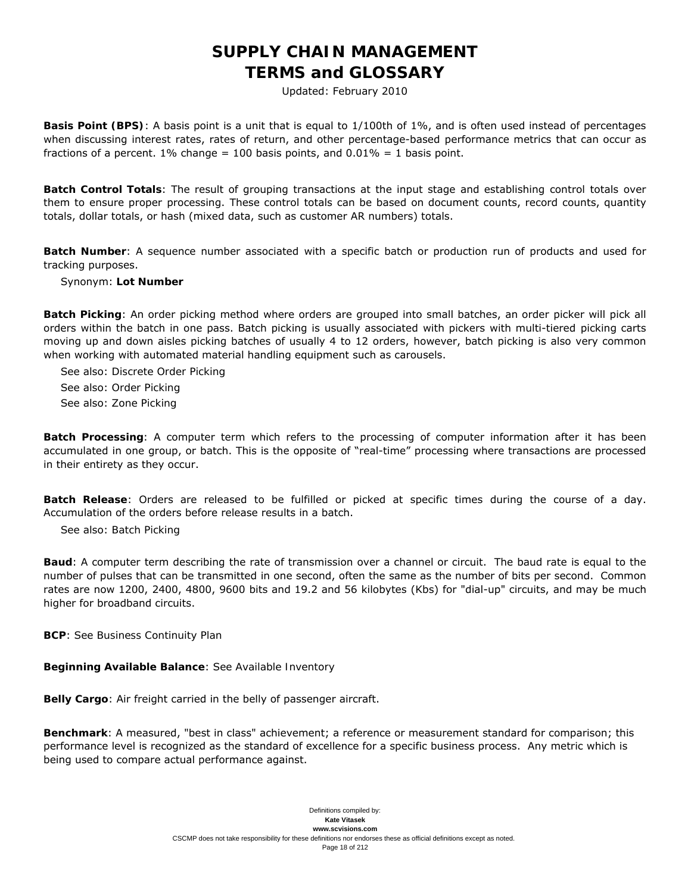Updated: February 2010

**Basis Point (BPS)**: A basis point is a unit that is equal to 1/100th of 1%, and is often used instead of percentages when discussing interest rates, rates of return, and other percentage-based performance metrics that can occur as fractions of a percent.  $1\%$  change = 100 basis points, and  $0.01\% = 1$  basis point.

**Batch Control Totals**: The result of grouping transactions at the input stage and establishing control totals over them to ensure proper processing. These control totals can be based on document counts, record counts, quantity totals, dollar totals, or hash (mixed data, such as customer AR numbers) totals.

**Batch Number**: A sequence number associated with a specific batch or production run of products and used for tracking purposes.

#### Synonym: *Lot Number*

**Batch Picking**: An order picking method where orders are grouped into small batches, an order picker will pick all orders within the batch in one pass. Batch picking is usually associated with pickers with multi-tiered picking carts moving up and down aisles picking batches of usually 4 to 12 orders, however, batch picking is also very common when working with automated material handling equipment such as carousels.

See also: *Discrete Order Picking* See also: *Order Picking* See also: *Zone Picking*

**Batch Processing**: A computer term which refers to the processing of computer information after it has been accumulated in one group, or batch. This is the opposite of "real-time" processing where transactions are processed in their entirety as they occur.

**Batch Release**: Orders are released to be fulfilled or picked at specific times during the course of a day. Accumulation of the orders before release results in a batch.

#### See also: *Batch Picking*

**Baud**: A computer term describing the rate of transmission over a channel or circuit. The baud rate is equal to the number of pulses that can be transmitted in one second, often the same as the number of bits per second. Common rates are now 1200, 2400, 4800, 9600 bits and 19.2 and 56 kilobytes (Kbs) for "dial-up" circuits, and may be much higher for broadband circuits.

**BCP**: See *Business Continuity Plan*

**Beginning Available Balance**: See *Available Inventory*

**Belly Cargo**: Air freight carried in the belly of passenger aircraft.

**Benchmark**: A measured, "best in class" achievement; a reference or measurement standard for comparison; this performance level is recognized as the standard of excellence for a specific business process. Any metric which is being used to compare actual performance against.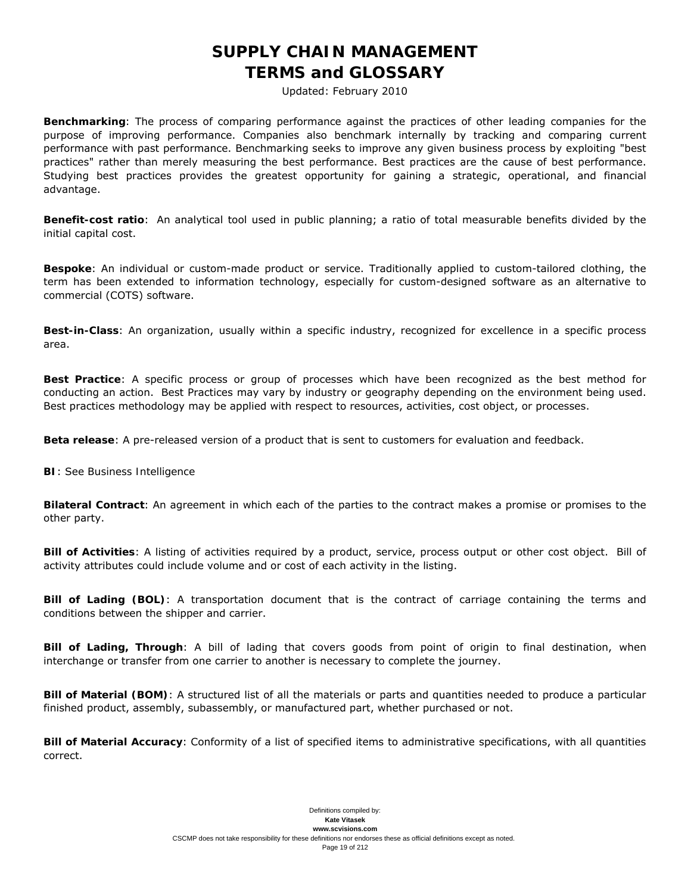Updated: February 2010

**Benchmarking**: The process of comparing performance against the practices of other leading companies for the purpose of improving performance. Companies also benchmark internally by tracking and comparing current performance with past performance. Benchmarking seeks to improve any given business process by exploiting "best practices" rather than merely measuring the best performance. Best practices are the cause of best performance. Studying best practices provides the greatest opportunity for gaining a strategic, operational, and financial advantage.

**Benefit-cost ratio**: An analytical tool used in public planning; a ratio of total measurable benefits divided by the initial capital cost.

**Bespoke**: An individual or custom-made product or service. Traditionally applied to custom-tailored clothing, the term has been extended to information technology, especially for custom-designed software as an alternative to commercial (COTS) software.

**Best-in-Class**: An organization, usually within a specific industry, recognized for excellence in a specific process area.

**Best Practice**: A specific process or group of processes which have been recognized as the best method for conducting an action. Best Practices may vary by industry or geography depending on the environment being used. Best practices methodology may be applied with respect to resources, activities, cost object, or processes.

**Beta release**: A pre-released version of a product that is sent to customers for evaluation and feedback.

#### **BI**: See *Business Intelligence*

**Bilateral Contract**: An agreement in which each of the parties to the contract makes a promise or promises to the other party.

**Bill of Activities**: A listing of activities required by a product, service, process output or other cost object. Bill of activity attributes could include volume and or cost of each activity in the listing.

**Bill of Lading (BOL)**: A transportation document that is the contract of carriage containing the terms and conditions between the shipper and carrier.

**Bill of Lading, Through**: A bill of lading that covers goods from point of origin to final destination, when interchange or transfer from one carrier to another is necessary to complete the journey.

**Bill of Material (BOM)**: A structured list of all the materials or parts and quantities needed to produce a particular finished product, assembly, subassembly, or manufactured part, whether purchased or not.

**Bill of Material Accuracy**: Conformity of a list of specified items to administrative specifications, with all quantities correct.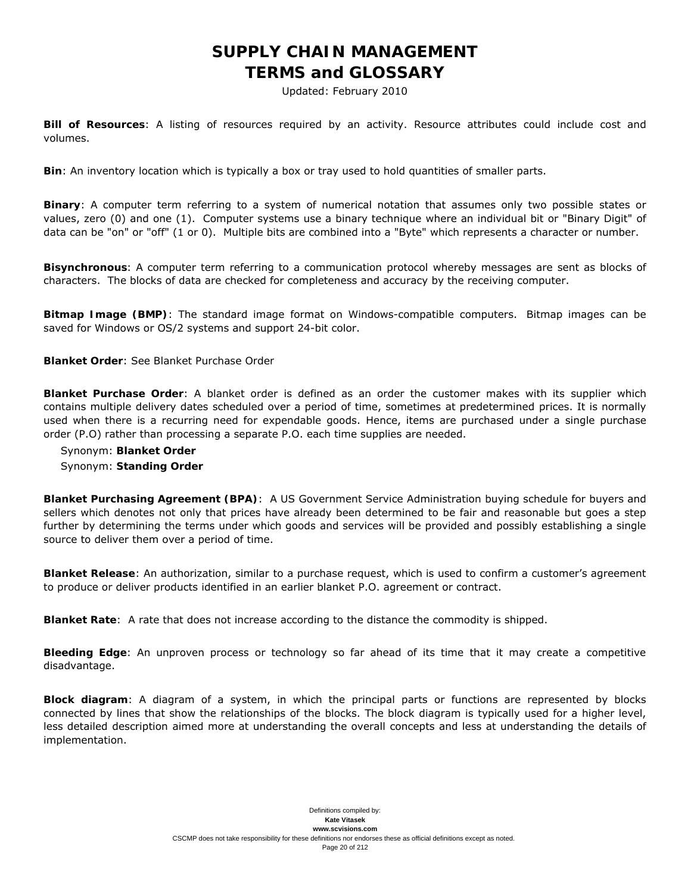Updated: February 2010

**Bill of Resources**: A listing of resources required by an activity. Resource attributes could include cost and volumes.

**Bin**: An inventory location which is typically a box or tray used to hold quantities of smaller parts.

**Binary**: A computer term referring to a system of numerical notation that assumes only two possible states or values, zero (0) and one (1). Computer systems use a binary technique where an individual bit or "Binary Digit" of data can be "on" or "off" (1 or 0). Multiple bits are combined into a "Byte" which represents a character or number.

**Bisynchronous**: A computer term referring to a communication protocol whereby messages are sent as blocks of characters. The blocks of data are checked for completeness and accuracy by the receiving computer.

**Bitmap Image (BMP)**: The standard image format on Windows-compatible computers. Bitmap images can be saved for Windows or OS/2 systems and support 24-bit color.

**Blanket Order**: See *Blanket Purchase Order*

**Blanket Purchase Order**: A blanket order is defined as an order the customer makes with its supplier which contains multiple delivery dates scheduled over a period of time, sometimes at predetermined prices. It is normally used when there is a recurring need for expendable goods. Hence, items are purchased under a single purchase order (P.O) rather than processing a separate P.O. each time supplies are needed.

#### Synonym: *Standing Order* Synonym: *Blanket Order*

**Blanket Purchasing Agreement (BPA)**: A US Government Service Administration buying schedule for buyers and sellers which denotes not only that prices have already been determined to be fair and reasonable but goes a step further by determining the terms under which goods and services will be provided and possibly establishing a single source to deliver them over a period of time.

**Blanket Release**: An authorization, similar to a purchase request, which is used to confirm a customer's agreement to produce or deliver products identified in an earlier blanket P.O. agreement or contract.

**Blanket Rate**: A rate that does not increase according to the distance the commodity is shipped.

**Bleeding Edge**: An unproven process or technology so far ahead of its time that it may create a competitive disadvantage.

**Block diagram**: A diagram of a system, in which the principal parts or functions are represented by blocks connected by lines that show the relationships of the blocks. The block diagram is typically used for a higher level, less detailed description aimed more at understanding the overall concepts and less at understanding the details of implementation.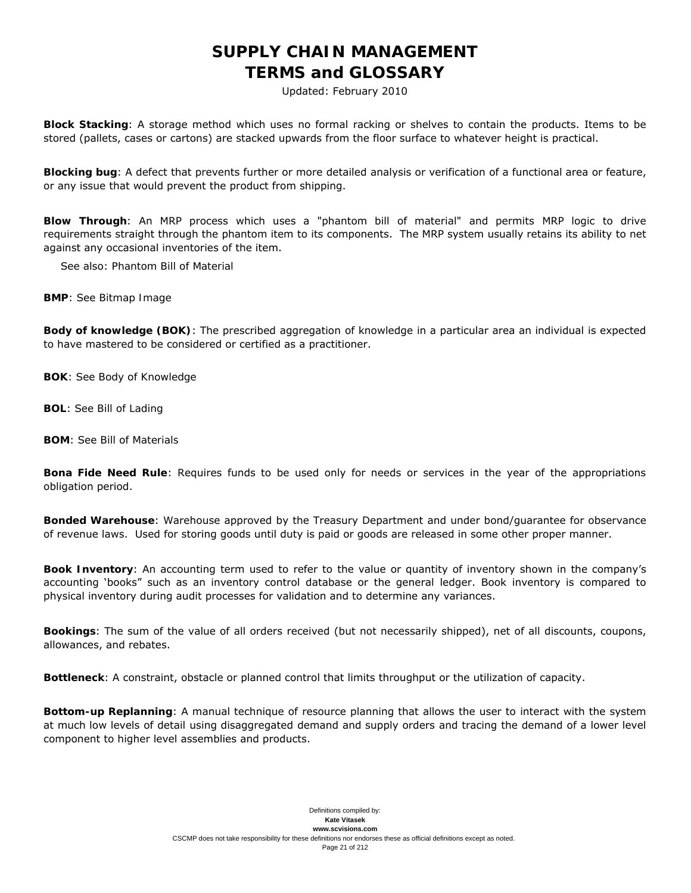Updated: February 2010

**Block Stacking**: A storage method which uses no formal racking or shelves to contain the products. Items to be stored (pallets, cases or cartons) are stacked upwards from the floor surface to whatever height is practical.

**Blocking bug**: A defect that prevents further or more detailed analysis or verification of a functional area or feature, or any issue that would prevent the product from shipping.

**Blow Through**: An MRP process which uses a "phantom bill of material" and permits MRP logic to drive requirements straight through the phantom item to its components. The MRP system usually retains its ability to net against any occasional inventories of the item.

See also: *Phantom Bill of Material*

**BMP**: See *Bitmap Image*

**Body of knowledge (BOK)**: The prescribed aggregation of knowledge in a particular area an individual is expected to have mastered to be considered or certified as a practitioner.

**BOK**: See *Body of Knowledge*

**BOL**: See *Bill of Lading*

**BOM**: See *Bill of Materials*

**Bona Fide Need Rule**: Requires funds to be used only for needs or services in the year of the appropriations obligation period.

**Bonded Warehouse**: Warehouse approved by the Treasury Department and under bond/guarantee for observance of revenue laws. Used for storing goods until duty is paid or goods are released in some other proper manner.

**Book Inventory**: An accounting term used to refer to the value or quantity of inventory shown in the company's accounting 'books" such as an inventory control database or the general ledger. Book inventory is compared to physical inventory during audit processes for validation and to determine any variances.

**Bookings**: The sum of the value of all orders received (but not necessarily shipped), net of all discounts, coupons, allowances, and rebates.

**Bottleneck**: A constraint, obstacle or planned control that limits throughput or the utilization of capacity.

**Bottom-up Replanning**: A manual technique of resource planning that allows the user to interact with the system at much low levels of detail using disaggregated demand and supply orders and tracing the demand of a lower level component to higher level assemblies and products.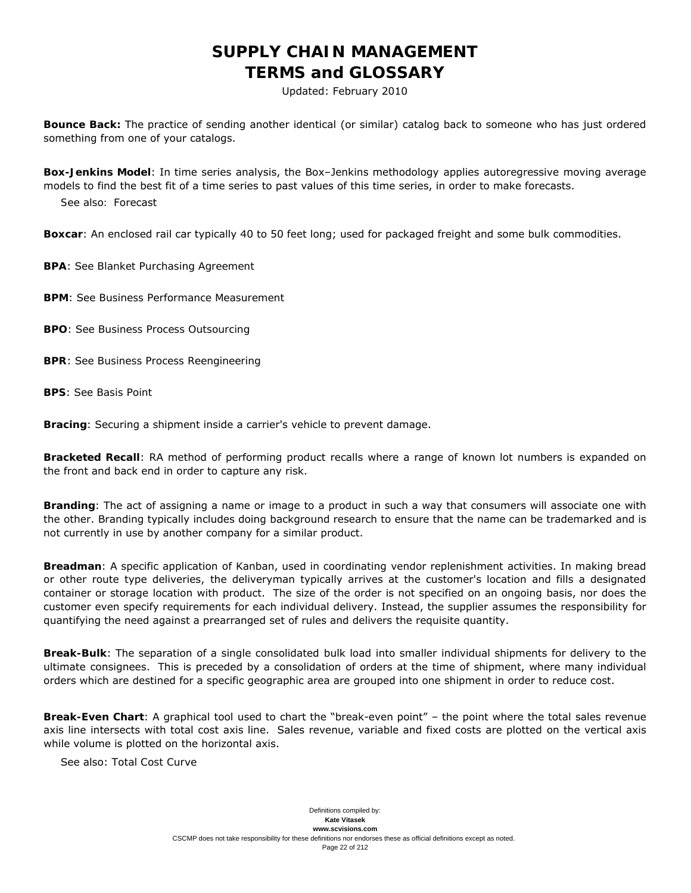Updated: February 2010

**Bounce Back:** The practice of sending another identical (or similar) catalog back to someone who has just ordered something from one of your catalogs.

**Box-Jenkins Model**: In time series analysis, the Box–Jenkins methodology applies autoregressive moving average models to find the best fit of a time series to past values of this time series, in order to make forecasts.

*See also:* Forecast

**Boxcar**: An enclosed rail car typically 40 to 50 feet long; used for packaged freight and some bulk commodities.

**BPA**: See *Blanket Purchasing Agreement*

**BPM**: See *Business Performance Measurement*

**BPO**: See *Business Process Outsourcing*

**BPR**: See *Business Process Reengineering*

**BPS**: See *Basis Point*

**Bracing**: Securing a shipment inside a carrier's vehicle to prevent damage.

**Bracketed Recall**: RA method of performing product recalls where a range of known lot numbers is expanded on the front and back end in order to capture any risk.

**Branding**: The act of assigning a name or image to a product in such a way that consumers will associate one with the other. Branding typically includes doing background research to ensure that the name can be trademarked and is not currently in use by another company for a similar product.

**Breadman**: A specific application of Kanban, used in coordinating vendor replenishment activities. In making bread or other route type deliveries, the deliveryman typically arrives at the customer's location and fills a designated container or storage location with product. The size of the order is not specified on an ongoing basis, nor does the customer even specify requirements for each individual delivery. Instead, the supplier assumes the responsibility for quantifying the need against a prearranged set of rules and delivers the requisite quantity.

**Break-Bulk**: The separation of a single consolidated bulk load into smaller individual shipments for delivery to the ultimate consignees. This is preceded by a consolidation of orders at the time of shipment, where many individual orders which are destined for a specific geographic area are grouped into one shipment in order to reduce cost.

**Break-Even Chart**: A graphical tool used to chart the "break-even point" – the point where the total sales revenue axis line intersects with total cost axis line. Sales revenue, variable and fixed costs are plotted on the vertical axis while volume is plotted on the horizontal axis.

See also: *Total Cost Curve*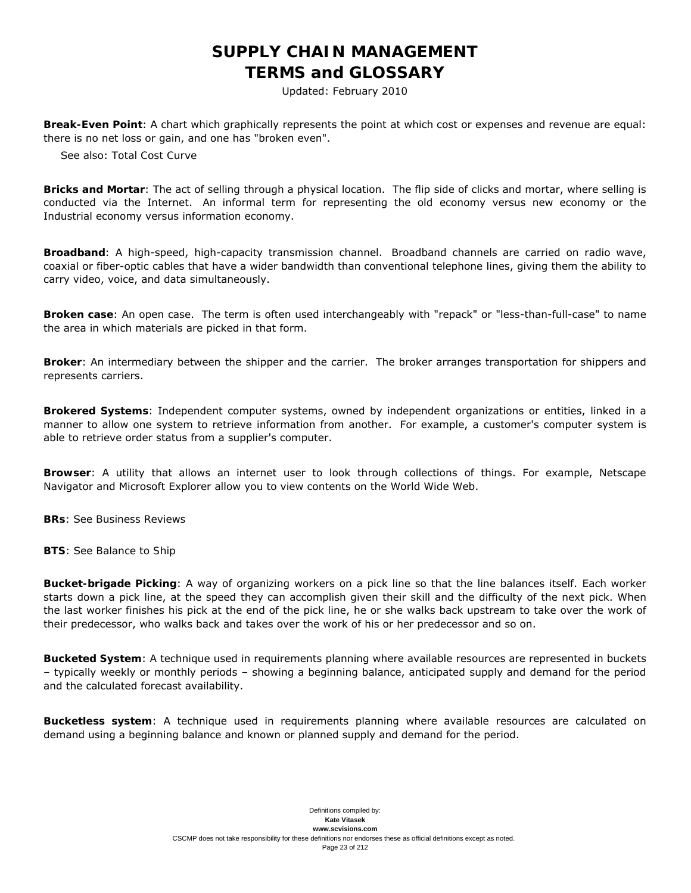Updated: February 2010

**Break-Even Point**: A chart which graphically represents the point at which cost or expenses and revenue are equal: there is no net loss or gain, and one has "broken even".

See also: *Total Cost Curve*

**Bricks and Mortar**: The act of selling through a physical location. The flip side of clicks and mortar, where selling is conducted via the Internet. An informal term for representing the old economy versus new economy or the Industrial economy versus information economy.

**Broadband**: A high-speed, high-capacity transmission channel. Broadband channels are carried on radio wave, coaxial or fiber-optic cables that have a wider bandwidth than conventional telephone lines, giving them the ability to carry video, voice, and data simultaneously.

**Broken case**: An open case. The term is often used interchangeably with "repack" or "less-than-full-case" to name the area in which materials are picked in that form.

**Broker**: An intermediary between the shipper and the carrier. The broker arranges transportation for shippers and represents carriers.

**Brokered Systems**: Independent computer systems, owned by independent organizations or entities, linked in a manner to allow one system to retrieve information from another. For example, a customer's computer system is able to retrieve order status from a supplier's computer.

**Browser**: A utility that allows an internet user to look through collections of things. For example, Netscape Navigator and Microsoft Explorer allow you to view contents on the World Wide Web.

**BRs**: See *Business Reviews*

**BTS**: See *Balance to Ship*

**Bucket-brigade Picking**: A way of organizing workers on a pick line so that the line balances itself. Each worker starts down a pick line, at the speed they can accomplish given their skill and the difficulty of the next pick. When the last worker finishes his pick at the end of the pick line, he or she walks back upstream to take over the work of their predecessor, who walks back and takes over the work of his or her predecessor and so on.

**Bucketed System**: A technique used in requirements planning where available resources are represented in buckets – typically weekly or monthly periods – showing a beginning balance, anticipated supply and demand for the period and the calculated forecast availability.

**Bucketless system**: A technique used in requirements planning where available resources are calculated on demand using a beginning balance and known or planned supply and demand for the period.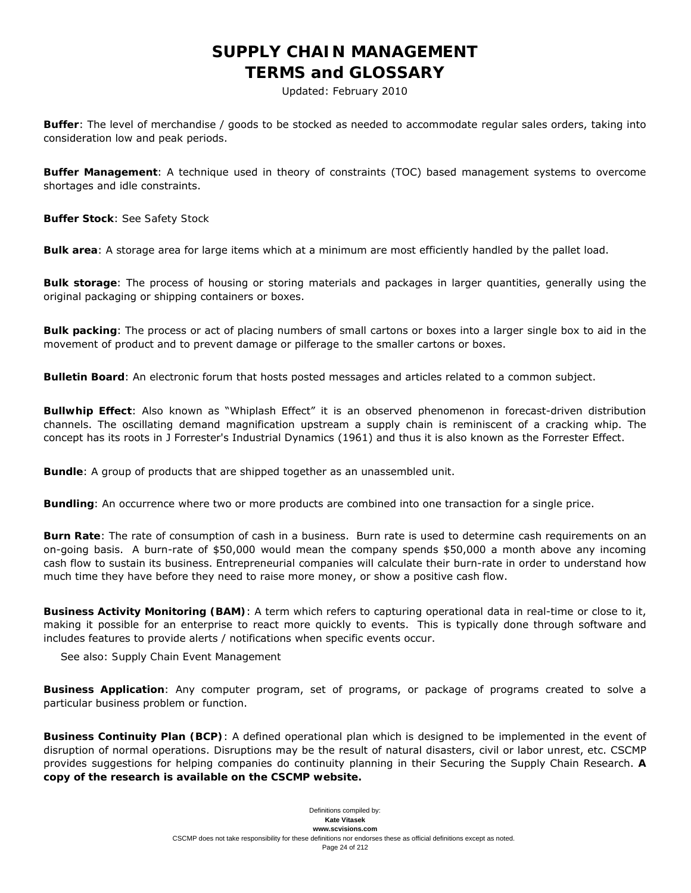Updated: February 2010

**Buffer**: The level of merchandise / goods to be stocked as needed to accommodate regular sales orders, taking into consideration low and peak periods.

**Buffer Management**: A technique used in theory of constraints (TOC) based management systems to overcome shortages and idle constraints.

**Buffer Stock**: See *Safety Stock*

**Bulk area**: A storage area for large items which at a minimum are most efficiently handled by the pallet load.

**Bulk storage**: The process of housing or storing materials and packages in larger quantities, generally using the original packaging or shipping containers or boxes.

**Bulk packing**: The process or act of placing numbers of small cartons or boxes into a larger single box to aid in the movement of product and to prevent damage or pilferage to the smaller cartons or boxes.

**Bulletin Board**: An electronic forum that hosts posted messages and articles related to a common subject.

**Bullwhip Effect**: Also known as "Whiplash Effect" it is an observed phenomenon in forecast-driven distribution channels. The oscillating demand magnification upstream a supply chain is reminiscent of a cracking whip. The concept has its roots in J Forrester's Industrial Dynamics (1961) and thus it is also known as the Forrester Effect.

**Bundle**: A group of products that are shipped together as an unassembled unit.

**Bundling**: An occurrence where two or more products are combined into one transaction for a single price.

**Burn Rate**: The rate of consumption of cash in a business. Burn rate is used to determine cash requirements on an on-going basis. A burn-rate of \$50,000 would mean the company spends \$50,000 a month above any incoming cash flow to sustain its business. Entrepreneurial companies will calculate their burn-rate in order to understand how much time they have before they need to raise more money, or show a positive cash flow.

**Business Activity Monitoring (BAM)**: A term which refers to capturing operational data in real-time or close to it, making it possible for an enterprise to react more quickly to events. This is typically done through software and includes features to provide alerts / notifications when specific events occur.

See also: *Supply Chain Event Management*

**Business Application**: Any computer program, set of programs, or package of programs created to solve a particular business problem or function.

**Business Continuity Plan (BCP)**: A defined operational plan which is designed to be implemented in the event of disruption of normal operations. Disruptions may be the result of natural disasters, civil or labor unrest, etc. CSCMP provides suggestions for helping companies do continuity planning in their Securing the Supply Chain Research. **A copy of the research is available on the CSCMP website.**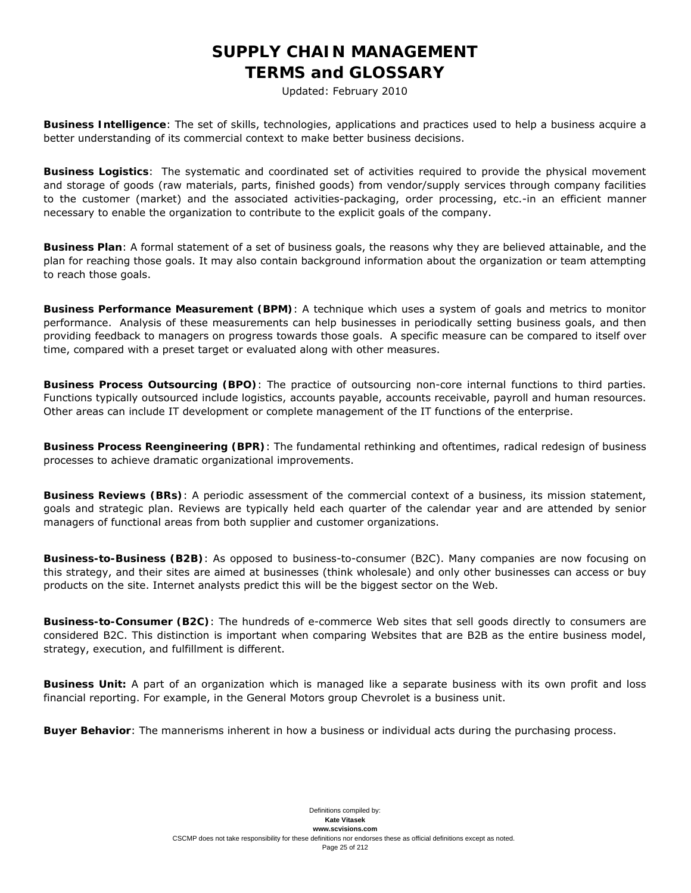Updated: February 2010

**Business Intelligence**: The set of skills, technologies, applications and practices used to help a business acquire a better understanding of its commercial context to make better business decisions.

**Business Logistics**: The systematic and coordinated set of activities required to provide the physical movement and storage of goods (raw materials, parts, finished goods) from vendor/supply services through company facilities to the customer (market) and the associated activities-packaging, order processing, etc.-in an efficient manner necessary to enable the organization to contribute to the explicit goals of the company.

**Business Plan**: A formal statement of a set of business goals, the reasons why they are believed attainable, and the plan for reaching those goals. It may also contain background information about the organization or team attempting to reach those goals.

**Business Performance Measurement (BPM)**: A technique which uses a system of goals and metrics to monitor performance. Analysis of these measurements can help businesses in periodically setting business goals, and then providing feedback to managers on progress towards those goals. A specific measure can be compared to itself over time, compared with a preset target or evaluated along with other measures.

**Business Process Outsourcing (BPO)**: The practice of outsourcing non-core internal functions to third parties. Functions typically outsourced include logistics, accounts payable, accounts receivable, payroll and human resources. Other areas can include IT development or complete management of the IT functions of the enterprise.

**Business Process Reengineering (BPR)**: The fundamental rethinking and oftentimes, radical redesign of business processes to achieve dramatic organizational improvements.

**Business Reviews (BRs)**: A periodic assessment of the commercial context of a business, its mission statement, goals and strategic plan. Reviews are typically held each quarter of the calendar year and are attended by senior managers of functional areas from both supplier and customer organizations.

**Business-to-Business (B2B)**: As opposed to business-to-consumer (B2C). Many companies are now focusing on this strategy, and their sites are aimed at businesses (think wholesale) and only other businesses can access or buy products on the site. Internet analysts predict this will be the biggest sector on the Web.

**Business-to-Consumer (B2C)**: The hundreds of e-commerce Web sites that sell goods directly to consumers are considered B2C. This distinction is important when comparing Websites that are B2B as the entire business model, strategy, execution, and fulfillment is different.

**Business Unit:** A part of an organization which is managed like a separate business with its own profit and loss financial reporting. For example, in the General Motors group Chevrolet is a business unit.

**Buyer Behavior**: The mannerisms inherent in how a business or individual acts during the purchasing process.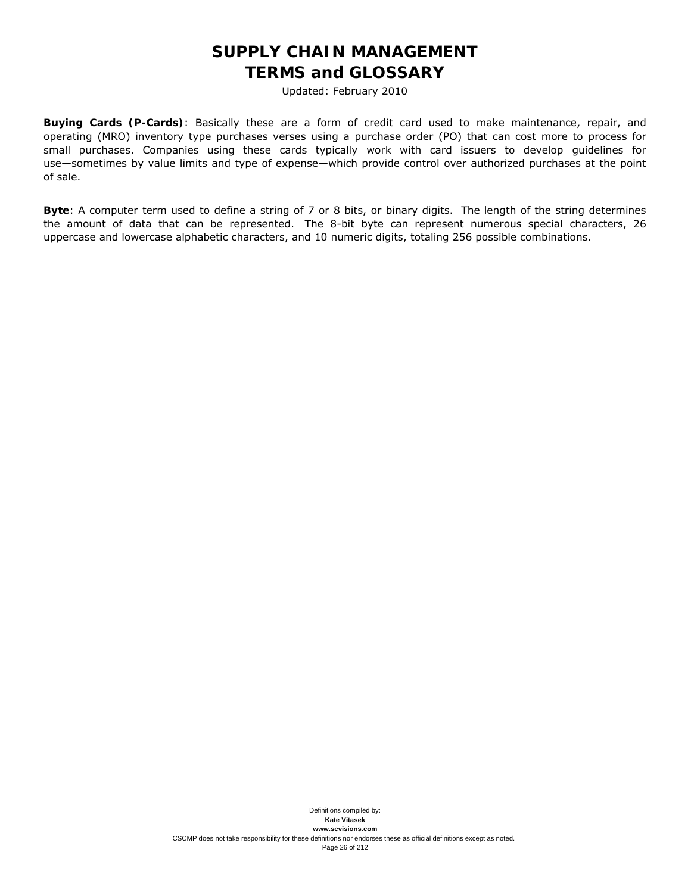Updated: February 2010

**Buying Cards (P-Cards)**: Basically these are a form of credit card used to make maintenance, repair, and operating (MRO) inventory type purchases verses using a purchase order (PO) that can cost more to process for small purchases. Companies using these cards typically work with card issuers to develop guidelines for use—sometimes by value limits and type of expense—which provide control over authorized purchases at the point of sale.

**Byte**: A computer term used to define a string of 7 or 8 bits, or binary digits. The length of the string determines the amount of data that can be represented. The 8-bit byte can represent numerous special characters, 26 uppercase and lowercase alphabetic characters, and 10 numeric digits, totaling 256 possible combinations.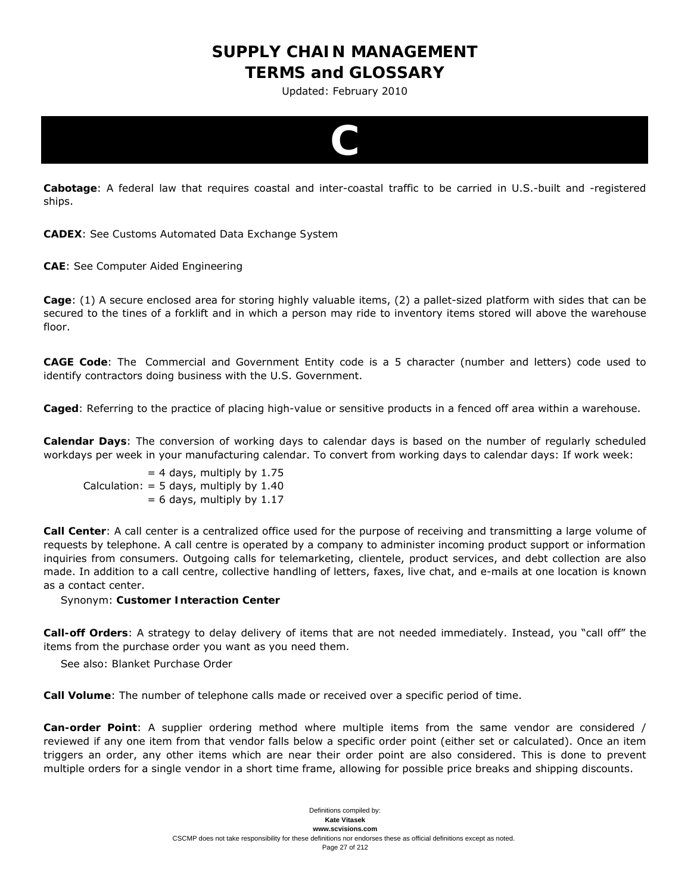Updated: February 2010



**Cabotage**: A federal law that requires coastal and inter-coastal traffic to be carried in U.S.-built and -registered ships.

**CADEX**: See *Customs Automated Data Exchange System*

**CAE**: See *Computer Aided Engineering*

**Cage**: (1) A secure enclosed area for storing highly valuable items, (2) a pallet-sized platform with sides that can be secured to the tines of a forklift and in which a person may ride to inventory items stored will above the warehouse floor.

**CAGE Code**: The Commercial and Government Entity code is a 5 character (number and letters) code used to identify contractors doing business with the U.S. Government.

**Caged**: Referring to the practice of placing high-value or sensitive products in a fenced off area within a warehouse.

**Calendar Days**: The conversion of working days to calendar days is based on the number of regularly scheduled workdays per week in your manufacturing calendar. To convert from working days to calendar days: If work week:

Calculation: = 5 days, multiply by 1.40  $=$  4 days, multiply by 1.75  $= 6$  days, multiply by 1.17

**Call Center**: A call center is a centralized office used for the purpose of receiving and transmitting a large volume of requests by telephone. A call centre is operated by a company to administer incoming product support or information inquiries from consumers. Outgoing calls for telemarketing, clientele, product services, and debt collection are also made. In addition to a call centre, collective handling of letters, faxes, live chat, and e-mails at one location is known as a contact center.

#### Synonym: *Customer Interaction Center*

**Call-off Orders**: A strategy to delay delivery of items that are not needed immediately. Instead, you "call off" the items from the purchase order you want as you need them.

See also: *Blanket Purchase Order*

**Call Volume**: The number of telephone calls made or received over a specific period of time.

**Can-order Point**: A supplier ordering method where multiple items from the same vendor are considered / reviewed if any one item from that vendor falls below a specific order point (either set or calculated). Once an item triggers an order, any other items which are near their order point are also considered. This is done to prevent multiple orders for a single vendor in a short time frame, allowing for possible price breaks and shipping discounts.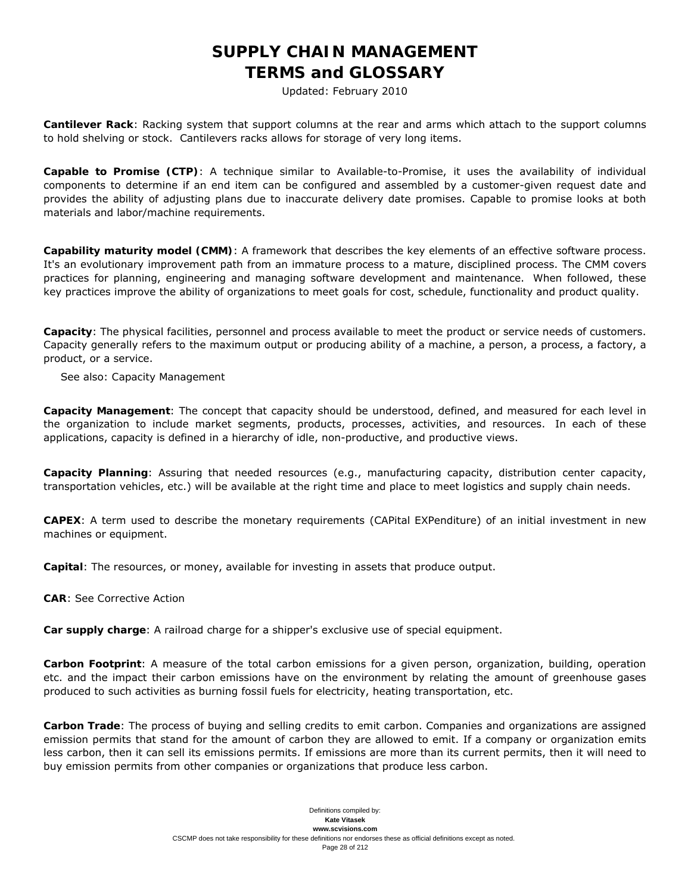Updated: February 2010

**Cantilever Rack**: Racking system that support columns at the rear and arms which attach to the support columns to hold shelving or stock. Cantilevers racks allows for storage of very long items.

**Capable to Promise (CTP)**: A technique similar to Available-to-Promise, it uses the availability of individual components to determine if an end item can be configured and assembled by a customer-given request date and provides the ability of adjusting plans due to inaccurate delivery date promises. Capable to promise looks at both materials and labor/machine requirements.

**Capability maturity model (CMM)**: A framework that describes the key elements of an effective software process. It's an evolutionary improvement path from an immature process to a mature, disciplined process. The CMM covers practices for planning, engineering and managing software development and maintenance. When followed, these key practices improve the ability of organizations to meet goals for cost, schedule, functionality and product quality.

**Capacity**: The physical facilities, personnel and process available to meet the product or service needs of customers. Capacity generally refers to the maximum output or producing ability of a machine, a person, a process, a factory, a product, or a service.

See also: *Capacity Management*

**Capacity Management**: The concept that capacity should be understood, defined, and measured for each level in the organization to include market segments, products, processes, activities, and resources. In each of these applications, capacity is defined in a hierarchy of idle, non-productive, and productive views.

**Capacity Planning**: Assuring that needed resources (e.g., manufacturing capacity, distribution center capacity, transportation vehicles, etc.) will be available at the right time and place to meet logistics and supply chain needs.

**CAPEX**: A term used to describe the monetary requirements (CAPital EXPenditure) of an initial investment in new machines or equipment.

**Capital**: The resources, or money, available for investing in assets that produce output.

**CAR**: See *Corrective Action*

**Car supply charge**: A railroad charge for a shipper's exclusive use of special equipment.

**Carbon Footprint**: A measure of the total carbon emissions for a given person, organization, building, operation etc. and the impact their carbon emissions have on the environment by relating the amount of greenhouse gases produced to such activities as burning fossil fuels for electricity, heating transportation, etc.

**Carbon Trade**: The process of buying and selling credits to emit carbon. Companies and organizations are assigned emission permits that stand for the amount of carbon they are allowed to emit. If a company or organization emits less carbon, then it can sell its emissions permits. If emissions are more than its current permits, then it will need to buy emission permits from other companies or organizations that produce less carbon.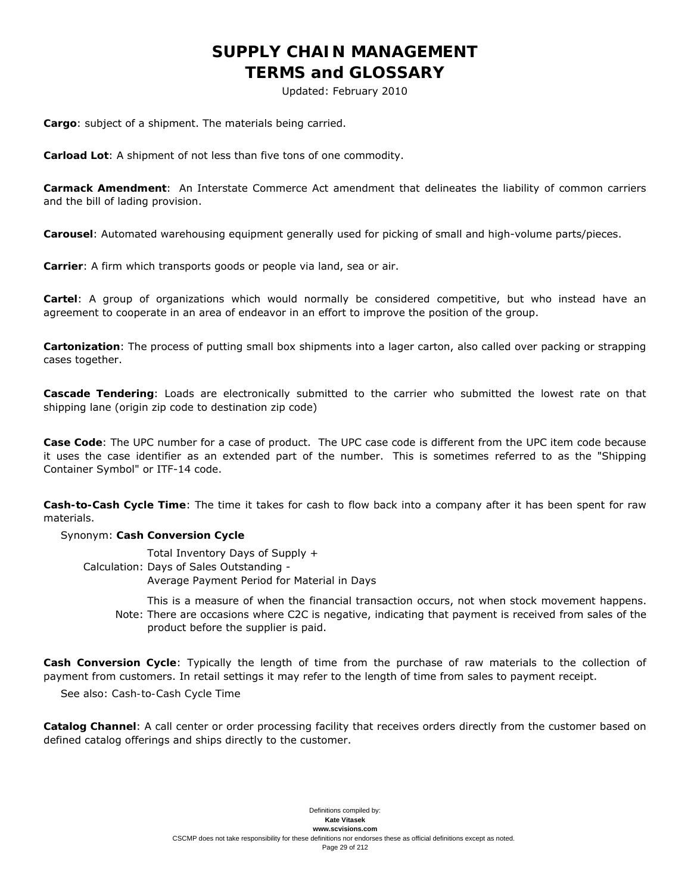Updated: February 2010

**Cargo**: subject of a shipment. The materials being carried.

**Carload Lot**: A shipment of not less than five tons of one commodity.

**Carmack Amendment**: An Interstate Commerce Act amendment that delineates the liability of common carriers and the bill of lading provision.

**Carousel**: Automated warehousing equipment generally used for picking of small and high-volume parts/pieces.

**Carrier**: A firm which transports goods or people via land, sea or air.

**Cartel**: A group of organizations which would normally be considered competitive, but who instead have an agreement to cooperate in an area of endeavor in an effort to improve the position of the group.

**Cartonization**: The process of putting small box shipments into a lager carton, also called over packing or strapping cases together.

**Cascade Tendering**: Loads are electronically submitted to the carrier who submitted the lowest rate on that shipping lane (origin zip code to destination zip code)

**Case Code**: The UPC number for a case of product. The UPC case code is different from the UPC item code because it uses the case identifier as an extended part of the number. This is sometimes referred to as the "Shipping Container Symbol" or ITF-14 code.

**Cash-to-Cash Cycle Time**: The time it takes for cash to flow back into a company after it has been spent for raw materials.

#### Synonym: *Cash Conversion Cycle*

Calculation: Days of Sales Outstanding - Total Inventory Days of Supply + Average Payment Period for Material in Days

> Note: There are occasions where C2C is negative, indicating that payment is received from sales of the This is a measure of when the financial transaction occurs, not when stock movement happens. product before the supplier is paid.

**Cash Conversion Cycle**: Typically the length of time from the purchase of raw materials to the collection of payment from customers. In retail settings it may refer to the length of time from sales to payment receipt.

See also: *Cash-to-Cash Cycle Time*

**Catalog Channel**: A call center or order processing facility that receives orders directly from the customer based on defined catalog offerings and ships directly to the customer.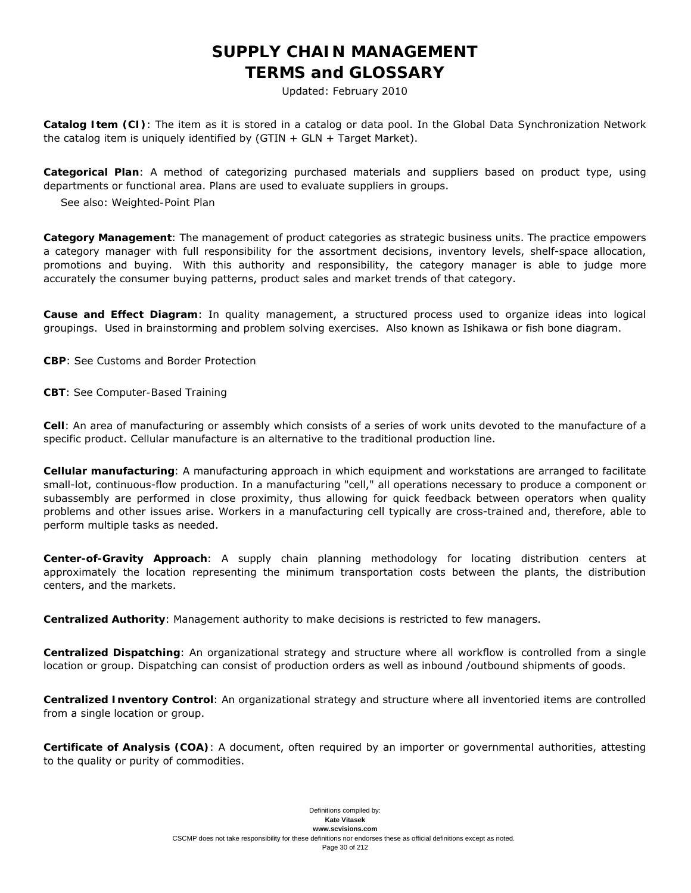Updated: February 2010

**Catalog Item (CI)**: The item as it is stored in a catalog or data pool. In the Global Data Synchronization Network the catalog item is uniquely identified by (GTIN + GLN + Target Market).

**Categorical Plan**: A method of categorizing purchased materials and suppliers based on product type, using departments or functional area. Plans are used to evaluate suppliers in groups.

See also: *Weighted-Point Plan*

**Category Management**: The management of product categories as strategic business units. The practice empowers a category manager with full responsibility for the assortment decisions, inventory levels, shelf-space allocation, promotions and buying. With this authority and responsibility, the category manager is able to judge more accurately the consumer buying patterns, product sales and market trends of that category.

**Cause and Effect Diagram**: In quality management, a structured process used to organize ideas into logical groupings. Used in brainstorming and problem solving exercises. Also known as Ishikawa or fish bone diagram.

**CBP**: See *Customs and Border Protection*

**CBT**: See *Computer-Based Training*

**Cell**: An area of manufacturing or assembly which consists of a series of work units devoted to the manufacture of a specific product. Cellular manufacture is an alternative to the traditional production line.

**Cellular manufacturing**: A manufacturing approach in which equipment and workstations are arranged to facilitate small-lot, continuous-flow production. In a manufacturing "cell," all operations necessary to produce a component or subassembly are performed in close proximity, thus allowing for quick feedback between operators when quality problems and other issues arise. Workers in a manufacturing cell typically are cross-trained and, therefore, able to perform multiple tasks as needed.

**Center-of-Gravity Approach**: A supply chain planning methodology for locating distribution centers at approximately the location representing the minimum transportation costs between the plants, the distribution centers, and the markets.

**Centralized Authority**: Management authority to make decisions is restricted to few managers.

**Centralized Dispatching**: An organizational strategy and structure where all workflow is controlled from a single location or group. Dispatching can consist of production orders as well as inbound /outbound shipments of goods.

**Centralized Inventory Control**: An organizational strategy and structure where all inventoried items are controlled from a single location or group.

**Certificate of Analysis (COA)**: A document, often required by an importer or governmental authorities, attesting to the quality or purity of commodities.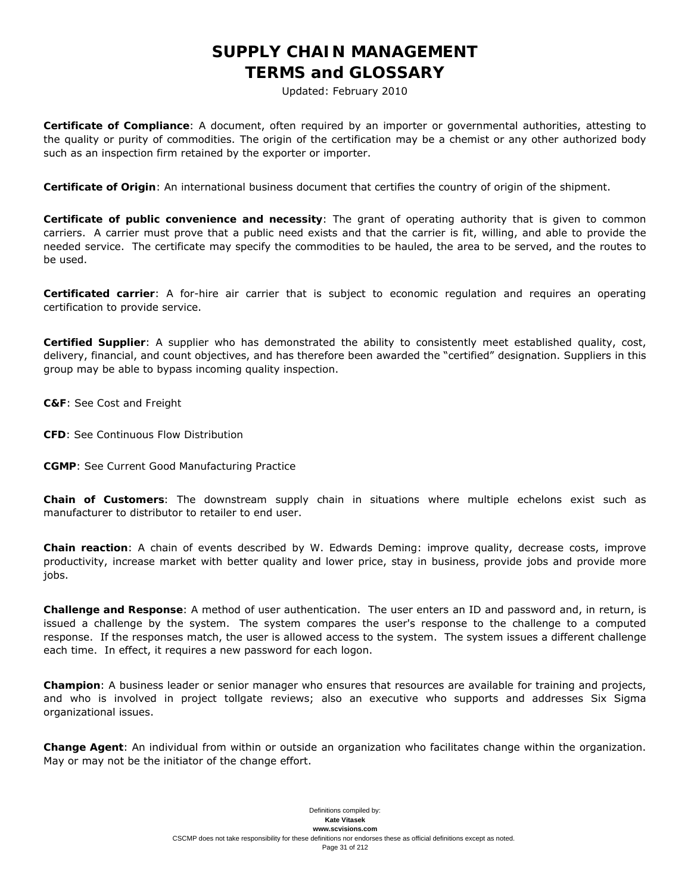Updated: February 2010

**Certificate of Compliance**: A document, often required by an importer or governmental authorities, attesting to the quality or purity of commodities. The origin of the certification may be a chemist or any other authorized body such as an inspection firm retained by the exporter or importer.

**Certificate of Origin**: An international business document that certifies the country of origin of the shipment.

**Certificate of public convenience and necessity**: The grant of operating authority that is given to common carriers. A carrier must prove that a public need exists and that the carrier is fit, willing, and able to provide the needed service. The certificate may specify the commodities to be hauled, the area to be served, and the routes to be used.

**Certificated carrier**: A for-hire air carrier that is subject to economic regulation and requires an operating certification to provide service.

**Certified Supplier**: A supplier who has demonstrated the ability to consistently meet established quality, cost, delivery, financial, and count objectives, and has therefore been awarded the "certified" designation. Suppliers in this group may be able to bypass incoming quality inspection.

**C&F**: See *Cost and Freight*

**CFD**: See *Continuous Flow Distribution*

**CGMP**: See *Current Good Manufacturing Practice*

**Chain of Customers**: The downstream supply chain in situations where multiple echelons exist such as manufacturer to distributor to retailer to end user.

**Chain reaction**: A chain of events described by W. Edwards Deming: improve quality, decrease costs, improve productivity, increase market with better quality and lower price, stay in business, provide jobs and provide more jobs.

**Challenge and Response**: A method of user authentication. The user enters an ID and password and, in return, is issued a challenge by the system. The system compares the user's response to the challenge to a computed response. If the responses match, the user is allowed access to the system. The system issues a different challenge each time. In effect, it requires a new password for each logon.

**Champion**: A business leader or senior manager who ensures that resources are available for training and projects, and who is involved in project tollgate reviews; also an executive who supports and addresses Six Sigma organizational issues.

**Change Agent**: An individual from within or outside an organization who facilitates change within the organization. May or may not be the initiator of the change effort.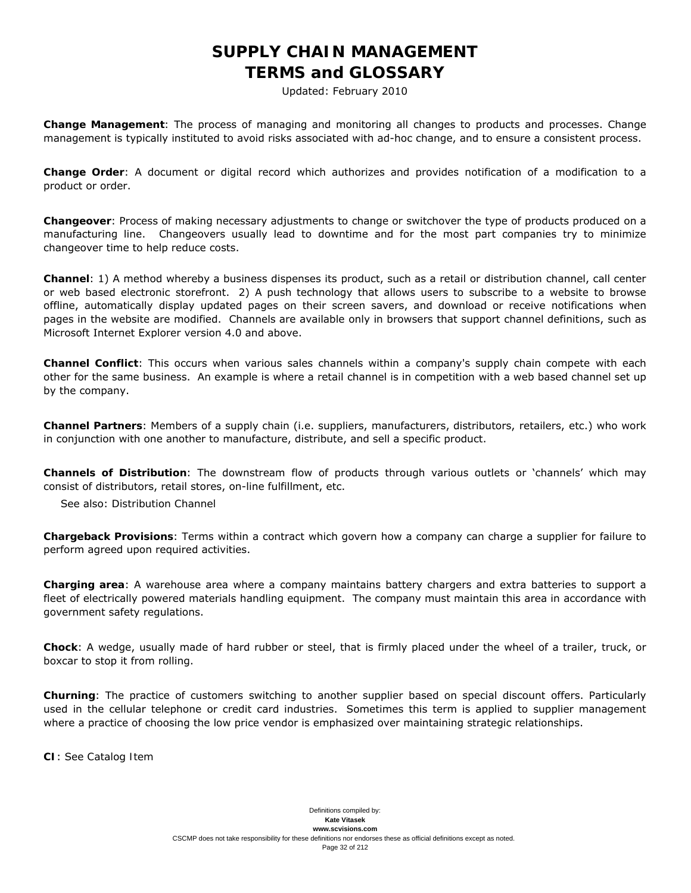Updated: February 2010

**Change Management**: The process of managing and monitoring all changes to products and processes. Change management is typically instituted to avoid risks associated with ad-hoc change, and to ensure a consistent process.

**Change Order**: A document or digital record which authorizes and provides notification of a modification to a product or order.

**Changeover**: Process of making necessary adjustments to change or switchover the type of products produced on a manufacturing line. Changeovers usually lead to downtime and for the most part companies try to minimize changeover time to help reduce costs.

**Channel**: 1) A method whereby a business dispenses its product, such as a retail or distribution channel, call center or web based electronic storefront. 2) A push technology that allows users to subscribe to a website to browse offline, automatically display updated pages on their screen savers, and download or receive notifications when pages in the website are modified. Channels are available only in browsers that support channel definitions, such as Microsoft Internet Explorer version 4.0 and above.

**Channel Conflict**: This occurs when various sales channels within a company's supply chain compete with each other for the same business. An example is where a retail channel is in competition with a web based channel set up by the company.

**Channel Partners**: Members of a supply chain (i.e. suppliers, manufacturers, distributors, retailers, etc.) who work in conjunction with one another to manufacture, distribute, and sell a specific product.

**Channels of Distribution**: The downstream flow of products through various outlets or 'channels' which may consist of distributors, retail stores, on-line fulfillment, etc.

See also: *Distribution Channel*

**Chargeback Provisions**: Terms within a contract which govern how a company can charge a supplier for failure to perform agreed upon required activities.

**Charging area**: A warehouse area where a company maintains battery chargers and extra batteries to support a fleet of electrically powered materials handling equipment. The company must maintain this area in accordance with government safety regulations.

**Chock**: A wedge, usually made of hard rubber or steel, that is firmly placed under the wheel of a trailer, truck, or boxcar to stop it from rolling.

**Churning**: The practice of customers switching to another supplier based on special discount offers. Particularly used in the cellular telephone or credit card industries. Sometimes this term is applied to supplier management where a practice of choosing the low price vendor is emphasized over maintaining strategic relationships.

**CI**: See *Catalog Item*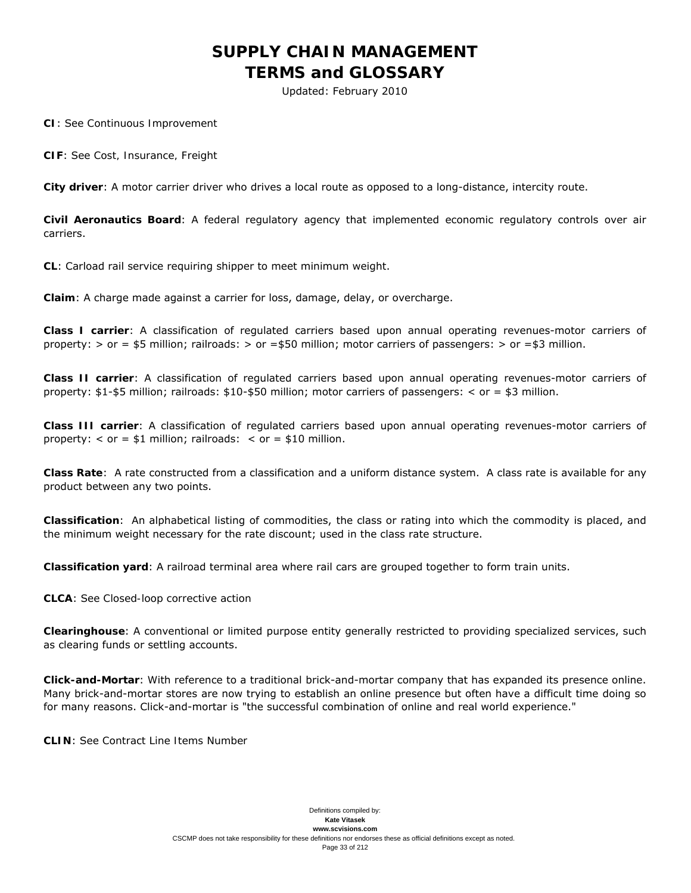Updated: February 2010

**CI**: See *Continuous Improvement*

**CIF**: See *Cost, Insurance, Freight*

**City driver**: A motor carrier driver who drives a local route as opposed to a long-distance, intercity route.

**Civil Aeronautics Board**: A federal regulatory agency that implemented economic regulatory controls over air carriers.

**CL**: Carload rail service requiring shipper to meet minimum weight.

**Claim**: A charge made against a carrier for loss, damage, delay, or overcharge.

**Class I carrier**: A classification of regulated carriers based upon annual operating revenues-motor carriers of property:  $>$  or  $=$  \$5 million; railroads:  $>$  or  $=$  \$50 million; motor carriers of passengers:  $>$  or  $=$  \$3 million.

**Class II carrier**: A classification of regulated carriers based upon annual operating revenues-motor carriers of property: \$1-\$5 million; railroads: \$10-\$50 million; motor carriers of passengers: < or = \$3 million.

**Class III carrier**: A classification of regulated carriers based upon annual operating revenues-motor carriers of property:  $\langle$  or = \$1 million; railroads:  $\langle$  or = \$10 million.

**Class Rate**: A rate constructed from a classification and a uniform distance system. A class rate is available for any product between any two points.

**Classification**: An alphabetical listing of commodities, the class or rating into which the commodity is placed, and the minimum weight necessary for the rate discount; used in the class rate structure.

**Classification yard**: A railroad terminal area where rail cars are grouped together to form train units.

**CLCA**: See *Closed-loop corrective action*

**Clearinghouse**: A conventional or limited purpose entity generally restricted to providing specialized services, such as clearing funds or settling accounts.

**Click-and-Mortar**: With reference to a traditional brick-and-mortar company that has expanded its presence online. Many brick-and-mortar stores are now trying to establish an online presence but often have a difficult time doing so for many reasons. Click-and-mortar is "the successful combination of online and real world experience."

**CLIN**: See *Contract Line Items Number*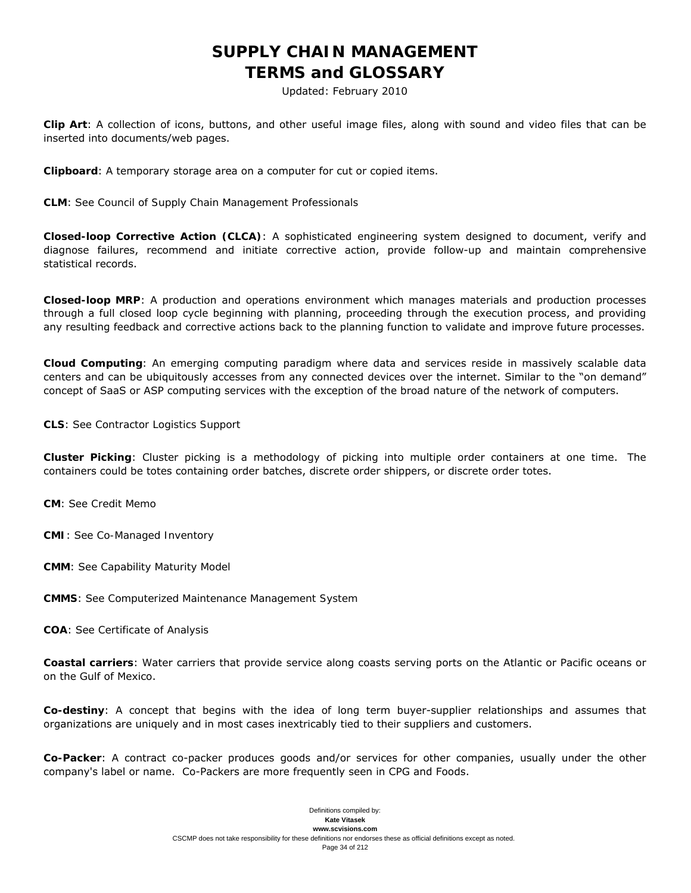Updated: February 2010

**Clip Art**: A collection of icons, buttons, and other useful image files, along with sound and video files that can be inserted into documents/web pages.

**Clipboard**: A temporary storage area on a computer for cut or copied items.

**CLM**: See *Council of Supply Chain Management Professionals*

**Closed-loop Corrective Action (CLCA)**: A sophisticated engineering system designed to document, verify and diagnose failures, recommend and initiate corrective action, provide follow-up and maintain comprehensive statistical records.

**Closed-loop MRP**: A production and operations environment which manages materials and production processes through a full closed loop cycle beginning with planning, proceeding through the execution process, and providing any resulting feedback and corrective actions back to the planning function to validate and improve future processes.

**Cloud Computing**: An emerging computing paradigm where data and services reside in massively scalable data centers and can be ubiquitously accesses from any connected devices over the internet. Similar to the "on demand" concept of SaaS or ASP computing services with the exception of the broad nature of the network of computers.

**CLS**: See *Contractor Logistics Support*

**Cluster Picking**: Cluster picking is a methodology of picking into multiple order containers at one time. The containers could be totes containing order batches, discrete order shippers, or discrete order totes.

**CM**: See *Credit Memo*

**CMI**: See *Co-Managed Inventory*

**CMM**: See *Capability Maturity Model*

**CMMS**: See *Computerized Maintenance Management System*

**COA**: See *Certificate of Analysis*

**Coastal carriers**: Water carriers that provide service along coasts serving ports on the Atlantic or Pacific oceans or on the Gulf of Mexico.

**Co-destiny**: A concept that begins with the idea of long term buyer-supplier relationships and assumes that organizations are uniquely and in most cases inextricably tied to their suppliers and customers.

**Co-Packer**: A contract co-packer produces goods and/or services for other companies, usually under the other company's label or name. Co-Packers are more frequently seen in CPG and Foods.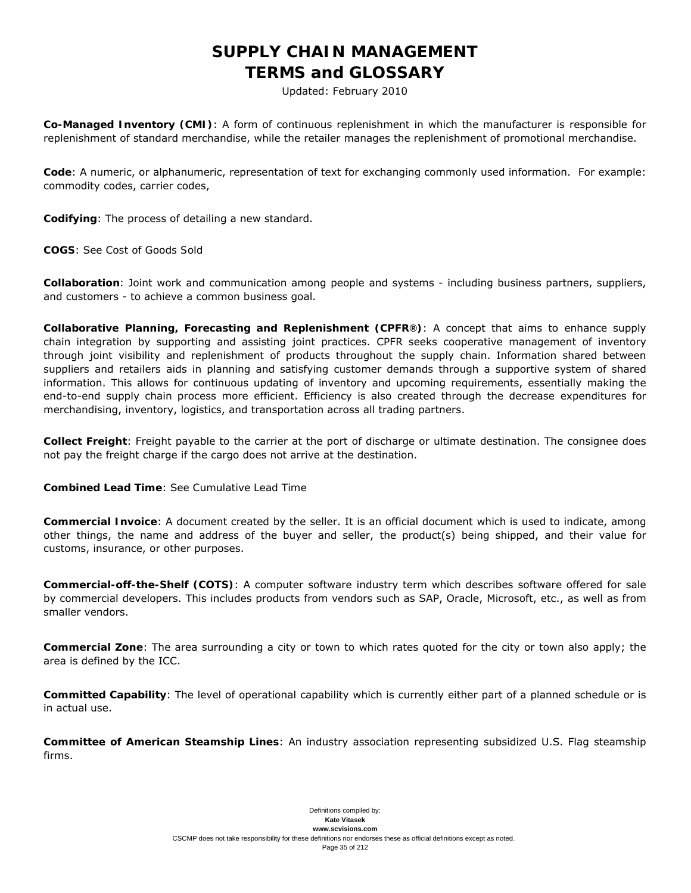Updated: February 2010

**Co-Managed Inventory (CMI)**: A form of continuous replenishment in which the manufacturer is responsible for replenishment of standard merchandise, while the retailer manages the replenishment of promotional merchandise.

**Code**: A numeric, or alphanumeric, representation of text for exchanging commonly used information. For example: commodity codes, carrier codes,

**Codifying**: The process of detailing a new standard.

**COGS**: See *Cost of Goods Sold*

**Collaboration**: Joint work and communication among people and systems - including business partners, suppliers, and customers - to achieve a common business goal.

**Collaborative Planning, Forecasting and Replenishment (CPFR®)**: A concept that aims to enhance supply chain integration by supporting and assisting joint practices. CPFR seeks cooperative management of inventory through joint visibility and replenishment of products throughout the supply chain. Information shared between suppliers and retailers aids in planning and satisfying customer demands through a supportive system of shared information. This allows for continuous updating of inventory and upcoming requirements, essentially making the end-to-end supply chain process more efficient. Efficiency is also created through the decrease expenditures for merchandising, inventory, logistics, and transportation across all trading partners.

**Collect Freight**: Freight payable to the carrier at the port of discharge or ultimate destination. The consignee does not pay the freight charge if the cargo does not arrive at the destination.

#### **Combined Lead Time**: See *Cumulative Lead Time*

**Commercial Invoice**: A document created by the seller. It is an official document which is used to indicate, among other things, the name and address of the buyer and seller, the product(s) being shipped, and their value for customs, insurance, or other purposes.

**Commercial-off-the-Shelf (COTS)**: A computer software industry term which describes software offered for sale by commercial developers. This includes products from vendors such as SAP, Oracle, Microsoft, etc., as well as from smaller vendors.

**Commercial Zone**: The area surrounding a city or town to which rates quoted for the city or town also apply; the area is defined by the ICC.

**Committed Capability**: The level of operational capability which is currently either part of a planned schedule or is in actual use.

**Committee of American Steamship Lines**: An industry association representing subsidized U.S. Flag steamship firms.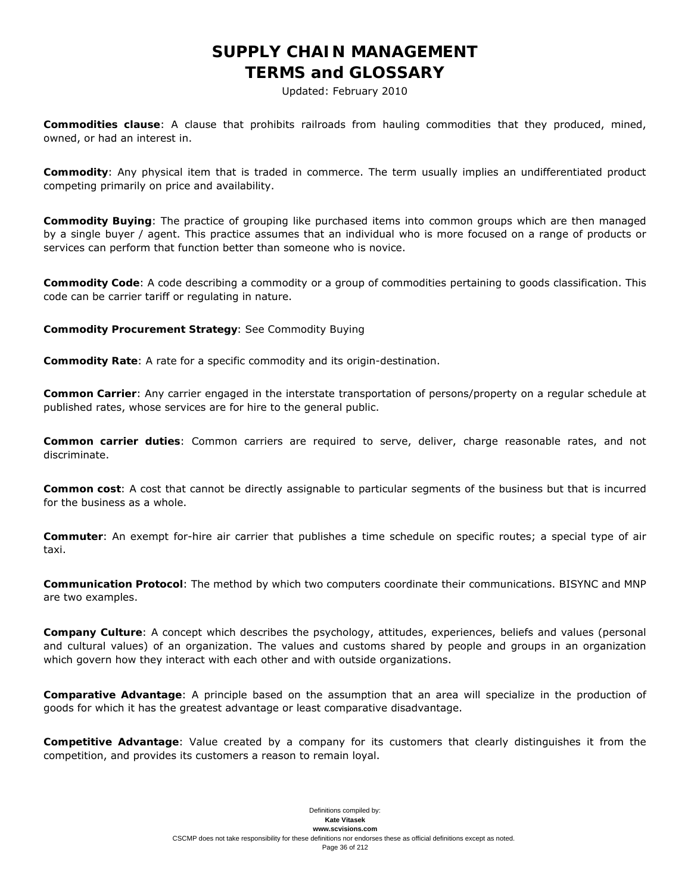Updated: February 2010

**Commodities clause**: A clause that prohibits railroads from hauling commodities that they produced, mined, owned, or had an interest in.

**Commodity**: Any physical item that is traded in commerce. The term usually implies an undifferentiated product competing primarily on price and availability.

**Commodity Buying**: The practice of grouping like purchased items into common groups which are then managed by a single buyer / agent. This practice assumes that an individual who is more focused on a range of products or services can perform that function better than someone who is novice.

**Commodity Code**: A code describing a commodity or a group of commodities pertaining to goods classification. This code can be carrier tariff or regulating in nature.

#### **Commodity Procurement Strategy**: See *Commodity Buying*

**Commodity Rate**: A rate for a specific commodity and its origin-destination.

**Common Carrier**: Any carrier engaged in the interstate transportation of persons/property on a regular schedule at published rates, whose services are for hire to the general public.

**Common carrier duties**: Common carriers are required to serve, deliver, charge reasonable rates, and not discriminate.

**Common cost**: A cost that cannot be directly assignable to particular segments of the business but that is incurred for the business as a whole.

**Commuter**: An exempt for-hire air carrier that publishes a time schedule on specific routes; a special type of air taxi.

**Communication Protocol**: The method by which two computers coordinate their communications. BISYNC and MNP are two examples.

**Company Culture**: A concept which describes the psychology, attitudes, experiences, beliefs and values (personal and cultural values) of an organization. The values and customs shared by people and groups in an organization which govern how they interact with each other and with outside organizations.

**Comparative Advantage**: A principle based on the assumption that an area will specialize in the production of goods for which it has the greatest advantage or least comparative disadvantage.

**Competitive Advantage**: Value created by a company for its customers that clearly distinguishes it from the competition, and provides its customers a reason to remain loyal.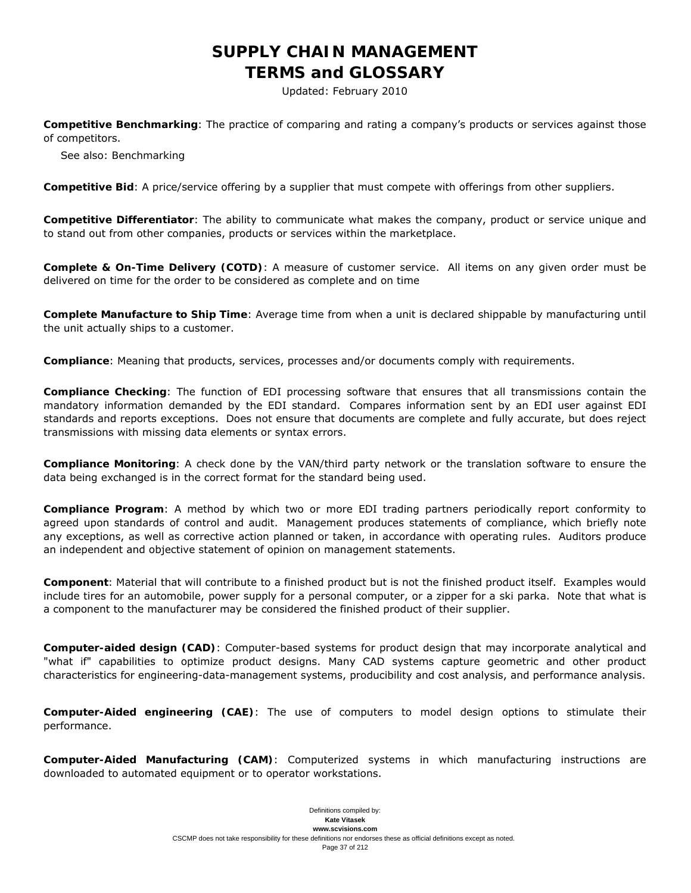Updated: February 2010

**Competitive Benchmarking**: The practice of comparing and rating a company's products or services against those of competitors.

See also: *Benchmarking*

**Competitive Bid**: A price/service offering by a supplier that must compete with offerings from other suppliers.

**Competitive Differentiator**: The ability to communicate what makes the company, product or service unique and to stand out from other companies, products or services within the marketplace.

**Complete & On-Time Delivery (COTD)**: A measure of customer service. All items on any given order must be delivered on time for the order to be considered as complete and on time

**Complete Manufacture to Ship Time**: Average time from when a unit is declared shippable by manufacturing until the unit actually ships to a customer.

**Compliance**: Meaning that products, services, processes and/or documents comply with requirements.

**Compliance Checking**: The function of EDI processing software that ensures that all transmissions contain the mandatory information demanded by the EDI standard. Compares information sent by an EDI user against EDI standards and reports exceptions. Does not ensure that documents are complete and fully accurate, but does reject transmissions with missing data elements or syntax errors.

**Compliance Monitoring**: A check done by the VAN/third party network or the translation software to ensure the data being exchanged is in the correct format for the standard being used.

**Compliance Program**: A method by which two or more EDI trading partners periodically report conformity to agreed upon standards of control and audit. Management produces statements of compliance, which briefly note any exceptions, as well as corrective action planned or taken, in accordance with operating rules. Auditors produce an independent and objective statement of opinion on management statements.

**Component**: Material that will contribute to a finished product but is not the finished product itself. Examples would include tires for an automobile, power supply for a personal computer, or a zipper for a ski parka. Note that what is a component to the manufacturer may be considered the finished product of their supplier.

**Computer-aided design (CAD)**: Computer-based systems for product design that may incorporate analytical and "what if" capabilities to optimize product designs. Many CAD systems capture geometric and other product characteristics for engineering-data-management systems, producibility and cost analysis, and performance analysis.

**Computer-Aided engineering (CAE)**: The use of computers to model design options to stimulate their performance.

**Computer-Aided Manufacturing (CAM)**: Computerized systems in which manufacturing instructions are downloaded to automated equipment or to operator workstations.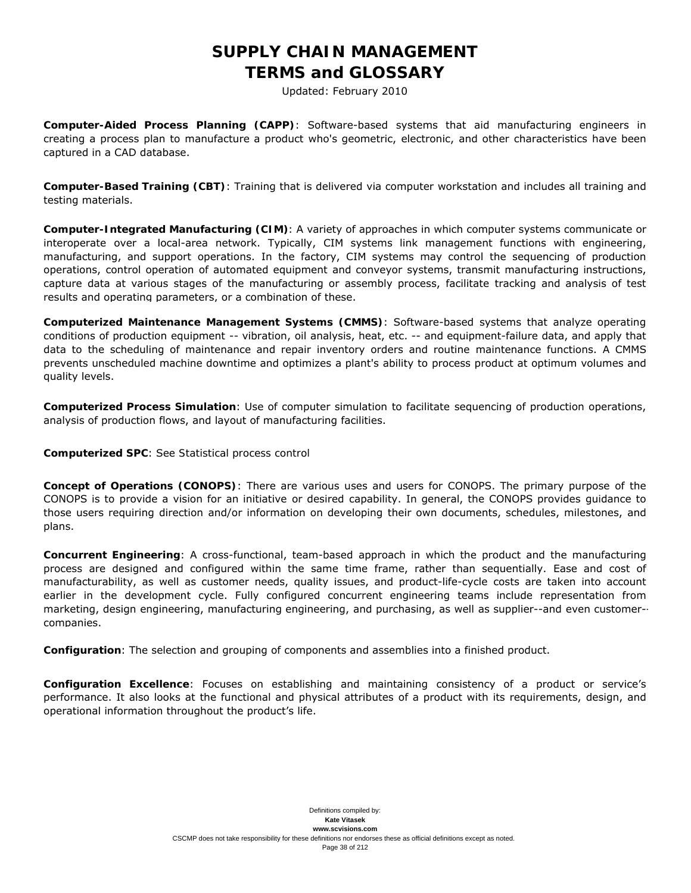Updated: February 2010

**Computer-Aided Process Planning (CAPP)**: Software-based systems that aid manufacturing engineers in creating a process plan to manufacture a product who's geometric, electronic, and other characteristics have been captured in a CAD database.

**Computer-Based Training (CBT)**: Training that is delivered via computer workstation and includes all training and testing materials.

**Computer-Integrated Manufacturing (CIM)**: A variety of approaches in which computer systems communicate or interoperate over a local-area network. Typically, CIM systems link management functions with engineering, manufacturing, and support operations. In the factory, CIM systems may control the sequencing of production operations, control operation of automated equipment and conveyor systems, transmit manufacturing instructions, capture data at various stages of the manufacturing or assembly process, facilitate tracking and analysis of test results and operating parameters, or a combination of these.

**Computerized Maintenance Management Systems (CMMS)**: Software-based systems that analyze operating conditions of production equipment -- vibration, oil analysis, heat, etc. -- and equipment-failure data, and apply that data to the scheduling of maintenance and repair inventory orders and routine maintenance functions. A CMMS prevents unscheduled machine downtime and optimizes a plant's ability to process product at optimum volumes and quality levels.

**Computerized Process Simulation**: Use of computer simulation to facilitate sequencing of production operations, analysis of production flows, and layout of manufacturing facilities.

#### **Computerized SPC**: See *Statistical process control*

**Concept of Operations (CONOPS)**: There are various uses and users for CONOPS. The primary purpose of the CONOPS is to provide a vision for an initiative or desired capability. In general, the CONOPS provides guidance to those users requiring direction and/or information on developing their own documents, schedules, milestones, and plans.

**Concurrent Engineering**: A cross-functional, team-based approach in which the product and the manufacturing process are designed and configured within the same time frame, rather than sequentially. Ease and cost of manufacturability, as well as customer needs, quality issues, and product-life-cycle costs are taken into account earlier in the development cycle. Fully configured concurrent engineering teams include representation from marketing, design engineering, manufacturing engineering, and purchasing, as well as supplier--and even customer- companies.

**Configuration**: The selection and grouping of components and assemblies into a finished product.

**Configuration Excellence**: Focuses on establishing and maintaining consistency of a product or service's performance. It also looks at the functional and physical attributes of a product with its requirements, design, and operational information throughout the product's life.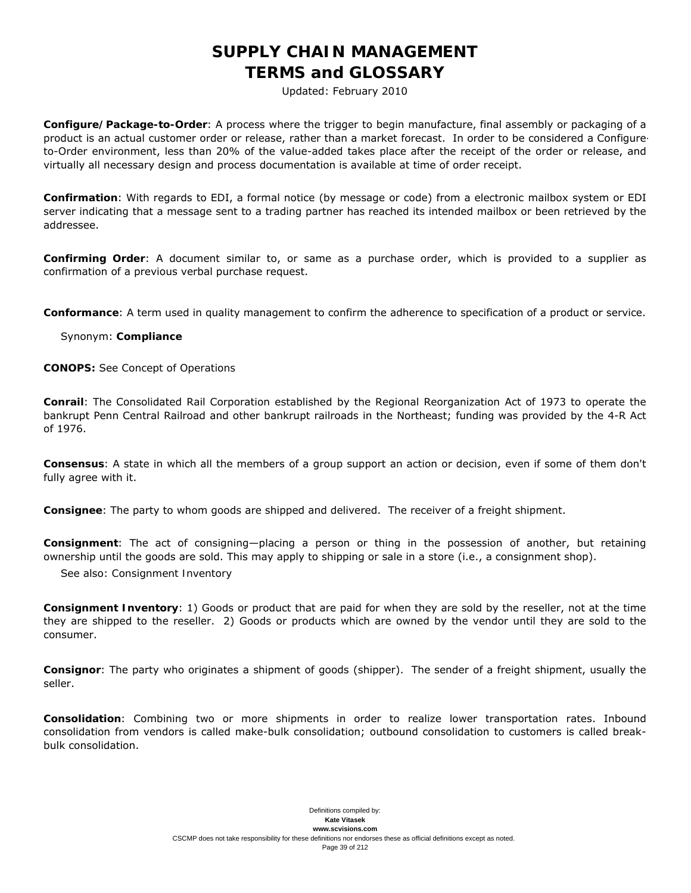Updated: February 2010

**Configure/Package-to-Order**: A process where the trigger to begin manufacture, final assembly or packaging of a product is an actual customer order or release, rather than a market forecast. In order to be considered a Configureto-Order environment, less than 20% of the value-added takes place after the receipt of the order or release, and virtually all necessary design and process documentation is available at time of order receipt.

**Confirmation**: With regards to EDI, a formal notice (by message or code) from a electronic mailbox system or EDI server indicating that a message sent to a trading partner has reached its intended mailbox or been retrieved by the addressee.

**Confirming Order**: A document similar to, or same as a purchase order, which is provided to a supplier as confirmation of a previous verbal purchase request.

**Conformance**: A term used in quality management to confirm the adherence to specification of a product or service.

Synonym: *Compliance*

**CONOPS:** See *Concept of Operations* 

**Conrail**: The Consolidated Rail Corporation established by the Regional Reorganization Act of 1973 to operate the bankrupt Penn Central Railroad and other bankrupt railroads in the Northeast; funding was provided by the 4-R Act of 1976.

**Consensus**: A state in which all the members of a group support an action or decision, even if some of them don't fully agree with it.

**Consignee**: The party to whom goods are shipped and delivered. The receiver of a freight shipment.

**Consignment**: The act of consigning—placing a person or thing in the possession of another, but retaining ownership until the goods are sold. This may apply to shipping or sale in a store (i.e., a consignment shop).

See also: *Consignment Inventory*

**Consignment Inventory**: 1) Goods or product that are paid for when they are sold by the reseller, not at the time they are shipped to the reseller. 2) Goods or products which are owned by the vendor until they are sold to the consumer.

**Consignor**: The party who originates a shipment of goods (shipper). The sender of a freight shipment, usually the seller.

**Consolidation**: Combining two or more shipments in order to realize lower transportation rates. Inbound consolidation from vendors is called make-bulk consolidation; outbound consolidation to customers is called breakbulk consolidation.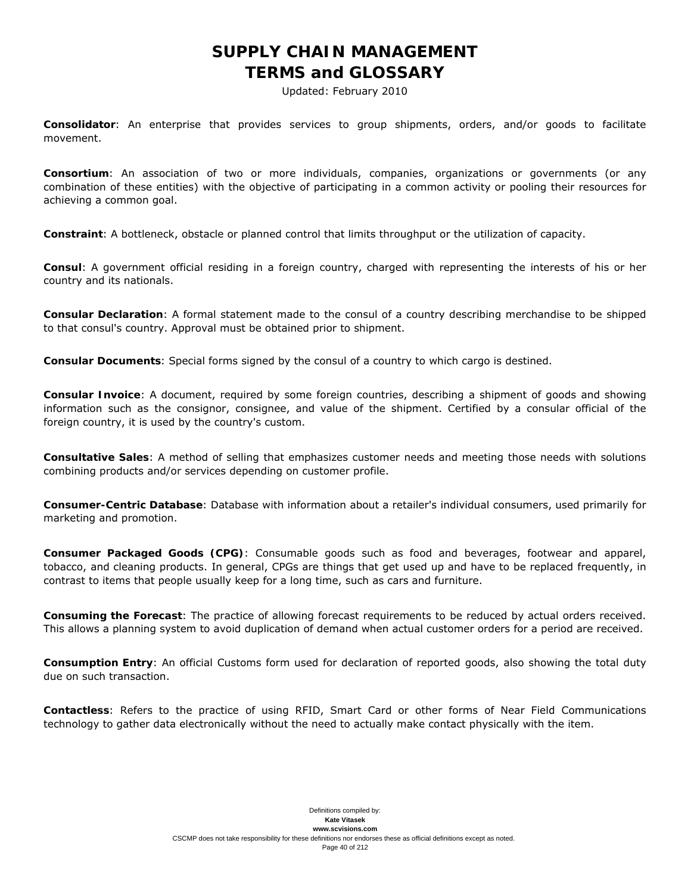Updated: February 2010

**Consolidator**: An enterprise that provides services to group shipments, orders, and/or goods to facilitate movement.

**Consortium**: An association of two or more individuals, companies, organizations or governments (or any combination of these entities) with the objective of participating in a common activity or pooling their resources for achieving a common goal.

**Constraint**: A bottleneck, obstacle or planned control that limits throughput or the utilization of capacity.

**Consul**: A government official residing in a foreign country, charged with representing the interests of his or her country and its nationals.

**Consular Declaration**: A formal statement made to the consul of a country describing merchandise to be shipped to that consul's country. Approval must be obtained prior to shipment.

**Consular Documents**: Special forms signed by the consul of a country to which cargo is destined.

**Consular Invoice**: A document, required by some foreign countries, describing a shipment of goods and showing information such as the consignor, consignee, and value of the shipment. Certified by a consular official of the foreign country, it is used by the country's custom.

**Consultative Sales**: A method of selling that emphasizes customer needs and meeting those needs with solutions combining products and/or services depending on customer profile.

**Consumer-Centric Database**: Database with information about a retailer's individual consumers, used primarily for marketing and promotion.

**Consumer Packaged Goods (CPG)**: Consumable goods such as food and beverages, footwear and apparel, tobacco, and cleaning products. In general, CPGs are things that get used up and have to be replaced frequently, in contrast to items that people usually keep for a long time, such as cars and furniture.

**Consuming the Forecast**: The practice of allowing forecast requirements to be reduced by actual orders received. This allows a planning system to avoid duplication of demand when actual customer orders for a period are received.

**Consumption Entry**: An official Customs form used for declaration of reported goods, also showing the total duty due on such transaction.

**Contactless**: Refers to the practice of using RFID, Smart Card or other forms of Near Field Communications technology to gather data electronically without the need to actually make contact physically with the item.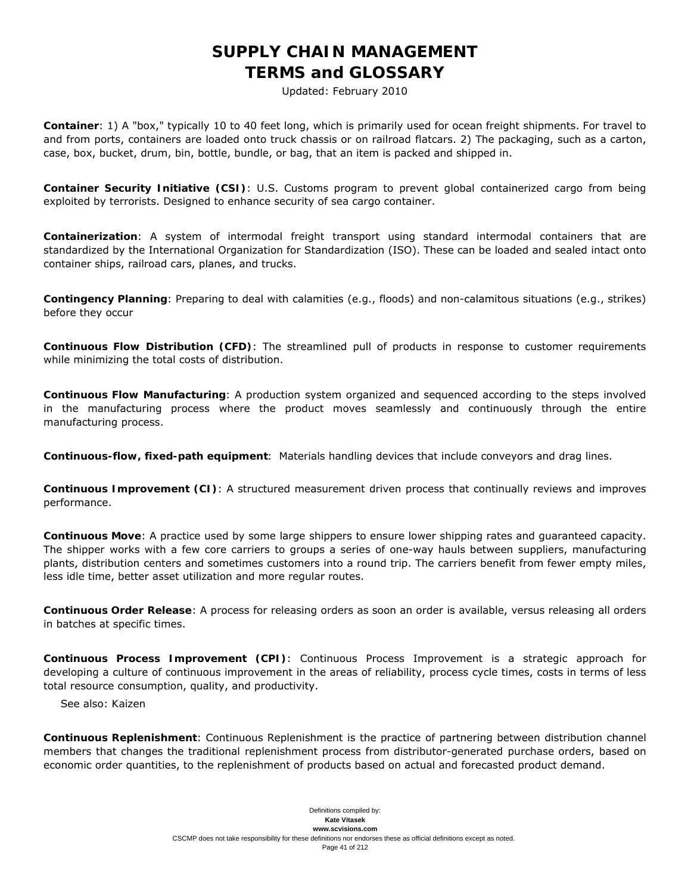Updated: February 2010

**Container**: 1) A "box," typically 10 to 40 feet long, which is primarily used for ocean freight shipments. For travel to and from ports, containers are loaded onto truck chassis or on railroad flatcars. 2) The packaging, such as a carton, case, box, bucket, drum, bin, bottle, bundle, or bag, that an item is packed and shipped in.

**Container Security Initiative (CSI)**: U.S. Customs program to prevent global containerized cargo from being exploited by terrorists. Designed to enhance security of sea cargo container.

**Containerization**: A system of intermodal freight transport using standard intermodal containers that are standardized by the International Organization for Standardization (ISO). These can be loaded and sealed intact onto container ships, railroad cars, planes, and trucks.

**Contingency Planning**: Preparing to deal with calamities (e.g., floods) and non-calamitous situations (e.g., strikes) before they occur

**Continuous Flow Distribution (CFD)**: The streamlined pull of products in response to customer requirements while minimizing the total costs of distribution.

**Continuous Flow Manufacturing**: A production system organized and sequenced according to the steps involved in the manufacturing process where the product moves seamlessly and continuously through the entire manufacturing process.

**Continuous-flow, fixed-path equipment**: Materials handling devices that include conveyors and drag lines.

**Continuous Improvement (CI)**: A structured measurement driven process that continually reviews and improves performance.

**Continuous Move**: A practice used by some large shippers to ensure lower shipping rates and guaranteed capacity. The shipper works with a few core carriers to groups a series of one-way hauls between suppliers, manufacturing plants, distribution centers and sometimes customers into a round trip. The carriers benefit from fewer empty miles, less idle time, better asset utilization and more regular routes.

**Continuous Order Release**: A process for releasing orders as soon an order is available, versus releasing all orders in batches at specific times.

**Continuous Process Improvement (CPI)**: Continuous Process Improvement is a strategic approach for developing a culture of continuous improvement in the areas of reliability, process cycle times, costs in terms of less total resource consumption, quality, and productivity.

See also: *Kaizen*

**Continuous Replenishment**: Continuous Replenishment is the practice of partnering between distribution channel members that changes the traditional replenishment process from distributor-generated purchase orders, based on economic order quantities, to the replenishment of products based on actual and forecasted product demand.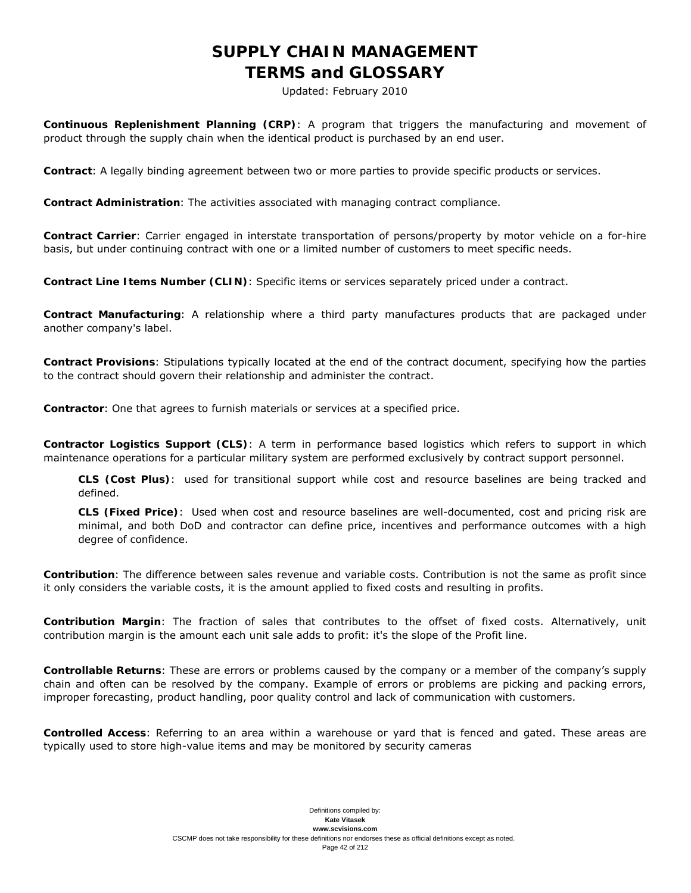Updated: February 2010

**Continuous Replenishment Planning (CRP)**: A program that triggers the manufacturing and movement of product through the supply chain when the identical product is purchased by an end user.

**Contract**: A legally binding agreement between two or more parties to provide specific products or services.

**Contract Administration**: The activities associated with managing contract compliance.

**Contract Carrier**: Carrier engaged in interstate transportation of persons/property by motor vehicle on a for-hire basis, but under continuing contract with one or a limited number of customers to meet specific needs.

**Contract Line Items Number (CLIN)**: Specific items or services separately priced under a contract.

**Contract Manufacturing**: A relationship where a third party manufactures products that are packaged under another company's label.

**Contract Provisions**: Stipulations typically located at the end of the contract document, specifying how the parties to the contract should govern their relationship and administer the contract.

**Contractor**: One that agrees to furnish materials or services at a specified price.

**Contractor Logistics Support (CLS)**: A term in performance based logistics which refers to support in which maintenance operations for a particular military system are performed exclusively by contract support personnel.

**CLS (Cost Plus)**: used for transitional support while cost and resource baselines are being tracked and defined.

**CLS (Fixed Price)**: Used when cost and resource baselines are well-documented, cost and pricing risk are minimal, and both DoD and contractor can define price, incentives and performance outcomes with a high degree of confidence.

**Contribution**: The difference between sales revenue and variable costs. Contribution is not the same as profit since it only considers the variable costs, it is the amount applied to fixed costs and resulting in profits.

**Contribution Margin**: The fraction of sales that contributes to the offset of fixed costs. Alternatively, unit contribution margin is the amount each unit sale adds to profit: it's the slope of the Profit line.

**Controllable Returns**: These are errors or problems caused by the company or a member of the company's supply chain and often can be resolved by the company. Example of errors or problems are picking and packing errors, improper forecasting, product handling, poor quality control and lack of communication with customers.

**Controlled Access**: Referring to an area within a warehouse or yard that is fenced and gated. These areas are typically used to store high-value items and may be monitored by security cameras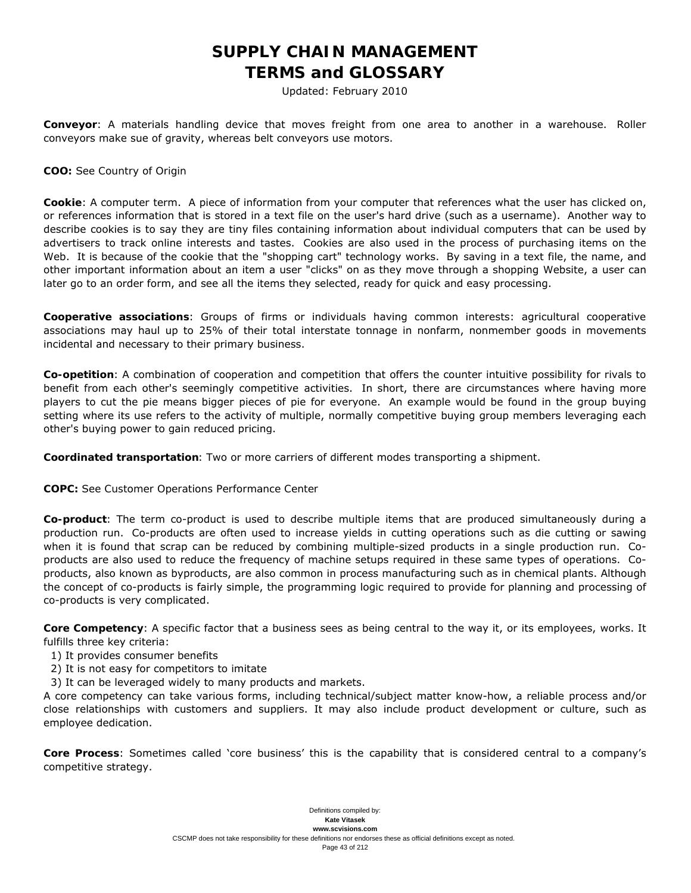Updated: February 2010

**Conveyor**: A materials handling device that moves freight from one area to another in a warehouse. Roller conveyors make sue of gravity, whereas belt conveyors use motors.

#### **COO:** See *Country of Origin*

**Cookie**: A computer term. A piece of information from your computer that references what the user has clicked on, or references information that is stored in a text file on the user's hard drive (such as a username). Another way to describe cookies is to say they are tiny files containing information about individual computers that can be used by advertisers to track online interests and tastes. Cookies are also used in the process of purchasing items on the Web. It is because of the cookie that the "shopping cart" technology works. By saving in a text file, the name, and other important information about an item a user "clicks" on as they move through a shopping Website, a user can later go to an order form, and see all the items they selected, ready for quick and easy processing.

**Cooperative associations**: Groups of firms or individuals having common interests: agricultural cooperative associations may haul up to 25% of their total interstate tonnage in nonfarm, nonmember goods in movements incidental and necessary to their primary business.

**Co-opetition**: A combination of cooperation and competition that offers the counter intuitive possibility for rivals to benefit from each other's seemingly competitive activities. In short, there are circumstances where having more players to cut the pie means bigger pieces of pie for everyone. An example would be found in the group buying setting where its use refers to the activity of multiple, normally competitive buying group members leveraging each other's buying power to gain reduced pricing.

**Coordinated transportation**: Two or more carriers of different modes transporting a shipment.

#### **COPC:** See *Customer Operations Performance Center*

**Co-product**: The term co-product is used to describe multiple items that are produced simultaneously during a production run. Co-products are often used to increase yields in cutting operations such as die cutting or sawing when it is found that scrap can be reduced by combining multiple-sized products in a single production run. Coproducts are also used to reduce the frequency of machine setups required in these same types of operations. Coproducts, also known as byproducts, are also common in process manufacturing such as in chemical plants. Although the concept of co-products is fairly simple, the programming logic required to provide for planning and processing of co-products is very complicated.

**Core Competency:** A specific factor that a business sees as being central to the way it, or its employees, works. It fulfills three key criteria:

- 1) It provides consumer benefits
- 2) It is not easy for competitors to imitate
- 3) It can be leveraged widely to many products and markets.

A core competency can take various forms, including technical/subject matter know-how, a reliable process and/or close relationships with customers and suppliers. It may also include product development or culture, such as employee dedication.

**Core Process**: Sometimes called 'core business' this is the capability that is considered central to a company's competitive strategy.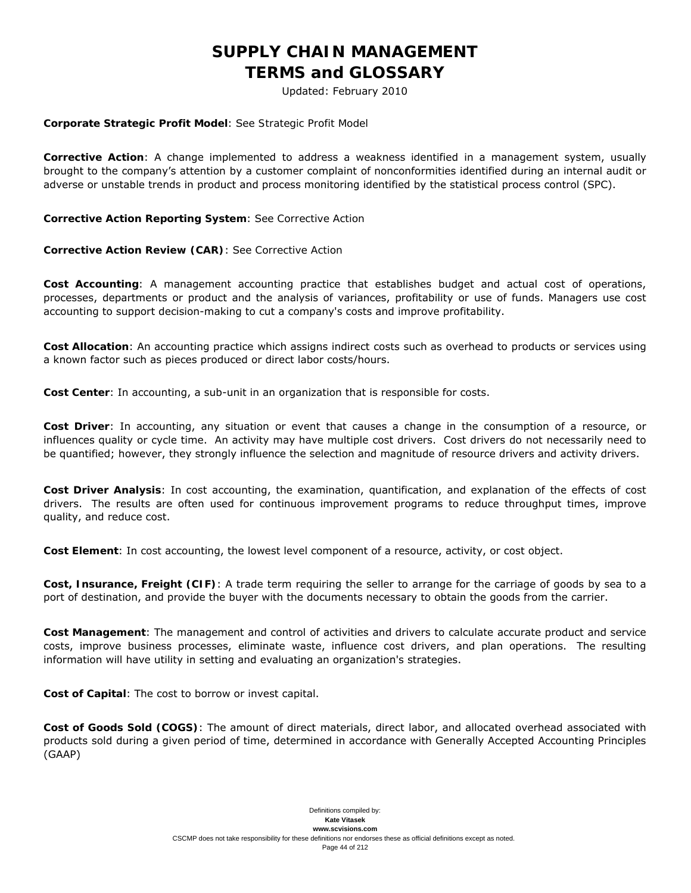Updated: February 2010

#### **Corporate Strategic Profit Model**: See *Strategic Profit Model*

**Corrective Action**: A change implemented to address a weakness identified in a management system, usually brought to the company's attention by a customer complaint of nonconformities identified during an internal audit or adverse or unstable trends in product and process monitoring identified by the statistical process control (SPC).

**Corrective Action Reporting System**: See *Corrective Action*

**Corrective Action Review (CAR)**: See *Corrective Action*

**Cost Accounting**: A management accounting practice that establishes budget and actual cost of operations, processes, departments or product and the analysis of variances, profitability or use of funds. Managers use cost accounting to support decision-making to cut a company's costs and improve profitability.

**Cost Allocation**: An accounting practice which assigns indirect costs such as overhead to products or services using a known factor such as pieces produced or direct labor costs/hours.

**Cost Center**: In accounting, a sub-unit in an organization that is responsible for costs.

**Cost Driver**: In accounting, any situation or event that causes a change in the consumption of a resource, or influences quality or cycle time. An activity may have multiple cost drivers. Cost drivers do not necessarily need to be quantified; however, they strongly influence the selection and magnitude of resource drivers and activity drivers.

**Cost Driver Analysis**: In cost accounting, the examination, quantification, and explanation of the effects of cost drivers. The results are often used for continuous improvement programs to reduce throughput times, improve quality, and reduce cost.

**Cost Element**: In cost accounting, the lowest level component of a resource, activity, or cost object.

**Cost, Insurance, Freight (CIF)**: A trade term requiring the seller to arrange for the carriage of goods by sea to a port of destination, and provide the buyer with the documents necessary to obtain the goods from the carrier.

**Cost Management**: The management and control of activities and drivers to calculate accurate product and service costs, improve business processes, eliminate waste, influence cost drivers, and plan operations. The resulting information will have utility in setting and evaluating an organization's strategies.

**Cost of Capital**: The cost to borrow or invest capital.

**Cost of Goods Sold (COGS)**: The amount of direct materials, direct labor, and allocated overhead associated with products sold during a given period of time, determined in accordance with Generally Accepted Accounting Principles (GAAP)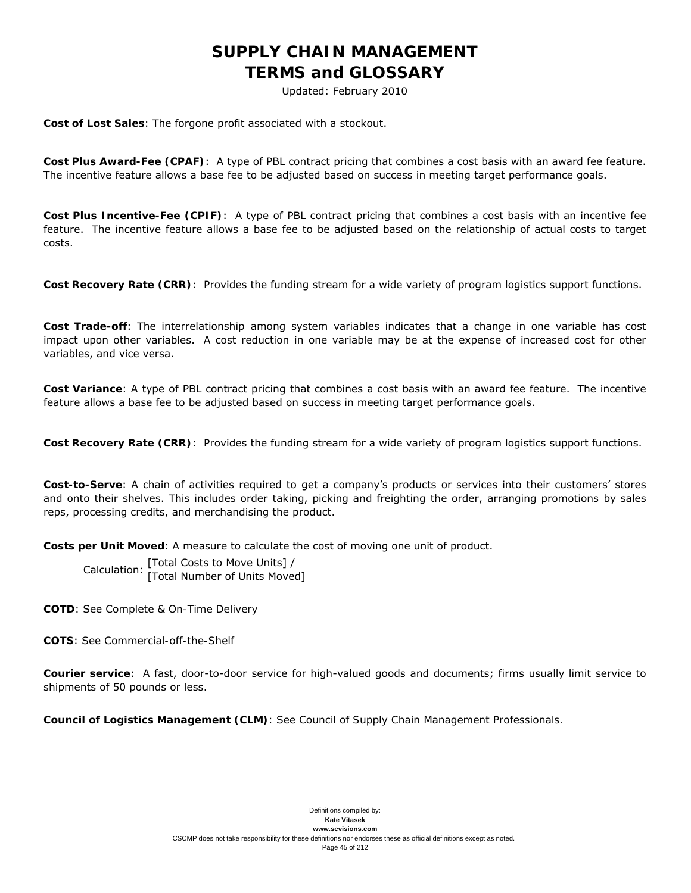Updated: February 2010

**Cost of Lost Sales**: The forgone profit associated with a stockout.

**Cost Plus Award-Fee (CPAF)**: A type of PBL contract pricing that combines a cost basis with an award fee feature. The incentive feature allows a base fee to be adjusted based on success in meeting target performance goals.

**Cost Plus Incentive-Fee (CPIF)**: A type of PBL contract pricing that combines a cost basis with an incentive fee feature. The incentive feature allows a base fee to be adjusted based on the relationship of actual costs to target costs.

**Cost Recovery Rate (CRR)**: Provides the funding stream for a wide variety of program logistics support functions.

**Cost Trade-off**: The interrelationship among system variables indicates that a change in one variable has cost impact upon other variables. A cost reduction in one variable may be at the expense of increased cost for other variables, and vice versa.

**Cost Variance**: A type of PBL contract pricing that combines a cost basis with an award fee feature. The incentive feature allows a base fee to be adjusted based on success in meeting target performance goals.

**Cost Recovery Rate (CRR)**: Provides the funding stream for a wide variety of program logistics support functions.

**Cost-to-Serve**: A chain of activities required to get a company's products or services into their customers' stores and onto their shelves. This includes order taking, picking and freighting the order, arranging promotions by sales reps, processing credits, and merchandising the product.

**Costs per Unit Moved**: A measure to calculate the cost of moving one unit of product.

Calculation: [Total Costs to Move Units] / [Total Number of Units Moved]

**COTD**: See *Complete & On-Time Delivery*

**COTS**: See *Commercial-off-the-Shelf*

**Courier service**: A fast, door-to-door service for high-valued goods and documents; firms usually limit service to shipments of 50 pounds or less.

**Council of Logistics Management (CLM)**: See *Council of Supply Chain Management Professionals.*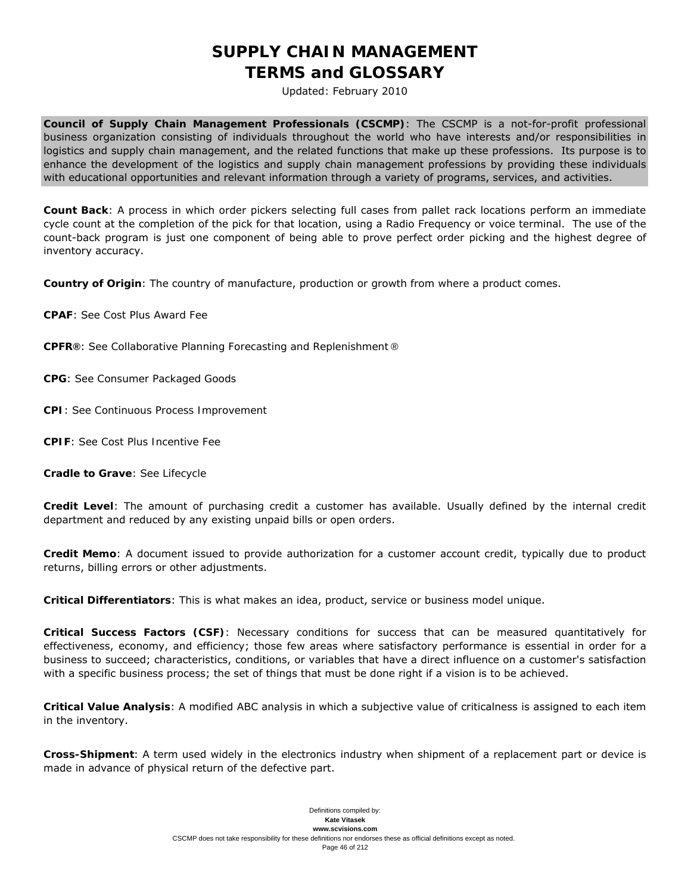Updated: February 2010

**Council of Supply Chain Management Professionals (CSCMP)**: The CSCMP is a not-for-profit professional business organization consisting of individuals throughout the world who have interests and/or responsibilities in logistics and supply chain management, and the related functions that make up these professions. Its purpose is to enhance the development of the logistics and supply chain management professions by providing these individuals with educational opportunities and relevant information through a variety of programs, services, and activities.

**Count Back**: A process in which order pickers selecting full cases from pallet rack locations perform an immediate cycle count at the completion of the pick for that location, using a Radio Frequency or voice terminal. The use of the count-back program is just one component of being able to prove perfect order picking and the highest degree of inventory accuracy.

**Country of Origin**: The country of manufacture, production or growth from where a product comes.

**CPAF**: See *Cost Plus Award Fee*

- **CPFR®**: See *Collaborative Planning Forecasting and Replenishment* ®
- **CPG**: See *Consumer Packaged Goods*
- **CPI**: See *Continuous Process Improvement*
- **CPIF**: See *Cost Plus Incentive Fee*

#### **Cradle to Grave**: See *Lifecycle*

**Credit Level**: The amount of purchasing credit a customer has available. Usually defined by the internal credit department and reduced by any existing unpaid bills or open orders.

**Credit Memo**: A document issued to provide authorization for a customer account credit, typically due to product returns, billing errors or other adjustments.

**Critical Differentiators**: This is what makes an idea, product, service or business model unique.

**Critical Success Factors (CSF)**: Necessary conditions for success that can be measured quantitatively for effectiveness, economy, and efficiency; those few areas where satisfactory performance is essential in order for a business to succeed; characteristics, conditions, or variables that have a direct influence on a customer's satisfaction with a specific business process; the set of things that must be done right if a vision is to be achieved.

**Critical Value Analysis**: A modified ABC analysis in which a subjective value of criticalness is assigned to each item in the inventory.

**Cross-Shipment**: A term used widely in the electronics industry when shipment of a replacement part or device is made in advance of physical return of the defective part.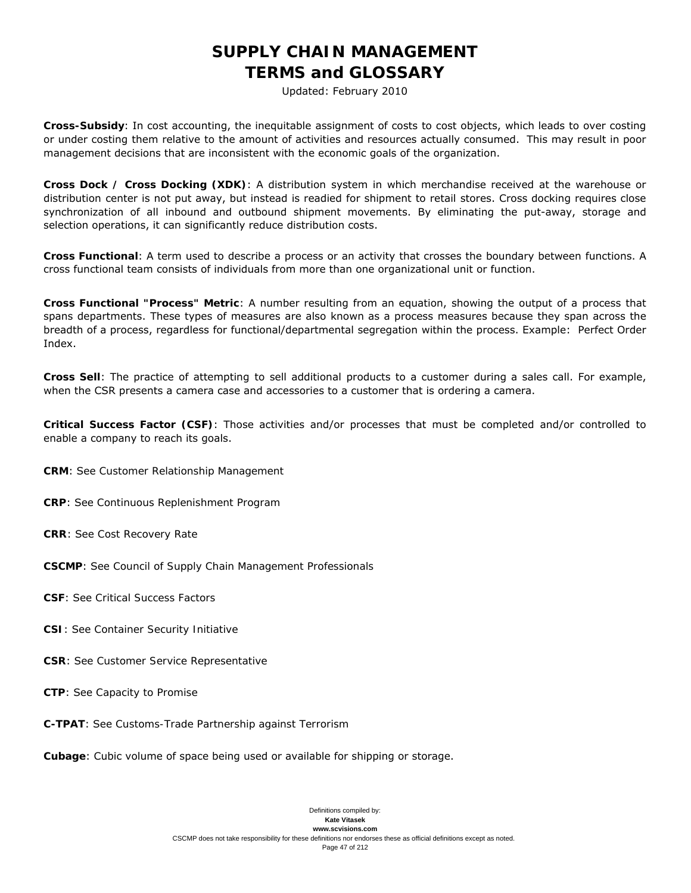Updated: February 2010

**Cross-Subsidy**: In cost accounting, the inequitable assignment of costs to cost objects, which leads to over costing or under costing them relative to the amount of activities and resources actually consumed. This may result in poor management decisions that are inconsistent with the economic goals of the organization.

**Cross Dock / Cross Docking (XDK)**: A distribution system in which merchandise received at the warehouse or distribution center is not put away, but instead is readied for shipment to retail stores. Cross docking requires close synchronization of all inbound and outbound shipment movements. By eliminating the put-away, storage and selection operations, it can significantly reduce distribution costs.

**Cross Functional**: A term used to describe a process or an activity that crosses the boundary between functions. A cross functional team consists of individuals from more than one organizational unit or function.

**Cross Functional "Process" Metric**: A number resulting from an equation, showing the output of a process that spans departments. These types of measures are also known as a process measures because they span across the breadth of a process, regardless for functional/departmental segregation within the process. Example: Perfect Order Index.

**Cross Sell**: The practice of attempting to sell additional products to a customer during a sales call. For example, when the CSR presents a camera case and accessories to a customer that is ordering a camera.

**Critical Success Factor (CSF)**: Those activities and/or processes that must be completed and/or controlled to enable a company to reach its goals.

- **CRM**: See *Customer Relationship Management*
- **CRP**: See *Continuous Replenishment Program*
- **CRR**: See *Cost Recovery Rate*
- **CSCMP**: See *Council of Supply Chain Management Professionals*
- **CSF**: See *Critical Success Factors*
- **CSI**: See *Container Security Initiative*
- **CSR**: See *Customer Service Representative*
- **CTP**: See *Capacity to Promise*
- **C-TPAT**: See *Customs-Trade Partnership against Terrorism*

**Cubage**: Cubic volume of space being used or available for shipping or storage.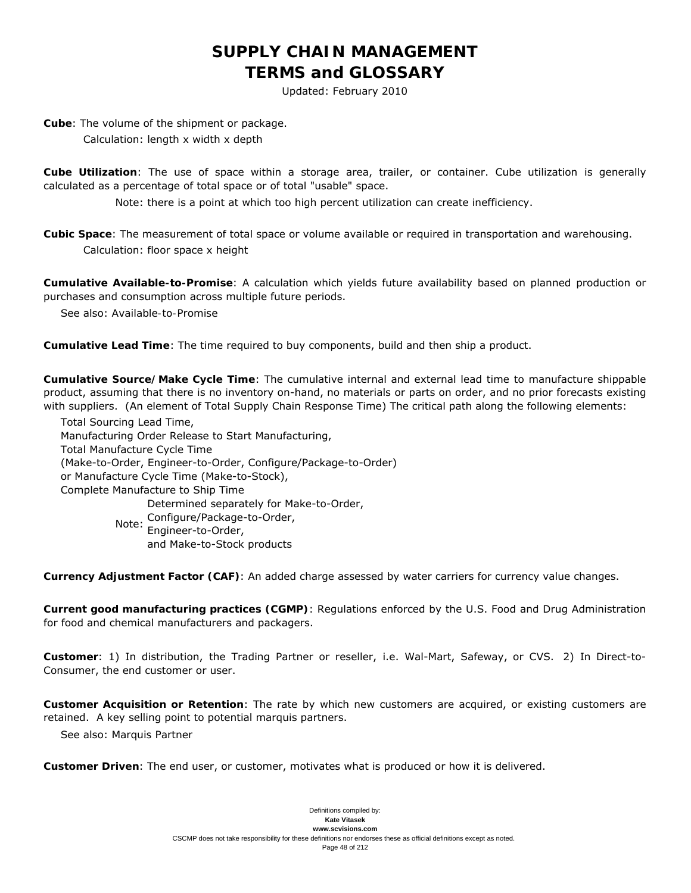Updated: February 2010

Calculation: length x width x depth **Cube**: The volume of the shipment or package.

**Cube Utilization**: The use of space within a storage area, trailer, or container. Cube utilization is generally calculated as a percentage of total space or of total "usable" space.

Note: there is a point at which too high percent utilization can create inefficiency.

**Cubic Space**: The measurement of total space or volume available or required in transportation and warehousing. Calculation: floor space x height

**Cumulative Available-to-Promise**: A calculation which yields future availability based on planned production or purchases and consumption across multiple future periods.

See also: *Available-to-Promise*

**Cumulative Lead Time**: The time required to buy components, build and then ship a product.

**Cumulative Source/Make Cycle Time**: The cumulative internal and external lead time to manufacture shippable product, assuming that there is no inventory on-hand, no materials or parts on order, and no prior forecasts existing with suppliers. (An element of Total Supply Chain Response Time) The critical path along the following elements:

Total Sourcing Lead Time, Manufacturing Order Release to Start Manufacturing, Total Manufacture Cycle Time (Make-to-Order, Engineer-to-Order, Configure/Package-to-Order) or Manufacture Cycle Time (Make-to-Stock), Complete Manufacture to Ship Time Determined separately for Make-to-Order, Configure/Package-to-Order, Note: Engineer-to-Order, and Make-to-Stock products

**Currency Adjustment Factor (CAF)**: An added charge assessed by water carriers for currency value changes.

**Current good manufacturing practices (CGMP)**: Regulations enforced by the U.S. Food and Drug Administration for food and chemical manufacturers and packagers.

**Customer**: 1) In distribution, the Trading Partner or reseller, i.e. Wal-Mart, Safeway, or CVS. 2) In Direct-to-Consumer, the end customer or user.

**Customer Acquisition or Retention**: The rate by which new customers are acquired, or existing customers are retained. A key selling point to potential marquis partners.

See also: *Marquis Partner*

**Customer Driven**: The end user, or customer, motivates what is produced or how it is delivered.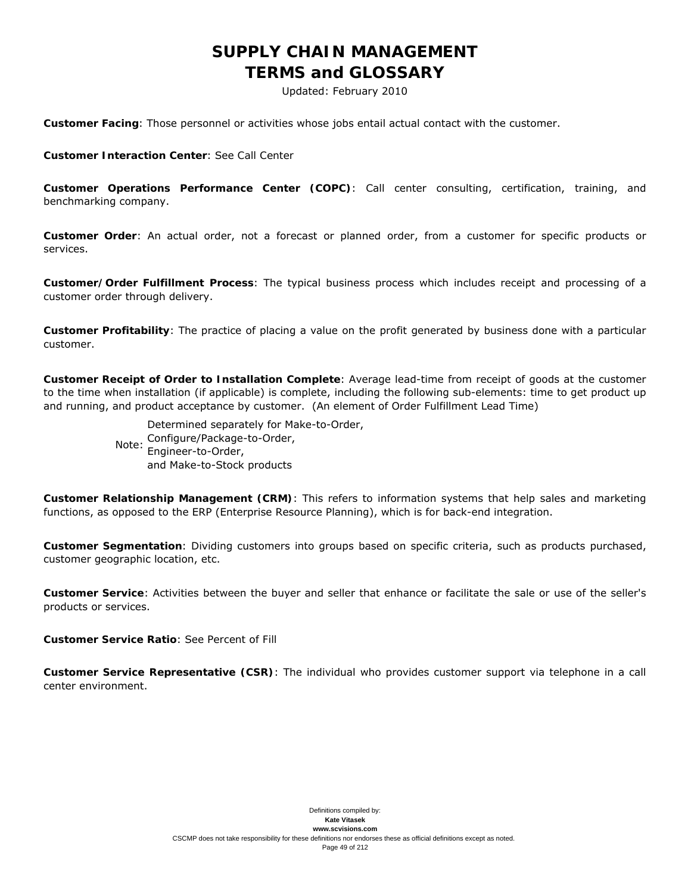Updated: February 2010

**Customer Facing**: Those personnel or activities whose jobs entail actual contact with the customer.

**Customer Interaction Center**: See *Call Center*

**Customer Operations Performance Center (COPC)**: Call center consulting, certification, training, and benchmarking company.

**Customer Order**: An actual order, not a forecast or planned order, from a customer for specific products or services.

**Customer/Order Fulfillment Process**: The typical business process which includes receipt and processing of a customer order through delivery.

**Customer Profitability**: The practice of placing a value on the profit generated by business done with a particular customer.

**Customer Receipt of Order to Installation Complete**: Average lead-time from receipt of goods at the customer to the time when installation (if applicable) is complete, including the following sub-elements: time to get product up and running, and product acceptance by customer. (An element of Order Fulfillment Lead Time)

> Note: Configure/Package-to-Order, Determined separately for Make-to-Order, Engineer-to-Order, and Make-to-Stock products

**Customer Relationship Management (CRM)**: This refers to information systems that help sales and marketing functions, as opposed to the ERP (Enterprise Resource Planning), which is for back-end integration.

**Customer Segmentation**: Dividing customers into groups based on specific criteria, such as products purchased, customer geographic location, etc.

**Customer Service**: Activities between the buyer and seller that enhance or facilitate the sale or use of the seller's products or services.

**Customer Service Ratio**: See *Percent of Fill* 

**Customer Service Representative (CSR)**: The individual who provides customer support via telephone in a call center environment.

> Definitions compiled by: **Kate Vitasek www.scvisions.com** CSCMP does not take responsibility for these definitions nor endorses these as official definitions except as noted. Page 49 of 212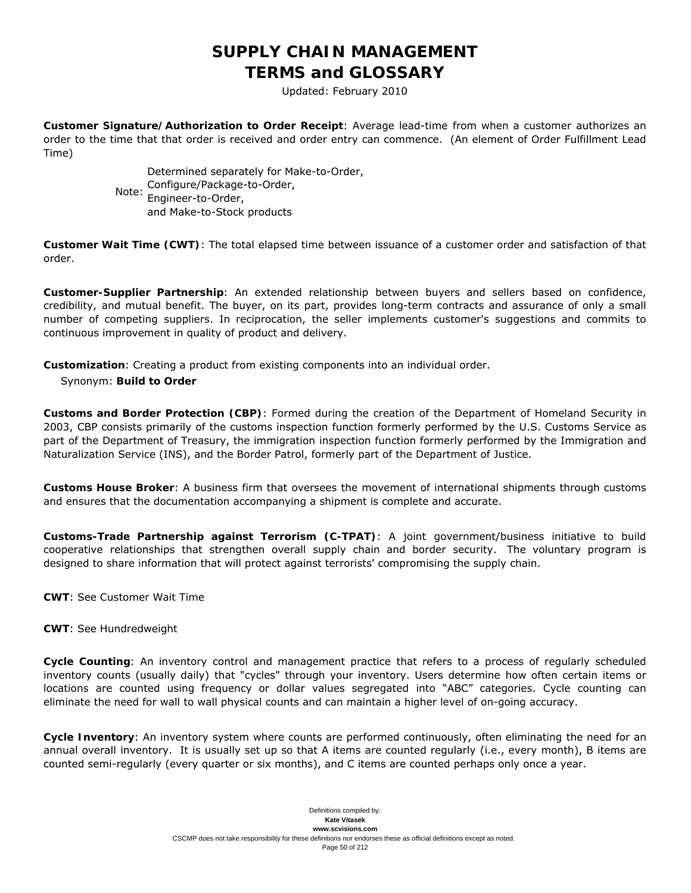Updated: February 2010

**Customer Signature/Authorization to Order Receipt**: Average lead-time from when a customer authorizes an order to the time that that order is received and order entry can commence. (An element of Order Fulfillment Lead Time)

> Note: Configure/Package-to-Order, Determined separately for Make-to-Order, Engineer-to-Order, and Make-to-Stock products

**Customer Wait Time (CWT)**: The total elapsed time between issuance of a customer order and satisfaction of that order.

**Customer-Supplier Partnership**: An extended relationship between buyers and sellers based on confidence, credibility, and mutual benefit. The buyer, on its part, provides long-term contracts and assurance of only a small number of competing suppliers. In reciprocation, the seller implements customer's suggestions and commits to continuous improvement in quality of product and delivery.

**Customization**: Creating a product from existing components into an individual order.

#### Synonym: *Build to Order*

**Customs and Border Protection (CBP)**: Formed during the creation of the Department of Homeland Security in 2003, CBP consists primarily of the customs inspection function formerly performed by the U.S. Customs Service as part of the Department of Treasury, the immigration inspection function formerly performed by the Immigration and Naturalization Service (INS), and the Border Patrol, formerly part of the Department of Justice.

**Customs House Broker**: A business firm that oversees the movement of international shipments through customs and ensures that the documentation accompanying a shipment is complete and accurate.

**Customs-Trade Partnership against Terrorism (C-TPAT)**: A joint government/business initiative to build cooperative relationships that strengthen overall supply chain and border security. The voluntary program is designed to share information that will protect against terrorists' compromising the supply chain.

**CWT**: See *Customer Wait Time*

#### **CWT**: See *Hundredweight*

**Cycle Counting**: An inventory control and management practice that refers to a process of regularly scheduled inventory counts (usually daily) that "cycles" through your inventory. Users determine how often certain items or locations are counted using frequency or dollar values segregated into "ABC" categories. Cycle counting can eliminate the need for wall to wall physical counts and can maintain a higher level of on-going accuracy.

**Cycle Inventory**: An inventory system where counts are performed continuously, often eliminating the need for an annual overall inventory. It is usually set up so that A items are counted regularly (i.e., every month), B items are counted semi-regularly (every quarter or six months), and C items are counted perhaps only once a year.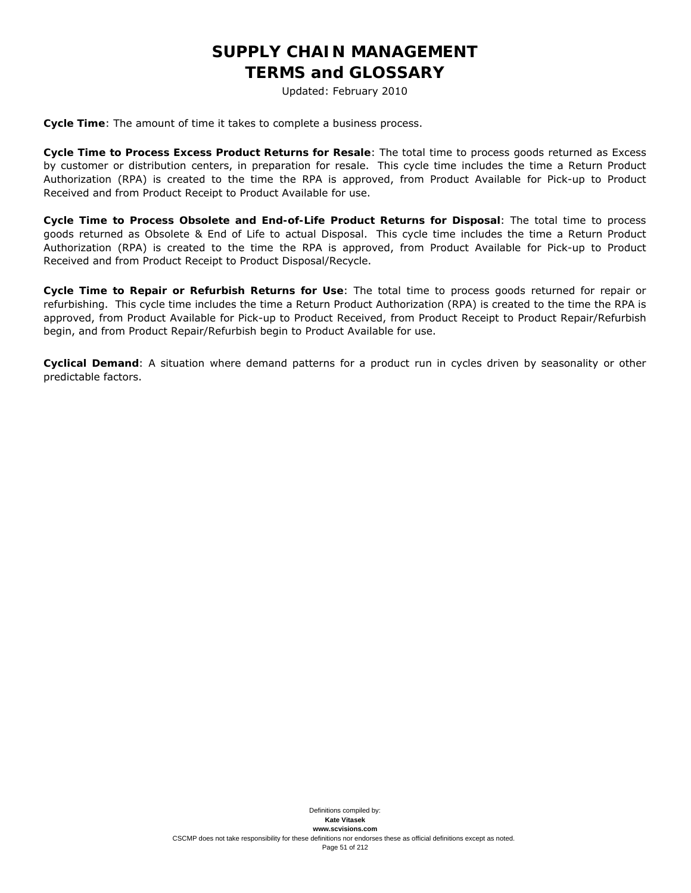Updated: February 2010

**Cycle Time**: The amount of time it takes to complete a business process.

**Cycle Time to Process Excess Product Returns for Resale**: The total time to process goods returned as Excess by customer or distribution centers, in preparation for resale. This cycle time includes the time a Return Product Authorization (RPA) is created to the time the RPA is approved, from Product Available for Pick-up to Product Received and from Product Receipt to Product Available for use.

**Cycle Time to Process Obsolete and End-of-Life Product Returns for Disposal**: The total time to process goods returned as Obsolete & End of Life to actual Disposal. This cycle time includes the time a Return Product Authorization (RPA) is created to the time the RPA is approved, from Product Available for Pick-up to Product Received and from Product Receipt to Product Disposal/Recycle.

**Cycle Time to Repair or Refurbish Returns for Use**: The total time to process goods returned for repair or refurbishing. This cycle time includes the time a Return Product Authorization (RPA) is created to the time the RPA is approved, from Product Available for Pick-up to Product Received, from Product Receipt to Product Repair/Refurbish begin, and from Product Repair/Refurbish begin to Product Available for use.

**Cyclical Demand**: A situation where demand patterns for a product run in cycles driven by seasonality or other predictable factors.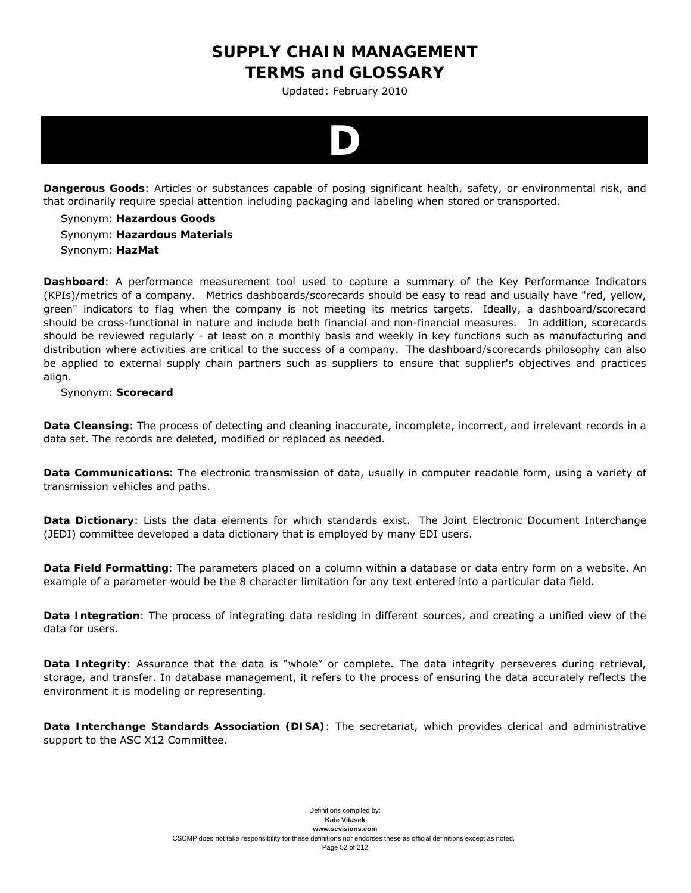Updated: February 2010

# **D**

**Dangerous Goods**: Articles or substances capable of posing significant health, safety, or environmental risk, and that ordinarily require special attention including packaging and labeling when stored or transported.

Synonym: *Hazardous Goods* Synonym: *Hazardous Materials* Synonym: *HazMat*

**Dashboard**: A performance measurement tool used to capture a summary of the Key Performance Indicators (KPIs)/metrics of a company. Metrics dashboards/scorecards should be easy to read and usually have "red, yellow, green" indicators to flag when the company is not meeting its metrics targets. Ideally, a dashboard/scorecard should be cross-functional in nature and include both financial and non-financial measures. In addition, scorecards should be reviewed regularly - at least on a monthly basis and weekly in key functions such as manufacturing and distribution where activities are critical to the success of a company. The dashboard/scorecards philosophy can also be applied to external supply chain partners such as suppliers to ensure that supplier's objectives and practices align.

#### Synonym: *Scorecard*

**Data Cleansing**: The process of detecting and cleaning inaccurate, incomplete, incorrect, and irrelevant records in a data set. The records are deleted, modified or replaced as needed.

**Data Communications**: The electronic transmission of data, usually in computer readable form, using a variety of transmission vehicles and paths.

**Data Dictionary**: Lists the data elements for which standards exist. The Joint Electronic Document Interchange (JEDI) committee developed a data dictionary that is employed by many EDI users.

**Data Field Formatting**: The parameters placed on a column within a database or data entry form on a website. An example of a parameter would be the 8 character limitation for any text entered into a particular data field.

**Data Integration**: The process of integrating data residing in different sources, and creating a unified view of the data for users.

**Data Integrity**: Assurance that the data is "whole" or complete. The data integrity perseveres during retrieval, storage, and transfer. In database management, it refers to the process of ensuring the data accurately reflects the environment it is modeling or representing.

**Data Interchange Standards Association (DISA)**: The secretariat, which provides clerical and administrative support to the ASC X12 Committee.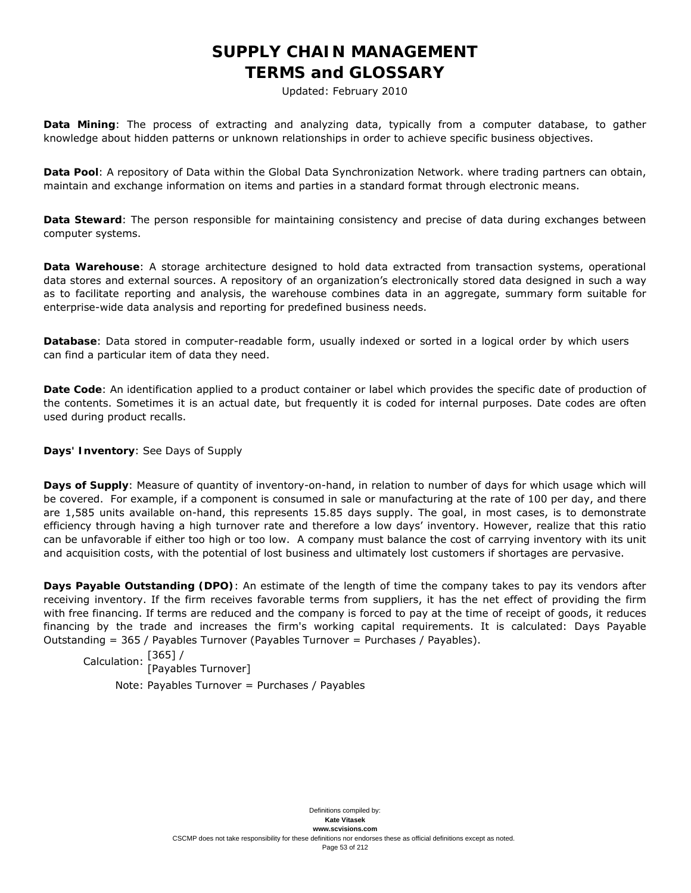Updated: February 2010

**Data Mining**: The process of extracting and analyzing data, typically from a computer database, to gather knowledge about hidden patterns or unknown relationships in order to achieve specific business objectives.

**Data Pool**: A repository of Data within the Global Data Synchronization Network. where trading partners can obtain, maintain and exchange information on items and parties in a standard format through electronic means.

**Data Steward**: The person responsible for maintaining consistency and precise of data during exchanges between computer systems.

**Data Warehouse**: A storage architecture designed to hold data extracted from transaction systems, operational data stores and external sources. A repository of an organization's electronically stored data designed in such a way as to facilitate reporting and analysis, the warehouse combines data in an aggregate, summary form suitable for enterprise-wide data analysis and reporting for predefined business needs.

**Database**: Data stored in computer-readable form, usually indexed or sorted in a logical order by which users can find a particular item of data they need.

**Date Code**: An identification applied to a product container or label which provides the specific date of production of the contents. Sometimes it is an actual date, but frequently it is coded for internal purposes. Date codes are often used during product recalls.

**Days' Inventory**: See *Days of Supply*

**Days of Supply**: Measure of quantity of inventory-on-hand, in relation to number of days for which usage which will be covered. For example, if a component is consumed in sale or manufacturing at the rate of 100 per day, and there are 1,585 units available on-hand, this represents 15.85 days supply. The goal, in most cases, is to demonstrate efficiency through having a high turnover rate and therefore a low days' inventory. However, realize that this ratio can be unfavorable if either too high or too low. A company must balance the cost of carrying inventory with its unit and acquisition costs, with the potential of lost business and ultimately lost customers if shortages are pervasive.

**Days Payable Outstanding (DPO)**: An estimate of the length of time the company takes to pay its vendors after receiving inventory. If the firm receives favorable terms from suppliers, it has the net effect of providing the firm with free financing. If terms are reduced and the company is forced to pay at the time of receipt of goods, it reduces financing by the trade and increases the firm's working capital requirements. It is calculated: Days Payable Outstanding = 365 / Payables Turnover (Payables Turnover = Purchases / Payables).

Calculation: [365] / [Payables Turnover] Note: Payables Turnover = Purchases / Payables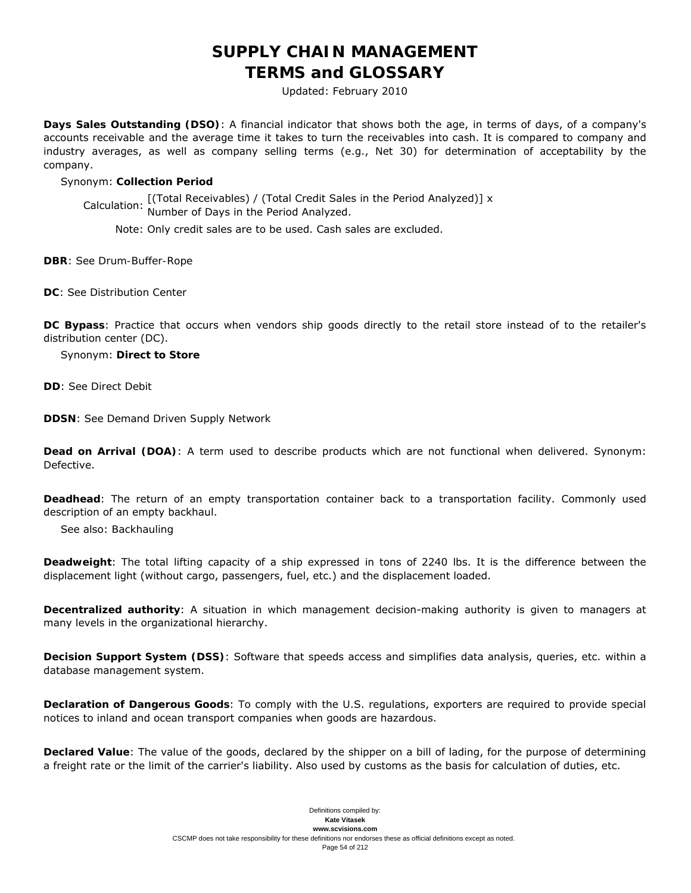Updated: February 2010

**Days Sales Outstanding (DSO)**: A financial indicator that shows both the age, in terms of days, of a company's accounts receivable and the average time it takes to turn the receivables into cash. It is compared to company and industry averages, as well as company selling terms (e.g., Net 30) for determination of acceptability by the company.

#### Synonym: *Collection Period*

Calculation: [(Total Receivables) / (Total Credit Sales in the Period Analyzed)] x Number of Days in the Period Analyzed.

Note: Only credit sales are to be used. Cash sales are excluded.

**DBR**: See *Drum-Buffer-Rope* 

**DC**: See *Distribution Center*

**DC Bypass**: Practice that occurs when vendors ship goods directly to the retail store instead of to the retailer's distribution center (DC).

Synonym: *Direct to Store*

**DD**: See *Direct Debit*

**DDSN**: See *Demand Driven Supply Network*

**Dead on Arrival (DOA)**: A term used to describe products which are not functional when delivered. Synonym: Defective.

**Deadhead**: The return of an empty transportation container back to a transportation facility. Commonly used description of an empty backhaul.

See also: *Backhauling*

**Deadweight**: The total lifting capacity of a ship expressed in tons of 2240 lbs. It is the difference between the displacement light (without cargo, passengers, fuel, etc.) and the displacement loaded.

**Decentralized authority**: A situation in which management decision-making authority is given to managers at many levels in the organizational hierarchy.

**Decision Support System (DSS)**: Software that speeds access and simplifies data analysis, queries, etc. within a database management system.

**Declaration of Dangerous Goods**: To comply with the U.S. regulations, exporters are required to provide special notices to inland and ocean transport companies when goods are hazardous.

**Declared Value**: The value of the goods, declared by the shipper on a bill of lading, for the purpose of determining a freight rate or the limit of the carrier's liability. Also used by customs as the basis for calculation of duties, etc.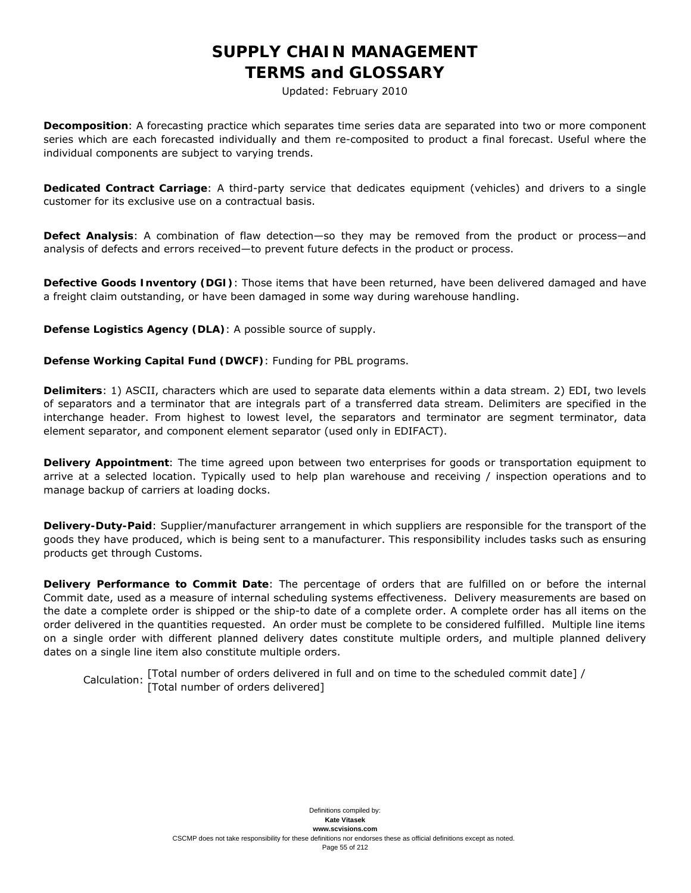Updated: February 2010

**Decomposition**: A forecasting practice which separates time series data are separated into two or more component series which are each forecasted individually and them re-composited to product a final forecast. Useful where the individual components are subject to varying trends.

**Dedicated Contract Carriage**: A third-party service that dedicates equipment (vehicles) and drivers to a single customer for its exclusive use on a contractual basis.

**Defect Analysis**: A combination of flaw detection—so they may be removed from the product or process—and analysis of defects and errors received—to prevent future defects in the product or process.

**Defective Goods Inventory (DGI)**: Those items that have been returned, have been delivered damaged and have a freight claim outstanding, or have been damaged in some way during warehouse handling.

**Defense Logistics Agency (DLA)**: A possible source of supply.

**Defense Working Capital Fund (DWCF)**: Funding for PBL programs.

**Delimiters**: 1) ASCII, characters which are used to separate data elements within a data stream. 2) EDI, two levels of separators and a terminator that are integrals part of a transferred data stream. Delimiters are specified in the interchange header. From highest to lowest level, the separators and terminator are segment terminator, data element separator, and component element separator (used only in EDIFACT).

**Delivery Appointment**: The time agreed upon between two enterprises for goods or transportation equipment to arrive at a selected location. Typically used to help plan warehouse and receiving / inspection operations and to manage backup of carriers at loading docks.

**Delivery-Duty-Paid**: Supplier/manufacturer arrangement in which suppliers are responsible for the transport of the goods they have produced, which is being sent to a manufacturer. This responsibility includes tasks such as ensuring products get through Customs.

**Delivery Performance to Commit Date**: The percentage of orders that are fulfilled on or before the internal Commit date, used as a measure of internal scheduling systems effectiveness. Delivery measurements are based on the date a complete order is shipped or the ship-to date of a complete order. A complete order has all items on the order delivered in the quantities requested. An order must be complete to be considered fulfilled. Multiple line items on a single order with different planned delivery dates constitute multiple orders, and multiple planned delivery dates on a single line item also constitute multiple orders.

[Total number of orders delivered in full and on time to the scheduled commit date] / Calculation: [Total number of orders delivered]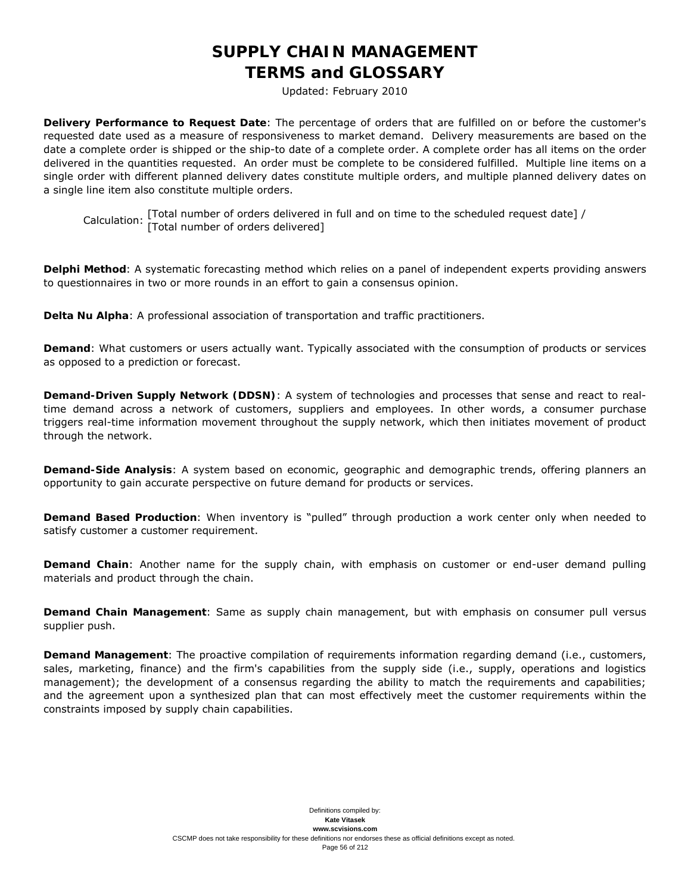Updated: February 2010

**Delivery Performance to Request Date**: The percentage of orders that are fulfilled on or before the customer's requested date used as a measure of responsiveness to market demand. Delivery measurements are based on the date a complete order is shipped or the ship-to date of a complete order. A complete order has all items on the order delivered in the quantities requested. An order must be complete to be considered fulfilled. Multiple line items on a single order with different planned delivery dates constitute multiple orders, and multiple planned delivery dates on a single line item also constitute multiple orders.

Calculation: [Total number of orders delivered in full and on time to the scheduled request date] / [Total number of orders delivered]

**Delphi Method**: A systematic forecasting method which relies on a panel of independent experts providing answers to questionnaires in two or more rounds in an effort to gain a consensus opinion.

**Delta Nu Alpha**: A professional association of transportation and traffic practitioners.

**Demand**: What customers or users actually want. Typically associated with the consumption of products or services as opposed to a prediction or forecast.

**Demand-Driven Supply Network (DDSN)**: A system of technologies and processes that sense and react to realtime demand across a network of customers, suppliers and employees. In other words, a consumer purchase triggers real-time information movement throughout the supply network, which then initiates movement of product through the network.

**Demand-Side Analysis**: A system based on economic, geographic and demographic trends, offering planners an opportunity to gain accurate perspective on future demand for products or services.

**Demand Based Production**: When inventory is "pulled" through production a work center only when needed to satisfy customer a customer requirement.

**Demand Chain**: Another name for the supply chain, with emphasis on customer or end-user demand pulling materials and product through the chain.

**Demand Chain Management**: Same as supply chain management, but with emphasis on consumer pull versus supplier push.

**Demand Management**: The proactive compilation of requirements information regarding demand (i.e., customers, sales, marketing, finance) and the firm's capabilities from the supply side (i.e., supply, operations and logistics management); the development of a consensus regarding the ability to match the requirements and capabilities; and the agreement upon a synthesized plan that can most effectively meet the customer requirements within the constraints imposed by supply chain capabilities.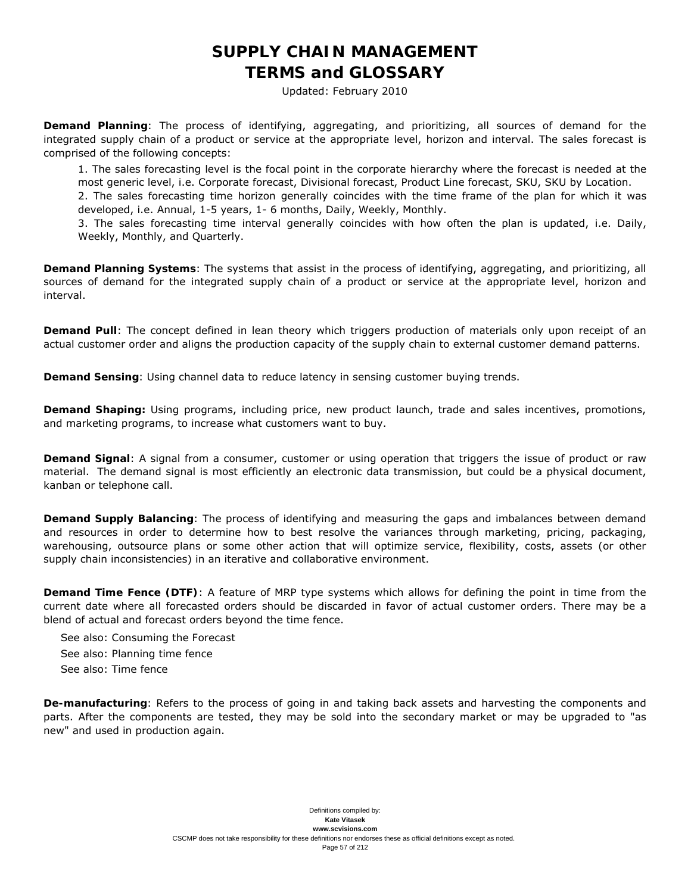Updated: February 2010

**Demand Planning**: The process of identifying, aggregating, and prioritizing, all sources of demand for the integrated supply chain of a product or service at the appropriate level, horizon and interval. The sales forecast is comprised of the following concepts:

1. The sales forecasting level is the focal point in the corporate hierarchy where the forecast is needed at the most generic level, i.e. Corporate forecast, Divisional forecast, Product Line forecast, SKU, SKU by Location.

2. The sales forecasting time horizon generally coincides with the time frame of the plan for which it was developed, i.e. Annual, 1-5 years, 1- 6 months, Daily, Weekly, Monthly.

3. The sales forecasting time interval generally coincides with how often the plan is updated, i.e. Daily, Weekly, Monthly, and Quarterly.

**Demand Planning Systems**: The systems that assist in the process of identifying, aggregating, and prioritizing, all sources of demand for the integrated supply chain of a product or service at the appropriate level, horizon and interval.

**Demand Pull**: The concept defined in lean theory which triggers production of materials only upon receipt of an actual customer order and aligns the production capacity of the supply chain to external customer demand patterns.

**Demand Sensing**: Using channel data to reduce latency in sensing customer buying trends.

**Demand Shaping:** Using programs, including price, new product launch, trade and sales incentives, promotions, and marketing programs, to increase what customers want to buy.

**Demand Signal**: A signal from a consumer, customer or using operation that triggers the issue of product or raw material. The demand signal is most efficiently an electronic data transmission, but could be a physical document, kanban or telephone call.

**Demand Supply Balancing**: The process of identifying and measuring the gaps and imbalances between demand and resources in order to determine how to best resolve the variances through marketing, pricing, packaging, warehousing, outsource plans or some other action that will optimize service, flexibility, costs, assets (or other supply chain inconsistencies) in an iterative and collaborative environment.

**Demand Time Fence (DTF)**: A feature of MRP type systems which allows for defining the point in time from the current date where all forecasted orders should be discarded in favor of actual customer orders. There may be a blend of actual and forecast orders beyond the time fence.

See also: *Planning time fence* See also: *Consuming the Forecast* See also: *Time fence*

**De-manufacturing**: Refers to the process of going in and taking back assets and harvesting the components and parts. After the components are tested, they may be sold into the secondary market or may be upgraded to "as new" and used in production again.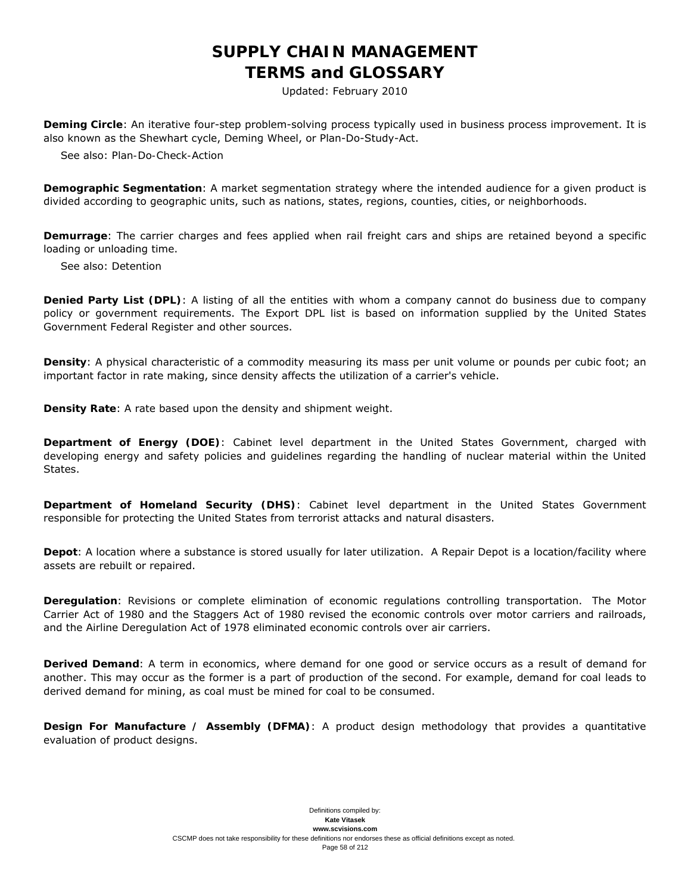Updated: February 2010

**Deming Circle**: An iterative four-step problem-solving process typically used in business process improvement. It is also known as the Shewhart cycle, Deming Wheel, or Plan-Do-Study-Act.

See also: *Plan-Do-Check-Action*

**Demographic Segmentation**: A market segmentation strategy where the intended audience for a given product is divided according to geographic units, such as nations, states, regions, counties, cities, or neighborhoods.

**Demurrage**: The carrier charges and fees applied when rail freight cars and ships are retained beyond a specific loading or unloading time.

See also: *Detention*

**Denied Party List (DPL)**: A listing of all the entities with whom a company cannot do business due to company policy or government requirements. The Export DPL list is based on information supplied by the United States Government Federal Register and other sources.

**Density**: A physical characteristic of a commodity measuring its mass per unit volume or pounds per cubic foot; an important factor in rate making, since density affects the utilization of a carrier's vehicle.

**Density Rate**: A rate based upon the density and shipment weight.

**Department of Energy (DOE)**: Cabinet level department in the United States Government, charged with developing energy and safety policies and guidelines regarding the handling of nuclear material within the United States.

**Department of Homeland Security (DHS)**: Cabinet level department in the United States Government responsible for protecting the United States from terrorist attacks and natural disasters.

**Depot**: A location where a substance is stored usually for later utilization. A Repair Depot is a location/facility where assets are rebuilt or repaired.

**Deregulation**: Revisions or complete elimination of economic regulations controlling transportation. The Motor Carrier Act of 1980 and the Staggers Act of 1980 revised the economic controls over motor carriers and railroads, and the Airline Deregulation Act of 1978 eliminated economic controls over air carriers.

**Derived Demand**: A term in economics, where demand for one good or service occurs as a result of demand for another. This may occur as the former is a part of production of the second. For example, demand for coal leads to derived demand for mining, as coal must be mined for coal to be consumed.

**Design For Manufacture / Assembly (DFMA)**: A product design methodology that provides a quantitative evaluation of product designs.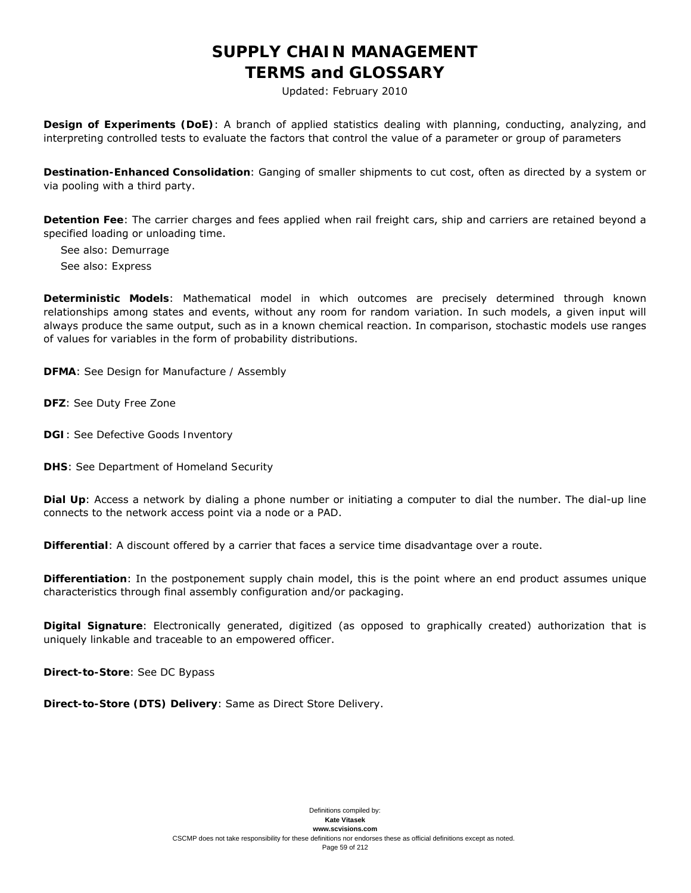Updated: February 2010

**Design of Experiments (DoE)**: A branch of applied statistics dealing with planning, conducting, analyzing, and interpreting controlled tests to evaluate the factors that control the value of a parameter or group of parameters

**Destination-Enhanced Consolidation**: Ganging of smaller shipments to cut cost, often as directed by a system or via pooling with a third party.

**Detention Fee**: The carrier charges and fees applied when rail freight cars, ship and carriers are retained beyond a specified loading or unloading time.

See also: *Demurrage* See also: *Express*

**Deterministic Models**: Mathematical model in which outcomes are precisely determined through known relationships among states and events, without any room for random variation. In such models, a given input will always produce the same output, such as in a known chemical reaction. In comparison, stochastic models use ranges of values for variables in the form of probability distributions.

**DFMA**: See *Design for Manufacture / Assembly* 

**DFZ**: See *Duty Free Zone*

**DGI**: See *Defective Goods Inventory* 

**DHS**: See *Department of Homeland Security*

**Dial Up**: Access a network by dialing a phone number or initiating a computer to dial the number. The dial-up line connects to the network access point via a node or a PAD.

**Differential**: A discount offered by a carrier that faces a service time disadvantage over a route.

**Differentiation**: In the postponement supply chain model, this is the point where an end product assumes unique characteristics through final assembly configuration and/or packaging.

**Digital Signature**: Electronically generated, digitized (as opposed to graphically created) authorization that is uniquely linkable and traceable to an empowered officer.

**Direct-to-Store**: See *DC Bypass*

**Direct-to-Store (DTS) Delivery**: Same as Direct Store Delivery.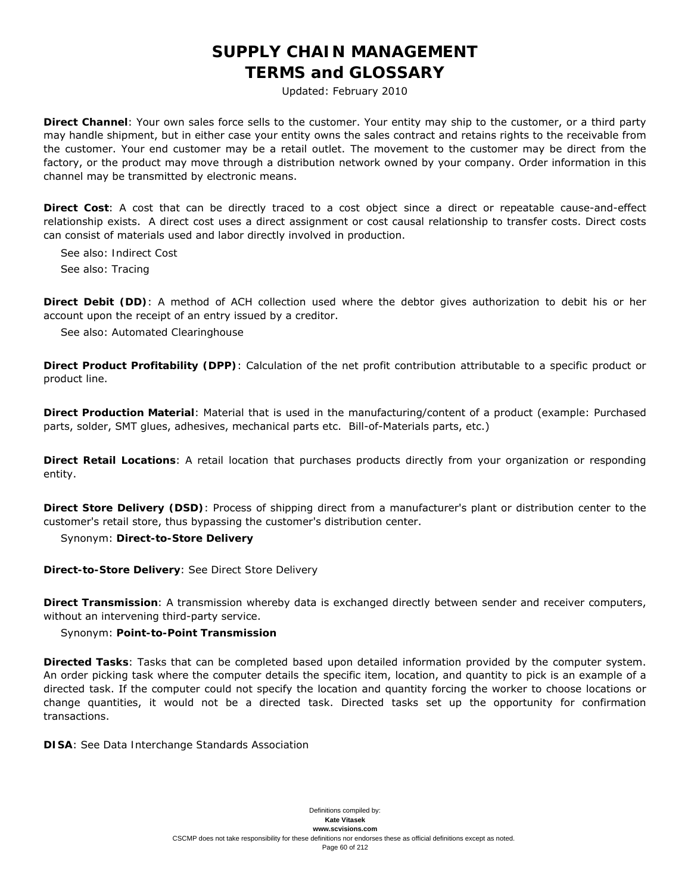Updated: February 2010

**Direct Channel**: Your own sales force sells to the customer. Your entity may ship to the customer, or a third party may handle shipment, but in either case your entity owns the sales contract and retains rights to the receivable from the customer. Your end customer may be a retail outlet. The movement to the customer may be direct from the factory, or the product may move through a distribution network owned by your company. Order information in this channel may be transmitted by electronic means.

**Direct Cost**: A cost that can be directly traced to a cost object since a direct or repeatable cause-and-effect relationship exists. A direct cost uses a direct assignment or cost causal relationship to transfer costs. Direct costs can consist of materials used and labor directly involved in production.

See also: *Tracing* See also: *Indirect Cost*

**Direct Debit (DD)**: A method of ACH collection used where the debtor gives authorization to debit his or her account upon the receipt of an entry issued by a creditor.

See also: *Automated Clearinghouse*

**Direct Product Profitability (DPP)**: Calculation of the net profit contribution attributable to a specific product or product line.

**Direct Production Material**: Material that is used in the manufacturing/content of a product (example: Purchased parts, solder, SMT glues, adhesives, mechanical parts etc. Bill-of-Materials parts, etc.)

**Direct Retail Locations**: A retail location that purchases products directly from your organization or responding entity.

**Direct Store Delivery (DSD)**: Process of shipping direct from a manufacturer's plant or distribution center to the customer's retail store, thus bypassing the customer's distribution center.

Synonym: *Direct-to-Store Delivery*

**Direct-to-Store Delivery**: See *Direct Store Delivery*

**Direct Transmission**: A transmission whereby data is exchanged directly between sender and receiver computers, without an intervening third-party service.

#### Synonym: *Point-to-Point Transmission*

**Directed Tasks**: Tasks that can be completed based upon detailed information provided by the computer system. An order picking task where the computer details the specific item, location, and quantity to pick is an example of a directed task. If the computer could not specify the location and quantity forcing the worker to choose locations or change quantities, it would not be a directed task. Directed tasks set up the opportunity for confirmation transactions.

**DISA**: See *Data Interchange Standards Association*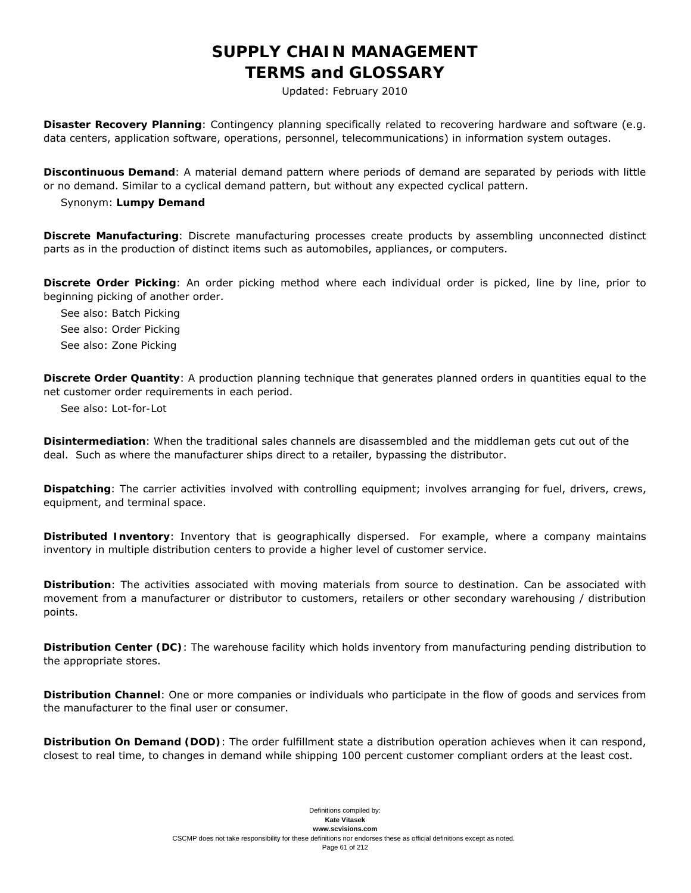Updated: February 2010

**Disaster Recovery Planning**: Contingency planning specifically related to recovering hardware and software (e.g. data centers, application software, operations, personnel, telecommunications) in information system outages.

**Discontinuous Demand**: A material demand pattern where periods of demand are separated by periods with little or no demand. Similar to a cyclical demand pattern, but without any expected cyclical pattern.

Synonym: *Lumpy Demand*

**Discrete Manufacturing**: Discrete manufacturing processes create products by assembling unconnected distinct parts as in the production of distinct items such as automobiles, appliances, or computers.

**Discrete Order Picking**: An order picking method where each individual order is picked, line by line, prior to beginning picking of another order.

See also: *Order Picking* See also: *Zone Picking* See also: *Batch Picking*

**Discrete Order Quantity**: A production planning technique that generates planned orders in quantities equal to the net customer order requirements in each period.

See also: *Lot-for-Lot*

**Disintermediation**: When the traditional sales channels are disassembled and the middleman gets cut out of the deal. Such as where the manufacturer ships direct to a retailer, bypassing the distributor.

**Dispatching**: The carrier activities involved with controlling equipment; involves arranging for fuel, drivers, crews, equipment, and terminal space.

**Distributed Inventory**: Inventory that is geographically dispersed. For example, where a company maintains inventory in multiple distribution centers to provide a higher level of customer service.

**Distribution**: The activities associated with moving materials from source to destination. Can be associated with movement from a manufacturer or distributor to customers, retailers or other secondary warehousing / distribution points.

**Distribution Center (DC)**: The warehouse facility which holds inventory from manufacturing pending distribution to the appropriate stores.

**Distribution Channel**: One or more companies or individuals who participate in the flow of goods and services from the manufacturer to the final user or consumer.

**Distribution On Demand (DOD)**: The order fulfillment state a distribution operation achieves when it can respond, closest to real time, to changes in demand while shipping 100 percent customer compliant orders at the least cost.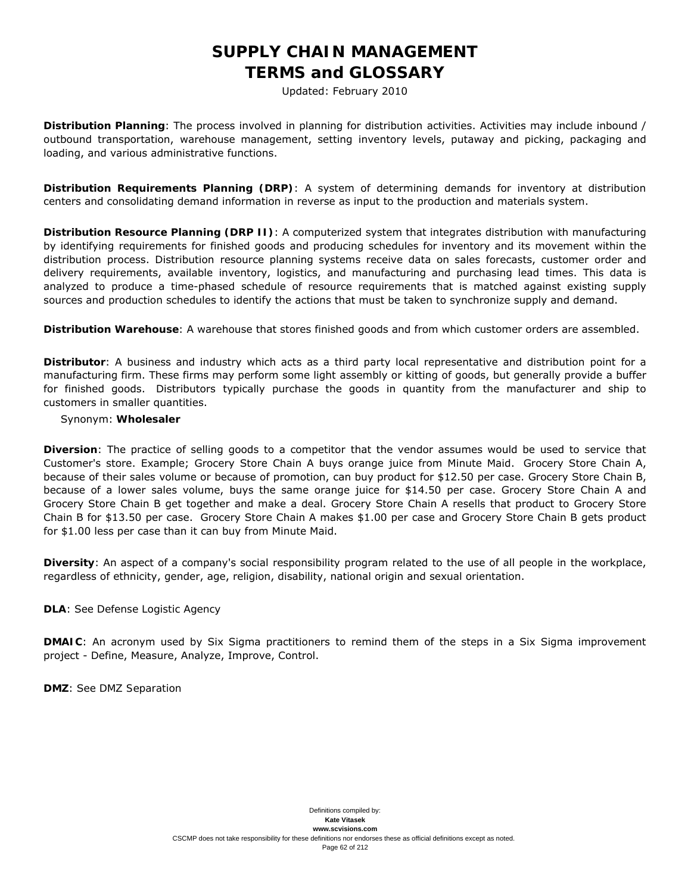Updated: February 2010

**Distribution Planning**: The process involved in planning for distribution activities. Activities may include inbound / outbound transportation, warehouse management, setting inventory levels, putaway and picking, packaging and loading, and various administrative functions.

**Distribution Requirements Planning (DRP)**: A system of determining demands for inventory at distribution centers and consolidating demand information in reverse as input to the production and materials system.

**Distribution Resource Planning (DRP II)**: A computerized system that integrates distribution with manufacturing by identifying requirements for finished goods and producing schedules for inventory and its movement within the distribution process. Distribution resource planning systems receive data on sales forecasts, customer order and delivery requirements, available inventory, logistics, and manufacturing and purchasing lead times. This data is analyzed to produce a time-phased schedule of resource requirements that is matched against existing supply sources and production schedules to identify the actions that must be taken to synchronize supply and demand.

**Distribution Warehouse**: A warehouse that stores finished goods and from which customer orders are assembled.

**Distributor**: A business and industry which acts as a third party local representative and distribution point for a manufacturing firm. These firms may perform some light assembly or kitting of goods, but generally provide a buffer for finished goods. Distributors typically purchase the goods in quantity from the manufacturer and ship to customers in smaller quantities.

#### Synonym: *Wholesaler*

**Diversion**: The practice of selling goods to a competitor that the vendor assumes would be used to service that Customer's store. Example; Grocery Store Chain A buys orange juice from Minute Maid. Grocery Store Chain A, because of their sales volume or because of promotion, can buy product for \$12.50 per case. Grocery Store Chain B, because of a lower sales volume, buys the same orange juice for \$14.50 per case. Grocery Store Chain A and Grocery Store Chain B get together and make a deal. Grocery Store Chain A resells that product to Grocery Store Chain B for \$13.50 per case. Grocery Store Chain A makes \$1.00 per case and Grocery Store Chain B gets product for \$1.00 less per case than it can buy from Minute Maid.

**Diversity**: An aspect of a company's social responsibility program related to the use of all people in the workplace, regardless of ethnicity, gender, age, religion, disability, national origin and sexual orientation.

#### **DLA**: See *Defense Logistic Agency*

**DMAIC**: An acronym used by Six Sigma practitioners to remind them of the steps in a Six Sigma improvement project - Define, Measure, Analyze, Improve, Control.

**DMZ**: See *DMZ Separation*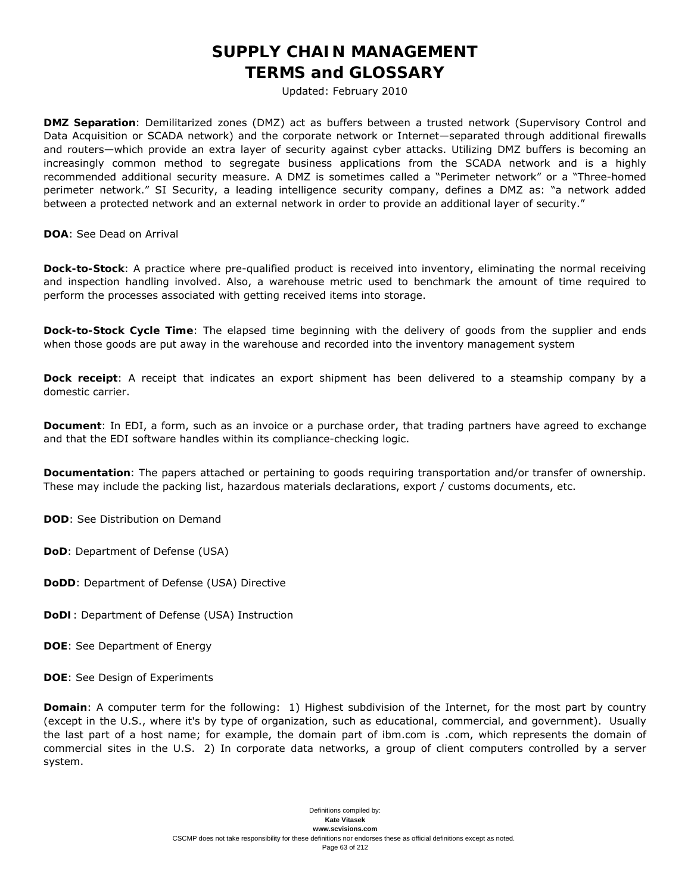Updated: February 2010

**DMZ Separation**: Demilitarized zones (DMZ) act as buffers between a trusted network (Supervisory Control and Data Acquisition or SCADA network) and the corporate network or Internet—separated through additional firewalls and routers—which provide an extra layer of security against cyber attacks. Utilizing DMZ buffers is becoming an increasingly common method to segregate business applications from the SCADA network and is a highly recommended additional security measure. A DMZ is sometimes called a "Perimeter network" or a "Three-homed perimeter network." SI Security, a leading intelligence security company, defines a DMZ as: "a network added between a protected network and an external network in order to provide an additional layer of security."

#### **DOA**: See *Dead on Arrival*

**Dock-to-Stock**: A practice where pre-qualified product is received into inventory, eliminating the normal receiving and inspection handling involved. Also, a warehouse metric used to benchmark the amount of time required to perform the processes associated with getting received items into storage.

**Dock-to-Stock Cycle Time**: The elapsed time beginning with the delivery of goods from the supplier and ends when those goods are put away in the warehouse and recorded into the inventory management system

**Dock receipt**: A receipt that indicates an export shipment has been delivered to a steamship company by a domestic carrier.

**Document**: In EDI, a form, such as an invoice or a purchase order, that trading partners have agreed to exchange and that the EDI software handles within its compliance-checking logic.

**Documentation**: The papers attached or pertaining to goods requiring transportation and/or transfer of ownership. These may include the packing list, hazardous materials declarations, export / customs documents, etc.

**DOD**: See *Distribution on Demand*

**DoD**: Department of Defense (USA)

**DoDD**: Department of Defense (USA) Directive

**DoDI**: Department of Defense (USA) Instruction

**DOE**: See *Department of Energy*

**DOE**: See *Design of Experiments*

**Domain**: A computer term for the following: 1) Highest subdivision of the Internet, for the most part by country (except in the U.S., where it's by type of organization, such as educational, commercial, and government). Usually the last part of a host name; for example, the domain part of ibm.com is .com, which represents the domain of commercial sites in the U.S. 2) In corporate data networks, a group of client computers controlled by a server system.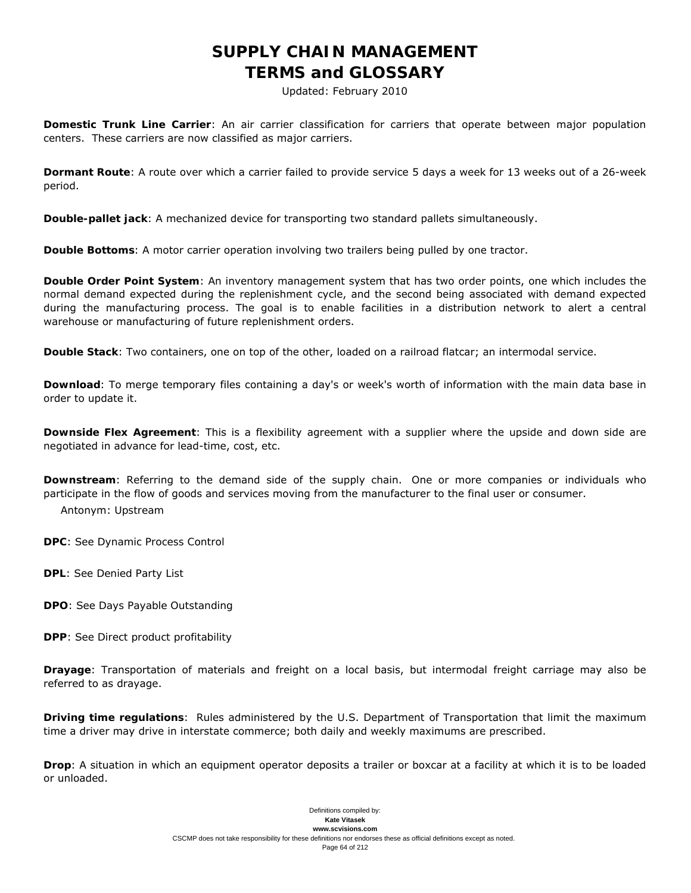Updated: February 2010

**Domestic Trunk Line Carrier**: An air carrier classification for carriers that operate between major population centers. These carriers are now classified as major carriers.

**Dormant Route**: A route over which a carrier failed to provide service 5 days a week for 13 weeks out of a 26-week period.

**Double-pallet jack**: A mechanized device for transporting two standard pallets simultaneously.

**Double Bottoms**: A motor carrier operation involving two trailers being pulled by one tractor.

**Double Order Point System**: An inventory management system that has two order points, one which includes the normal demand expected during the replenishment cycle, and the second being associated with demand expected during the manufacturing process. The goal is to enable facilities in a distribution network to alert a central warehouse or manufacturing of future replenishment orders.

**Double Stack**: Two containers, one on top of the other, loaded on a railroad flatcar; an intermodal service.

**Download**: To merge temporary files containing a day's or week's worth of information with the main data base in order to update it.

**Downside Flex Agreement**: This is a flexibility agreement with a supplier where the upside and down side are negotiated in advance for lead-time, cost, etc.

**Downstream**: Referring to the demand side of the supply chain. One or more companies or individuals who participate in the flow of goods and services moving from the manufacturer to the final user or consumer.

Antonym: *Upstream*

**DPC**: See *Dynamic Process Control*

**DPL**: See *Denied Party List*

**DPO**: See *Days Payable Outstanding*

**DPP**: See *Direct product profitability*

**Drayage**: Transportation of materials and freight on a local basis, but intermodal freight carriage may also be referred to as drayage.

**Driving time regulations**: Rules administered by the U.S. Department of Transportation that limit the maximum time a driver may drive in interstate commerce; both daily and weekly maximums are prescribed.

**Drop**: A situation in which an equipment operator deposits a trailer or boxcar at a facility at which it is to be loaded or unloaded.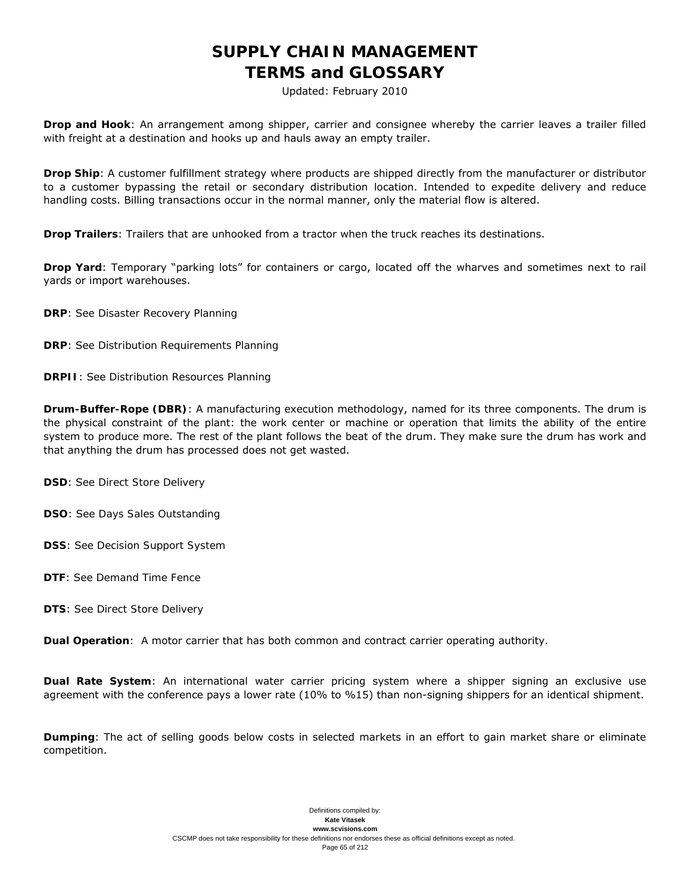Updated: February 2010

**Drop and Hook**: An arrangement among shipper, carrier and consignee whereby the carrier leaves a trailer filled with freight at a destination and hooks up and hauls away an empty trailer.

**Drop Ship**: A customer fulfillment strategy where products are shipped directly from the manufacturer or distributor to a customer bypassing the retail or secondary distribution location. Intended to expedite delivery and reduce handling costs. Billing transactions occur in the normal manner, only the material flow is altered.

**Drop Trailers**: Trailers that are unhooked from a tractor when the truck reaches its destinations.

**Drop Yard**: Temporary "parking lots" for containers or cargo, located off the wharves and sometimes next to rail yards or import warehouses.

**DRP**: See *Disaster Recovery Planning*

**DRP**: See *Distribution Requirements Planning*

**DRPII**: See *Distribution Resources Planning*

**Drum-Buffer-Rope (DBR)**: A manufacturing execution methodology, named for its three components. The drum is the physical constraint of the plant: the work center or machine or operation that limits the ability of the entire system to produce more. The rest of the plant follows the beat of the drum. They make sure the drum has work and that anything the drum has processed does not get wasted.

**DSD**: See *Direct Store Delivery*

**DSO**: See *Days Sales Outstanding*

**DSS**: See *Decision Support System*

**DTF**: See *Demand Time Fence*

**DTS**: See *Direct Store Delivery*

**Dual Operation**: A motor carrier that has both common and contract carrier operating authority.

**Dual Rate System**: An international water carrier pricing system where a shipper signing an exclusive use agreement with the conference pays a lower rate (10% to %15) than non-signing shippers for an identical shipment.

**Dumping**: The act of selling goods below costs in selected markets in an effort to gain market share or eliminate competition.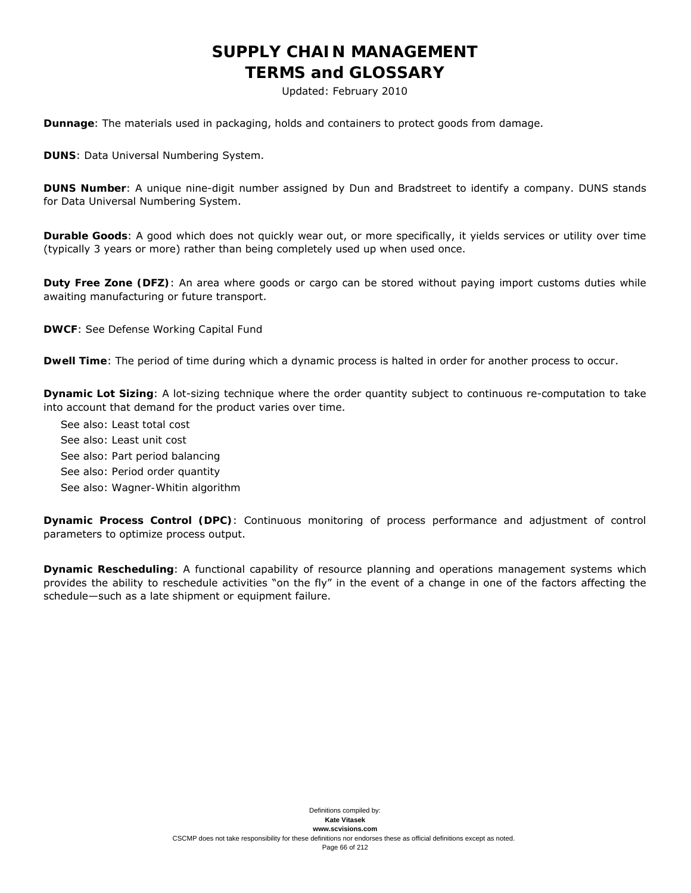Updated: February 2010

**Dunnage**: The materials used in packaging, holds and containers to protect goods from damage.

**DUNS**: Data Universal Numbering System.

**DUNS Number**: A unique nine-digit number assigned by Dun and Bradstreet to identify a company. DUNS stands for Data Universal Numbering System.

**Durable Goods**: A good which does not quickly wear out, or more specifically, it yields services or utility over time (typically 3 years or more) rather than being completely used up when used once.

**Duty Free Zone (DFZ)**: An area where goods or cargo can be stored without paying import customs duties while awaiting manufacturing or future transport.

**DWCF**: See *Defense Working Capital Fund*

**Dwell Time**: The period of time during which a dynamic process is halted in order for another process to occur.

**Dynamic Lot Sizing**: A lot-sizing technique where the order quantity subject to continuous re-computation to take into account that demand for the product varies over time.

See also: *Least unit cost* See also: *Wagner-Whitin algorithm* See also: *Least total cost* See also: *Part period balancing* See also: *Period order quantity*

**Dynamic Process Control (DPC)**: Continuous monitoring of process performance and adjustment of control parameters to optimize process output.

**Dynamic Rescheduling**: A functional capability of resource planning and operations management systems which provides the ability to reschedule activities "on the fly" in the event of a change in one of the factors affecting the schedule—such as a late shipment or equipment failure.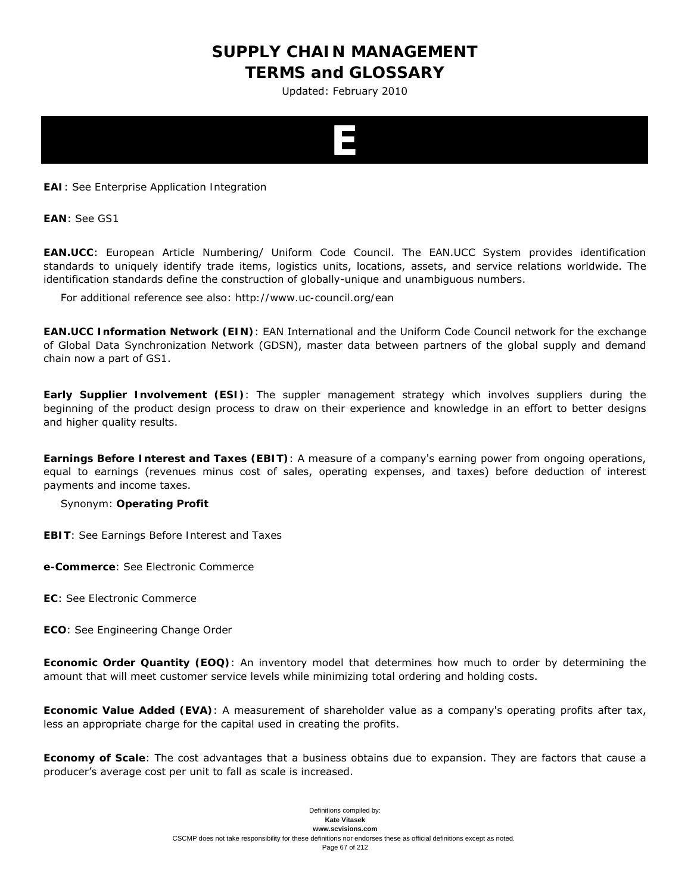Updated: February 2010



**EAI**: See *Enterprise Application Integration*

**EAN**: See *GS1*

**EAN.UCC**: European Article Numbering/ Uniform Code Council. The EAN.UCC System provides identification standards to uniquely identify trade items, logistics units, locations, assets, and service relations worldwide. The identification standards define the construction of globally-unique and unambiguous numbers.

For additional reference see also: *http://www.uc-council.org/ean*

**EAN.UCC Information Network (EIN)**: EAN International and the Uniform Code Council network for the exchange of Global Data Synchronization Network (GDSN), master data between partners of the global supply and demand chain now a part of GS1.

**Early Supplier Involvement (ESI)**: The suppler management strategy which involves suppliers during the beginning of the product design process to draw on their experience and knowledge in an effort to better designs and higher quality results.

**Earnings Before Interest and Taxes (EBIT)**: A measure of a company's earning power from ongoing operations, equal to earnings (revenues minus cost of sales, operating expenses, and taxes) before deduction of interest payments and income taxes.

Synonym: *Operating Profit*

**EBIT**: See *Earnings Before Interest and Taxes*

**e-Commerce**: See *Electronic Commerce*

**EC**: See *Electronic Commerce*

**ECO**: See *Engineering Change Order*

**Economic Order Quantity (EOQ)**: An inventory model that determines how much to order by determining the amount that will meet customer service levels while minimizing total ordering and holding costs.

**Economic Value Added (EVA)**: A measurement of shareholder value as a company's operating profits after tax, less an appropriate charge for the capital used in creating the profits.

**Economy of Scale**: The cost advantages that a business obtains due to expansion. They are factors that cause a producer's average cost per unit to fall as scale is increased.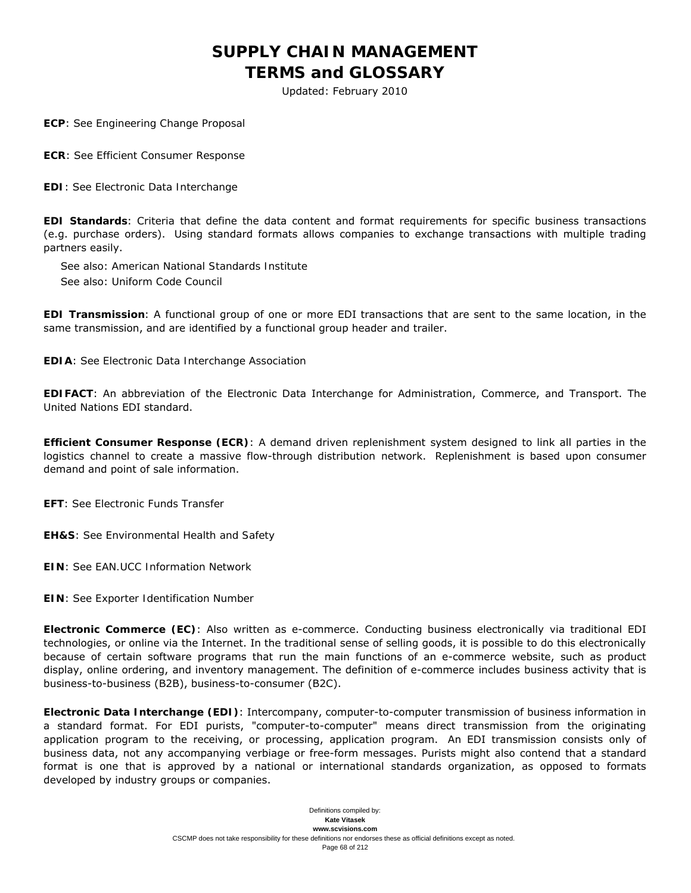Updated: February 2010

**ECP**: See *Engineering Change Proposal*

**ECR**: See *Efficient Consumer Response*

**EDI**: See *Electronic Data Interchange*

**EDI Standards**: Criteria that define the data content and format requirements for specific business transactions (e.g. purchase orders). Using standard formats allows companies to exchange transactions with multiple trading partners easily.

See also: *American National Standards Institute* See also: *Uniform Code Council*

**EDI Transmission**: A functional group of one or more EDI transactions that are sent to the same location, in the same transmission, and are identified by a functional group header and trailer.

**EDIA**: See *Electronic Data Interchange Association*

**EDIFACT**: An abbreviation of the Electronic Data Interchange for Administration, Commerce, and Transport. The United Nations EDI standard.

**Efficient Consumer Response (ECR)**: A demand driven replenishment system designed to link all parties in the logistics channel to create a massive flow-through distribution network. Replenishment is based upon consumer demand and point of sale information.

**EFT**: See *Electronic Funds Transfer* 

**EH&S**: See *Environmental Health and Safety* 

**EIN**: See *EAN.UCC Information Network* 

**EIN**: See *Exporter Identification Number*

**Electronic Commerce (EC)**: Also written as e-commerce. Conducting business electronically via traditional EDI technologies, or online via the Internet. In the traditional sense of selling goods, it is possible to do this electronically because of certain software programs that run the main functions of an e-commerce website, such as product display, online ordering, and inventory management. The definition of e-commerce includes business activity that is business-to-business (B2B), business-to-consumer (B2C).

**Electronic Data Interchange (EDI)**: Intercompany, computer-to-computer transmission of business information in a standard format. For EDI purists, "computer-to-computer" means direct transmission from the originating application program to the receiving, or processing, application program. An EDI transmission consists only of business data, not any accompanying verbiage or free-form messages. Purists might also contend that a standard format is one that is approved by a national or international standards organization, as opposed to formats developed by industry groups or companies.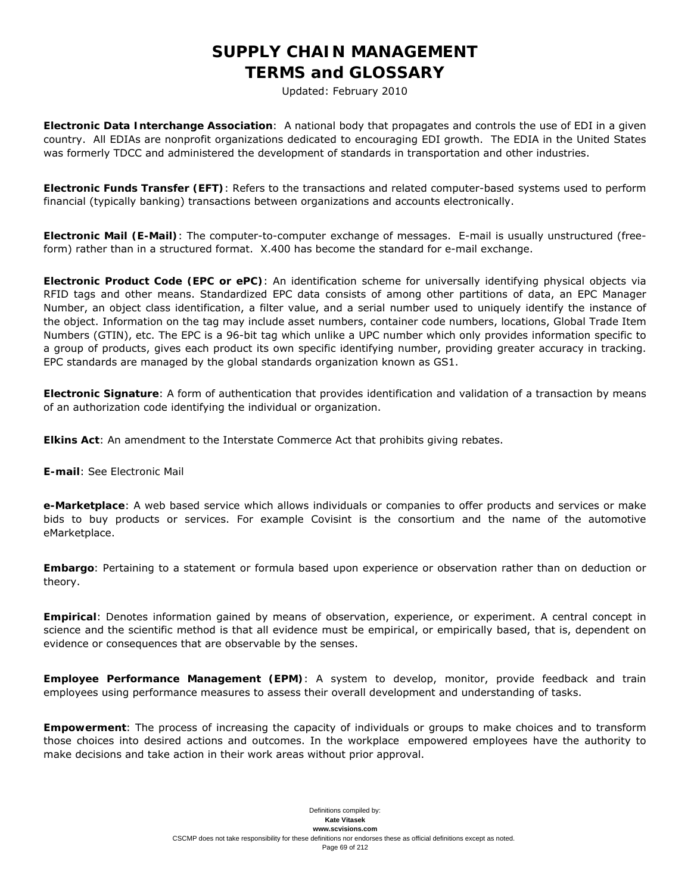Updated: February 2010

**Electronic Data Interchange Association**: A national body that propagates and controls the use of EDI in a given country. All EDIAs are nonprofit organizations dedicated to encouraging EDI growth. The EDIA in the United States was formerly TDCC and administered the development of standards in transportation and other industries.

**Electronic Funds Transfer (EFT)**: Refers to the transactions and related computer-based systems used to perform financial (typically banking) transactions between organizations and accounts electronically.

**Electronic Mail (E-Mail)**: The computer-to-computer exchange of messages. E-mail is usually unstructured (freeform) rather than in a structured format. X.400 has become the standard for e-mail exchange.

**Electronic Product Code (EPC or ePC)**: An identification scheme for universally identifying physical objects via RFID tags and other means. Standardized EPC data consists of among other partitions of data, an EPC Manager Number, an object class identification, a filter value, and a serial number used to uniquely identify the instance of the object. Information on the tag may include asset numbers, container code numbers, locations, Global Trade Item Numbers (GTIN), etc. The EPC is a 96-bit tag which unlike a UPC number which only provides information specific to a group of products, gives each product its own specific identifying number, providing greater accuracy in tracking. EPC standards are managed by the global standards organization known as GS1.

**Electronic Signature**: A form of authentication that provides identification and validation of a transaction by means of an authorization code identifying the individual or organization.

**Elkins Act**: An amendment to the Interstate Commerce Act that prohibits giving rebates.

#### **E-mail**: See *Electronic Mail*

**e-Marketplace**: A web based service which allows individuals or companies to offer products and services or make bids to buy products or services. For example Covisint is the consortium and the name of the automotive eMarketplace.

**Embargo**: Pertaining to a statement or formula based upon experience or observation rather than on deduction or theory.

**Empirical**: Denotes information gained by means of observation, experience, or experiment. A central concept in science and the scientific method is that all evidence must be empirical, or empirically based, that is, dependent on evidence or consequences that are observable by the senses.

**Employee Performance Management (EPM)**: A system to develop, monitor, provide feedback and train employees using performance measures to assess their overall development and understanding of tasks.

**Empowerment**: The process of increasing the capacity of individuals or groups to make choices and to transform those choices into desired actions and outcomes. In the workplace empowered employees have the authority to make decisions and take action in their work areas without prior approval.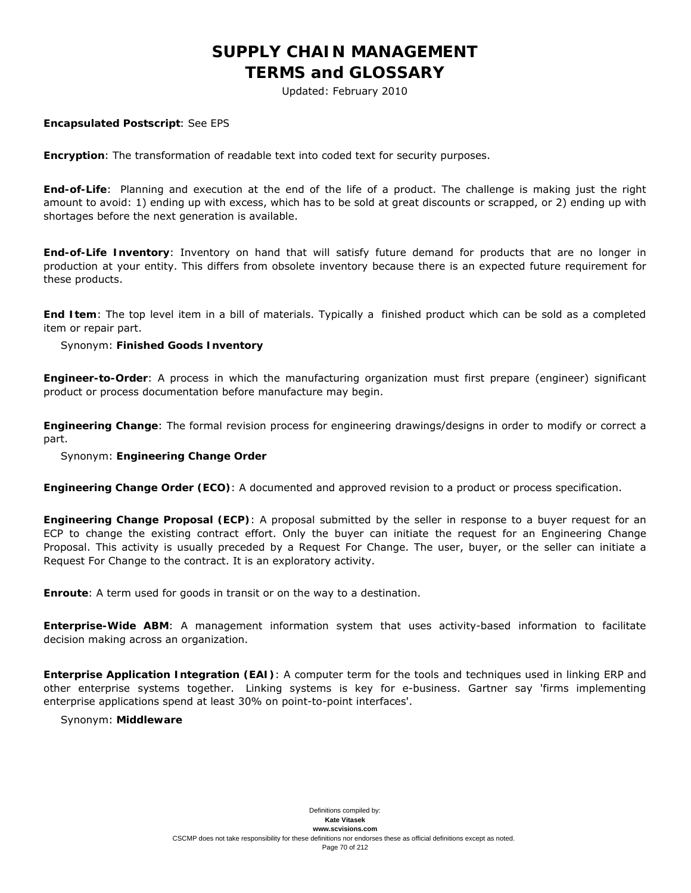Updated: February 2010

#### **Encapsulated Postscript**: See *EPS*

**Encryption**: The transformation of readable text into coded text for security purposes.

**End-of-Life**: Planning and execution at the end of the life of a product. The challenge is making just the right amount to avoid: 1) ending up with excess, which has to be sold at great discounts or scrapped, or 2) ending up with shortages before the next generation is available.

**End-of-Life Inventory**: Inventory on hand that will satisfy future demand for products that are no longer in production at your entity. This differs from obsolete inventory because there is an expected future requirement for these products.

**End Item**: The top level item in a bill of materials. Typically a finished product which can be sold as a completed item or repair part.

#### Synonym: *Finished Goods Inventory*

**Engineer-to-Order**: A process in which the manufacturing organization must first prepare (engineer) significant product or process documentation before manufacture may begin.

**Engineering Change**: The formal revision process for engineering drawings/designs in order to modify or correct a part.

#### Synonym: *Engineering Change Order*

**Engineering Change Order (ECO)**: A documented and approved revision to a product or process specification.

**Engineering Change Proposal (ECP)**: A proposal submitted by the seller in response to a buyer request for an ECP to change the existing contract effort. Only the buyer can initiate the request for an Engineering Change Proposal. This activity is usually preceded by a Request For Change. The user, buyer, or the seller can initiate a Request For Change to the contract. It is an exploratory activity.

**Enroute**: A term used for goods in transit or on the way to a destination.

**Enterprise-Wide ABM**: A management information system that uses activity-based information to facilitate decision making across an organization.

**Enterprise Application Integration (EAI)**: A computer term for the tools and techniques used in linking ERP and other enterprise systems together. Linking systems is key for e-business. Gartner say 'firms implementing enterprise applications spend at least 30% on point-to-point interfaces'.

Synonym: *Middleware*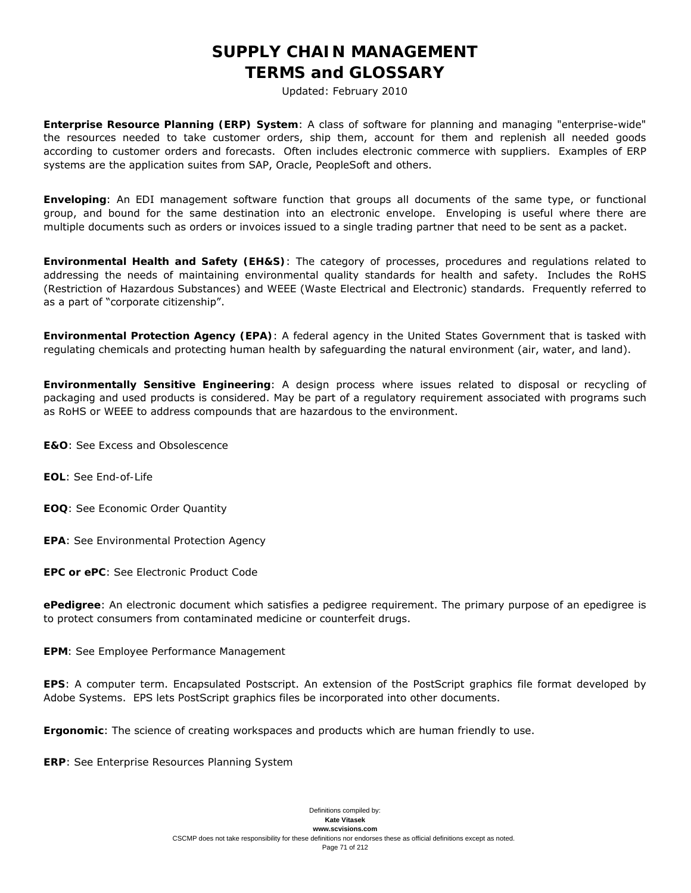Updated: February 2010

**Enterprise Resource Planning (ERP) System**: A class of software for planning and managing "enterprise-wide" the resources needed to take customer orders, ship them, account for them and replenish all needed goods according to customer orders and forecasts. Often includes electronic commerce with suppliers. Examples of ERP systems are the application suites from SAP, Oracle, PeopleSoft and others.

**Enveloping**: An EDI management software function that groups all documents of the same type, or functional group, and bound for the same destination into an electronic envelope. Enveloping is useful where there are multiple documents such as orders or invoices issued to a single trading partner that need to be sent as a packet.

**Environmental Health and Safety (EH&S)**: The category of processes, procedures and regulations related to addressing the needs of maintaining environmental quality standards for health and safety. Includes the RoHS (Restriction of Hazardous Substances) and WEEE (Waste Electrical and Electronic) standards. Frequently referred to as a part of "corporate citizenship".

**Environmental Protection Agency (EPA)**: A federal agency in the United States Government that is tasked with regulating chemicals and protecting human health by safeguarding the natural environment (air, water, and land).

**Environmentally Sensitive Engineering**: A design process where issues related to disposal or recycling of packaging and used products is considered. May be part of a regulatory requirement associated with programs such as RoHS or WEEE to address compounds that are hazardous to the environment.

**E&O**: See *Excess and Obsolescence*

**EOL**: See *End-of-Life*

**EOQ**: See *Economic Order Quantity*

**EPA**: See *Environmental Protection Agency*

**EPC or ePC**: See *Electronic Product Code*

**ePedigree**: An electronic document which satisfies a pedigree requirement. The primary purpose of an epedigree is to protect consumers from contaminated medicine or counterfeit drugs.

**EPM**: See *Employee Performance Management*

**EPS**: A computer term. Encapsulated Postscript. An extension of the PostScript graphics file format developed by Adobe Systems. EPS lets PostScript graphics files be incorporated into other documents.

**Ergonomic**: The science of creating workspaces and products which are human friendly to use.

**ERP**: See *Enterprise Resources Planning System*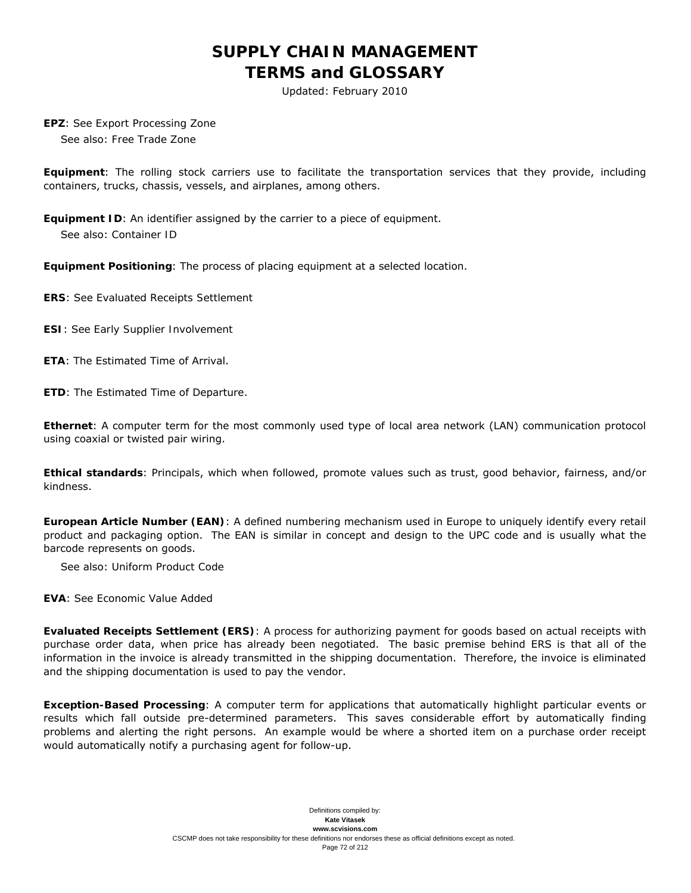Updated: February 2010

# **EPZ**: See *Export Processing Zone*

See also: *Free Trade Zone*

**Equipment**: The rolling stock carriers use to facilitate the transportation services that they provide, including containers, trucks, chassis, vessels, and airplanes, among others.

**Equipment ID**: An identifier assigned by the carrier to a piece of equipment. See also: *Container ID*

**Equipment Positioning**: The process of placing equipment at a selected location.

**ERS**: See *Evaluated Receipts Settlement*

**ESI**: See *Early Supplier Involvement*

**ETA**: The Estimated Time of Arrival.

**ETD**: The Estimated Time of Departure.

**Ethernet**: A computer term for the most commonly used type of local area network (LAN) communication protocol using coaxial or twisted pair wiring.

**Ethical standards**: Principals, which when followed, promote values such as trust, good behavior, fairness, and/or kindness.

**European Article Number (EAN)**: A defined numbering mechanism used in Europe to uniquely identify every retail product and packaging option. The EAN is similar in concept and design to the UPC code and is usually what the barcode represents on goods.

See also: *Uniform Product Code*

#### **EVA**: See *Economic Value Added*

**Evaluated Receipts Settlement (ERS)**: A process for authorizing payment for goods based on actual receipts with purchase order data, when price has already been negotiated. The basic premise behind ERS is that all of the information in the invoice is already transmitted in the shipping documentation. Therefore, the invoice is eliminated and the shipping documentation is used to pay the vendor.

**Exception-Based Processing**: A computer term for applications that automatically highlight particular events or results which fall outside pre-determined parameters. This saves considerable effort by automatically finding problems and alerting the right persons. An example would be where a shorted item on a purchase order receipt would automatically notify a purchasing agent for follow-up.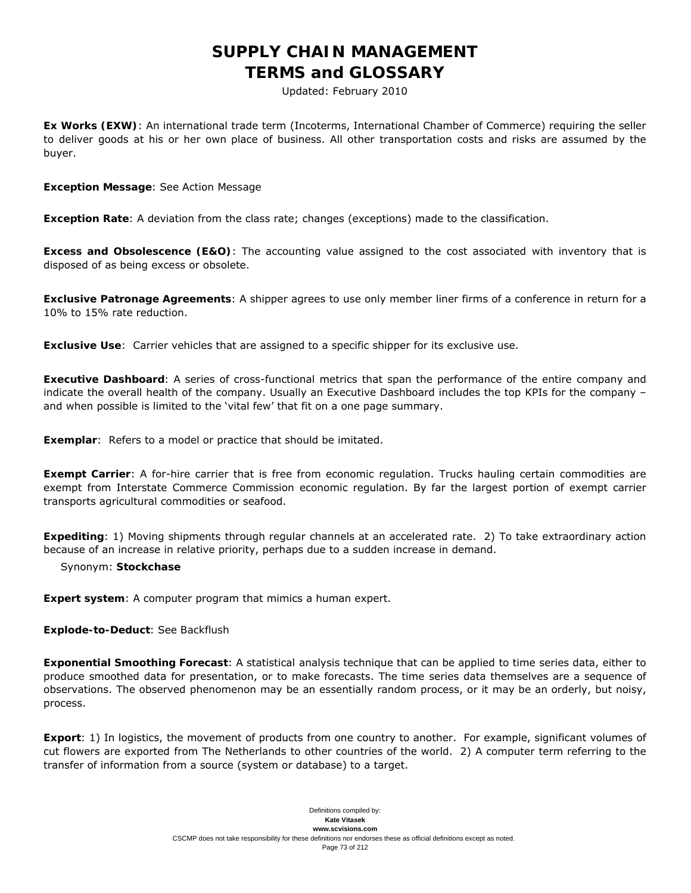Updated: February 2010

**Ex Works (EXW)**: An international trade term (Incoterms, International Chamber of Commerce) requiring the seller to deliver goods at his or her own place of business. All other transportation costs and risks are assumed by the buyer.

**Exception Message**: See *Action Message*

**Exception Rate**: A deviation from the class rate; changes (exceptions) made to the classification.

**Excess and Obsolescence (E&O)**: The accounting value assigned to the cost associated with inventory that is disposed of as being excess or obsolete.

**Exclusive Patronage Agreements**: A shipper agrees to use only member liner firms of a conference in return for a 10% to 15% rate reduction.

**Exclusive Use**: Carrier vehicles that are assigned to a specific shipper for its exclusive use.

**Executive Dashboard**: A series of cross-functional metrics that span the performance of the entire company and indicate the overall health of the company. Usually an Executive Dashboard includes the top KPIs for the company – and when possible is limited to the 'vital few' that fit on a one page summary.

**Exemplar**: Refers to a model or practice that should be imitated.

**Exempt Carrier**: A for-hire carrier that is free from economic regulation. Trucks hauling certain commodities are exempt from Interstate Commerce Commission economic regulation. By far the largest portion of exempt carrier transports agricultural commodities or seafood.

**Expediting**: 1) Moving shipments through regular channels at an accelerated rate. 2) To take extraordinary action because of an increase in relative priority, perhaps due to a sudden increase in demand.

## Synonym: *Stockchase*

**Expert system**: A computer program that mimics a human expert.

## **Explode-to-Deduct**: See *Backflush*

**Exponential Smoothing Forecast**: A statistical analysis technique that can be applied to time series data, either to produce smoothed data for presentation, or to make forecasts. The time series data themselves are a sequence of observations. The observed phenomenon may be an essentially random process, or it may be an orderly, but noisy, process.

**Export**: 1) In logistics, the movement of products from one country to another. For example, significant volumes of cut flowers are exported from The Netherlands to other countries of the world. 2) A computer term referring to the transfer of information from a source (system or database) to a target.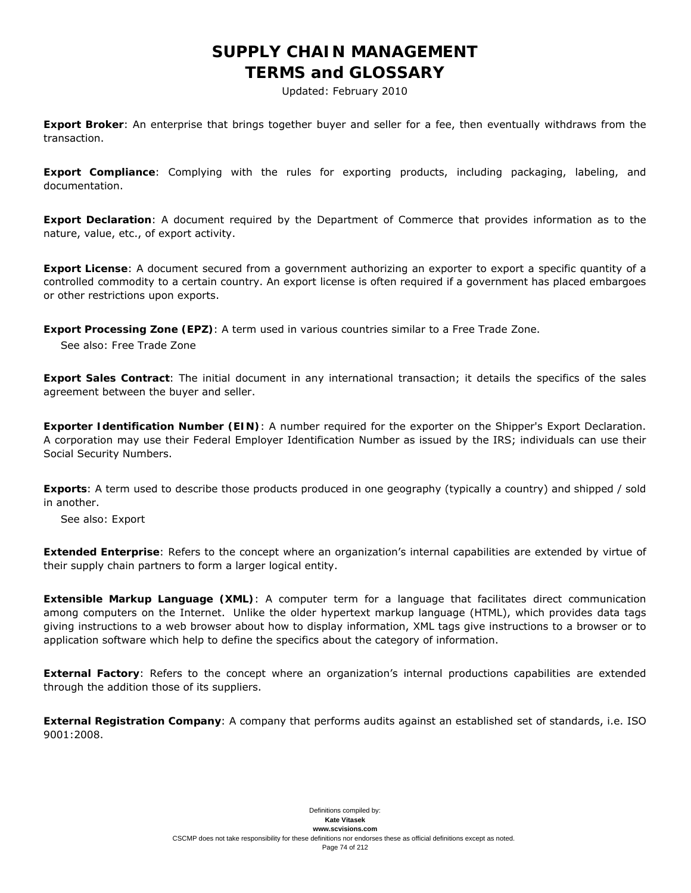Updated: February 2010

**Export Broker**: An enterprise that brings together buyer and seller for a fee, then eventually withdraws from the transaction.

**Export Compliance**: Complying with the rules for exporting products, including packaging, labeling, and documentation.

**Export Declaration**: A document required by the Department of Commerce that provides information as to the nature, value, etc., of export activity.

**Export License**: A document secured from a government authorizing an exporter to export a specific quantity of a controlled commodity to a certain country. An export license is often required if a government has placed embargoes or other restrictions upon exports.

**Export Processing Zone (EPZ)**: A term used in various countries similar to a Free Trade Zone.

See also: *Free Trade Zone*

**Export Sales Contract**: The initial document in any international transaction; it details the specifics of the sales agreement between the buyer and seller.

**Exporter Identification Number (EIN)**: A number required for the exporter on the Shipper's Export Declaration. A corporation may use their Federal Employer Identification Number as issued by the IRS; individuals can use their Social Security Numbers.

**Exports**: A term used to describe those products produced in one geography (typically a country) and shipped / sold in another.

See also: *Export*

**Extended Enterprise**: Refers to the concept where an organization's internal capabilities are extended by virtue of their supply chain partners to form a larger logical entity.

**Extensible Markup Language (XML)**: A computer term for a language that facilitates direct communication among computers on the Internet. Unlike the older hypertext markup language (HTML), which provides data tags giving instructions to a web browser about how to display information, XML tags give instructions to a browser or to application software which help to define the specifics about the category of information.

**External Factory**: Refers to the concept where an organization's internal productions capabilities are extended through the addition those of its suppliers.

**External Registration Company**: A company that performs audits against an established set of standards, i.e. ISO 9001:2008.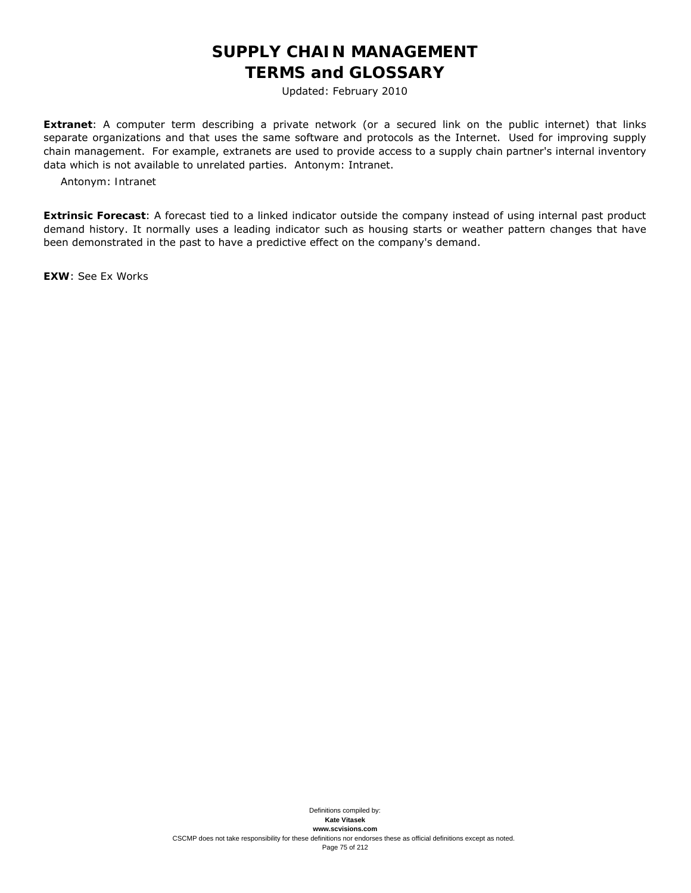Updated: February 2010

**Extranet**: A computer term describing a private network (or a secured link on the public internet) that links separate organizations and that uses the same software and protocols as the Internet. Used for improving supply chain management. For example, extranets are used to provide access to a supply chain partner's internal inventory data which is not available to unrelated parties. Antonym: Intranet.

Antonym: *Intranet*

**Extrinsic Forecast**: A forecast tied to a linked indicator outside the company instead of using internal past product demand history. It normally uses a leading indicator such as housing starts or weather pattern changes that have been demonstrated in the past to have a predictive effect on the company's demand.

**EXW**: See *Ex Works*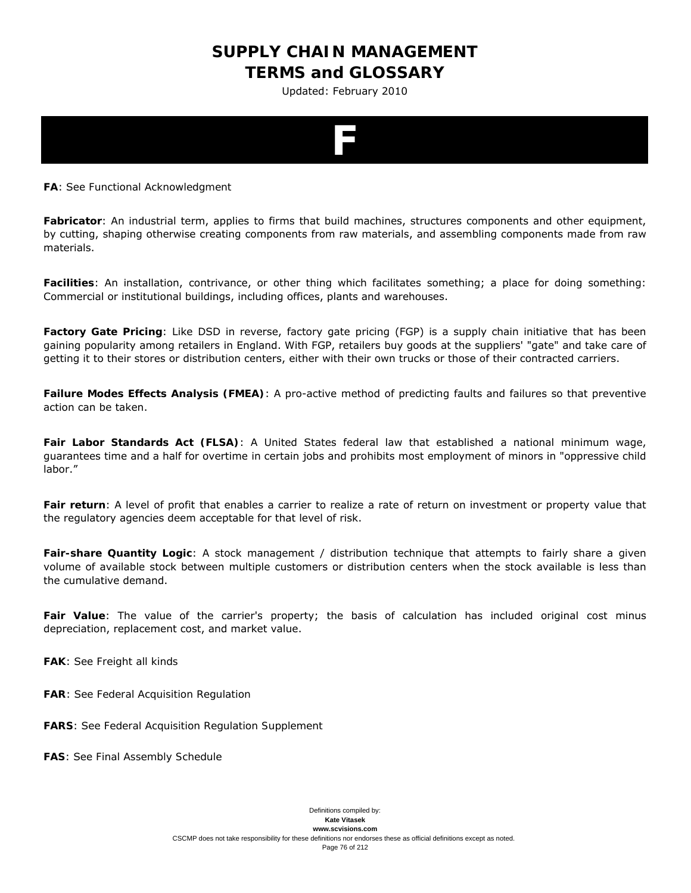Updated: February 2010



## **FA**: See *Functional Acknowledgment*

**Fabricator**: An industrial term, applies to firms that build machines, structures components and other equipment, by cutting, shaping otherwise creating components from raw materials, and assembling components made from raw materials.

**Facilities**: An installation, contrivance, or other thing which facilitates something; a place for doing something: Commercial or institutional buildings, including offices, plants and warehouses.

**Factory Gate Pricing**: Like DSD in reverse, factory gate pricing (FGP) is a supply chain initiative that has been gaining popularity among retailers in England. With FGP, retailers buy goods at the suppliers' "gate" and take care of getting it to their stores or distribution centers, either with their own trucks or those of their contracted carriers.

**Failure Modes Effects Analysis (FMEA)**: A pro-active method of predicting faults and failures so that preventive action can be taken.

**Fair Labor Standards Act (FLSA)**: A United States federal law that established a national minimum wage, guarantees time and a half for overtime in certain jobs and prohibits most employment of minors in "oppressive child labor."

**Fair return**: A level of profit that enables a carrier to realize a rate of return on investment or property value that the regulatory agencies deem acceptable for that level of risk.

**Fair-share Quantity Logic**: A stock management / distribution technique that attempts to fairly share a given volume of available stock between multiple customers or distribution centers when the stock available is less than the cumulative demand.

**Fair Value**: The value of the carrier's property; the basis of calculation has included original cost minus depreciation, replacement cost, and market value.

**FAK**: See *Freight all kinds*

**FAR**: See *Federal Acquisition Regulation*

**FARS**: See *Federal Acquisition Regulation Supplement*

**FAS**: See *Final Assembly Schedule*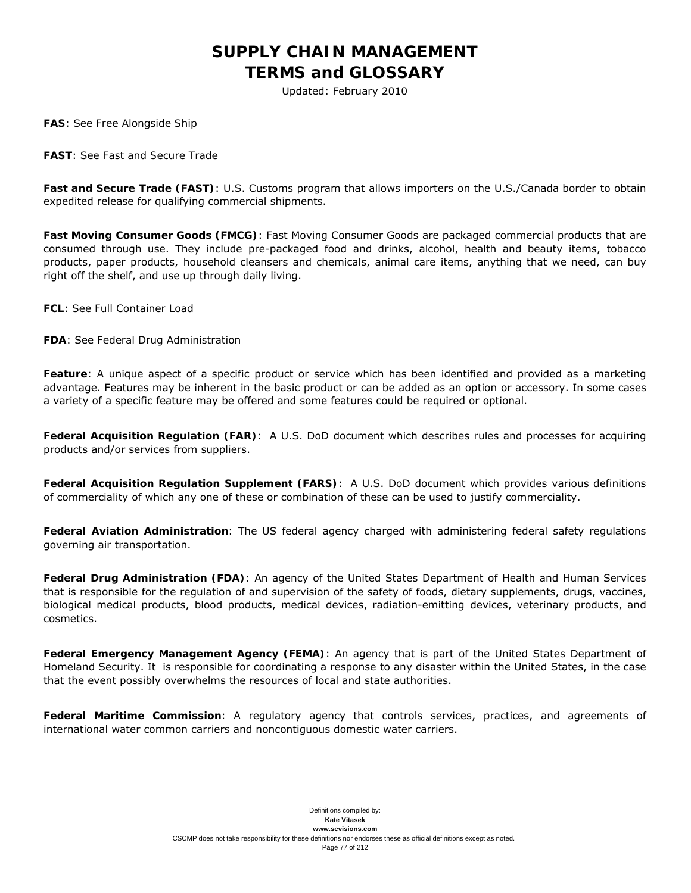Updated: February 2010

**FAS**: See *Free Alongside Ship*

**FAST**: See *Fast and Secure Trade*

**Fast and Secure Trade (FAST)**: U.S. Customs program that allows importers on the U.S./Canada border to obtain expedited release for qualifying commercial shipments.

**Fast Moving Consumer Goods (FMCG)**: Fast Moving Consumer Goods are packaged commercial products that are consumed through use. They include pre-packaged food and drinks, alcohol, health and beauty items, tobacco products, paper products, household cleansers and chemicals, animal care items, anything that we need, can buy right off the shelf, and use up through daily living.

**FCL**: See *Full Container Load*

**FDA**: See *Federal Drug Administration*

**Feature**: A unique aspect of a specific product or service which has been identified and provided as a marketing advantage. Features may be inherent in the basic product or can be added as an option or accessory. In some cases a variety of a specific feature may be offered and some features could be required or optional.

**Federal Acquisition Regulation (FAR)**: A U.S. DoD document which describes rules and processes for acquiring products and/or services from suppliers.

**Federal Acquisition Regulation Supplement (FARS)**: A U.S. DoD document which provides various definitions of commerciality of which any one of these or combination of these can be used to justify commerciality.

**Federal Aviation Administration**: The US federal agency charged with administering federal safety regulations governing air transportation.

**Federal Drug Administration (FDA)**: An agency of the United States Department of Health and Human Services that is responsible for the regulation of and supervision of the safety of foods, dietary supplements, drugs, vaccines, biological medical products, blood products, medical devices, radiation-emitting devices, veterinary products, and cosmetics.

**Federal Emergency Management Agency (FEMA)**: An agency that is part of the United States Department of Homeland Security. It is responsible for coordinating a response to any disaster within the United States, in the case that the event possibly overwhelms the resources of local and state authorities.

**Federal Maritime Commission**: A regulatory agency that controls services, practices, and agreements of international water common carriers and noncontiguous domestic water carriers.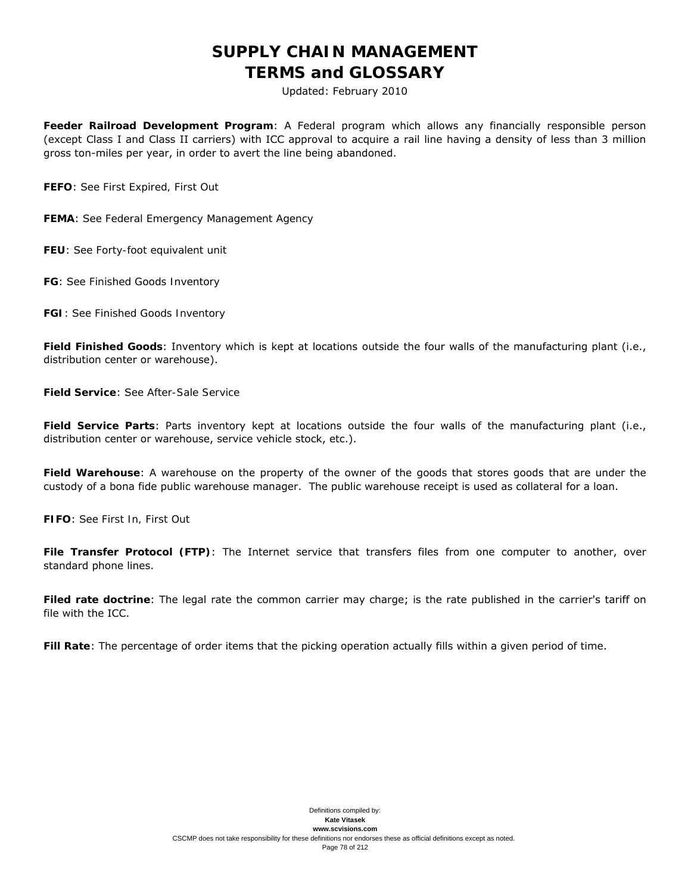Updated: February 2010

**Feeder Railroad Development Program**: A Federal program which allows any financially responsible person (except Class I and Class II carriers) with ICC approval to acquire a rail line having a density of less than 3 million gross ton-miles per year, in order to avert the line being abandoned.

**FEFO**: See *First Expired, First Out*

**FEMA**: See *Federal Emergency Management Agency*

**FEU**: See *Forty-foot equivalent unit*

**FG**: See *Finished Goods Inventory*

**FGI**: See *Finished Goods Inventory*

**Field Finished Goods**: Inventory which is kept at locations outside the four walls of the manufacturing plant (i.e., distribution center or warehouse).

**Field Service**: See *After-Sale Service*

**Field Service Parts**: Parts inventory kept at locations outside the four walls of the manufacturing plant (i.e., distribution center or warehouse, service vehicle stock, etc.).

**Field Warehouse**: A warehouse on the property of the owner of the goods that stores goods that are under the custody of a bona fide public warehouse manager. The public warehouse receipt is used as collateral for a loan.

**FIFO**: See *First In, First Out*

**File Transfer Protocol (FTP)**: The Internet service that transfers files from one computer to another, over standard phone lines.

**Filed rate doctrine**: The legal rate the common carrier may charge; is the rate published in the carrier's tariff on file with the ICC.

**Fill Rate**: The percentage of order items that the picking operation actually fills within a given period of time.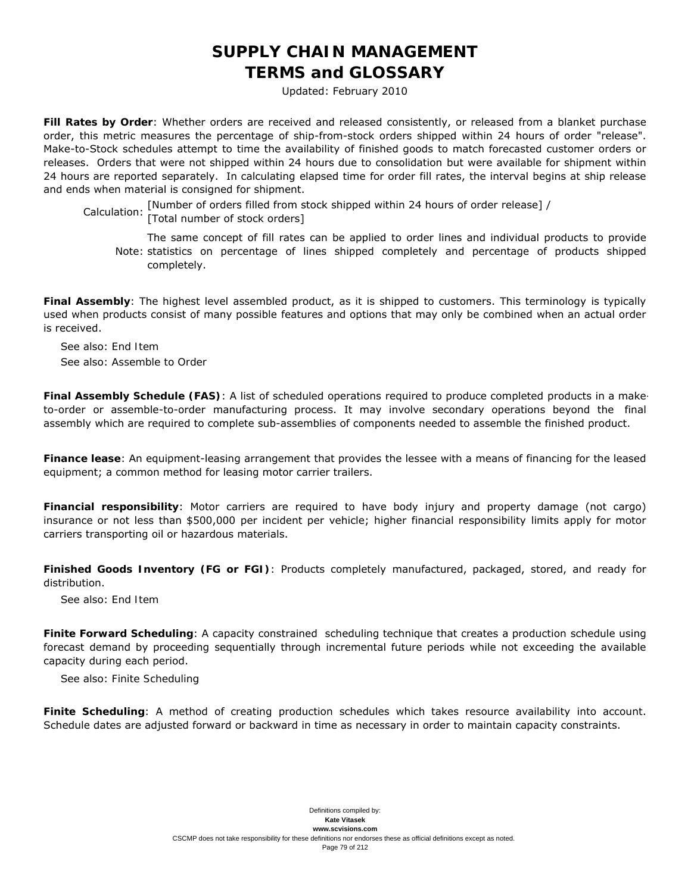Updated: February 2010

**Fill Rates by Order**: Whether orders are received and released consistently, or released from a blanket purchase order, this metric measures the percentage of ship-from-stock orders shipped within 24 hours of order "release". Make-to-Stock schedules attempt to time the availability of finished goods to match forecasted customer orders or releases. Orders that were not shipped within 24 hours due to consolidation but were available for shipment within 24 hours are reported separately. In calculating elapsed time for order fill rates, the interval begins at ship release and ends when material is consigned for shipment.

Calculation: [Number of orders filled from stock shipped within 24 hours of order release] / [Total number of stock orders]

Note: statistics on percentage of lines shipped completely and percentage of products shipped The same concept of fill rates can be applied to order lines and individual products to provide completely.

**Final Assembly**: The highest level assembled product, as it is shipped to customers. This terminology is typically used when products consist of many possible features and options that may only be combined when an actual order is received.

See also: *Assemble to Order* See also: *End Item*

**Final Assembly Schedule (FAS)**: A list of scheduled operations required to produce completed products in a maketo-order or assemble-to-order manufacturing process. It may involve secondary operations beyond the final assembly which are required to complete sub-assemblies of components needed to assemble the finished product.

**Finance lease**: An equipment-leasing arrangement that provides the lessee with a means of financing for the leased equipment; a common method for leasing motor carrier trailers.

**Financial responsibility**: Motor carriers are required to have body injury and property damage (not cargo) insurance or not less than \$500,000 per incident per vehicle; higher financial responsibility limits apply for motor carriers transporting oil or hazardous materials.

**Finished Goods Inventory (FG or FGI)**: Products completely manufactured, packaged, stored, and ready for distribution.

See also: *End Item*

**Finite Forward Scheduling**: A capacity constrained scheduling technique that creates a production schedule using forecast demand by proceeding sequentially through incremental future periods while not exceeding the available capacity during each period.

See also: *Finite Scheduling*

**Finite Scheduling**: A method of creating production schedules which takes resource availability into account. Schedule dates are adjusted forward or backward in time as necessary in order to maintain capacity constraints.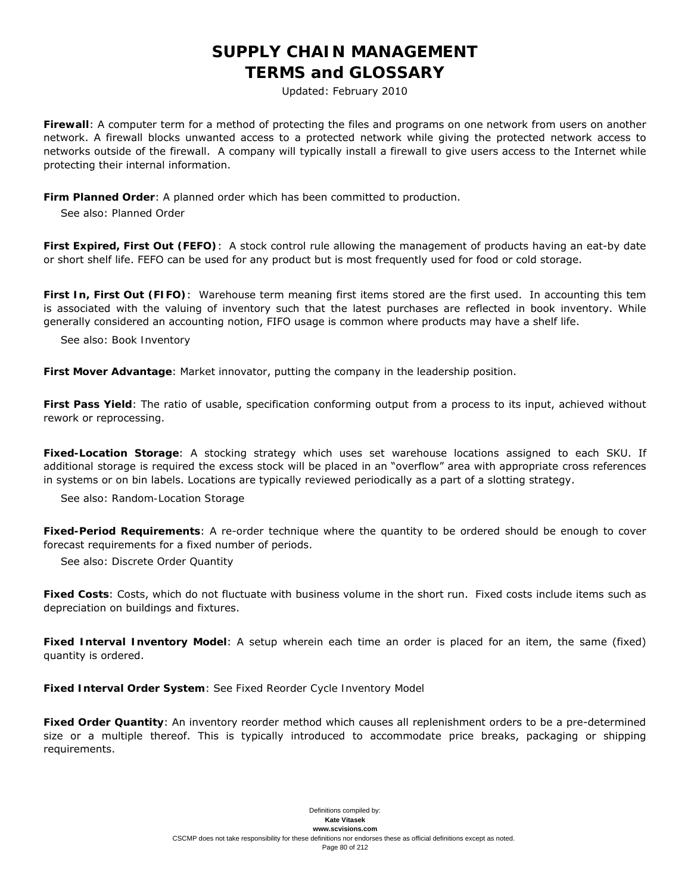Updated: February 2010

**Firewall**: A computer term for a method of protecting the files and programs on one network from users on another network. A firewall blocks unwanted access to a protected network while giving the protected network access to networks outside of the firewall. A company will typically install a firewall to give users access to the Internet while protecting their internal information.

**Firm Planned Order**: A planned order which has been committed to production.

See also: *Planned Order*

**First Expired, First Out (FEFO)**: A stock control rule allowing the management of products having an eat-by date or short shelf life. FEFO can be used for any product but is most frequently used for food or cold storage.

**First In, First Out (FIFO)**: Warehouse term meaning first items stored are the first used. In accounting this tem is associated with the valuing of inventory such that the latest purchases are reflected in book inventory. While generally considered an accounting notion, FIFO usage is common where products may have a shelf life.

See also: *Book Inventory*

**First Mover Advantage**: Market innovator, putting the company in the leadership position.

**First Pass Yield**: The ratio of usable, specification conforming output from a process to its input, achieved without rework or reprocessing.

**Fixed-Location Storage**: A stocking strategy which uses set warehouse locations assigned to each SKU. If additional storage is required the excess stock will be placed in an "overflow" area with appropriate cross references in systems or on bin labels. Locations are typically reviewed periodically as a part of a slotting strategy.

See also: *Random-Location Storage*

**Fixed-Period Requirements**: A re-order technique where the quantity to be ordered should be enough to cover forecast requirements for a fixed number of periods.

See also: *Discrete Order Quantity*

**Fixed Costs**: Costs, which do not fluctuate with business volume in the short run. Fixed costs include items such as depreciation on buildings and fixtures.

**Fixed Interval Inventory Model**: A setup wherein each time an order is placed for an item, the same (fixed) quantity is ordered.

**Fixed Interval Order System**: See *Fixed Reorder Cycle Inventory Model*

**Fixed Order Quantity**: An inventory reorder method which causes all replenishment orders to be a pre-determined size or a multiple thereof. This is typically introduced to accommodate price breaks, packaging or shipping requirements.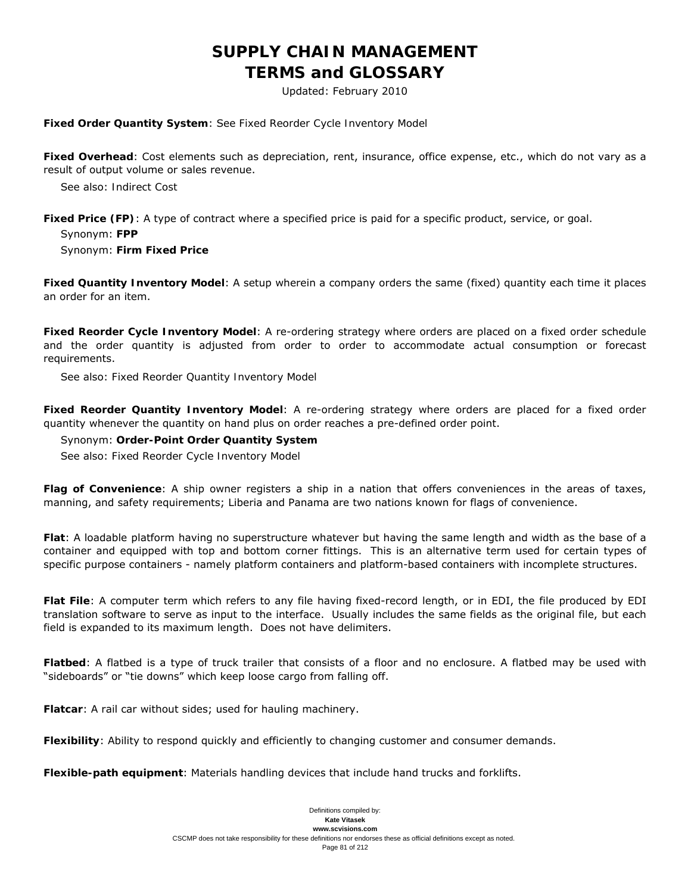Updated: February 2010

**Fixed Order Quantity System**: See *Fixed Reorder Cycle Inventory Model*

**Fixed Overhead**: Cost elements such as depreciation, rent, insurance, office expense, etc., which do not vary as a result of output volume or sales revenue.

See also: *Indirect Cost*

**Fixed Price (FP)**: A type of contract where a specified price is paid for a specific product, service, or goal.

Synonym: *FPP* Synonym: *Firm Fixed Price*

**Fixed Quantity Inventory Model**: A setup wherein a company orders the same (fixed) quantity each time it places an order for an item.

**Fixed Reorder Cycle Inventory Model**: A re-ordering strategy where orders are placed on a fixed order schedule and the order quantity is adjusted from order to order to accommodate actual consumption or forecast requirements.

See also: *Fixed Reorder Quantity Inventory Model*

**Fixed Reorder Quantity Inventory Model**: A re-ordering strategy where orders are placed for a fixed order quantity whenever the quantity on hand plus on order reaches a pre-defined order point.

See also: *Fixed Reorder Cycle Inventory Model* Synonym: *Order-Point Order Quantity System*

**Flag of Convenience**: A ship owner registers a ship in a nation that offers conveniences in the areas of taxes, manning, and safety requirements; Liberia and Panama are two nations known for flags of convenience.

**Flat**: A loadable platform having no superstructure whatever but having the same length and width as the base of a container and equipped with top and bottom corner fittings. This is an alternative term used for certain types of specific purpose containers - namely platform containers and platform-based containers with incomplete structures.

**Flat File**: A computer term which refers to any file having fixed-record length, or in EDI, the file produced by EDI translation software to serve as input to the interface. Usually includes the same fields as the original file, but each field is expanded to its maximum length. Does not have delimiters.

**Flatbed**: A flatbed is a type of truck trailer that consists of a floor and no enclosure. A flatbed may be used with "sideboards" or "tie downs" which keep loose cargo from falling off.

**Flatcar**: A rail car without sides; used for hauling machinery.

**Flexibility**: Ability to respond quickly and efficiently to changing customer and consumer demands.

**Flexible-path equipment**: Materials handling devices that include hand trucks and forklifts.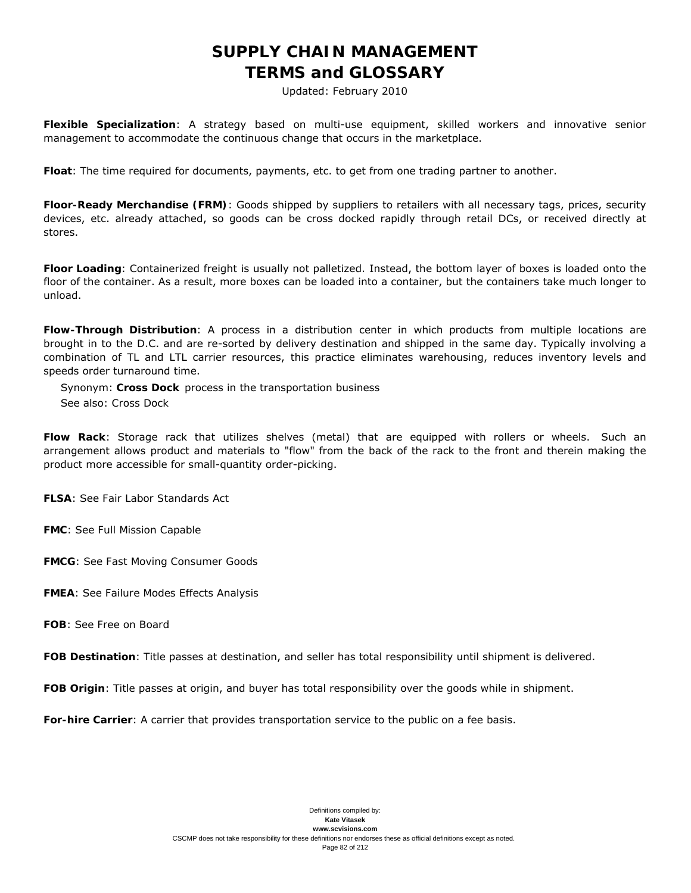Updated: February 2010

**Flexible Specialization**: A strategy based on multi-use equipment, skilled workers and innovative senior management to accommodate the continuous change that occurs in the marketplace.

**Float**: The time required for documents, payments, etc. to get from one trading partner to another.

**Floor-Ready Merchandise (FRM)**: Goods shipped by suppliers to retailers with all necessary tags, prices, security devices, etc. already attached, so goods can be cross docked rapidly through retail DCs, or received directly at stores.

**Floor Loading**: Containerized freight is usually not palletized. Instead, the bottom layer of boxes is loaded onto the floor of the container. As a result, more boxes can be loaded into a container, but the containers take much longer to unload.

**Flow-Through Distribution**: A process in a distribution center in which products from multiple locations are brought in to the D.C. and are re-sorted by delivery destination and shipped in the same day. Typically involving a combination of TL and LTL carrier resources, this practice eliminates warehousing, reduces inventory levels and speeds order turnaround time.

See also: *Cross Dock* Synonym: *Cross Dock* process in the transportation business

**Flow Rack**: Storage rack that utilizes shelves (metal) that are equipped with rollers or wheels. Such an arrangement allows product and materials to "flow" from the back of the rack to the front and therein making the product more accessible for small-quantity order-picking.

**FLSA**: See *Fair Labor Standards Act*

**FMC**: See *Full Mission Capable*

**FMCG**: See *Fast Moving Consumer Goods*

**FMEA**: See *Failure Modes Effects Analysis*

**FOB**: See *Free on Board*

**FOB Destination**: Title passes at destination, and seller has total responsibility until shipment is delivered.

**FOB Origin**: Title passes at origin, and buyer has total responsibility over the goods while in shipment.

**For-hire Carrier**: A carrier that provides transportation service to the public on a fee basis.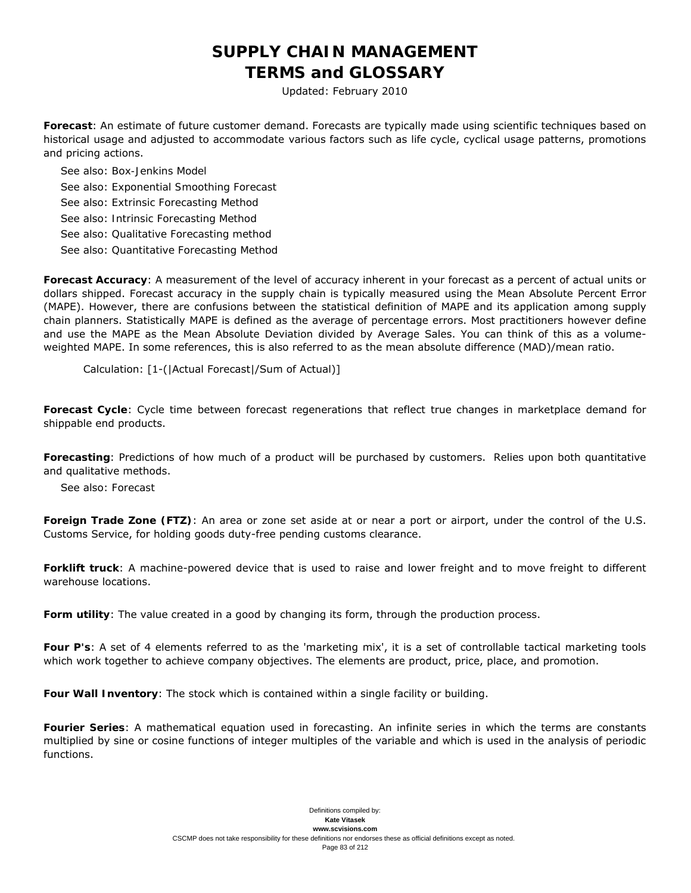Updated: February 2010

**Forecast**: An estimate of future customer demand. Forecasts are typically made using scientific techniques based on historical usage and adjusted to accommodate various factors such as life cycle, cyclical usage patterns, promotions and pricing actions.

See also: *Box-Jenkins Model* See also: *Exponential Smoothing Forecast* See also: *Extrinsic Forecasting Method* See also: *Intrinsic Forecasting Method* See also: *Qualitative Forecasting method* See also: *Quantitative Forecasting Method*

**Forecast Accuracy**: A measurement of the level of accuracy inherent in your forecast as a percent of actual units or dollars shipped. Forecast accuracy in the supply chain is typically measured using the Mean Absolute Percent Error (MAPE). However, there are confusions between the statistical definition of MAPE and its application among supply chain planners. Statistically MAPE is defined as the average of percentage errors. Most practitioners however define and use the MAPE as the Mean Absolute Deviation divided by Average Sales. You can think of this as a volumeweighted MAPE. In some references, this is also referred to as the mean absolute difference (MAD)/mean ratio.

Calculation: [1-(|Actual Forecast|/Sum of Actual)]

**Forecast Cycle**: Cycle time between forecast regenerations that reflect true changes in marketplace demand for shippable end products.

**Forecasting**: Predictions of how much of a product will be purchased by customers. Relies upon both quantitative and qualitative methods.

See also: *Forecast*

**Foreign Trade Zone (FTZ)**: An area or zone set aside at or near a port or airport, under the control of the U.S. Customs Service, for holding goods duty-free pending customs clearance.

**Forklift truck**: A machine-powered device that is used to raise and lower freight and to move freight to different warehouse locations.

**Form utility**: The value created in a good by changing its form, through the production process.

**Four P's**: A set of 4 elements referred to as the 'marketing mix', it is a set of controllable tactical marketing tools which work together to achieve company objectives. The elements are product, price, place, and promotion.

**Four Wall Inventory**: The stock which is contained within a single facility or building.

**Fourier Series**: A mathematical equation used in forecasting. An infinite series in which the terms are constants multiplied by sine or cosine functions of integer multiples of the variable and which is used in the analysis of periodic functions.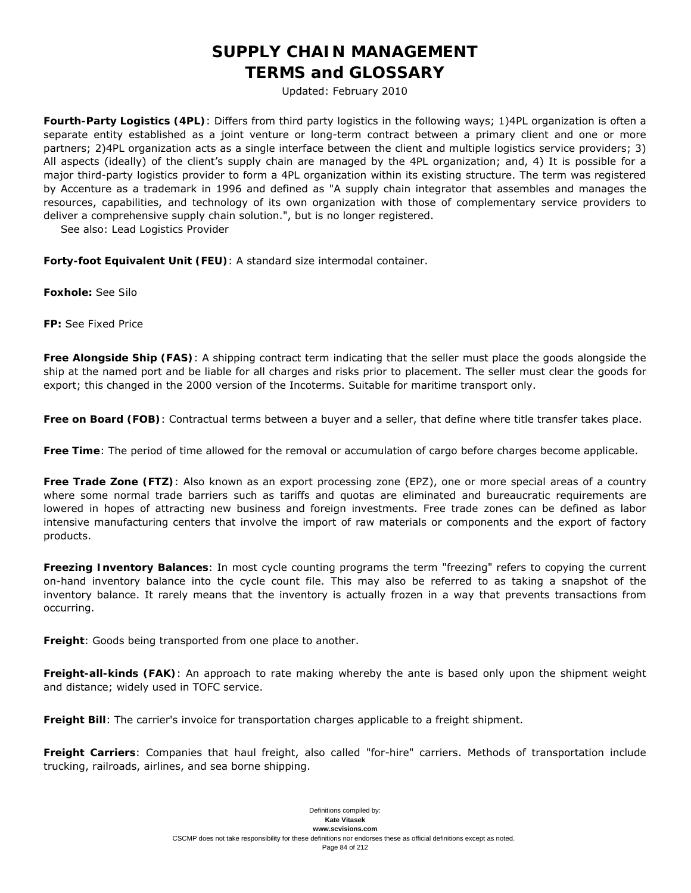Updated: February 2010

**Fourth-Party Logistics (4PL)**: Differs from third party logistics in the following ways; 1)4PL organization is often a separate entity established as a joint venture or long-term contract between a primary client and one or more partners; 2)4PL organization acts as a single interface between the client and multiple logistics service providers; 3) All aspects (ideally) of the client's supply chain are managed by the 4PL organization; and, 4) It is possible for a major third-party logistics provider to form a 4PL organization within its existing structure. The term was registered by Accenture as a trademark in 1996 and defined as "A supply chain integrator that assembles and manages the resources, capabilities, and technology of its own organization with those of complementary service providers to deliver a comprehensive supply chain solution.", but is no longer registered.

See also: *Lead Logistics Provider*

**Forty-foot Equivalent Unit (FEU)**: A standard size intermodal container.

**Foxhole:** See *Silo*

**FP:** See *Fixed Price*

**Free Alongside Ship (FAS)**: A shipping contract term indicating that the seller must place the goods alongside the ship at the named port and be liable for all charges and risks prior to placement. The seller must clear the goods for export; this changed in the 2000 version of the Incoterms. Suitable for maritime transport only.

**Free on Board (FOB)**: Contractual terms between a buyer and a seller, that define where title transfer takes place.

**Free Time**: The period of time allowed for the removal or accumulation of cargo before charges become applicable.

**Free Trade Zone (FTZ)**: Also known as an export processing zone (EPZ), one or more special areas of a country where some normal trade barriers such as tariffs and quotas are eliminated and bureaucratic requirements are lowered in hopes of attracting new business and foreign investments. Free trade zones can be defined as labor intensive manufacturing centers that involve the import of raw materials or components and the export of factory products.

**Freezing Inventory Balances**: In most cycle counting programs the term "freezing" refers to copying the current on-hand inventory balance into the cycle count file. This may also be referred to as taking a snapshot of the inventory balance. It rarely means that the inventory is actually frozen in a way that prevents transactions from occurring.

**Freight**: Goods being transported from one place to another.

**Freight-all-kinds (FAK)**: An approach to rate making whereby the ante is based only upon the shipment weight and distance; widely used in TOFC service.

**Freight Bill**: The carrier's invoice for transportation charges applicable to a freight shipment.

**Freight Carriers**: Companies that haul freight, also called "for-hire" carriers. Methods of transportation include trucking, railroads, airlines, and sea borne shipping.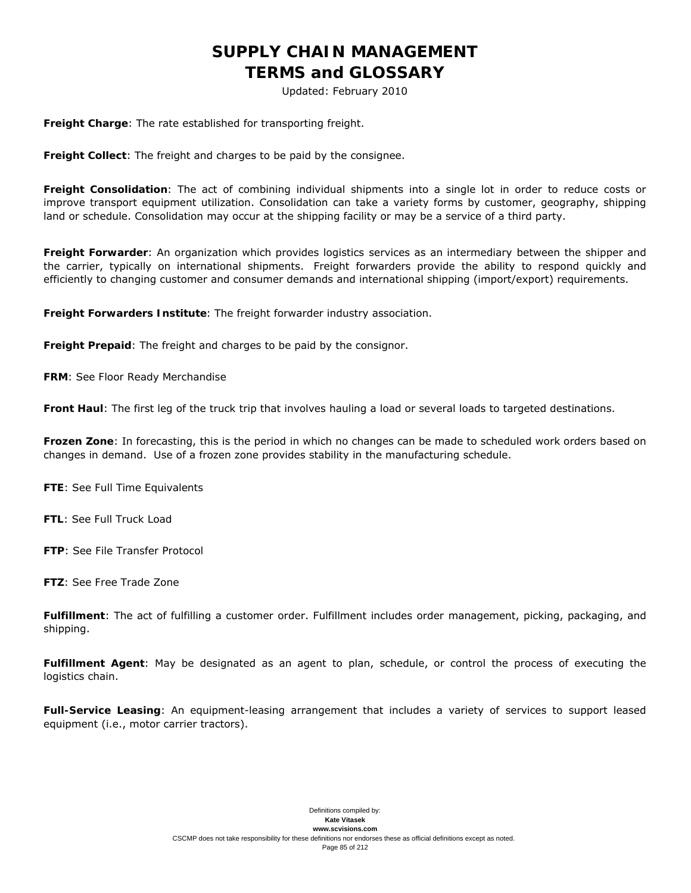Updated: February 2010

**Freight Charge**: The rate established for transporting freight.

**Freight Collect**: The freight and charges to be paid by the consignee.

**Freight Consolidation**: The act of combining individual shipments into a single lot in order to reduce costs or improve transport equipment utilization. Consolidation can take a variety forms by customer, geography, shipping land or schedule. Consolidation may occur at the shipping facility or may be a service of a third party.

**Freight Forwarder**: An organization which provides logistics services as an intermediary between the shipper and the carrier, typically on international shipments. Freight forwarders provide the ability to respond quickly and efficiently to changing customer and consumer demands and international shipping (import/export) requirements.

**Freight Forwarders Institute**: The freight forwarder industry association.

**Freight Prepaid**: The freight and charges to be paid by the consignor.

**FRM**: See *Floor Ready Merchandise*

**Front Haul**: The first leg of the truck trip that involves hauling a load or several loads to targeted destinations.

**Frozen Zone**: In forecasting, this is the period in which no changes can be made to scheduled work orders based on changes in demand. Use of a frozen zone provides stability in the manufacturing schedule.

**FTE**: See *Full Time Equivalents*

**FTL**: See *Full Truck Load*

**FTP**: See *File Transfer Protocol*

**FTZ**: See *Free Trade Zone*

**Fulfillment**: The act of fulfilling a customer order. Fulfillment includes order management, picking, packaging, and shipping.

**Fulfillment Agent**: May be designated as an agent to plan, schedule, or control the process of executing the logistics chain.

**Full-Service Leasing**: An equipment-leasing arrangement that includes a variety of services to support leased equipment (i.e., motor carrier tractors).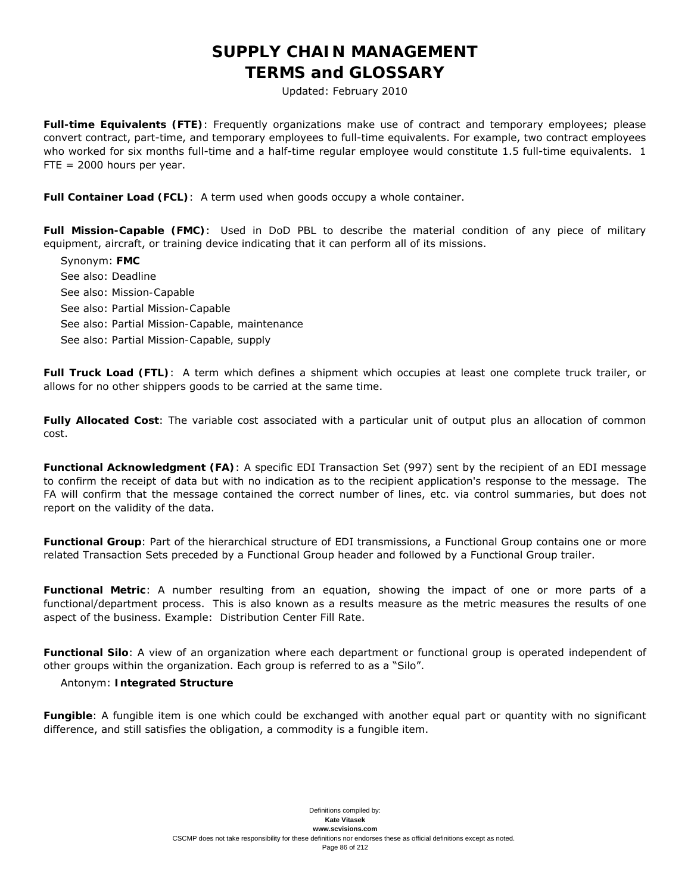Updated: February 2010

**Full-time Equivalents (FTE)**: Frequently organizations make use of contract and temporary employees; please convert contract, part-time, and temporary employees to full-time equivalents. For example, two contract employees who worked for six months full-time and a half-time regular employee would constitute 1.5 full-time equivalents. 1  $FTE = 2000$  hours per year.

**Full Container Load (FCL)**: A term used when goods occupy a whole container.

**Full Mission-Capable (FMC)**: Used in DoD PBL to describe the material condition of any piece of military equipment, aircraft, or training device indicating that it can perform all of its missions.

See also: *Partial Mission-Capable* Synonym: *FMC*  See also: *Deadline* See also: *Mission-Capable* See also: *Partial Mission-Capable, maintenance* See also: *Partial Mission-Capable, supply*

**Full Truck Load (FTL)**: A term which defines a shipment which occupies at least one complete truck trailer, or allows for no other shippers goods to be carried at the same time.

**Fully Allocated Cost**: The variable cost associated with a particular unit of output plus an allocation of common cost.

**Functional Acknowledgment (FA)**: A specific EDI Transaction Set (997) sent by the recipient of an EDI message to confirm the receipt of data but with no indication as to the recipient application's response to the message. The FA will confirm that the message contained the correct number of lines, etc. via control summaries, but does not report on the validity of the data.

**Functional Group**: Part of the hierarchical structure of EDI transmissions, a Functional Group contains one or more related Transaction Sets preceded by a Functional Group header and followed by a Functional Group trailer.

**Functional Metric**: A number resulting from an equation, showing the impact of one or more parts of a functional/department process. This is also known as a results measure as the metric measures the results of one aspect of the business. Example: Distribution Center Fill Rate.

**Functional Silo**: A view of an organization where each department or functional group is operated independent of other groups within the organization. Each group is referred to as a "Silo".

#### Antonym: *Integrated Structure*

**Fungible**: A fungible item is one which could be exchanged with another equal part or quantity with no significant difference, and still satisfies the obligation, a commodity is a fungible item.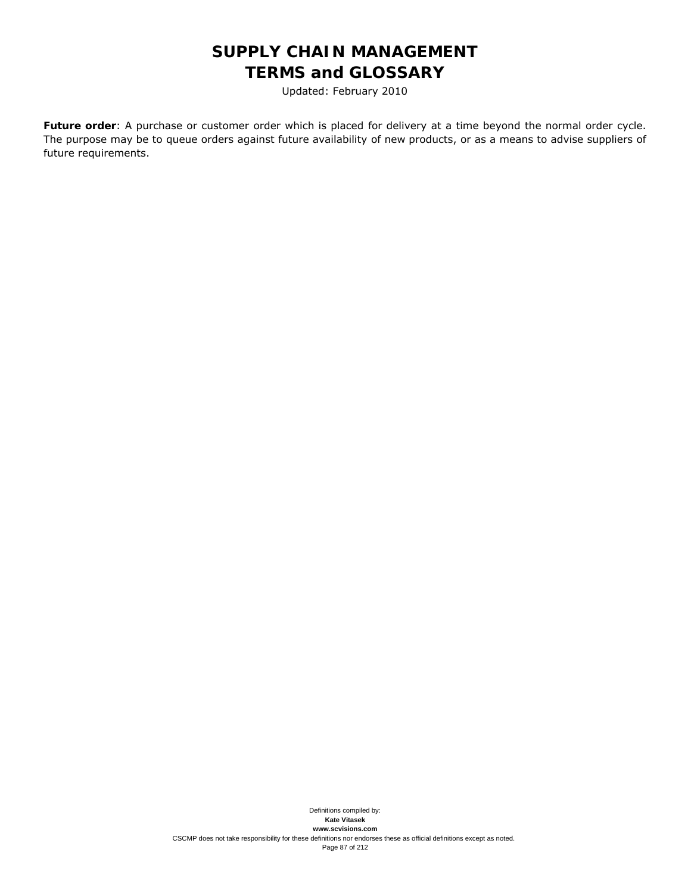Updated: February 2010

**Future order**: A purchase or customer order which is placed for delivery at a time beyond the normal order cycle. The purpose may be to queue orders against future availability of new products, or as a means to advise suppliers of future requirements.

> Definitions compiled by: **Kate Vitasek www.scvisions.com** CSCMP does not take responsibility for these definitions nor endorses these as official definitions except as noted. Page 87 of 212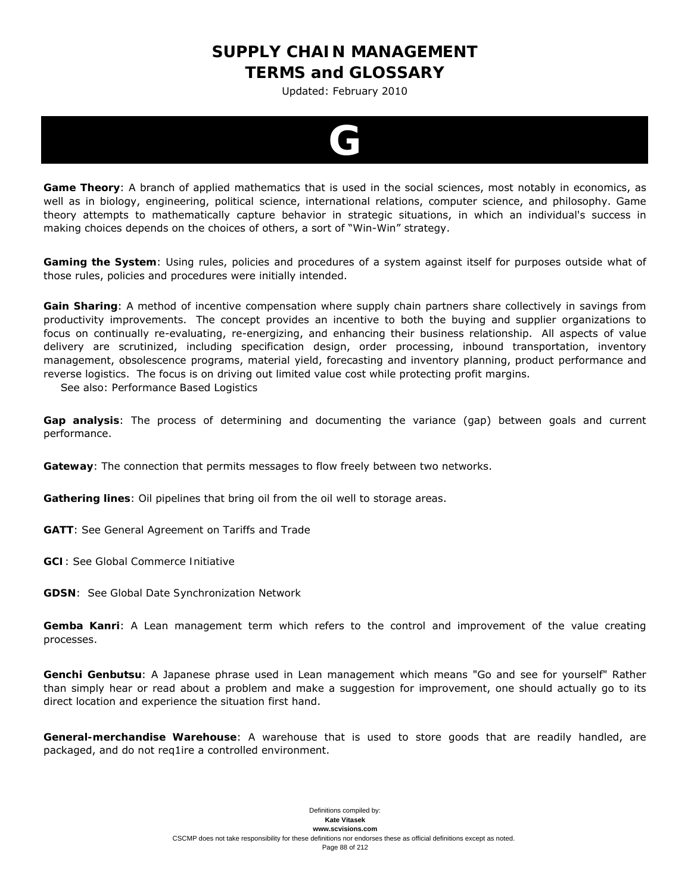Updated: February 2010

# **G**

**Game Theory**: A branch of applied mathematics that is used in the social sciences, most notably in economics, as well as in biology, engineering, political science, international relations, computer science, and philosophy. Game theory attempts to mathematically capture behavior in strategic situations, in which an individual's success in making choices depends on the choices of others, a sort of "Win-Win" strategy.

**Gaming the System**: Using rules, policies and procedures of a system against itself for purposes outside what of those rules, policies and procedures were initially intended.

**Gain Sharing**: A method of incentive compensation where supply chain partners share collectively in savings from productivity improvements. The concept provides an incentive to both the buying and supplier organizations to focus on continually re-evaluating, re-energizing, and enhancing their business relationship. All aspects of value delivery are scrutinized, including specification design, order processing, inbound transportation, inventory management, obsolescence programs, material yield, forecasting and inventory planning, product performance and reverse logistics. The focus is on driving out limited value cost while protecting profit margins.

See also: *Performance Based Logistics*

**Gap analysis**: The process of determining and documenting the variance (gap) between goals and current performance.

**Gateway**: The connection that permits messages to flow freely between two networks.

**Gathering lines**: Oil pipelines that bring oil from the oil well to storage areas.

**GATT**: See *General Agreement on Tariffs and Trade* 

**GCI**: See *Global Commerce Initiative* 

**GDSN**: See *Global Date Synchronization Network*

**Gemba Kanri**: A Lean management term which refers to the control and improvement of the value creating processes.

**Genchi Genbutsu**: A Japanese phrase used in Lean management which means "Go and see for yourself" Rather than simply hear or read about a problem and make a suggestion for improvement, one should actually go to its direct location and experience the situation first hand.

**General-merchandise Warehouse**: A warehouse that is used to store goods that are readily handled, are packaged, and do not req1ire a controlled environment.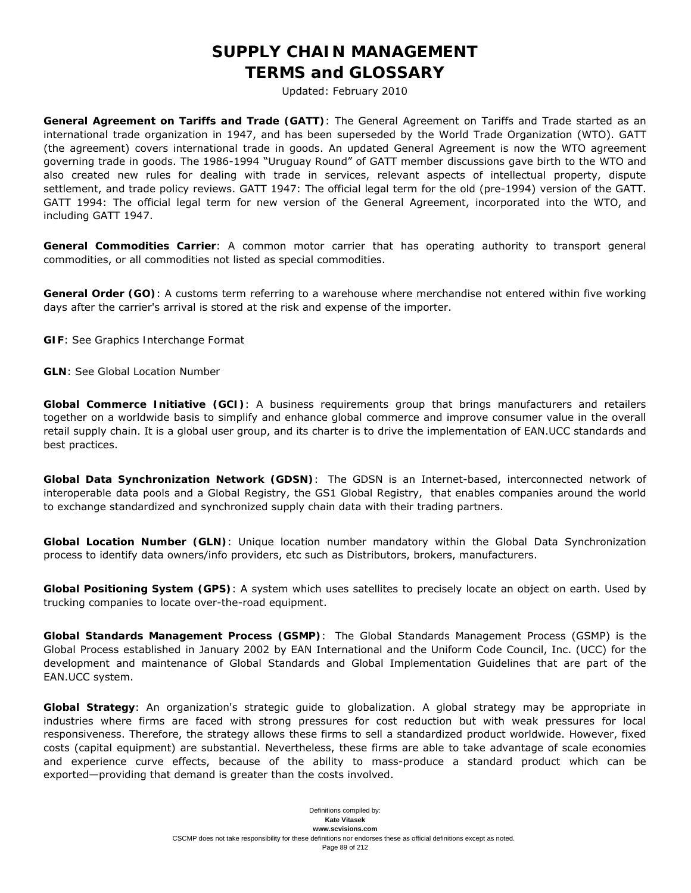Updated: February 2010

**General Agreement on Tariffs and Trade (GATT)**: The General Agreement on Tariffs and Trade started as an international trade organization in 1947, and has been superseded by the World Trade Organization (WTO). GATT (the agreement) covers international trade in goods. An updated General Agreement is now the WTO agreement governing trade in goods. The 1986-1994 "Uruguay Round" of GATT member discussions gave birth to the WTO and also created new rules for dealing with trade in services, relevant aspects of intellectual property, dispute settlement, and trade policy reviews. GATT 1947: The official legal term for the old (pre-1994) version of the GATT. GATT 1994: The official legal term for new version of the General Agreement, incorporated into the WTO, and including GATT 1947.

**General Commodities Carrier**: A common motor carrier that has operating authority to transport general commodities, or all commodities not listed as special commodities.

**General Order (GO)**: A customs term referring to a warehouse where merchandise not entered within five working days after the carrier's arrival is stored at the risk and expense of the importer.

**GIF**: See *Graphics Interchange Format*

#### **GLN**: See *Global Location Number*

**Global Commerce Initiative (GCI)**: A business requirements group that brings manufacturers and retailers together on a worldwide basis to simplify and enhance global commerce and improve consumer value in the overall retail supply chain. It is a global user group, and its charter is to drive the implementation of EAN.UCC standards and best practices.

**Global Data Synchronization Network (GDSN)**: The GDSN is an Internet-based, interconnected network of interoperable data pools and a Global Registry, the GS1 Global Registry, that enables companies around the world to exchange standardized and synchronized supply chain data with their trading partners.

**Global Location Number (GLN)**: Unique location number mandatory within the Global Data Synchronization process to identify data owners/info providers, etc such as Distributors, brokers, manufacturers.

**Global Positioning System (GPS)**: A system which uses satellites to precisely locate an object on earth. Used by trucking companies to locate over-the-road equipment.

**Global Standards Management Process (GSMP)**: The Global Standards Management Process (GSMP) is the Global Process established in January 2002 by EAN International and the Uniform Code Council, Inc. (UCC) for the development and maintenance of Global Standards and Global Implementation Guidelines that are part of the EAN.UCC system.

**Global Strategy**: An organization's strategic guide to globalization. A global strategy may be appropriate in industries where firms are faced with strong pressures for cost reduction but with weak pressures for local responsiveness. Therefore, the strategy allows these firms to sell a standardized product worldwide. However, fixed costs (capital equipment) are substantial. Nevertheless, these firms are able to take advantage of scale economies and experience curve effects, because of the ability to mass-produce a standard product which can be exported—providing that demand is greater than the costs involved.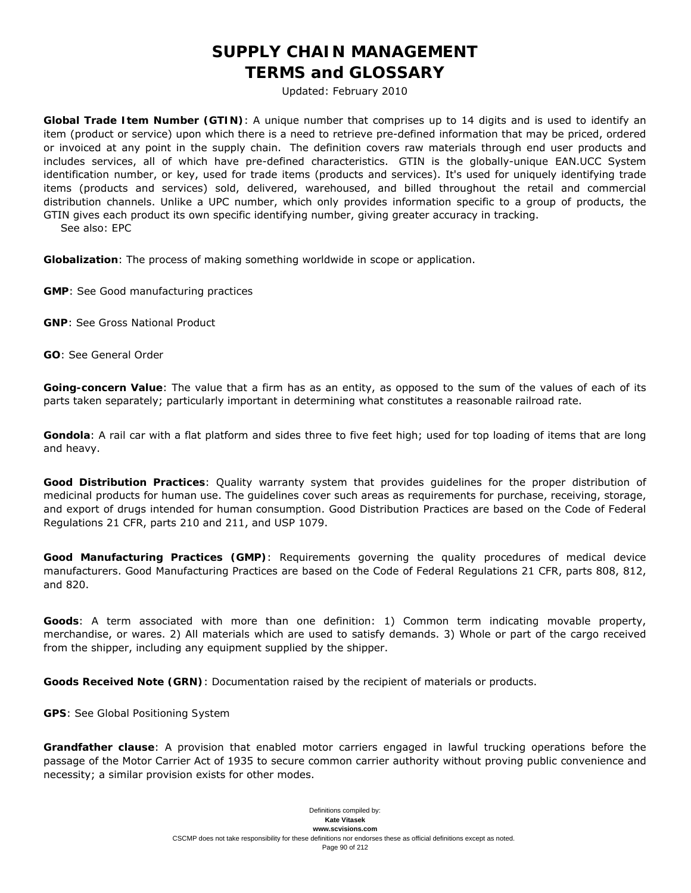Updated: February 2010

**Global Trade Item Number (GTIN)**: A unique number that comprises up to 14 digits and is used to identify an item (product or service) upon which there is a need to retrieve pre-defined information that may be priced, ordered or invoiced at any point in the supply chain. The definition covers raw materials through end user products and includes services, all of which have pre-defined characteristics. GTIN is the globally-unique EAN.UCC System identification number, or key, used for trade items (products and services). It's used for uniquely identifying trade items (products and services) sold, delivered, warehoused, and billed throughout the retail and commercial distribution channels. Unlike a UPC number, which only provides information specific to a group of products, the GTIN gives each product its own specific identifying number, giving greater accuracy in tracking.

See also: *EPC*

**Globalization**: The process of making something worldwide in scope or application.

**GMP**: See *Good manufacturing practices*

**GNP**: See *Gross National Product*

**GO**: See *General Order*

**Going-concern Value**: The value that a firm has as an entity, as opposed to the sum of the values of each of its parts taken separately; particularly important in determining what constitutes a reasonable railroad rate.

**Gondola**: A rail car with a flat platform and sides three to five feet high; used for top loading of items that are long and heavy.

**Good Distribution Practices**: Quality warranty system that provides guidelines for the proper distribution of medicinal products for human use. The guidelines cover such areas as requirements for purchase, receiving, storage, and export of drugs intended for human consumption. Good Distribution Practices are based on the Code of Federal Regulations 21 CFR, parts 210 and 211, and USP 1079.

**Good Manufacturing Practices (GMP)**: Requirements governing the quality procedures of medical device manufacturers. Good Manufacturing Practices are based on the Code of Federal Regulations 21 CFR, parts 808, 812, and 820.

**Goods**: A term associated with more than one definition: 1) Common term indicating movable property, merchandise, or wares. 2) All materials which are used to satisfy demands. 3) Whole or part of the cargo received from the shipper, including any equipment supplied by the shipper.

**Goods Received Note (GRN)**: Documentation raised by the recipient of materials or products.

**GPS**: See *Global Positioning System*

**Grandfather clause**: A provision that enabled motor carriers engaged in lawful trucking operations before the passage of the Motor Carrier Act of 1935 to secure common carrier authority without proving public convenience and necessity; a similar provision exists for other modes.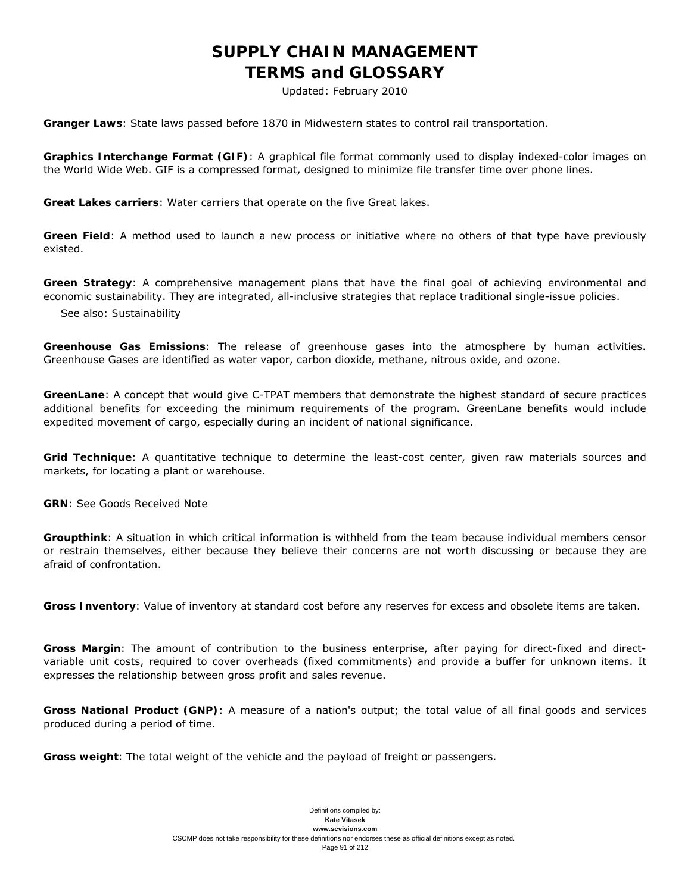Updated: February 2010

**Granger Laws**: State laws passed before 1870 in Midwestern states to control rail transportation.

**Graphics Interchange Format (GIF)**: A graphical file format commonly used to display indexed-color images on the World Wide Web. GIF is a compressed format, designed to minimize file transfer time over phone lines.

**Great Lakes carriers**: Water carriers that operate on the five Great lakes.

**Green Field**: A method used to launch a new process or initiative where no others of that type have previously existed.

**Green Strategy**: A comprehensive management plans that have the final goal of achieving environmental and economic sustainability. They are integrated, all-inclusive strategies that replace traditional single-issue policies.

See also: *Sustainability*

**Greenhouse Gas Emissions**: The release of greenhouse gases into the atmosphere by human activities. Greenhouse Gases are identified as water vapor, carbon dioxide, methane, nitrous oxide, and ozone.

**GreenLane**: A concept that would give C-TPAT members that demonstrate the highest standard of secure practices additional benefits for exceeding the minimum requirements of the program. GreenLane benefits would include expedited movement of cargo, especially during an incident of national significance.

**Grid Technique**: A quantitative technique to determine the least-cost center, given raw materials sources and markets, for locating a plant or warehouse.

**GRN**: See *Goods Received Note*

**Groupthink**: A situation in which critical information is withheld from the team because individual members censor or restrain themselves, either because they believe their concerns are not worth discussing or because they are afraid of confrontation.

**Gross Inventory**: Value of inventory at standard cost before any reserves for excess and obsolete items are taken.

**Gross Margin**: The amount of contribution to the business enterprise, after paying for direct-fixed and directvariable unit costs, required to cover overheads (fixed commitments) and provide a buffer for unknown items. It expresses the relationship between gross profit and sales revenue.

**Gross National Product (GNP)**: A measure of a nation's output; the total value of all final goods and services produced during a period of time.

**Gross weight**: The total weight of the vehicle and the payload of freight or passengers.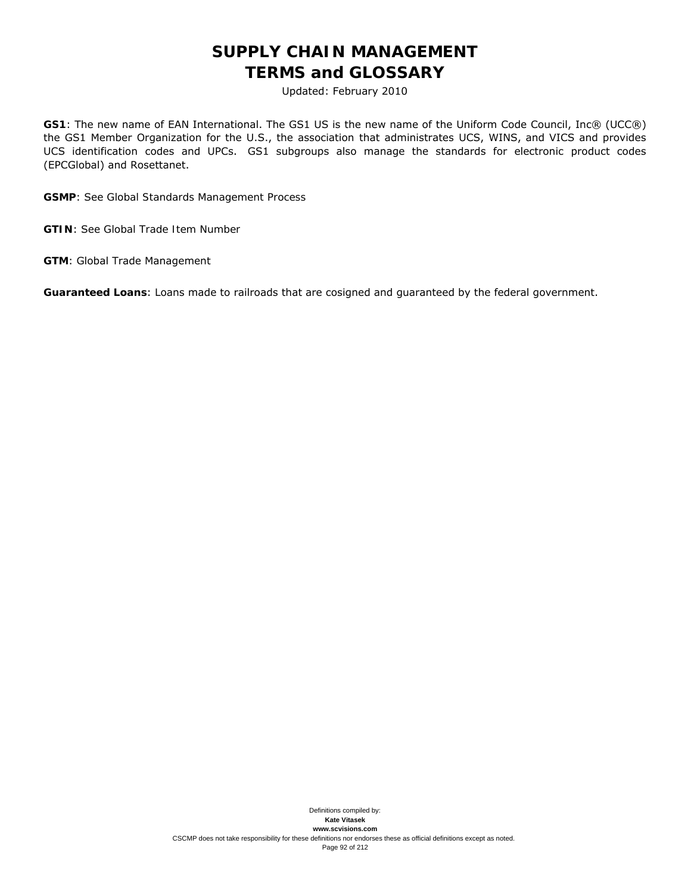Updated: February 2010

**GS1**: The new name of EAN International. The GS1 US is the new name of the Uniform Code Council, Inc® (UCC®) the GS1 Member Organization for the U.S., the association that administrates UCS, WINS, and VICS and provides UCS identification codes and UPCs. GS1 subgroups also manage the standards for electronic product codes (EPCGlobal) and Rosettanet.

**GSMP**: See *Global Standards Management Process*

**GTIN**: See *Global Trade Item Number*

**GTM**: Global Trade Management

**Guaranteed Loans**: Loans made to railroads that are cosigned and guaranteed by the federal government.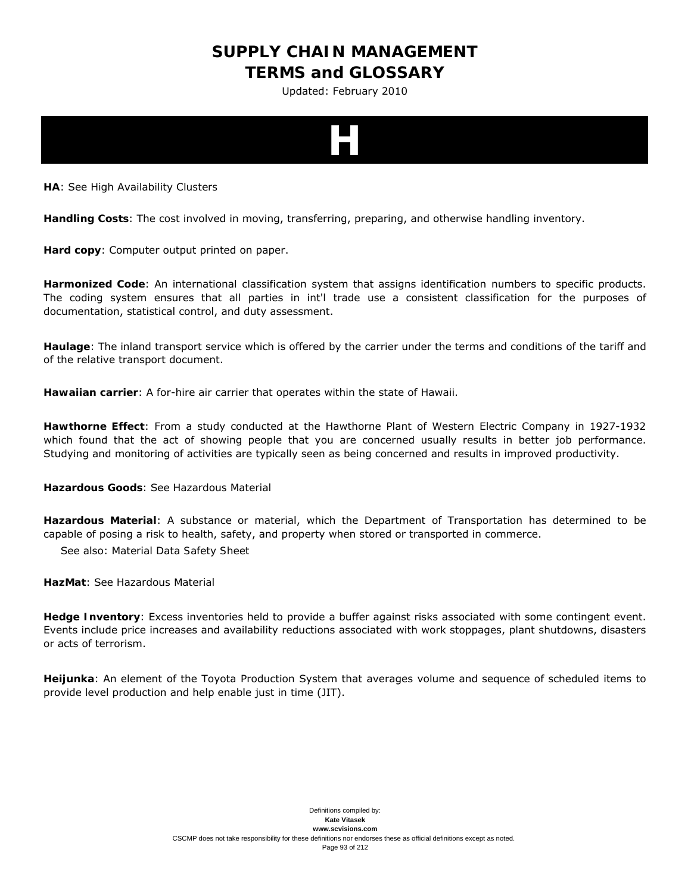Updated: February 2010



**HA**: See *High Availability Clusters*

**Handling Costs**: The cost involved in moving, transferring, preparing, and otherwise handling inventory.

**Hard copy**: Computer output printed on paper.

**Harmonized Code**: An international classification system that assigns identification numbers to specific products. The coding system ensures that all parties in int'l trade use a consistent classification for the purposes of documentation, statistical control, and duty assessment.

**Haulage**: The inland transport service which is offered by the carrier under the terms and conditions of the tariff and of the relative transport document.

**Hawaiian carrier**: A for-hire air carrier that operates within the state of Hawaii.

**Hawthorne Effect**: From a study conducted at the Hawthorne Plant of Western Electric Company in 1927-1932 which found that the act of showing people that you are concerned usually results in better job performance. Studying and monitoring of activities are typically seen as being concerned and results in improved productivity.

## **Hazardous Goods**: See *Hazardous Material*

**Hazardous Material**: A substance or material, which the Department of Transportation has determined to be capable of posing a risk to health, safety, and property when stored or transported in commerce.

See also: *Material Data Safety Sheet*

## **HazMat**: See *Hazardous Material*

**Hedge Inventory**: Excess inventories held to provide a buffer against risks associated with some contingent event. Events include price increases and availability reductions associated with work stoppages, plant shutdowns, disasters or acts of terrorism.

**Heijunka**: An element of the Toyota Production System that averages volume and sequence of scheduled items to provide level production and help enable just in time (JIT).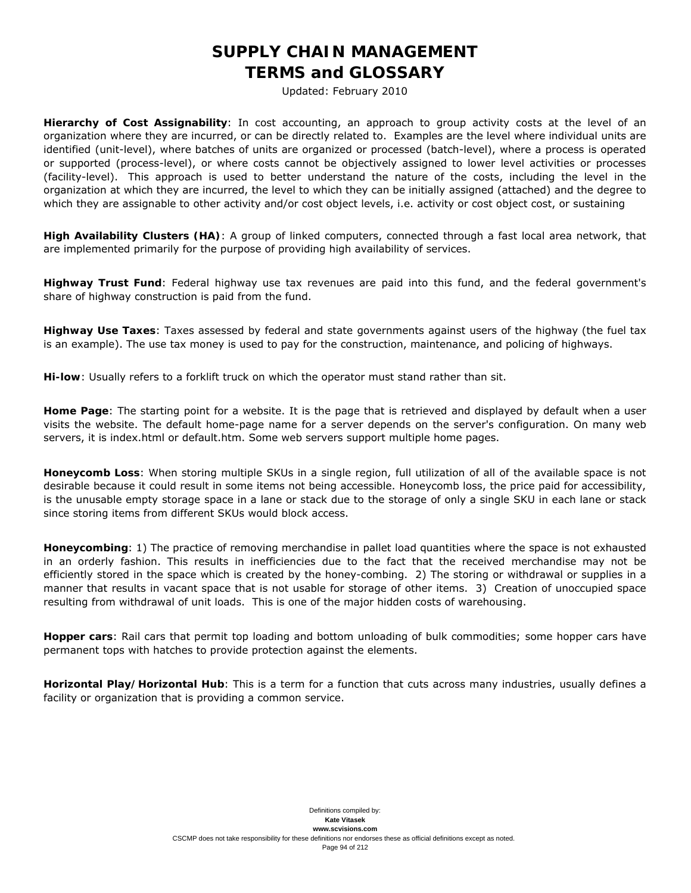Updated: February 2010

**Hierarchy of Cost Assignability**: In cost accounting, an approach to group activity costs at the level of an organization where they are incurred, or can be directly related to. Examples are the level where individual units are identified (unit-level), where batches of units are organized or processed (batch-level), where a process is operated or supported (process-level), or where costs cannot be objectively assigned to lower level activities or processes (facility-level). This approach is used to better understand the nature of the costs, including the level in the organization at which they are incurred, the level to which they can be initially assigned (attached) and the degree to which they are assignable to other activity and/or cost object levels, i.e. activity or cost object cost, or sustaining

**High Availability Clusters (HA)**: A group of linked computers, connected through a fast local area network, that are implemented primarily for the purpose of providing high availability of services.

**Highway Trust Fund**: Federal highway use tax revenues are paid into this fund, and the federal government's share of highway construction is paid from the fund.

**Highway Use Taxes**: Taxes assessed by federal and state governments against users of the highway (the fuel tax is an example). The use tax money is used to pay for the construction, maintenance, and policing of highways.

**Hi-low**: Usually refers to a forklift truck on which the operator must stand rather than sit.

**Home Page**: The starting point for a website. It is the page that is retrieved and displayed by default when a user visits the website. The default home-page name for a server depends on the server's configuration. On many web servers, it is index.html or default.htm. Some web servers support multiple home pages.

**Honeycomb Loss**: When storing multiple SKUs in a single region, full utilization of all of the available space is not desirable because it could result in some items not being accessible. Honeycomb loss, the price paid for accessibility, is the unusable empty storage space in a lane or stack due to the storage of only a single SKU in each lane or stack since storing items from different SKUs would block access.

**Honeycombing**: 1) The practice of removing merchandise in pallet load quantities where the space is not exhausted in an orderly fashion. This results in inefficiencies due to the fact that the received merchandise may not be efficiently stored in the space which is created by the honey-combing. 2) The storing or withdrawal or supplies in a manner that results in vacant space that is not usable for storage of other items. 3) Creation of unoccupied space resulting from withdrawal of unit loads. This is one of the major hidden costs of warehousing.

**Hopper cars**: Rail cars that permit top loading and bottom unloading of bulk commodities; some hopper cars have permanent tops with hatches to provide protection against the elements.

**Horizontal Play/Horizontal Hub**: This is a term for a function that cuts across many industries, usually defines a facility or organization that is providing a common service.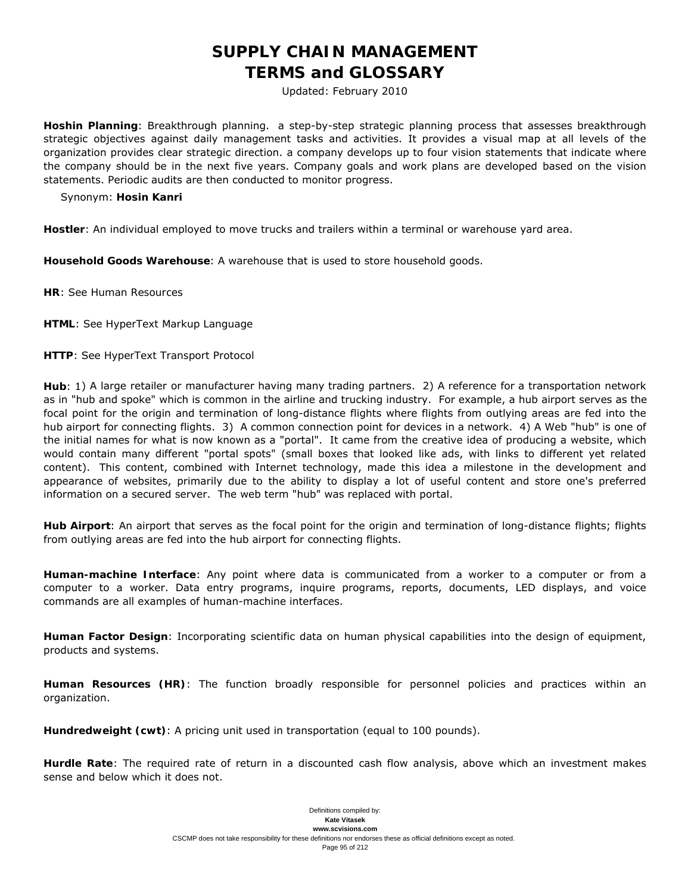Updated: February 2010

**Hoshin Planning**: Breakthrough planning. a step-by-step strategic planning process that assesses breakthrough strategic objectives against daily management tasks and activities. It provides a visual map at all levels of the organization provides clear strategic direction. a company develops up to four vision statements that indicate where the company should be in the next five years. Company goals and work plans are developed based on the vision statements. Periodic audits are then conducted to monitor progress.

#### Synonym: *Hosin Kanri*

**Hostler**: An individual employed to move trucks and trailers within a terminal or warehouse yard area.

**Household Goods Warehouse**: A warehouse that is used to store household goods.

**HR**: See *Human Resources*

**HTML**: See *HyperText Markup Language* 

**HTTP**: See *HyperText Transport Protocol* 

**Hub**: 1) A large retailer or manufacturer having many trading partners. 2) A reference for a transportation network as in "hub and spoke" which is common in the airline and trucking industry. For example, a hub airport serves as the focal point for the origin and termination of long-distance flights where flights from outlying areas are fed into the hub airport for connecting flights. 3) A common connection point for devices in a network. 4) A Web "hub" is one of the initial names for what is now known as a "portal". It came from the creative idea of producing a website, which would contain many different "portal spots" (small boxes that looked like ads, with links to different yet related content). This content, combined with Internet technology, made this idea a milestone in the development and appearance of websites, primarily due to the ability to display a lot of useful content and store one's preferred information on a secured server. The web term "hub" was replaced with portal.

**Hub Airport**: An airport that serves as the focal point for the origin and termination of long-distance flights; flights from outlying areas are fed into the hub airport for connecting flights.

**Human-machine Interface**: Any point where data is communicated from a worker to a computer or from a computer to a worker. Data entry programs, inquire programs, reports, documents, LED displays, and voice commands are all examples of human-machine interfaces.

**Human Factor Design**: Incorporating scientific data on human physical capabilities into the design of equipment, products and systems.

**Human Resources (HR)**: The function broadly responsible for personnel policies and practices within an organization.

**Hundredweight (cwt)**: A pricing unit used in transportation (equal to 100 pounds).

**Hurdle Rate**: The required rate of return in a discounted cash flow analysis, above which an investment makes sense and below which it does not.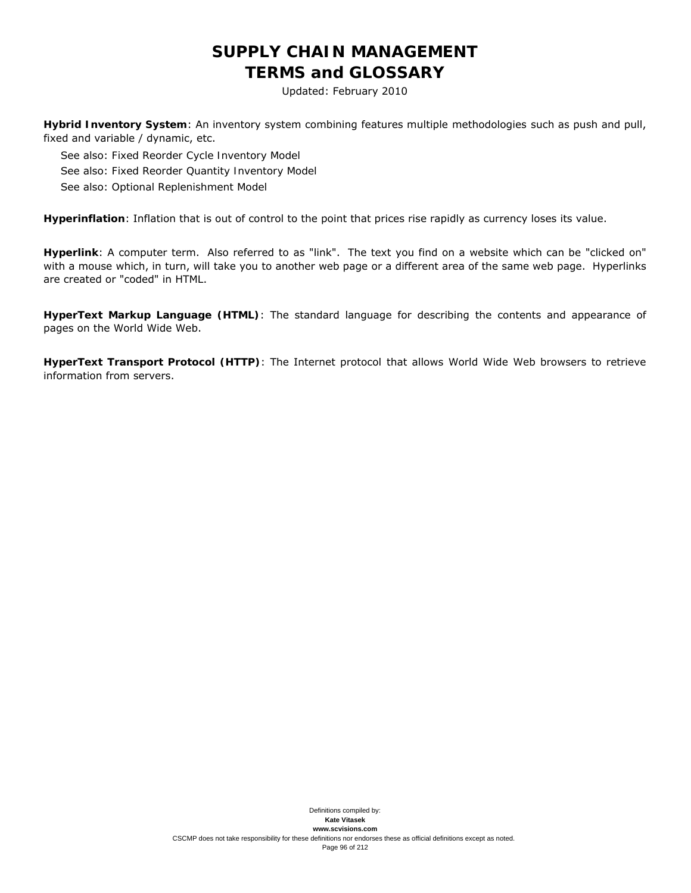Updated: February 2010

**Hybrid Inventory System**: An inventory system combining features multiple methodologies such as push and pull, fixed and variable / dynamic, etc.

See also: *Fixed Reorder Cycle Inventory Model* See also: *Fixed Reorder Quantity Inventory Model* See also: *Optional Replenishment Model*

**Hyperinflation**: Inflation that is out of control to the point that prices rise rapidly as currency loses its value.

**Hyperlink**: A computer term. Also referred to as "link". The text you find on a website which can be "clicked on" with a mouse which, in turn, will take you to another web page or a different area of the same web page. Hyperlinks are created or "coded" in HTML.

**HyperText Markup Language (HTML)**: The standard language for describing the contents and appearance of pages on the World Wide Web.

**HyperText Transport Protocol (HTTP)**: The Internet protocol that allows World Wide Web browsers to retrieve information from servers.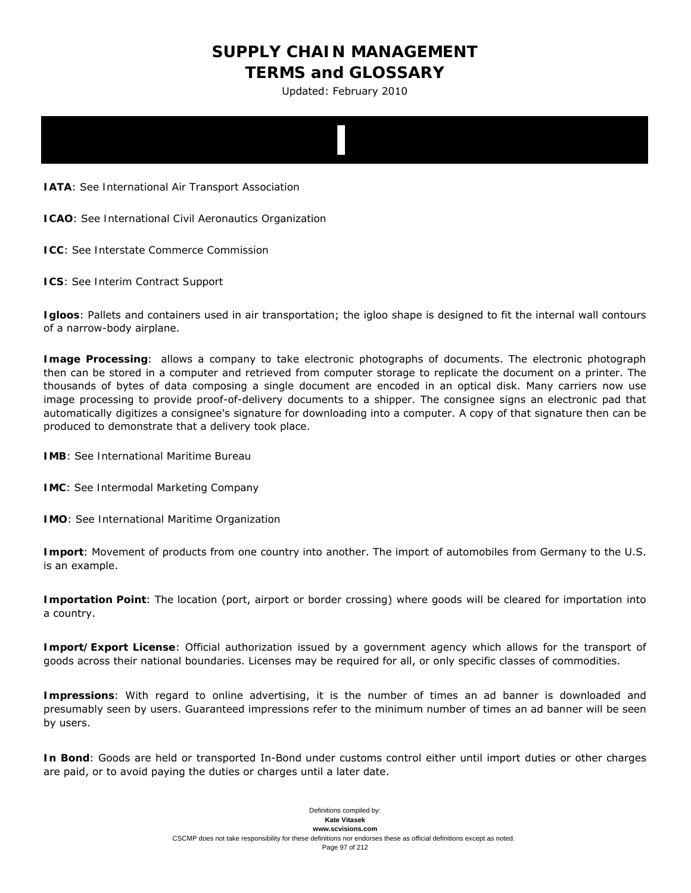Updated: February 2010

**I**

**IATA**: See *International Air Transport Association*

**ICAO**: See *International Civil Aeronautics Organization* 

**ICC**: See *Interstate Commerce Commission*

**ICS**: See *Interim Contract Support*

**Igloos**: Pallets and containers used in air transportation; the igloo shape is designed to fit the internal wall contours of a narrow-body airplane.

**Image Processing**: allows a company to take electronic photographs of documents. The electronic photograph then can be stored in a computer and retrieved from computer storage to replicate the document on a printer. The thousands of bytes of data composing a single document are encoded in an optical disk. Many carriers now use image processing to provide proof-of-delivery documents to a shipper. The consignee signs an electronic pad that automatically digitizes a consignee's signature for downloading into a computer. A copy of that signature then can be produced to demonstrate that a delivery took place.

**IMB**: See *International Maritime Bureau*

**IMC**: See *Intermodal Marketing Company*

**IMO**: See *International Maritime Organization*

**Import**: Movement of products from one country into another. The import of automobiles from Germany to the U.S. is an example.

**Importation Point**: The location (port, airport or border crossing) where goods will be cleared for importation into a country.

**Import/Export License**: Official authorization issued by a government agency which allows for the transport of goods across their national boundaries. Licenses may be required for all, or only specific classes of commodities.

**Impressions**: With regard to online advertising, it is the number of times an ad banner is downloaded and presumably seen by users. Guaranteed impressions refer to the minimum number of times an ad banner will be seen by users.

**In Bond**: Goods are held or transported In-Bond under customs control either until import duties or other charges are paid, or to avoid paying the duties or charges until a later date.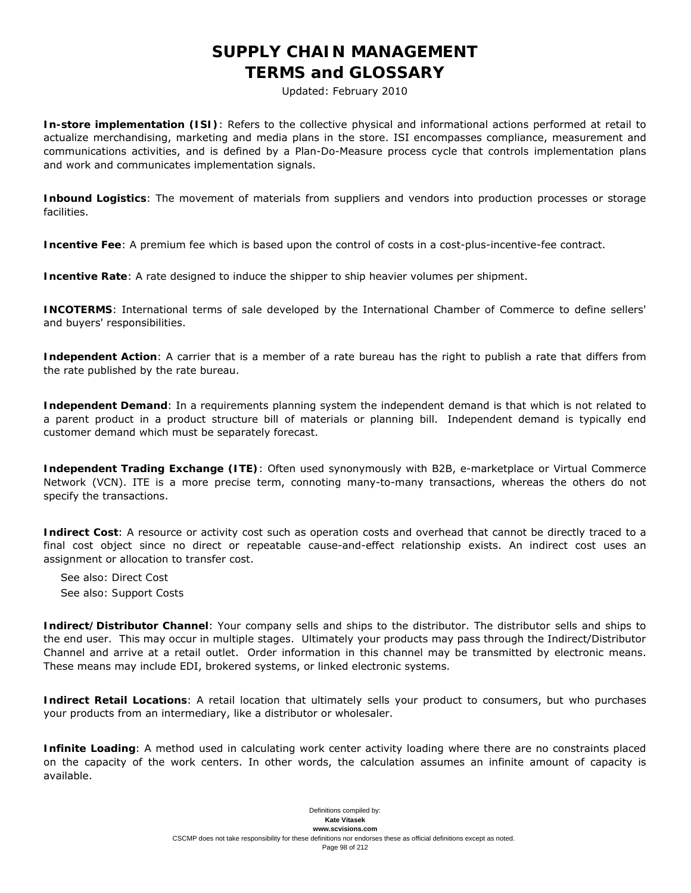Updated: February 2010

**In-store implementation (ISI)**: Refers to the collective physical and informational actions performed at retail to actualize merchandising, marketing and media plans in the store. ISI encompasses compliance, measurement and communications activities, and is defined by a Plan-Do-Measure process cycle that controls implementation plans and work and communicates implementation signals.

**Inbound Logistics**: The movement of materials from suppliers and vendors into production processes or storage facilities.

**Incentive Fee**: A premium fee which is based upon the control of costs in a cost-plus-incentive-fee contract.

**Incentive Rate**: A rate designed to induce the shipper to ship heavier volumes per shipment.

**INCOTERMS**: International terms of sale developed by the International Chamber of Commerce to define sellers' and buyers' responsibilities.

**Independent Action**: A carrier that is a member of a rate bureau has the right to publish a rate that differs from the rate published by the rate bureau.

**Independent Demand**: In a requirements planning system the independent demand is that which is not related to a parent product in a product structure bill of materials or planning bill. Independent demand is typically end customer demand which must be separately forecast.

**Independent Trading Exchange (ITE)**: Often used synonymously with B2B, e-marketplace or Virtual Commerce Network (VCN). ITE is a more precise term, connoting many-to-many transactions, whereas the others do not specify the transactions.

**Indirect Cost**: A resource or activity cost such as operation costs and overhead that cannot be directly traced to a final cost object since no direct or repeatable cause-and-effect relationship exists. An indirect cost uses an assignment or allocation to transfer cost.

See also: *Direct Cost* See also: *Support Costs*

**Indirect/Distributor Channel**: Your company sells and ships to the distributor. The distributor sells and ships to the end user. This may occur in multiple stages. Ultimately your products may pass through the Indirect/Distributor Channel and arrive at a retail outlet. Order information in this channel may be transmitted by electronic means. These means may include EDI, brokered systems, or linked electronic systems.

**Indirect Retail Locations**: A retail location that ultimately sells your product to consumers, but who purchases your products from an intermediary, like a distributor or wholesaler.

**Infinite Loading**: A method used in calculating work center activity loading where there are no constraints placed on the capacity of the work centers. In other words, the calculation assumes an infinite amount of capacity is available.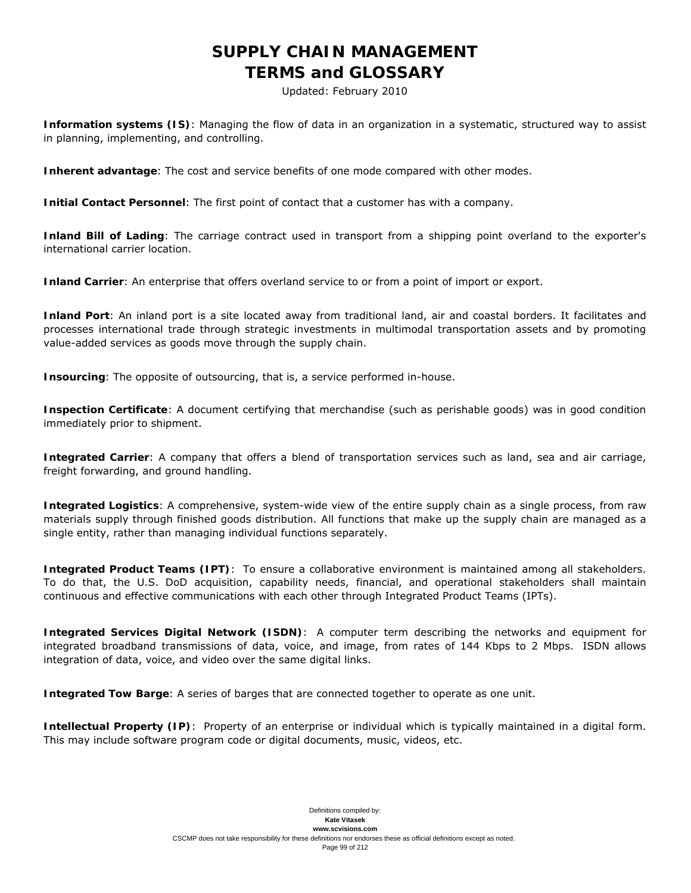Updated: February 2010

**Information systems (IS)**: Managing the flow of data in an organization in a systematic, structured way to assist in planning, implementing, and controlling.

**Inherent advantage**: The cost and service benefits of one mode compared with other modes.

**Initial Contact Personnel**: The first point of contact that a customer has with a company.

**Inland Bill of Lading**: The carriage contract used in transport from a shipping point overland to the exporter's international carrier location.

**Inland Carrier**: An enterprise that offers overland service to or from a point of import or export.

**Inland Port**: An inland port is a site located away from traditional land, air and coastal borders. It facilitates and processes international trade through strategic investments in multimodal transportation assets and by promoting value-added services as goods move through the supply chain.

**Insourcing**: The opposite of outsourcing, that is, a service performed in-house.

**Inspection Certificate**: A document certifying that merchandise (such as perishable goods) was in good condition immediately prior to shipment.

**Integrated Carrier**: A company that offers a blend of transportation services such as land, sea and air carriage, freight forwarding, and ground handling.

**Integrated Logistics**: A comprehensive, system-wide view of the entire supply chain as a single process, from raw materials supply through finished goods distribution. All functions that make up the supply chain are managed as a single entity, rather than managing individual functions separately.

**Integrated Product Teams (IPT)**: To ensure a collaborative environment is maintained among all stakeholders. To do that, the U.S. DoD acquisition, capability needs, financial, and operational stakeholders shall maintain continuous and effective communications with each other through Integrated Product Teams (IPTs).

**Integrated Services Digital Network (ISDN)**: A computer term describing the networks and equipment for integrated broadband transmissions of data, voice, and image, from rates of 144 Kbps to 2 Mbps. ISDN allows integration of data, voice, and video over the same digital links.

**Integrated Tow Barge**: A series of barges that are connected together to operate as one unit.

**Intellectual Property (IP)**: Property of an enterprise or individual which is typically maintained in a digital form. This may include software program code or digital documents, music, videos, etc.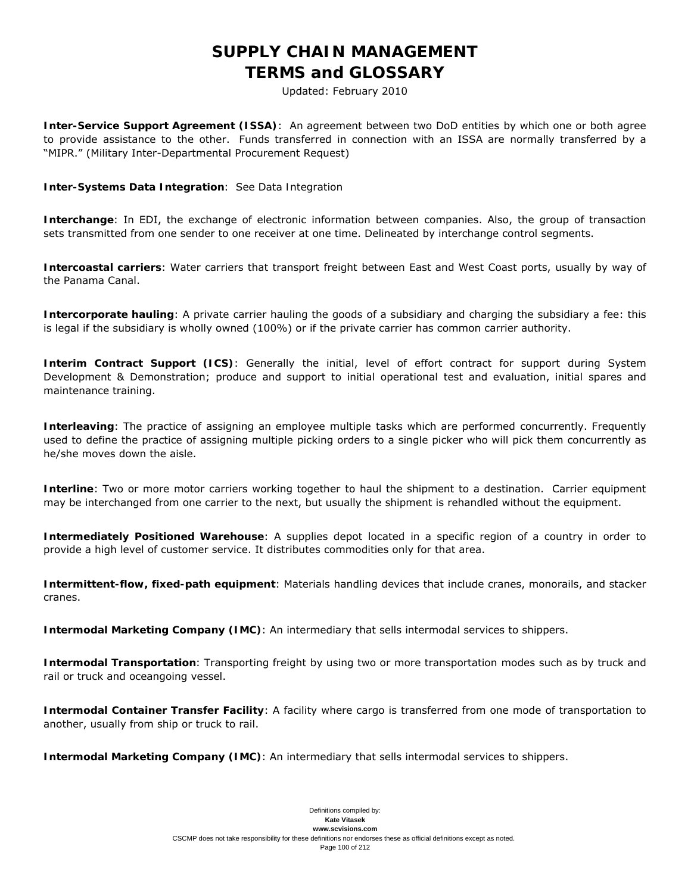Updated: February 2010

**Inter-Service Support Agreement (ISSA)**: An agreement between two DoD entities by which one or both agree to provide assistance to the other. Funds transferred in connection with an ISSA are normally transferred by a "MIPR." (Military Inter-Departmental Procurement Request)

## **Inter-Systems Data Integration**: See *Data Integration*

**Interchange**: In EDI, the exchange of electronic information between companies. Also, the group of transaction sets transmitted from one sender to one receiver at one time. Delineated by interchange control segments.

**Intercoastal carriers**: Water carriers that transport freight between East and West Coast ports, usually by way of the Panama Canal.

**Intercorporate hauling**: A private carrier hauling the goods of a subsidiary and charging the subsidiary a fee: this is legal if the subsidiary is wholly owned (100%) or if the private carrier has common carrier authority.

**Interim Contract Support (ICS)**: Generally the initial, level of effort contract for support during System Development & Demonstration; produce and support to initial operational test and evaluation, initial spares and maintenance training.

**Interleaving**: The practice of assigning an employee multiple tasks which are performed concurrently. Frequently used to define the practice of assigning multiple picking orders to a single picker who will pick them concurrently as he/she moves down the aisle.

**Interline**: Two or more motor carriers working together to haul the shipment to a destination. Carrier equipment may be interchanged from one carrier to the next, but usually the shipment is rehandled without the equipment.

**Intermediately Positioned Warehouse**: A supplies depot located in a specific region of a country in order to provide a high level of customer service. It distributes commodities only for that area.

**Intermittent-flow, fixed-path equipment**: Materials handling devices that include cranes, monorails, and stacker cranes.

**Intermodal Marketing Company (IMC)**: An intermediary that sells intermodal services to shippers.

**Intermodal Transportation**: Transporting freight by using two or more transportation modes such as by truck and rail or truck and oceangoing vessel.

**Intermodal Container Transfer Facility**: A facility where cargo is transferred from one mode of transportation to another, usually from ship or truck to rail.

**Intermodal Marketing Company (IMC)**: An intermediary that sells intermodal services to shippers.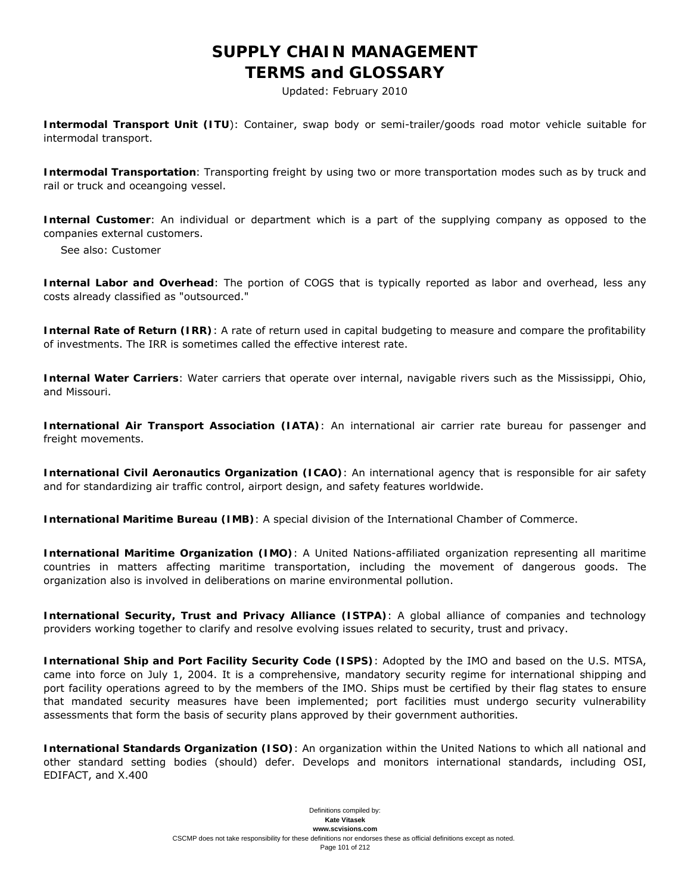Updated: February 2010

**Intermodal Transport Unit (ITU**): Container, swap body or semi-trailer/goods road motor vehicle suitable for intermodal transport.

**Intermodal Transportation**: Transporting freight by using two or more transportation modes such as by truck and rail or truck and oceangoing vessel.

**Internal Customer**: An individual or department which is a part of the supplying company as opposed to the companies external customers.

See also: *Customer*

**Internal Labor and Overhead**: The portion of COGS that is typically reported as labor and overhead, less any costs already classified as "outsourced."

**Internal Rate of Return (IRR)**: A rate of return used in capital budgeting to measure and compare the profitability of investments. The IRR is sometimes called the effective interest rate.

**Internal Water Carriers**: Water carriers that operate over internal, navigable rivers such as the Mississippi, Ohio, and Missouri.

**International Air Transport Association (IATA)**: An international air carrier rate bureau for passenger and freight movements.

**International Civil Aeronautics Organization (ICAO)**: An international agency that is responsible for air safety and for standardizing air traffic control, airport design, and safety features worldwide.

**International Maritime Bureau (IMB)**: A special division of the International Chamber of Commerce.

**International Maritime Organization (IMO)**: A United Nations-affiliated organization representing all maritime countries in matters affecting maritime transportation, including the movement of dangerous goods. The organization also is involved in deliberations on marine environmental pollution.

**International Security, Trust and Privacy Alliance (ISTPA)**: A global alliance of companies and technology providers working together to clarify and resolve evolving issues related to security, trust and privacy.

**International Ship and Port Facility Security Code (ISPS)**: Adopted by the IMO and based on the U.S. MTSA, came into force on July 1, 2004. It is a comprehensive, mandatory security regime for international shipping and port facility operations agreed to by the members of the IMO. Ships must be certified by their flag states to ensure that mandated security measures have been implemented; port facilities must undergo security vulnerability assessments that form the basis of security plans approved by their government authorities.

**International Standards Organization (ISO)**: An organization within the United Nations to which all national and other standard setting bodies (should) defer. Develops and monitors international standards, including OSI, EDIFACT, and X.400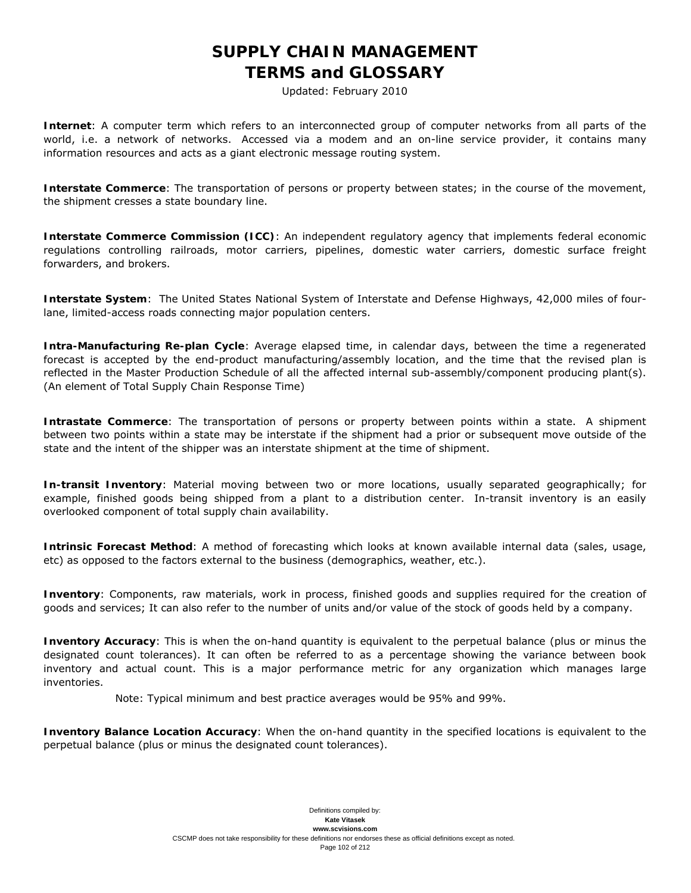Updated: February 2010

**Internet**: A computer term which refers to an interconnected group of computer networks from all parts of the world, i.e. a network of networks. Accessed via a modem and an on-line service provider, it contains many information resources and acts as a giant electronic message routing system.

**Interstate Commerce**: The transportation of persons or property between states; in the course of the movement, the shipment cresses a state boundary line.

**Interstate Commerce Commission (ICC)**: An independent regulatory agency that implements federal economic regulations controlling railroads, motor carriers, pipelines, domestic water carriers, domestic surface freight forwarders, and brokers.

**Interstate System**: The United States National System of Interstate and Defense Highways, 42,000 miles of fourlane, limited-access roads connecting major population centers.

**Intra-Manufacturing Re-plan Cycle**: Average elapsed time, in calendar days, between the time a regenerated forecast is accepted by the end-product manufacturing/assembly location, and the time that the revised plan is reflected in the Master Production Schedule of all the affected internal sub-assembly/component producing plant(s). (An element of Total Supply Chain Response Time)

**Intrastate Commerce**: The transportation of persons or property between points within a state. A shipment between two points within a state may be interstate if the shipment had a prior or subsequent move outside of the state and the intent of the shipper was an interstate shipment at the time of shipment.

**In-transit Inventory**: Material moving between two or more locations, usually separated geographically; for example, finished goods being shipped from a plant to a distribution center. In-transit inventory is an easily overlooked component of total supply chain availability.

**Intrinsic Forecast Method**: A method of forecasting which looks at known available internal data (sales, usage, etc) as opposed to the factors external to the business (demographics, weather, etc.).

**Inventory**: Components, raw materials, work in process, finished goods and supplies required for the creation of goods and services; It can also refer to the number of units and/or value of the stock of goods held by a company.

**Inventory Accuracy**: This is when the on-hand quantity is equivalent to the perpetual balance (plus or minus the designated count tolerances). It can often be referred to as a percentage showing the variance between book inventory and actual count. This is a major performance metric for any organization which manages large inventories.

Note: Typical minimum and best practice averages would be 95% and 99%.

**Inventory Balance Location Accuracy**: When the on-hand quantity in the specified locations is equivalent to the perpetual balance (plus or minus the designated count tolerances).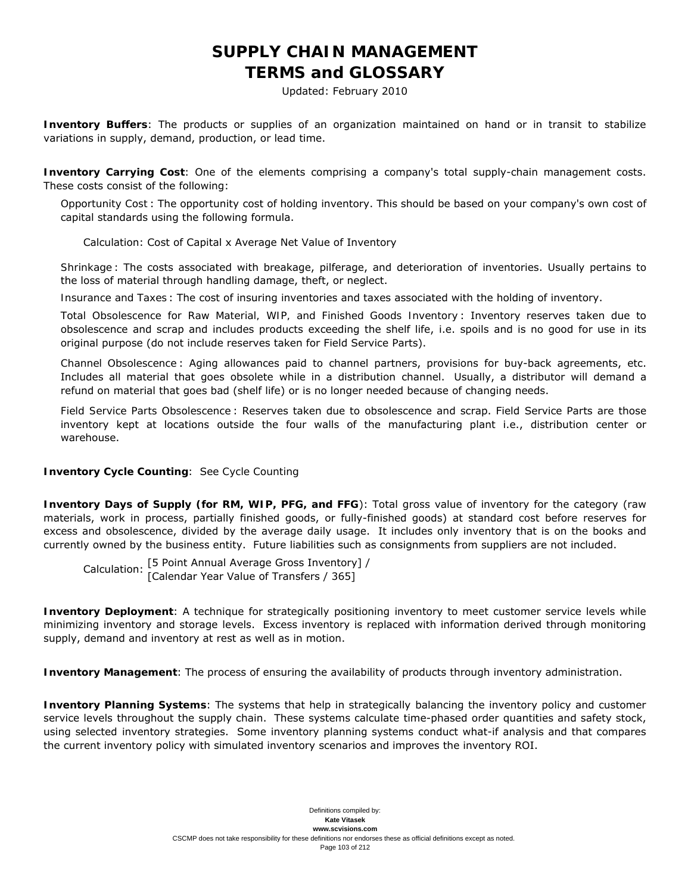Updated: February 2010

**Inventory Buffers**: The products or supplies of an organization maintained on hand or in transit to stabilize variations in supply, demand, production, or lead time.

**Inventory Carrying Cost**: One of the elements comprising a company's total supply-chain management costs. These costs consist of the following:

*Opportunity Cost* : The opportunity cost of holding inventory. This should be based on your company's own cost of capital standards using the following formula.

Calculation: Cost of Capital x Average Net Value of Inventory

*Shrinkage* : The costs associated with breakage, pilferage, and deterioration of inventories. Usually pertains to the loss of material through handling damage, theft, or neglect.

*Insurance and Taxes* : The cost of insuring inventories and taxes associated with the holding of inventory.

*Total Obsolescence for Raw Material, WIP, and Finished Goods Inventory* : Inventory reserves taken due to obsolescence and scrap and includes products exceeding the shelf life, i.e. spoils and is no good for use in its original purpose (do not include reserves taken for Field Service Parts).

*Channel Obsolescence* : Aging allowances paid to channel partners, provisions for buy-back agreements, etc. Includes all material that goes obsolete while in a distribution channel. Usually, a distributor will demand a refund on material that goes bad (shelf life) or is no longer needed because of changing needs.

*Field Service Parts Obsolescence* : Reserves taken due to obsolescence and scrap. Field Service Parts are those inventory kept at locations outside the four walls of the manufacturing plant i.e., distribution center or warehouse.

## **Inventory Cycle Counting**: See *Cycle Counting*

**Inventory Days of Supply (for RM, WIP, PFG, and FFG**): Total gross value of inventory for the category (raw materials, work in process, partially finished goods, or fully-finished goods) at standard cost before reserves for excess and obsolescence, divided by the average daily usage. It includes only inventory that is on the books and currently owned by the business entity. Future liabilities such as consignments from suppliers are not included.

Calculation: [5 Point Annual Average Gross Inventory] / [Calendar Year Value of Transfers / 365]

**Inventory Deployment**: A technique for strategically positioning inventory to meet customer service levels while minimizing inventory and storage levels. Excess inventory is replaced with information derived through monitoring supply, demand and inventory at rest as well as in motion.

**Inventory Management**: The process of ensuring the availability of products through inventory administration.

**Inventory Planning Systems**: The systems that help in strategically balancing the inventory policy and customer service levels throughout the supply chain. These systems calculate time-phased order quantities and safety stock, using selected inventory strategies. Some inventory planning systems conduct what-if analysis and that compares the current inventory policy with simulated inventory scenarios and improves the inventory ROI.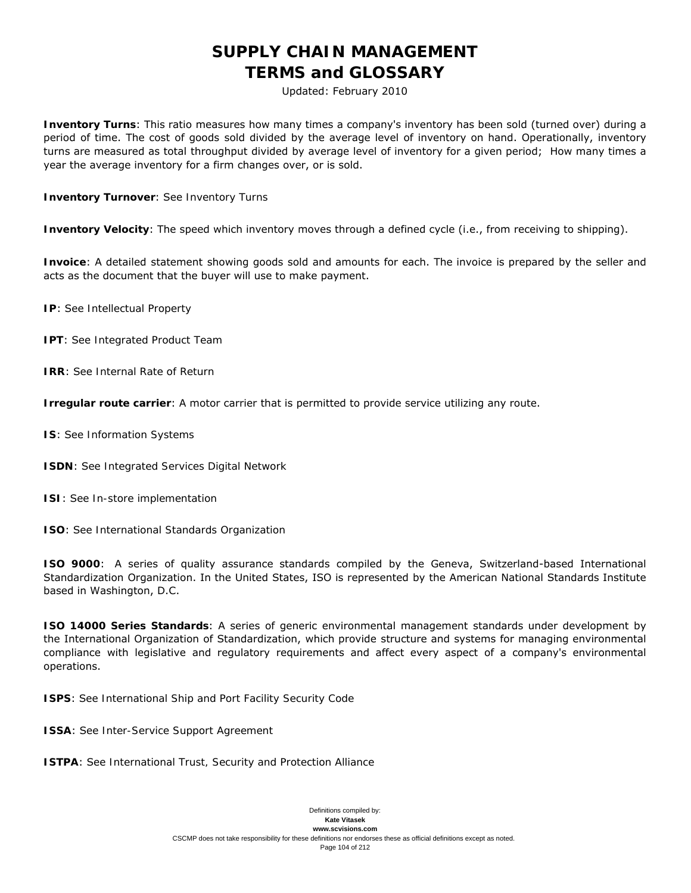Updated: February 2010

**Inventory Turns**: This ratio measures how many times a company's inventory has been sold (turned over) during a period of time. The cost of goods sold divided by the average level of inventory on hand. Operationally, inventory turns are measured as total throughput divided by average level of inventory for a given period; How many times a year the average inventory for a firm changes over, or is sold.

## **Inventory Turnover**: See *Inventory Turns*

**Inventory Velocity**: The speed which inventory moves through a defined cycle (i.e., from receiving to shipping).

**Invoice**: A detailed statement showing goods sold and amounts for each. The invoice is prepared by the seller and acts as the document that the buyer will use to make payment.

**IP**: See *Intellectual Property*

**IPT**: See *Integrated Product Team*

**IRR**: See *Internal Rate of Return*

**Irregular route carrier**: A motor carrier that is permitted to provide service utilizing any route.

**IS**: See *Information Systems* 

**ISDN**: See *Integrated Services Digital Network* 

**ISI**: See *In-store implementation*

**ISO**: See *International Standards Organization*

**ISO 9000**: A series of quality assurance standards compiled by the Geneva, Switzerland-based International Standardization Organization. In the United States, ISO is represented by the American National Standards Institute based in Washington, D.C.

**ISO 14000 Series Standards**: A series of generic environmental management standards under development by the International Organization of Standardization, which provide structure and systems for managing environmental compliance with legislative and regulatory requirements and affect every aspect of a company's environmental operations.

**ISPS**: See *International Ship and Port Facility Security Code*

**ISSA**: See *Inter-Service Support Agreement*

**ISTPA**: See *International Trust, Security and Protection Alliance*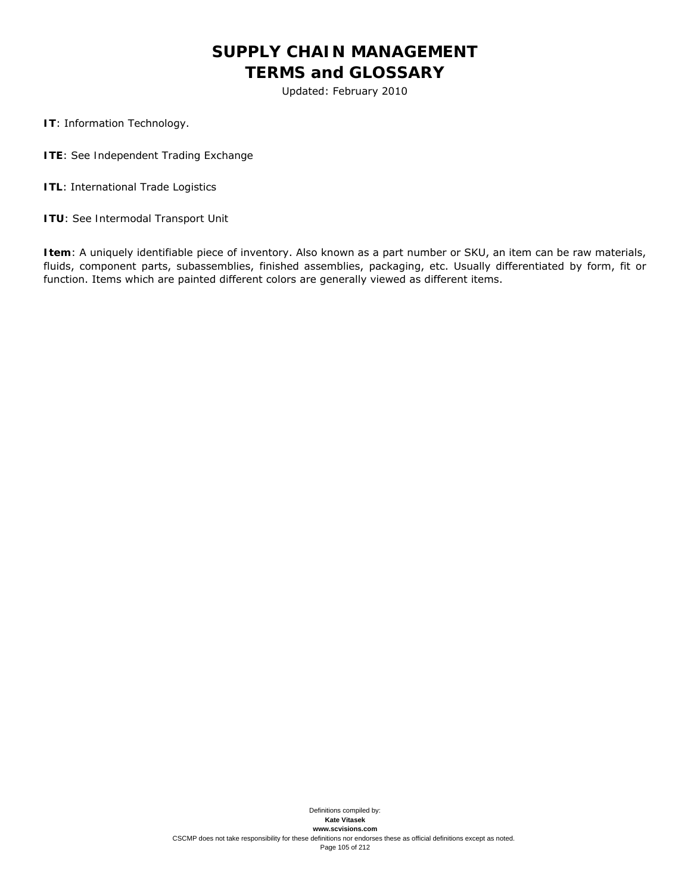Updated: February 2010

**IT**: Information Technology.

**ITE**: See *Independent Trading Exchange*

**ITL: International Trade Logistics** 

**ITU**: See *Intermodal Transport Unit*

**Item**: A uniquely identifiable piece of inventory. Also known as a part number or SKU, an item can be raw materials, fluids, component parts, subassemblies, finished assemblies, packaging, etc. Usually differentiated by form, fit or function. Items which are painted different colors are generally viewed as different items.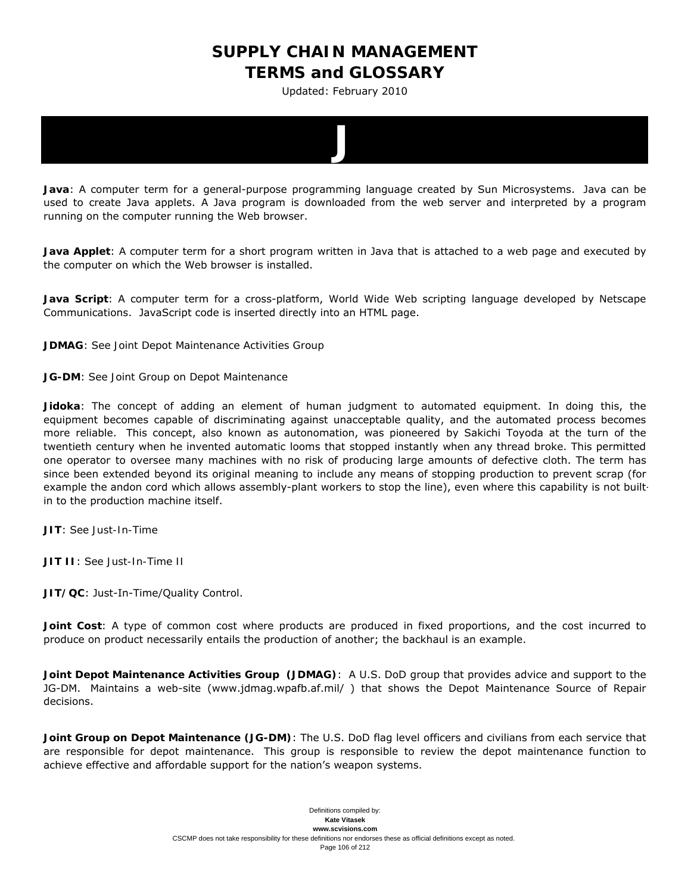Updated: February 2010



**Java**: A computer term for a general-purpose programming language created by Sun Microsystems. Java can be used to create Java applets. A Java program is downloaded from the web server and interpreted by a program running on the computer running the Web browser.

**Java Applet**: A computer term for a short program written in Java that is attached to a web page and executed by the computer on which the Web browser is installed.

**Java Script**: A computer term for a cross-platform, World Wide Web scripting language developed by Netscape Communications. JavaScript code is inserted directly into an HTML page.

**JDMAG**: See *Joint Depot Maintenance Activities Group*

**JG-DM**: See *Joint Group on Depot Maintenance*

**Jidoka**: The concept of adding an element of human judgment to automated equipment. In doing this, the equipment becomes capable of discriminating against unacceptable quality, and the automated process becomes more reliable. This concept, also known as autonomation, was pioneered by Sakichi Toyoda at the turn of the twentieth century when he invented automatic looms that stopped instantly when any thread broke. This permitted one operator to oversee many machines with no risk of producing large amounts of defective cloth. The term has since been extended beyond its original meaning to include any means of stopping production to prevent scrap (for example the andon cord which allows assembly-plant workers to stop the line), even where this capability is not builtin to the production machine itself.

**JIT**: See *Just-In-Time*

**JIT II**: See *Just-In-Time II*

**JIT/QC**: Just-In-Time/Quality Control.

Joint Cost: A type of common cost where products are produced in fixed proportions, and the cost incurred to produce on product necessarily entails the production of another; the backhaul is an example.

**Joint Depot Maintenance Activities Group (JDMAG)**: A U.S. DoD group that provides advice and support to the JG-DM. Maintains a web-site (www.jdmag.wpafb.af.mil/ ) that shows the Depot Maintenance Source of Repair decisions.

**Joint Group on Depot Maintenance (JG-DM)**: The U.S. DoD flag level officers and civilians from each service that are responsible for depot maintenance. This group is responsible to review the depot maintenance function to achieve effective and affordable support for the nation's weapon systems.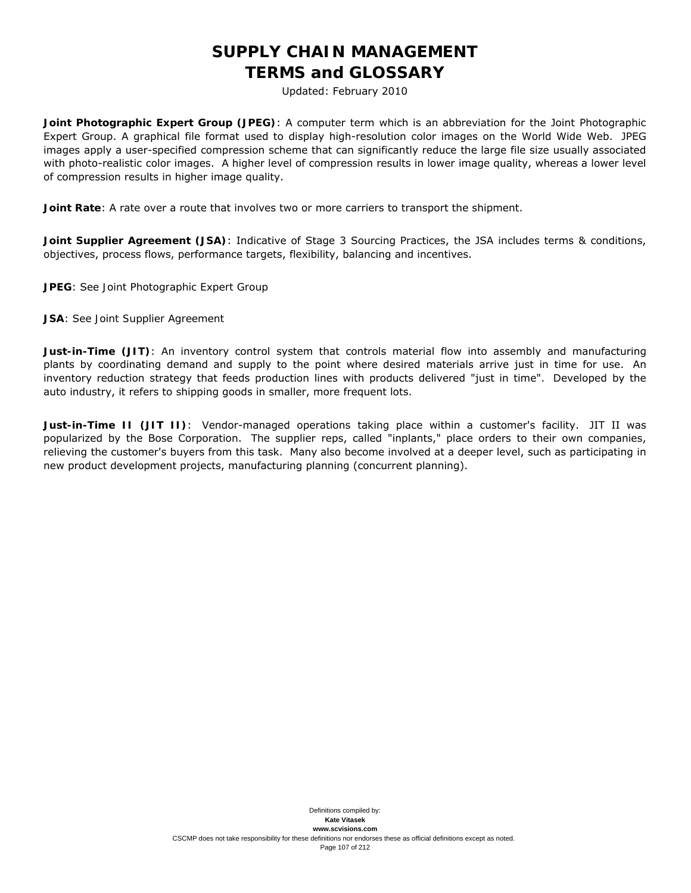Updated: February 2010

**Joint Photographic Expert Group (JPEG)**: A computer term which is an abbreviation for the Joint Photographic Expert Group. A graphical file format used to display high-resolution color images on the World Wide Web. JPEG images apply a user-specified compression scheme that can significantly reduce the large file size usually associated with photo-realistic color images. A higher level of compression results in lower image quality, whereas a lower level of compression results in higher image quality.

**Joint Rate**: A rate over a route that involves two or more carriers to transport the shipment.

**Joint Supplier Agreement (JSA)**: Indicative of Stage 3 Sourcing Practices, the JSA includes terms & conditions, objectives, process flows, performance targets, flexibility, balancing and incentives.

**JPEG**: See *Joint Photographic Expert Group*

**JSA**: See *Joint Supplier Agreement*

**Just-in-Time (JIT)**: An inventory control system that controls material flow into assembly and manufacturing plants by coordinating demand and supply to the point where desired materials arrive just in time for use. An inventory reduction strategy that feeds production lines with products delivered "just in time". Developed by the auto industry, it refers to shipping goods in smaller, more frequent lots.

**Just-in-Time II (JIT II)**: Vendor-managed operations taking place within a customer's facility. JIT II was popularized by the Bose Corporation. The supplier reps, called "inplants," place orders to their own companies, relieving the customer's buyers from this task. Many also become involved at a deeper level, such as participating in new product development projects, manufacturing planning (concurrent planning).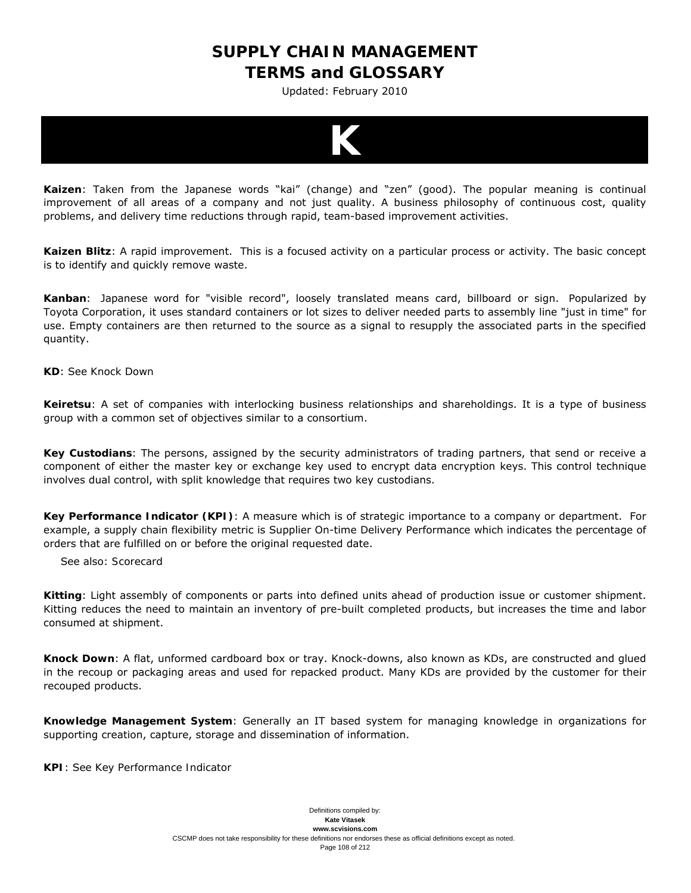Updated: February 2010



**Kaizen**: Taken from the Japanese words "kai" (change) and "zen" (good). The popular meaning is continual improvement of all areas of a company and not just quality. A business philosophy of continuous cost, quality problems, and delivery time reductions through rapid, team-based improvement activities.

**Kaizen Blitz**: A rapid improvement. This is a focused activity on a particular process or activity. The basic concept is to identify and quickly remove waste.

**Kanban**: Japanese word for "visible record", loosely translated means card, billboard or sign. Popularized by Toyota Corporation, it uses standard containers or lot sizes to deliver needed parts to assembly line "just in time" for use. Empty containers are then returned to the source as a signal to resupply the associated parts in the specified quantity.

**KD**: See *Knock Down*

**Keiretsu**: A set of companies with interlocking business relationships and shareholdings. It is a type of business group with a common set of objectives similar to a consortium.

**Key Custodians**: The persons, assigned by the security administrators of trading partners, that send or receive a component of either the master key or exchange key used to encrypt data encryption keys. This control technique involves dual control, with split knowledge that requires two key custodians.

**Key Performance Indicator (KPI)**: A measure which is of strategic importance to a company or department. For example, a supply chain flexibility metric is Supplier On-time Delivery Performance which indicates the percentage of orders that are fulfilled on or before the original requested date.

See also: *Scorecard*

**Kitting**: Light assembly of components or parts into defined units ahead of production issue or customer shipment. Kitting reduces the need to maintain an inventory of pre-built completed products, but increases the time and labor consumed at shipment.

**Knock Down**: A flat, unformed cardboard box or tray. Knock-downs, also known as KDs, are constructed and glued in the recoup or packaging areas and used for repacked product. Many KDs are provided by the customer for their recouped products.

**Knowledge Management System**: Generally an IT based system for managing knowledge in organizations for supporting creation, capture, storage and dissemination of information.

**KPI**: See *Key Performance Indicator*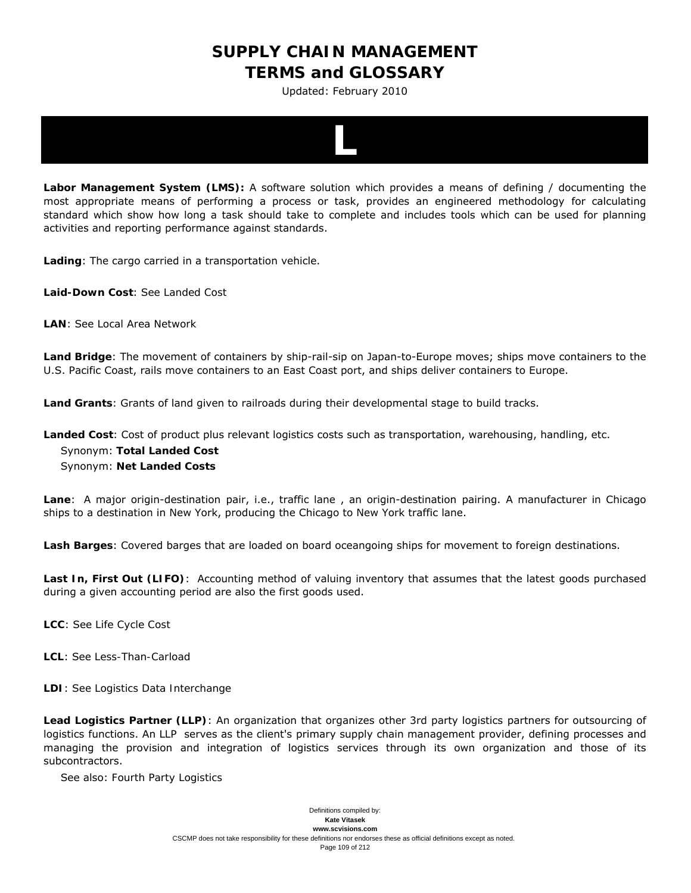Updated: February 2010



**Labor Management System (LMS):** A software solution which provides a means of defining / documenting the most appropriate means of performing a process or task, provides an engineered methodology for calculating standard which show how long a task should take to complete and includes tools which can be used for planning activities and reporting performance against standards.

**Lading**: The cargo carried in a transportation vehicle.

**Laid-Down Cost**: See *Landed Cost*

**LAN**: See *Local Area Network*

**Land Bridge**: The movement of containers by ship-rail-sip on Japan-to-Europe moves; ships move containers to the U.S. Pacific Coast, rails move containers to an East Coast port, and ships deliver containers to Europe.

**Land Grants**: Grants of land given to railroads during their developmental stage to build tracks.

Synonym: *Total Landed Cost* Synonym: *Net Landed Costs* **Landed Cost**: Cost of product plus relevant logistics costs such as transportation, warehousing, handling, etc.

**Lane**: A major origin-destination pair, i.e., traffic lane , an origin-destination pairing. A manufacturer in Chicago ships to a destination in New York, producing the Chicago to New York traffic lane.

**Lash Barges**: Covered barges that are loaded on board oceangoing ships for movement to foreign destinations.

**Last In, First Out (LIFO)**: Accounting method of valuing inventory that assumes that the latest goods purchased during a given accounting period are also the first goods used.

**LCC**: See *Life Cycle Cost*

**LCL**: See *Less-Than-Carload*

**LDI**: See *Logistics Data Interchange*

**Lead Logistics Partner (LLP)**: An organization that organizes other 3rd party logistics partners for outsourcing of logistics functions. An LLP serves as the client's primary supply chain management provider, defining processes and managing the provision and integration of logistics services through its own organization and those of its subcontractors.

See also: *Fourth Party Logistics*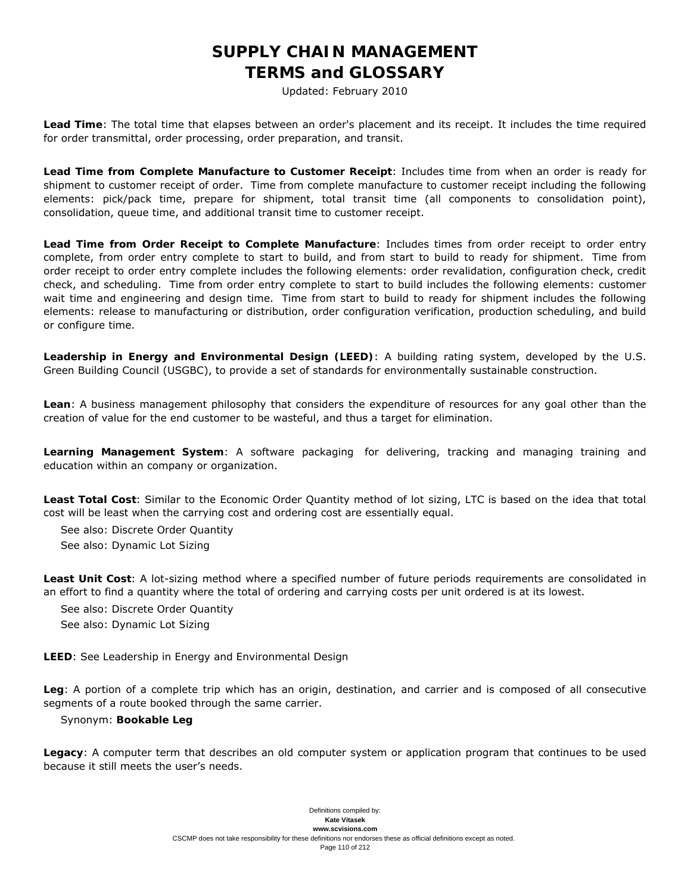Updated: February 2010

**Lead Time**: The total time that elapses between an order's placement and its receipt. It includes the time required for order transmittal, order processing, order preparation, and transit.

**Lead Time from Complete Manufacture to Customer Receipt**: Includes time from when an order is ready for shipment to customer receipt of order. Time from complete manufacture to customer receipt including the following elements: pick/pack time, prepare for shipment, total transit time (all components to consolidation point), consolidation, queue time, and additional transit time to customer receipt.

**Lead Time from Order Receipt to Complete Manufacture**: Includes times from order receipt to order entry complete, from order entry complete to start to build, and from start to build to ready for shipment. Time from order receipt to order entry complete includes the following elements: order revalidation, configuration check, credit check, and scheduling. Time from order entry complete to start to build includes the following elements: customer wait time and engineering and design time. Time from start to build to ready for shipment includes the following elements: release to manufacturing or distribution, order configuration verification, production scheduling, and build or configure time.

**Leadership in Energy and Environmental Design (LEED)**: A building rating system, developed by the U.S. Green Building Council (USGBC), to provide a set of standards for environmentally sustainable construction.

**Lean**: A business management philosophy that considers the expenditure of resources for any goal other than the creation of value for the end customer to be wasteful, and thus a target for elimination.

**Learning Management System**: A software packaging for delivering, tracking and managing training and education within an company or organization.

**Least Total Cost**: Similar to the Economic Order Quantity method of lot sizing, LTC is based on the idea that total cost will be least when the carrying cost and ordering cost are essentially equal.

See also: *Discrete Order Quantity* See also: *Dynamic Lot Sizing*

**Least Unit Cost**: A lot-sizing method where a specified number of future periods requirements are consolidated in an effort to find a quantity where the total of ordering and carrying costs per unit ordered is at its lowest.

See also: *Discrete Order Quantity* See also: *Dynamic Lot Sizing*

**LEED**: See *Leadership in Energy and Environmental Design*

**Leg**: A portion of a complete trip which has an origin, destination, and carrier and is composed of all consecutive segments of a route booked through the same carrier.

## Synonym: *Bookable Leg*

**Legacy**: A computer term that describes an old computer system or application program that continues to be used because it still meets the user's needs.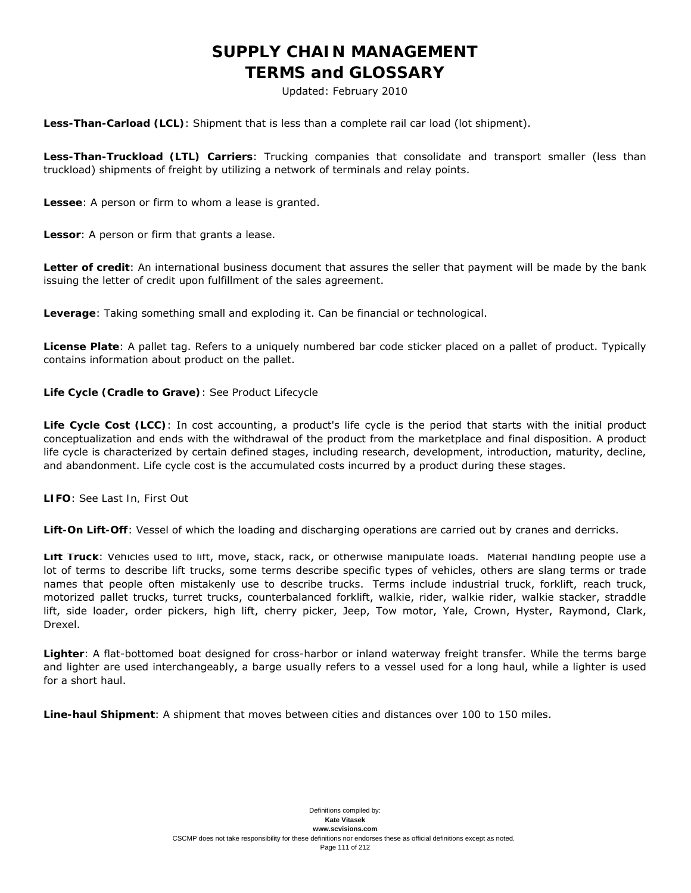Updated: February 2010

**Less-Than-Carload (LCL)**: Shipment that is less than a complete rail car load (lot shipment).

**Less-Than-Truckload (LTL) Carriers**: Trucking companies that consolidate and transport smaller (less than truckload) shipments of freight by utilizing a network of terminals and relay points.

**Lessee**: A person or firm to whom a lease is granted.

**Lessor**: A person or firm that grants a lease.

**Letter of credit**: An international business document that assures the seller that payment will be made by the bank issuing the letter of credit upon fulfillment of the sales agreement.

**Leverage**: Taking something small and exploding it. Can be financial or technological.

**License Plate**: A pallet tag. Refers to a uniquely numbered bar code sticker placed on a pallet of product. Typically contains information about product on the pallet.

## **Life Cycle (Cradle to Grave)**: See *Product Lifecycle*

**Life Cycle Cost (LCC)**: In cost accounting, a product's life cycle is the period that starts with the initial product conceptualization and ends with the withdrawal of the product from the marketplace and final disposition. A product life cycle is characterized by certain defined stages, including research, development, introduction, maturity, decline, and abandonment. Life cycle cost is the accumulated costs incurred by a product during these stages.

**LIFO**: See *Last In, First Out*

**Lift-On Lift-Off**: Vessel of which the loading and discharging operations are carried out by cranes and derricks.

**Lift Truck**: Vehicles used to lift, move, stack, rack, or otherwise manipulate loads. Material handling people use a lot of terms to describe lift trucks, some terms describe specific types of vehicles, others are slang terms or trade names that people often mistakenly use to describe trucks. Terms include industrial truck, forklift, reach truck, motorized pallet trucks, turret trucks, counterbalanced forklift, walkie, rider, walkie rider, walkie stacker, straddle lift, side loader, order pickers, high lift, cherry picker, Jeep, Tow motor, Yale, Crown, Hyster, Raymond, Clark, Drexel.

**Lighter**: A flat-bottomed boat designed for cross-harbor or inland waterway freight transfer. While the terms barge and lighter are used interchangeably, a barge usually refers to a vessel used for a long haul, while a lighter is used for a short haul.

**Line-haul Shipment**: A shipment that moves between cities and distances over 100 to 150 miles.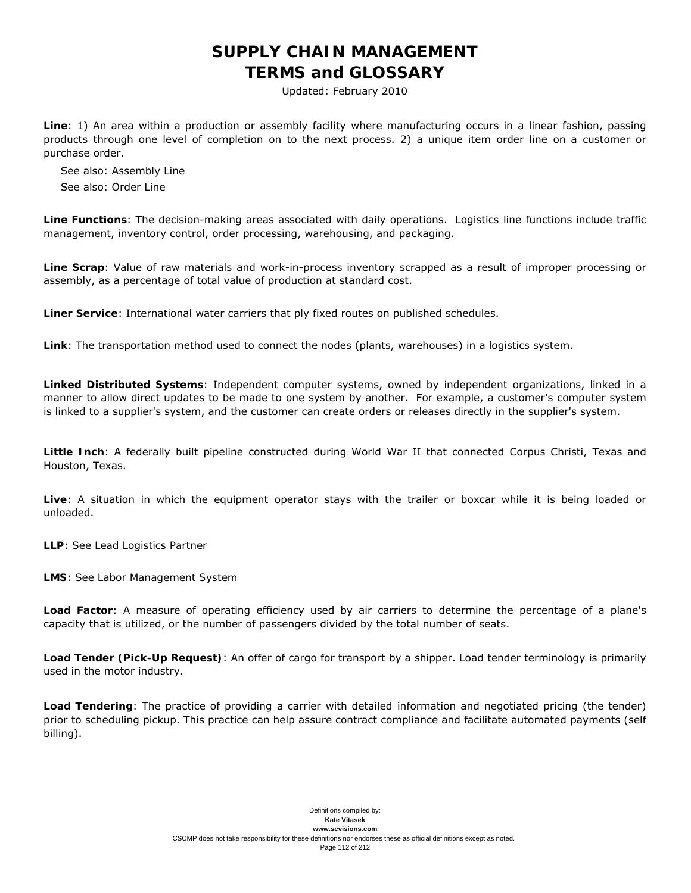Updated: February 2010

**Line**: 1) An area within a production or assembly facility where manufacturing occurs in a linear fashion, passing products through one level of completion on to the next process. 2) a unique item order line on a customer or purchase order.

See also: *Assembly Line* See also: *Order Line*

**Line Functions**: The decision-making areas associated with daily operations. Logistics line functions include traffic management, inventory control, order processing, warehousing, and packaging.

**Line Scrap**: Value of raw materials and work-in-process inventory scrapped as a result of improper processing or assembly, as a percentage of total value of production at standard cost.

**Liner Service**: International water carriers that ply fixed routes on published schedules.

**Link**: The transportation method used to connect the nodes (plants, warehouses) in a logistics system.

**Linked Distributed Systems**: Independent computer systems, owned by independent organizations, linked in a manner to allow direct updates to be made to one system by another. For example, a customer's computer system is linked to a supplier's system, and the customer can create orders or releases directly in the supplier's system.

**Little Inch**: A federally built pipeline constructed during World War II that connected Corpus Christi, Texas and Houston, Texas.

**Live**: A situation in which the equipment operator stays with the trailer or boxcar while it is being loaded or unloaded.

**LLP**: See *Lead Logistics Partner*

**LMS**: See *Labor Management System*

**Load Factor**: A measure of operating efficiency used by air carriers to determine the percentage of a plane's capacity that is utilized, or the number of passengers divided by the total number of seats.

**Load Tender (Pick-Up Request)**: An offer of cargo for transport by a shipper. Load tender terminology is primarily used in the motor industry.

**Load Tendering**: The practice of providing a carrier with detailed information and negotiated pricing (the tender) prior to scheduling pickup. This practice can help assure contract compliance and facilitate automated payments (self billing).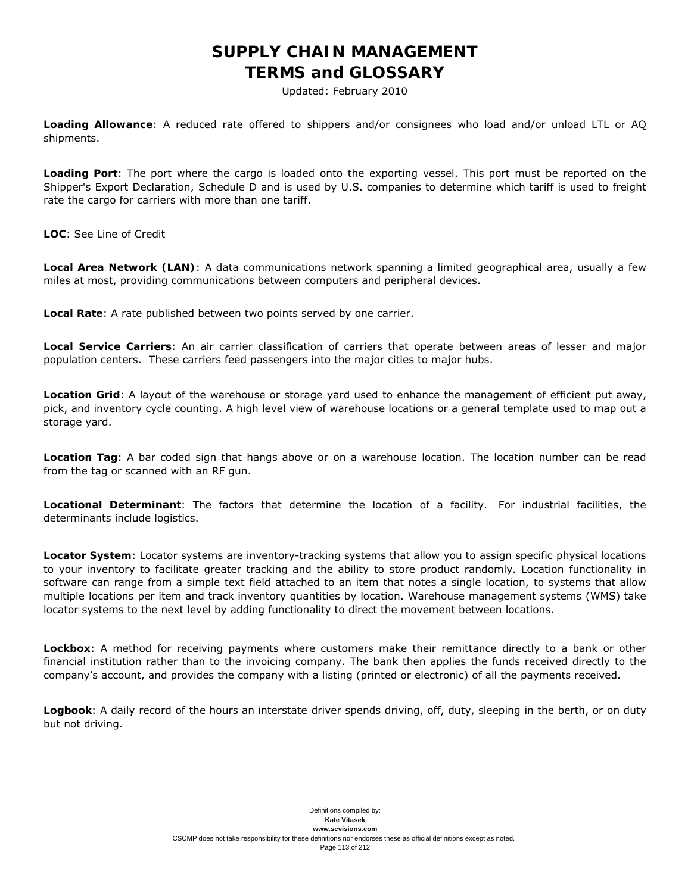Updated: February 2010

**Loading Allowance**: A reduced rate offered to shippers and/or consignees who load and/or unload LTL or AQ shipments.

**Loading Port**: The port where the cargo is loaded onto the exporting vessel. This port must be reported on the Shipper's Export Declaration, Schedule D and is used by U.S. companies to determine which tariff is used to freight rate the cargo for carriers with more than one tariff.

**LOC**: See *Line of Credit*

**Local Area Network (LAN)**: A data communications network spanning a limited geographical area, usually a few miles at most, providing communications between computers and peripheral devices.

**Local Rate**: A rate published between two points served by one carrier.

**Local Service Carriers**: An air carrier classification of carriers that operate between areas of lesser and major population centers. These carriers feed passengers into the major cities to major hubs.

**Location Grid**: A layout of the warehouse or storage yard used to enhance the management of efficient put away, pick, and inventory cycle counting. A high level view of warehouse locations or a general template used to map out a storage yard.

**Location Tag**: A bar coded sign that hangs above or on a warehouse location. The location number can be read from the tag or scanned with an RF gun.

**Locational Determinant**: The factors that determine the location of a facility. For industrial facilities, the determinants include logistics.

**Locator System**: Locator systems are inventory-tracking systems that allow you to assign specific physical locations to your inventory to facilitate greater tracking and the ability to store product randomly. Location functionality in software can range from a simple text field attached to an item that notes a single location, to systems that allow multiple locations per item and track inventory quantities by location. Warehouse management systems (WMS) take locator systems to the next level by adding functionality to direct the movement between locations.

**Lockbox**: A method for receiving payments where customers make their remittance directly to a bank or other financial institution rather than to the invoicing company. The bank then applies the funds received directly to the company's account, and provides the company with a listing (printed or electronic) of all the payments received.

**Logbook**: A daily record of the hours an interstate driver spends driving, off, duty, sleeping in the berth, or on duty but not driving.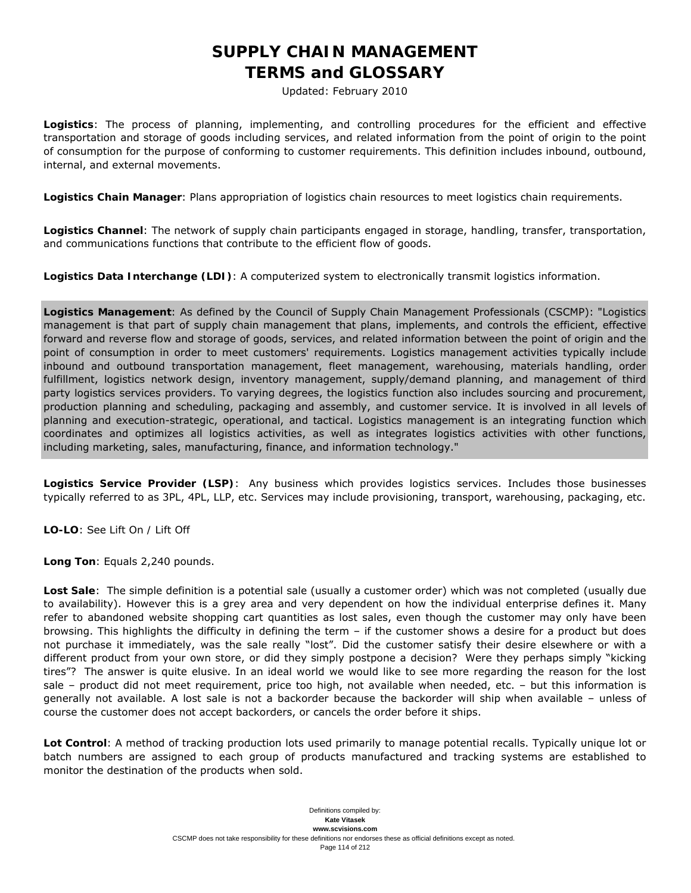Updated: February 2010

**Logistics**: The process of planning, implementing, and controlling procedures for the efficient and effective transportation and storage of goods including services, and related information from the point of origin to the point of consumption for the purpose of conforming to customer requirements. This definition includes inbound, outbound, internal, and external movements.

**Logistics Chain Manager**: Plans appropriation of logistics chain resources to meet logistics chain requirements.

**Logistics Channel**: The network of supply chain participants engaged in storage, handling, transfer, transportation, and communications functions that contribute to the efficient flow of goods.

**Logistics Data Interchange (LDI)**: A computerized system to electronically transmit logistics information.

**Logistics Management**: As defined by the Council of Supply Chain Management Professionals (CSCMP): "Logistics management is that part of supply chain management that plans, implements, and controls the efficient, effective forward and reverse flow and storage of goods, services, and related information between the point of origin and the point of consumption in order to meet customers' requirements. Logistics management activities typically include inbound and outbound transportation management, fleet management, warehousing, materials handling, order fulfillment, logistics network design, inventory management, supply/demand planning, and management of third party logistics services providers. To varying degrees, the logistics function also includes sourcing and procurement, production planning and scheduling, packaging and assembly, and customer service. It is involved in all levels of planning and execution-strategic, operational, and tactical. Logistics management is an integrating function which coordinates and optimizes all logistics activities, as well as integrates logistics activities with other functions, including marketing, sales, manufacturing, finance, and information technology."

**Logistics Service Provider (LSP)**: Any business which provides logistics services. Includes those businesses typically referred to as 3PL, 4PL, LLP, etc. Services may include provisioning, transport, warehousing, packaging, etc.

**LO-LO**: See *Lift On / Lift Off*

**Long Ton**: Equals 2,240 pounds.

**Lost Sale**: The simple definition is a potential sale (usually a customer order) which was not completed (usually due to availability). However this is a grey area and very dependent on how the individual enterprise defines it. Many refer to abandoned website shopping cart quantities as lost sales, even though the customer may only have been browsing. This highlights the difficulty in defining the term – if the customer shows a desire for a product but does not purchase it immediately, was the sale really "lost". Did the customer satisfy their desire elsewhere or with a different product from your own store, or did they simply postpone a decision? Were they perhaps simply "kicking tires"? The answer is quite elusive. In an ideal world we would like to see more regarding the reason for the lost sale – product did not meet requirement, price too high, not available when needed, etc. – but this information is generally not available. A lost sale is not a backorder because the backorder will ship when available – unless of course the customer does not accept backorders, or cancels the order before it ships.

**Lot Control**: A method of tracking production lots used primarily to manage potential recalls. Typically unique lot or batch numbers are assigned to each group of products manufactured and tracking systems are established to monitor the destination of the products when sold.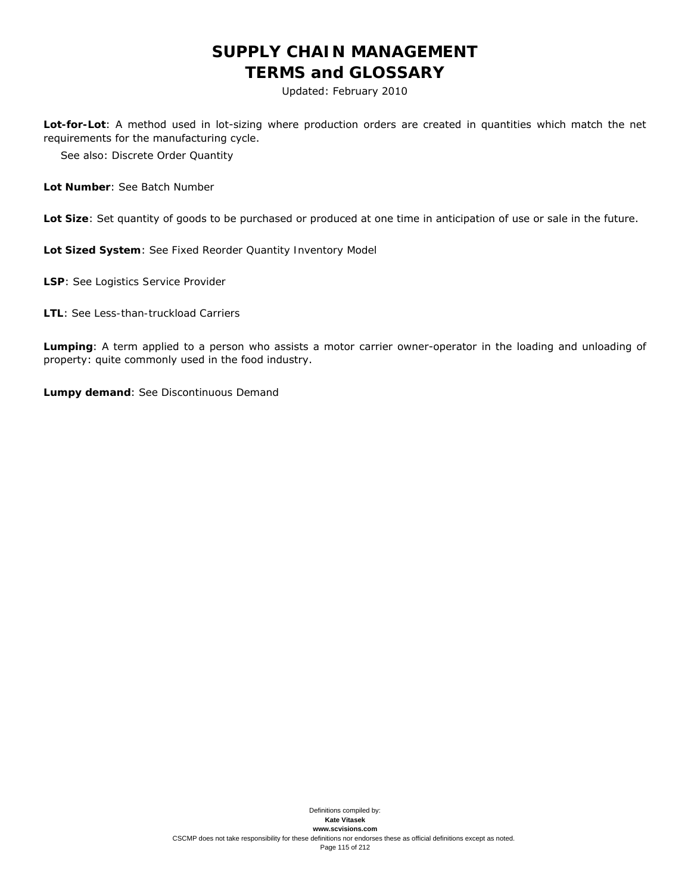Updated: February 2010

**Lot-for-Lot**: A method used in lot-sizing where production orders are created in quantities which match the net requirements for the manufacturing cycle.

See also: *Discrete Order Quantity*

**Lot Number**: See *Batch Number*

**Lot Size**: Set quantity of goods to be purchased or produced at one time in anticipation of use or sale in the future.

**Lot Sized System**: See *Fixed Reorder Quantity Inventory Model*

**LSP**: See *Logistics Service Provider*

**LTL**: See *Less-than-truckload Carriers* 

**Lumping**: A term applied to a person who assists a motor carrier owner-operator in the loading and unloading of property: quite commonly used in the food industry.

**Lumpy demand**: See *Discontinuous Demand*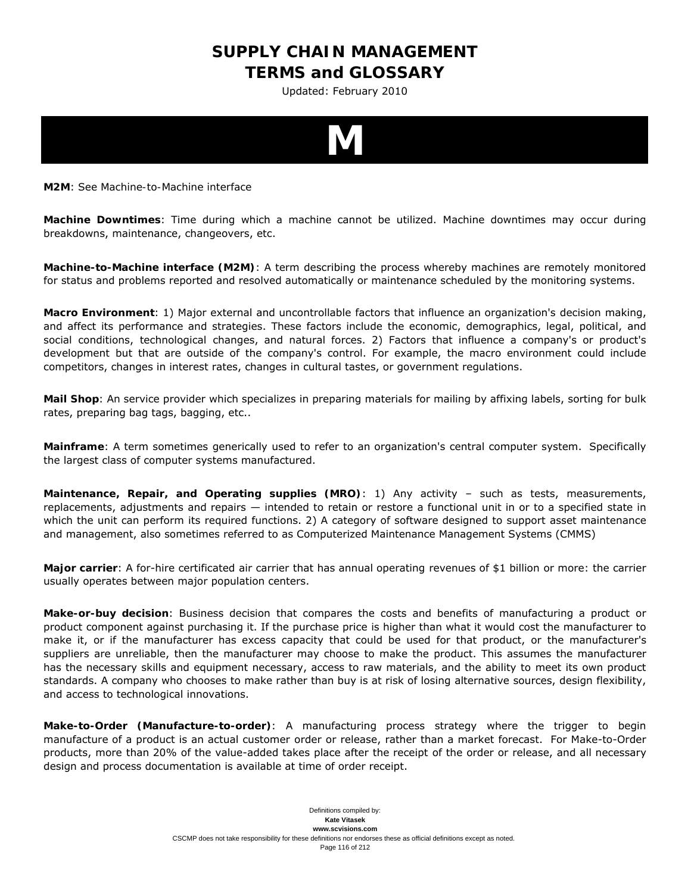Updated: February 2010

# **M**

## **M2M**: See *Machine-to-Machine interface*

**Machine Downtimes**: Time during which a machine cannot be utilized. Machine downtimes may occur during breakdowns, maintenance, changeovers, etc.

**Machine-to-Machine interface (M2M)**: A term describing the process whereby machines are remotely monitored for status and problems reported and resolved automatically or maintenance scheduled by the monitoring systems.

**Macro Environment**: 1) Major external and uncontrollable factors that influence an organization's decision making, and affect its performance and strategies. These factors include the economic, demographics, legal, political, and social conditions, technological changes, and natural forces. 2) Factors that influence a company's or product's development but that are outside of the company's control. For example, the macro environment could include competitors, changes in interest rates, changes in cultural tastes, or government regulations.

**Mail Shop**: An service provider which specializes in preparing materials for mailing by affixing labels, sorting for bulk rates, preparing bag tags, bagging, etc..

**Mainframe**: A term sometimes generically used to refer to an organization's central computer system. Specifically the largest class of computer systems manufactured.

**Maintenance, Repair, and Operating supplies (MRO)**: 1) Any activity – such as tests, measurements, replacements, adjustments and repairs — intended to retain or restore a functional unit in or to a specified state in which the unit can perform its required functions. 2) A category of software designed to support asset maintenance and management, also sometimes referred to as Computerized Maintenance Management Systems (CMMS)

**Major carrier**: A for-hire certificated air carrier that has annual operating revenues of \$1 billion or more: the carrier usually operates between major population centers.

**Make-or-buy decision**: Business decision that compares the costs and benefits of manufacturing a product or product component against purchasing it. If the purchase price is higher than what it would cost the manufacturer to make it, or if the manufacturer has excess capacity that could be used for that product, or the manufacturer's suppliers are unreliable, then the manufacturer may choose to make the product. This assumes the manufacturer has the necessary skills and equipment necessary, access to raw materials, and the ability to meet its own product standards. A company who chooses to make rather than buy is at risk of losing alternative sources, design flexibility, and access to technological innovations.

**Make-to-Order (Manufacture-to-order)**: A manufacturing process strategy where the trigger to begin manufacture of a product is an actual customer order or release, rather than a market forecast. For Make-to-Order products, more than 20% of the value-added takes place after the receipt of the order or release, and all necessary design and process documentation is available at time of order receipt.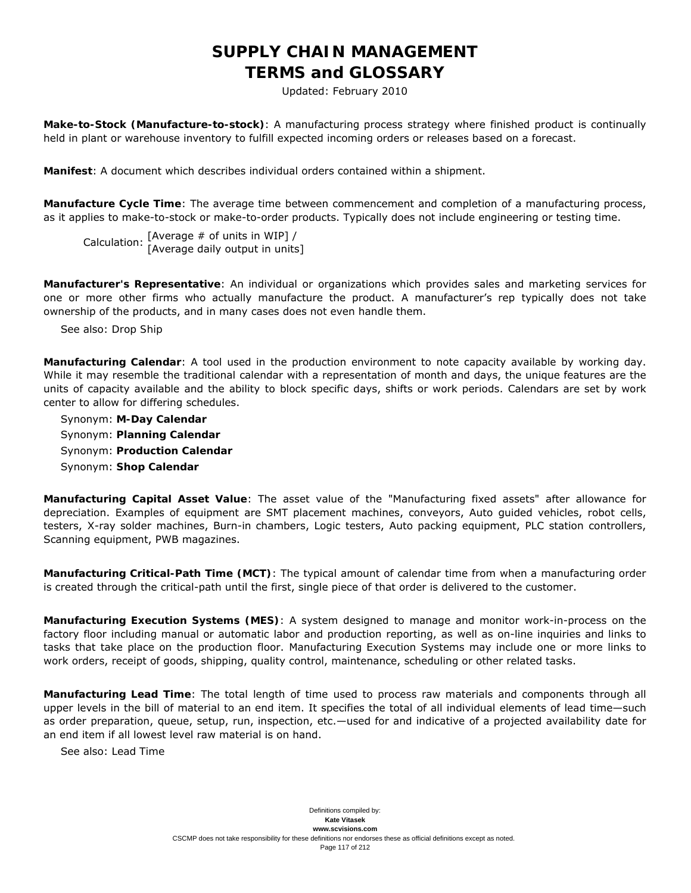Updated: February 2010

**Make-to-Stock (Manufacture-to-stock)**: A manufacturing process strategy where finished product is continually held in plant or warehouse inventory to fulfill expected incoming orders or releases based on a forecast.

**Manifest**: A document which describes individual orders contained within a shipment.

**Manufacture Cycle Time**: The average time between commencement and completion of a manufacturing process, as it applies to make-to-stock or make-to-order products. Typically does not include engineering or testing time.

Calculation:  $[Average # of units in WIP] /$ [Average daily output in units]

**Manufacturer's Representative**: An individual or organizations which provides sales and marketing services for one or more other firms who actually manufacture the product. A manufacturer's rep typically does not take ownership of the products, and in many cases does not even handle them.

See also: *Drop Ship*

**Manufacturing Calendar**: A tool used in the production environment to note capacity available by working day. While it may resemble the traditional calendar with a representation of month and days, the unique features are the units of capacity available and the ability to block specific days, shifts or work periods. Calendars are set by work center to allow for differing schedules.

Synonym: *M-Day Calendar* Synonym: *Production Calendar* Synonym: *Shop Calendar* Synonym: *Planning Calendar*

**Manufacturing Capital Asset Value**: The asset value of the "Manufacturing fixed assets" after allowance for depreciation. Examples of equipment are SMT placement machines, conveyors, Auto guided vehicles, robot cells, testers, X-ray solder machines, Burn-in chambers, Logic testers, Auto packing equipment, PLC station controllers, Scanning equipment, PWB magazines.

**Manufacturing Critical-Path Time (MCT)**: The typical amount of calendar time from when a manufacturing order is created through the critical-path until the first, single piece of that order is delivered to the customer.

**Manufacturing Execution Systems (MES)**: A system designed to manage and monitor work-in-process on the factory floor including manual or automatic labor and production reporting, as well as on-line inquiries and links to tasks that take place on the production floor. Manufacturing Execution Systems may include one or more links to work orders, receipt of goods, shipping, quality control, maintenance, scheduling or other related tasks.

**Manufacturing Lead Time**: The total length of time used to process raw materials and components through all upper levels in the bill of material to an end item. It specifies the total of all individual elements of lead time—such as order preparation, queue, setup, run, inspection, etc.—used for and indicative of a projected availability date for an end item if all lowest level raw material is on hand.

See also: *Lead Time*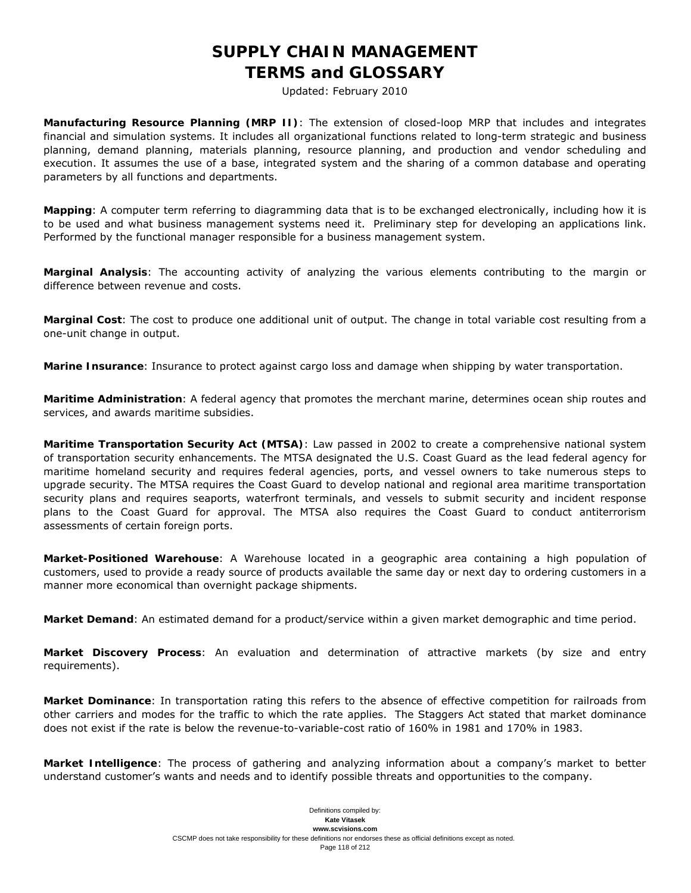Updated: February 2010

**Manufacturing Resource Planning (MRP II)**: The extension of closed-loop MRP that includes and integrates financial and simulation systems. It includes all organizational functions related to long-term strategic and business planning, demand planning, materials planning, resource planning, and production and vendor scheduling and execution. It assumes the use of a base, integrated system and the sharing of a common database and operating parameters by all functions and departments.

**Mapping**: A computer term referring to diagramming data that is to be exchanged electronically, including how it is to be used and what business management systems need it. Preliminary step for developing an applications link. Performed by the functional manager responsible for a business management system.

**Marginal Analysis**: The accounting activity of analyzing the various elements contributing to the margin or difference between revenue and costs.

**Marginal Cost**: The cost to produce one additional unit of output. The change in total variable cost resulting from a one-unit change in output.

**Marine Insurance**: Insurance to protect against cargo loss and damage when shipping by water transportation.

**Maritime Administration**: A federal agency that promotes the merchant marine, determines ocean ship routes and services, and awards maritime subsidies.

**Maritime Transportation Security Act (MTSA)**: Law passed in 2002 to create a comprehensive national system of transportation security enhancements. The MTSA designated the U.S. Coast Guard as the lead federal agency for maritime homeland security and requires federal agencies, ports, and vessel owners to take numerous steps to upgrade security. The MTSA requires the Coast Guard to develop national and regional area maritime transportation security plans and requires seaports, waterfront terminals, and vessels to submit security and incident response plans to the Coast Guard for approval. The MTSA also requires the Coast Guard to conduct antiterrorism assessments of certain foreign ports.

**Market-Positioned Warehouse**: A Warehouse located in a geographic area containing a high population of customers, used to provide a ready source of products available the same day or next day to ordering customers in a manner more economical than overnight package shipments.

**Market Demand**: An estimated demand for a product/service within a given market demographic and time period.

**Market Discovery Process**: An evaluation and determination of attractive markets (by size and entry requirements).

**Market Dominance**: In transportation rating this refers to the absence of effective competition for railroads from other carriers and modes for the traffic to which the rate applies. The Staggers Act stated that market dominance does not exist if the rate is below the revenue-to-variable-cost ratio of 160% in 1981 and 170% in 1983.

**Market Intelligence**: The process of gathering and analyzing information about a company's market to better understand customer's wants and needs and to identify possible threats and opportunities to the company.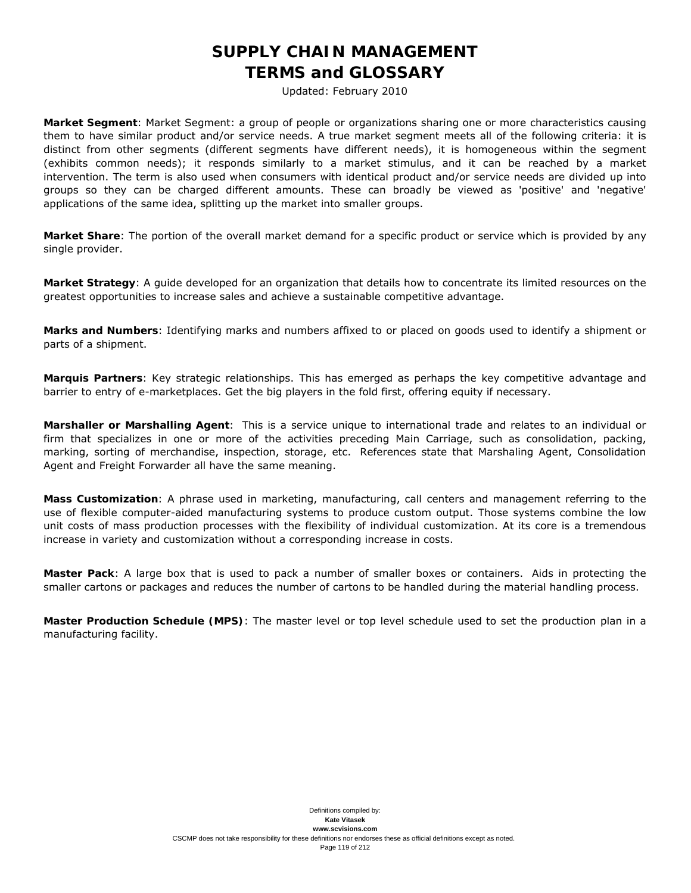Updated: February 2010

**Market Segment**: Market Segment: a group of people or organizations sharing one or more characteristics causing them to have similar product and/or service needs. A true market segment meets all of the following criteria: it is distinct from other segments (different segments have different needs), it is homogeneous within the segment (exhibits common needs); it responds similarly to a market stimulus, and it can be reached by a market intervention. The term is also used when consumers with identical product and/or service needs are divided up into groups so they can be charged different amounts. These can broadly be viewed as 'positive' and 'negative' applications of the same idea, splitting up the market into smaller groups.

**Market Share**: The portion of the overall market demand for a specific product or service which is provided by any single provider.

**Market Strategy**: A guide developed for an organization that details how to concentrate its limited resources on the greatest opportunities to increase sales and achieve a sustainable competitive advantage.

**Marks and Numbers**: Identifying marks and numbers affixed to or placed on goods used to identify a shipment or parts of a shipment.

**Marquis Partners**: Key strategic relationships. This has emerged as perhaps the key competitive advantage and barrier to entry of e-marketplaces. Get the big players in the fold first, offering equity if necessary.

**Marshaller or Marshalling Agent**: This is a service unique to international trade and relates to an individual or firm that specializes in one or more of the activities preceding Main Carriage, such as consolidation, packing, marking, sorting of merchandise, inspection, storage, etc. References state that Marshaling Agent, Consolidation Agent and Freight Forwarder all have the same meaning.

**Mass Customization**: A phrase used in marketing, manufacturing, call centers and management referring to the use of flexible computer-aided manufacturing systems to produce custom output. Those systems combine the low unit costs of mass production processes with the flexibility of individual customization. At its core is a tremendous increase in variety and customization without a corresponding increase in costs.

**Master Pack**: A large box that is used to pack a number of smaller boxes or containers. Aids in protecting the smaller cartons or packages and reduces the number of cartons to be handled during the material handling process.

**Master Production Schedule (MPS)**: The master level or top level schedule used to set the production plan in a manufacturing facility.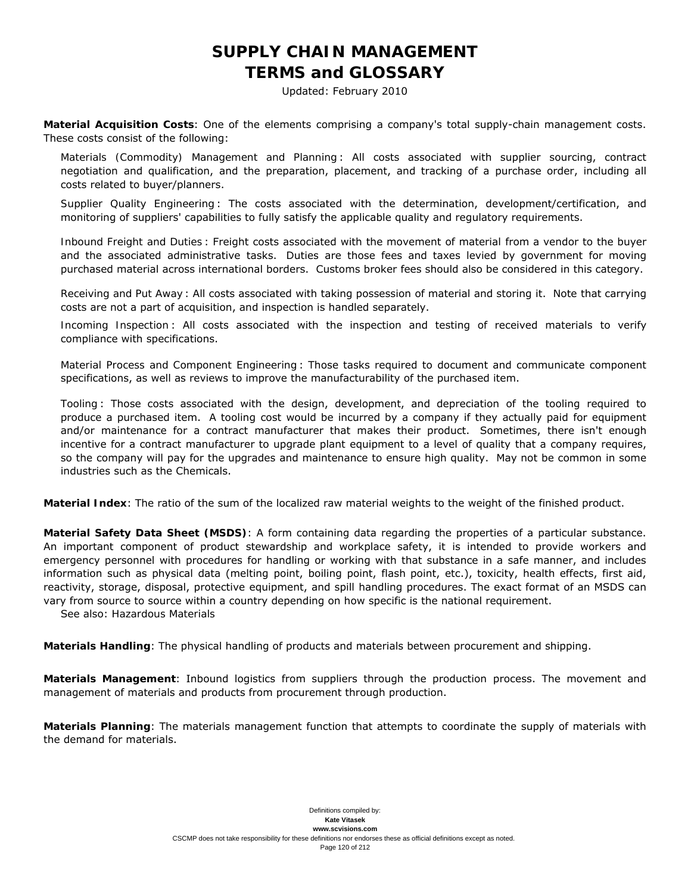Updated: February 2010

**Material Acquisition Costs**: One of the elements comprising a company's total supply-chain management costs. These costs consist of the following:

*Materials (Commodity) Management and Planning* : All costs associated with supplier sourcing, contract negotiation and qualification, and the preparation, placement, and tracking of a purchase order, including all costs related to buyer/planners.

*Supplier Quality Engineering* : The costs associated with the determination, development/certification, and monitoring of suppliers' capabilities to fully satisfy the applicable quality and regulatory requirements.

*Inbound Freight and Duties* : Freight costs associated with the movement of material from a vendor to the buyer and the associated administrative tasks. Duties are those fees and taxes levied by government for moving purchased material across international borders. Customs broker fees should also be considered in this category.

*Receiving and Put Away* : All costs associated with taking possession of material and storing it. Note that carrying costs are not a part of acquisition, and inspection is handled separately.

*Incoming Inspection* : All costs associated with the inspection and testing of received materials to verify compliance with specifications.

*Material Process and Component Engineering* : Those tasks required to document and communicate component specifications, as well as reviews to improve the manufacturability of the purchased item.

*Tooling* : Those costs associated with the design, development, and depreciation of the tooling required to produce a purchased item. A tooling cost would be incurred by a company if they actually paid for equipment and/or maintenance for a contract manufacturer that makes their product. Sometimes, there isn't enough incentive for a contract manufacturer to upgrade plant equipment to a level of quality that a company requires, so the company will pay for the upgrades and maintenance to ensure high quality. May not be common in some industries such as the Chemicals.

**Material Index**: The ratio of the sum of the localized raw material weights to the weight of the finished product.

**Material Safety Data Sheet (MSDS)**: A form containing data regarding the properties of a particular substance. An important component of product stewardship and workplace safety, it is intended to provide workers and emergency personnel with procedures for handling or working with that substance in a safe manner, and includes information such as physical data (melting point, boiling point, flash point, etc.), toxicity, health effects, first aid, reactivity, storage, disposal, protective equipment, and spill handling procedures. The exact format of an MSDS can vary from source to source within a country depending on how specific is the national requirement.

See also: *Hazardous Materials*

**Materials Handling**: The physical handling of products and materials between procurement and shipping.

**Materials Management**: Inbound logistics from suppliers through the production process. The movement and management of materials and products from procurement through production.

**Materials Planning**: The materials management function that attempts to coordinate the supply of materials with the demand for materials.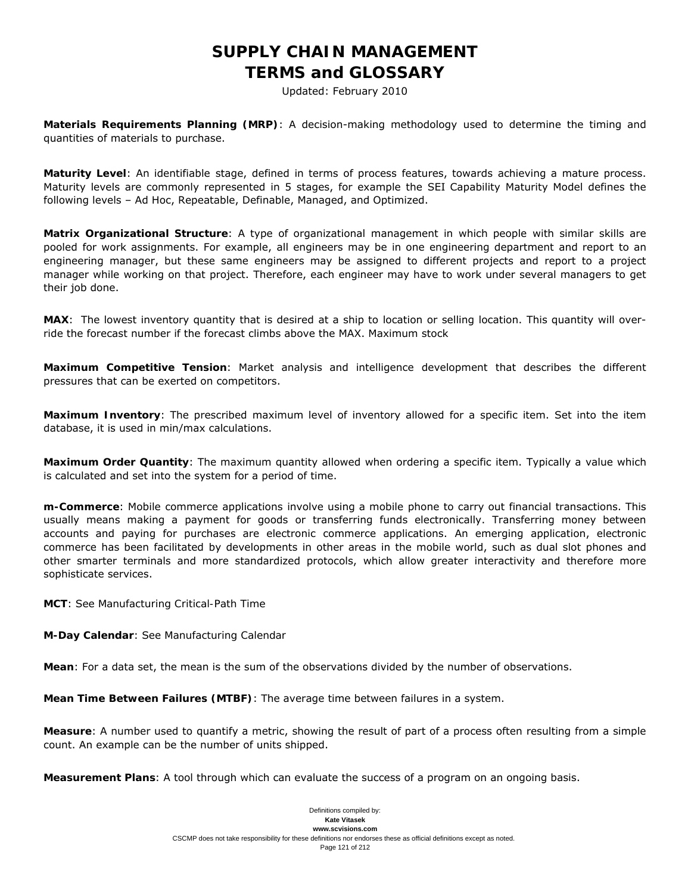Updated: February 2010

**Materials Requirements Planning (MRP)**: A decision-making methodology used to determine the timing and quantities of materials to purchase.

**Maturity Level**: An identifiable stage, defined in terms of process features, towards achieving a mature process. Maturity levels are commonly represented in 5 stages, for example the SEI Capability Maturity Model defines the following levels – Ad Hoc, Repeatable, Definable, Managed, and Optimized.

**Matrix Organizational Structure**: A type of organizational management in which people with similar skills are pooled for work assignments. For example, all engineers may be in one engineering department and report to an engineering manager, but these same engineers may be assigned to different projects and report to a project manager while working on that project. Therefore, each engineer may have to work under several managers to get their job done.

**MAX**: The lowest inventory quantity that is desired at a ship to location or selling location. This quantity will override the forecast number if the forecast climbs above the MAX. Maximum stock

**Maximum Competitive Tension**: Market analysis and intelligence development that describes the different pressures that can be exerted on competitors.

**Maximum Inventory**: The prescribed maximum level of inventory allowed for a specific item. Set into the item database, it is used in min/max calculations.

**Maximum Order Quantity**: The maximum quantity allowed when ordering a specific item. Typically a value which is calculated and set into the system for a period of time.

**m-Commerce**: Mobile commerce applications involve using a mobile phone to carry out financial transactions. This usually means making a payment for goods or transferring funds electronically. Transferring money between accounts and paying for purchases are electronic commerce applications. An emerging application, electronic commerce has been facilitated by developments in other areas in the mobile world, such as dual slot phones and other smarter terminals and more standardized protocols, which allow greater interactivity and therefore more sophisticate services.

**MCT**: See *Manufacturing Critical-Path Time*

**M-Day Calendar**: See *Manufacturing Calendar*

**Mean**: For a data set, the mean is the sum of the observations divided by the number of observations.

**Mean Time Between Failures (MTBF)**: The average time between failures in a system.

**Measure**: A number used to quantify a metric, showing the result of part of a process often resulting from a simple count. An example can be the number of units shipped.

**Measurement Plans**: A tool through which can evaluate the success of a program on an ongoing basis.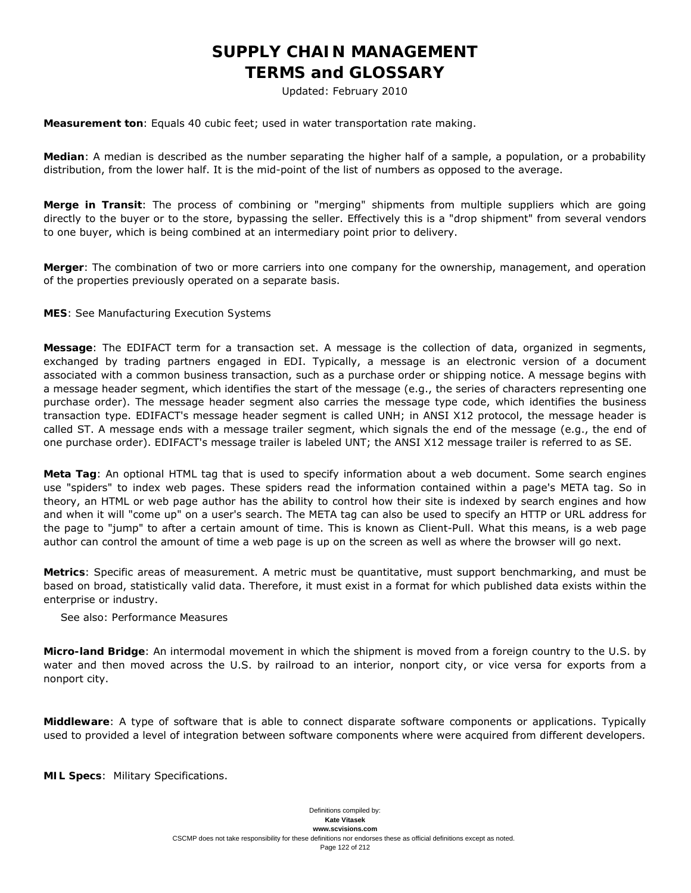Updated: February 2010

**Measurement ton**: Equals 40 cubic feet; used in water transportation rate making.

**Median**: A median is described as the number separating the higher half of a sample, a population, or a probability distribution, from the lower half. It is the mid-point of the list of numbers as opposed to the average.

**Merge in Transit**: The process of combining or "merging" shipments from multiple suppliers which are going directly to the buyer or to the store, bypassing the seller. Effectively this is a "drop shipment" from several vendors to one buyer, which is being combined at an intermediary point prior to delivery.

**Merger**: The combination of two or more carriers into one company for the ownership, management, and operation of the properties previously operated on a separate basis.

#### **MES**: See *Manufacturing Execution Systems*

**Message**: The EDIFACT term for a transaction set. A message is the collection of data, organized in segments, exchanged by trading partners engaged in EDI. Typically, a message is an electronic version of a document associated with a common business transaction, such as a purchase order or shipping notice. A message begins with a message header segment, which identifies the start of the message (e.g., the series of characters representing one purchase order). The message header segment also carries the message type code, which identifies the business transaction type. EDIFACT's message header segment is called UNH; in ANSI X12 protocol, the message header is called ST. A message ends with a message trailer segment, which signals the end of the message (e.g., the end of one purchase order). EDIFACT's message trailer is labeled UNT; the ANSI X12 message trailer is referred to as SE.

**Meta Tag**: An optional HTML tag that is used to specify information about a web document. Some search engines use "spiders" to index web pages. These spiders read the information contained within a page's META tag. So in theory, an HTML or web page author has the ability to control how their site is indexed by search engines and how and when it will "come up" on a user's search. The META tag can also be used to specify an HTTP or URL address for the page to "jump" to after a certain amount of time. This is known as Client-Pull. What this means, is a web page author can control the amount of time a web page is up on the screen as well as where the browser will go next.

**Metrics**: Specific areas of measurement. A metric must be quantitative, must support benchmarking, and must be based on broad, statistically valid data. Therefore, it must exist in a format for which published data exists within the enterprise or industry.

#### See also: *Performance Measures*

**Micro-land Bridge**: An intermodal movement in which the shipment is moved from a foreign country to the U.S. by water and then moved across the U.S. by railroad to an interior, nonport city, or vice versa for exports from a nonport city.

**Middleware**: A type of software that is able to connect disparate software components or applications. Typically used to provided a level of integration between software components where were acquired from different developers.

**MIL Specs**: Military Specifications.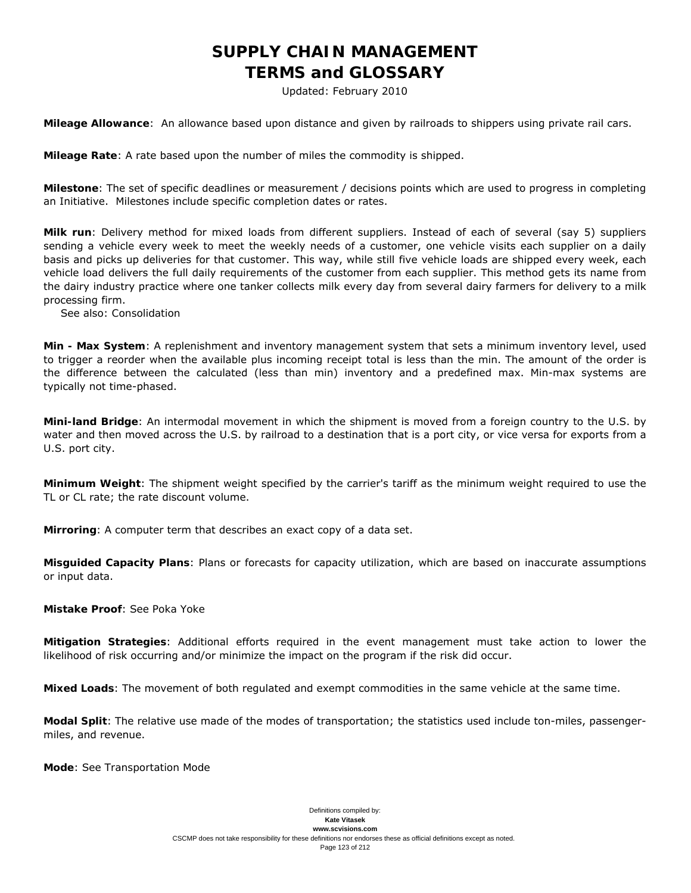Updated: February 2010

**Mileage Allowance**: An allowance based upon distance and given by railroads to shippers using private rail cars.

**Mileage Rate**: A rate based upon the number of miles the commodity is shipped.

**Milestone**: The set of specific deadlines or measurement / decisions points which are used to progress in completing an Initiative. Milestones include specific completion dates or rates.

**Milk run**: Delivery method for mixed loads from different suppliers. Instead of each of several (say 5) suppliers sending a vehicle every week to meet the weekly needs of a customer, one vehicle visits each supplier on a daily basis and picks up deliveries for that customer. This way, while still five vehicle loads are shipped every week, each vehicle load delivers the full daily requirements of the customer from each supplier. This method gets its name from the dairy industry practice where one tanker collects milk every day from several dairy farmers for delivery to a milk processing firm.

See also: *Consolidation*

**Min - Max System**: A replenishment and inventory management system that sets a minimum inventory level, used to trigger a reorder when the available plus incoming receipt total is less than the min. The amount of the order is the difference between the calculated (less than min) inventory and a predefined max. Min-max systems are typically not time-phased.

**Mini-land Bridge**: An intermodal movement in which the shipment is moved from a foreign country to the U.S. by water and then moved across the U.S. by railroad to a destination that is a port city, or vice versa for exports from a U.S. port city.

**Minimum Weight**: The shipment weight specified by the carrier's tariff as the minimum weight required to use the TL or CL rate; the rate discount volume.

**Mirroring**: A computer term that describes an exact copy of a data set.

**Misguided Capacity Plans**: Plans or forecasts for capacity utilization, which are based on inaccurate assumptions or input data.

**Mistake Proof**: See *Poka Yoke*

**Mitigation Strategies**: Additional efforts required in the event management must take action to lower the likelihood of risk occurring and/or minimize the impact on the program if the risk did occur.

**Mixed Loads**: The movement of both regulated and exempt commodities in the same vehicle at the same time.

**Modal Split**: The relative use made of the modes of transportation; the statistics used include ton-miles, passengermiles, and revenue.

**Mode**: See *Transportation Mode*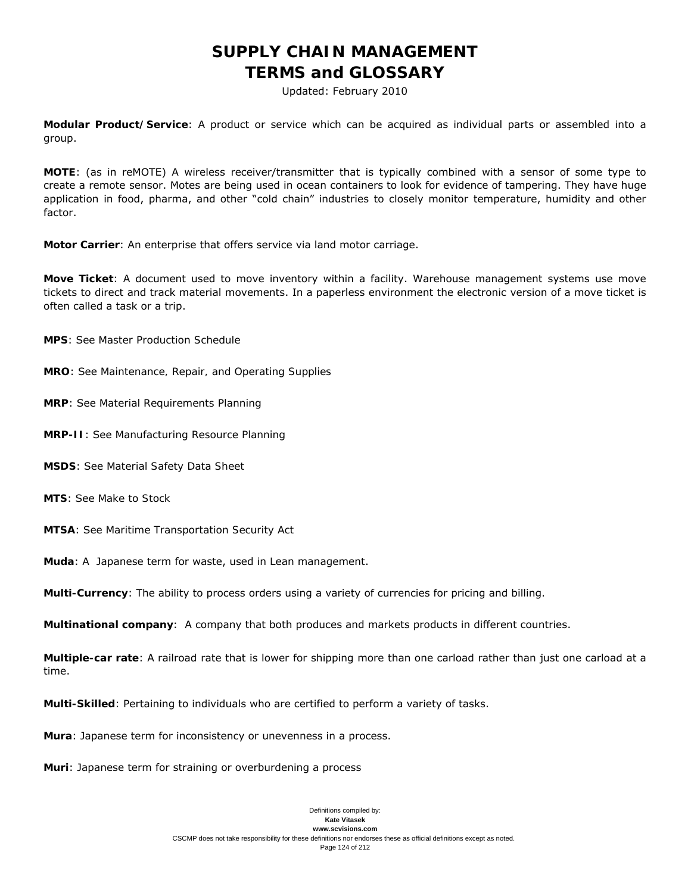Updated: February 2010

**Modular Product/Service**: A product or service which can be acquired as individual parts or assembled into a group.

**MOTE**: (as in reMOTE) A wireless receiver/transmitter that is typically combined with a sensor of some type to create a remote sensor. Motes are being used in ocean containers to look for evidence of tampering. They have huge application in food, pharma, and other "cold chain" industries to closely monitor temperature, humidity and other factor.

**Motor Carrier**: An enterprise that offers service via land motor carriage.

**Move Ticket**: A document used to move inventory within a facility. Warehouse management systems use move tickets to direct and track material movements. In a paperless environment the electronic version of a move ticket is often called a task or a trip.

**MPS**: See *Master Production Schedule*

**MRO**: See *Maintenance, Repair, and Operating Supplies*

**MRP**: See *Material Requirements Planning*

**MRP-II**: See *Manufacturing Resource Planning*

**MSDS**: See *Material Safety Data Sheet*

**MTS**: See *Make to Stock*

**MTSA**: See *Maritime Transportation Security Act*

**Muda**: A Japanese term for waste, used in Lean management.

**Multi-Currency**: The ability to process orders using a variety of currencies for pricing and billing.

**Multinational company**: A company that both produces and markets products in different countries.

**Multiple-car rate**: A railroad rate that is lower for shipping more than one carload rather than just one carload at a time.

**Multi-Skilled**: Pertaining to individuals who are certified to perform a variety of tasks.

**Mura**: Japanese term for inconsistency or unevenness in a process.

**Muri**: Japanese term for straining or overburdening a process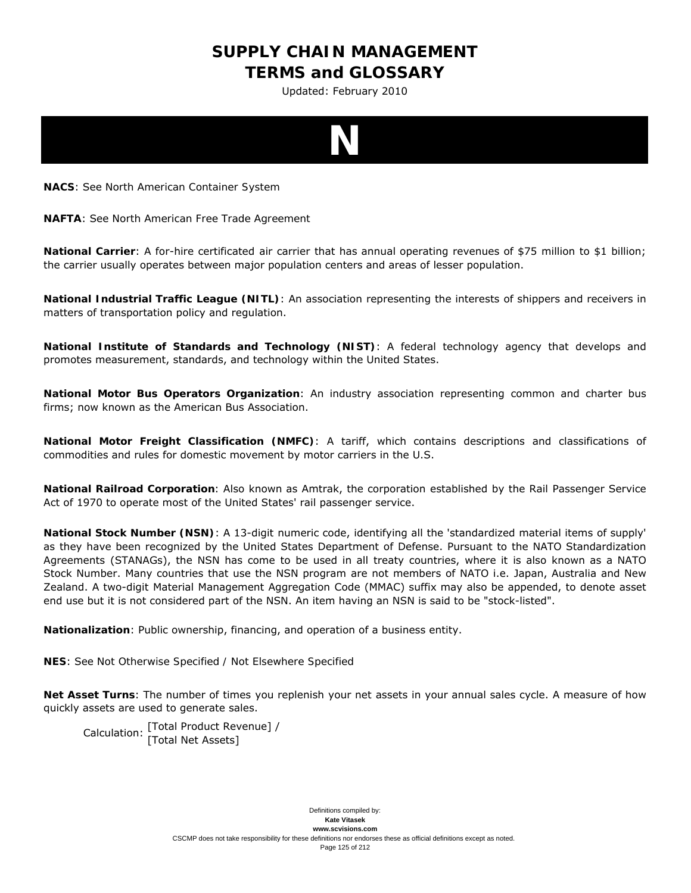Updated: February 2010



**NACS**: See *North American Container System*

**NAFTA**: See *North American Free Trade Agreement*

**National Carrier**: A for-hire certificated air carrier that has annual operating revenues of \$75 million to \$1 billion; the carrier usually operates between major population centers and areas of lesser population.

**National Industrial Traffic League (NITL)**: An association representing the interests of shippers and receivers in matters of transportation policy and regulation.

**National Institute of Standards and Technology (NIST)**: A federal technology agency that develops and promotes measurement, standards, and technology within the United States.

**National Motor Bus Operators Organization**: An industry association representing common and charter bus firms; now known as the American Bus Association.

**National Motor Freight Classification (NMFC)**: A tariff, which contains descriptions and classifications of commodities and rules for domestic movement by motor carriers in the U.S.

**National Railroad Corporation**: Also known as Amtrak, the corporation established by the Rail Passenger Service Act of 1970 to operate most of the United States' rail passenger service.

**National Stock Number (NSN)**: A 13-digit numeric code, identifying all the 'standardized material items of supply' as they have been recognized by the United States Department of Defense. Pursuant to the NATO Standardization Agreements (STANAGs), the NSN has come to be used in all treaty countries, where it is also known as a NATO Stock Number. Many countries that use the NSN program are not members of NATO i.e. Japan, Australia and New Zealand. A two-digit Material Management Aggregation Code (MMAC) suffix may also be appended, to denote asset end use but it is not considered part of the NSN. An item having an NSN is said to be "stock-listed".

**Nationalization**: Public ownership, financing, and operation of a business entity.

**NES**: See *Not Otherwise Specified / Not Elsewhere Specified*

**Net Asset Turns**: The number of times you replenish your net assets in your annual sales cycle. A measure of how quickly assets are used to generate sales.

Calculation: [Total Product Revenue] / [Total Net Assets]

Definitions compiled by: **Kate Vitasek www.scvisions.com** CSCMP does not take responsibility for these definitions nor endorses these as official definitions except as noted. Page 125 of 212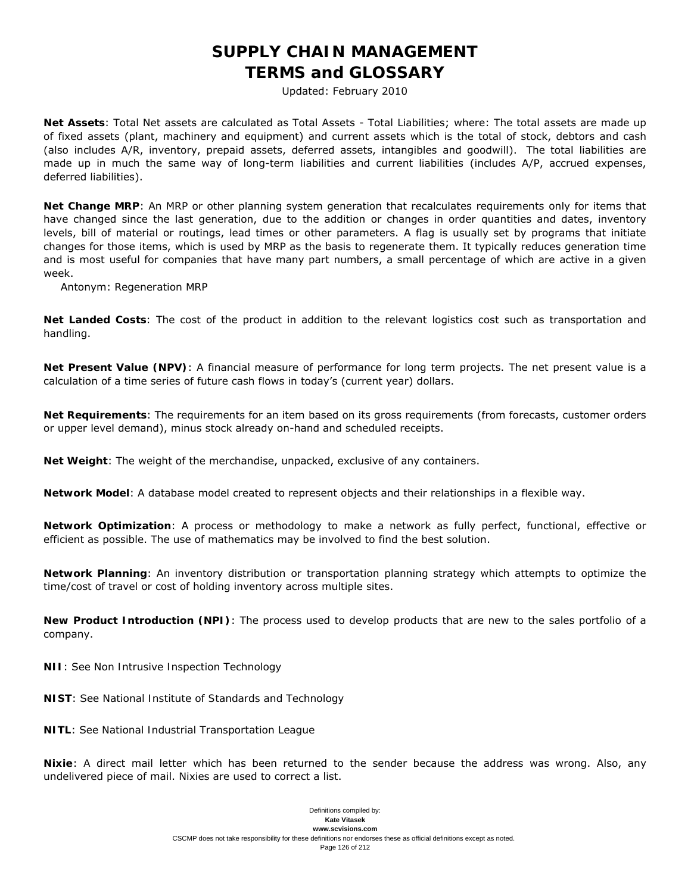Updated: February 2010

**Net Assets**: Total Net assets are calculated as Total Assets - Total Liabilities; where: The total assets are made up of fixed assets (plant, machinery and equipment) and current assets which is the total of stock, debtors and cash (also includes A/R, inventory, prepaid assets, deferred assets, intangibles and goodwill). The total liabilities are made up in much the same way of long-term liabilities and current liabilities (includes A/P, accrued expenses, deferred liabilities).

**Net Change MRP**: An MRP or other planning system generation that recalculates requirements only for items that have changed since the last generation, due to the addition or changes in order quantities and dates, inventory levels, bill of material or routings, lead times or other parameters. A flag is usually set by programs that initiate changes for those items, which is used by MRP as the basis to regenerate them. It typically reduces generation time and is most useful for companies that have many part numbers, a small percentage of which are active in a given week.

Antonym: *Regeneration MRP*

**Net Landed Costs**: The cost of the product in addition to the relevant logistics cost such as transportation and handling.

**Net Present Value (NPV)**: A financial measure of performance for long term projects. The net present value is a calculation of a time series of future cash flows in today's (current year) dollars.

**Net Requirements**: The requirements for an item based on its gross requirements (from forecasts, customer orders or upper level demand), minus stock already on-hand and scheduled receipts.

**Net Weight**: The weight of the merchandise, unpacked, exclusive of any containers.

**Network Model**: A database model created to represent objects and their relationships in a flexible way.

**Network Optimization**: A process or methodology to make a network as fully perfect, functional, effective or efficient as possible. The use of mathematics may be involved to find the best solution.

**Network Planning**: An inventory distribution or transportation planning strategy which attempts to optimize the time/cost of travel or cost of holding inventory across multiple sites.

**New Product Introduction (NPI)**: The process used to develop products that are new to the sales portfolio of a company.

**NII**: See *Non Intrusive Inspection Technology*

**NIST**: See *National Institute of Standards and Technology*

**NITL**: See *National Industrial Transportation League*

**Nixie**: A direct mail letter which has been returned to the sender because the address was wrong. Also, any undelivered piece of mail. Nixies are used to correct a list.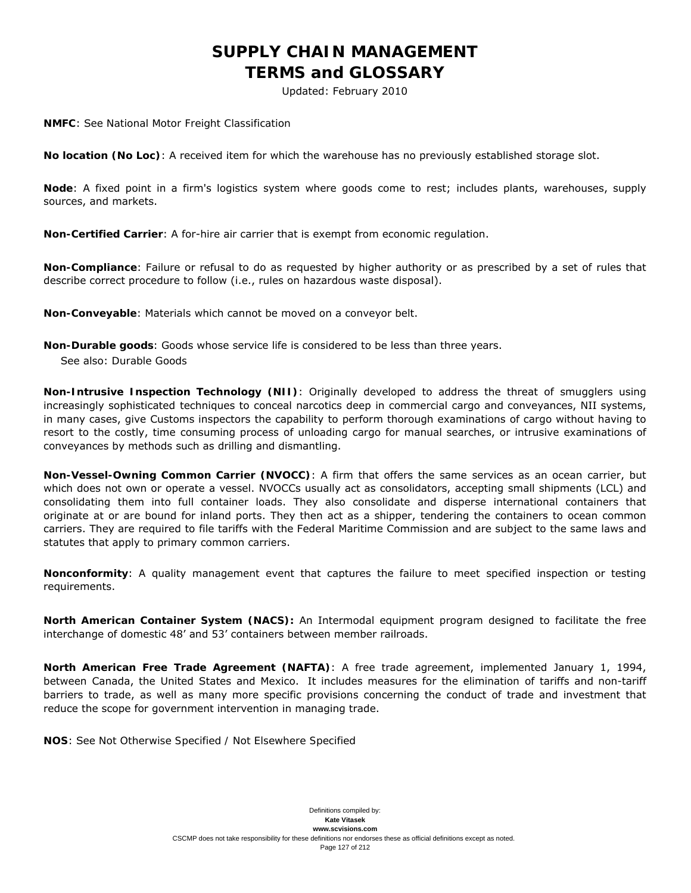Updated: February 2010

**NMFC**: See *National Motor Freight Classification*

**No location (No Loc)**: A received item for which the warehouse has no previously established storage slot.

**Node**: A fixed point in a firm's logistics system where goods come to rest; includes plants, warehouses, supply sources, and markets.

**Non-Certified Carrier**: A for-hire air carrier that is exempt from economic regulation.

**Non-Compliance**: Failure or refusal to do as requested by higher authority or as prescribed by a set of rules that describe correct procedure to follow (i.e., rules on hazardous waste disposal).

**Non-Conveyable**: Materials which cannot be moved on a conveyor belt.

**Non-Durable goods**: Goods whose service life is considered to be less than three years.

See also: *Durable Goods*

**Non-Intrusive Inspection Technology (NII)**: Originally developed to address the threat of smugglers using increasingly sophisticated techniques to conceal narcotics deep in commercial cargo and conveyances, NII systems, in many cases, give Customs inspectors the capability to perform thorough examinations of cargo without having to resort to the costly, time consuming process of unloading cargo for manual searches, or intrusive examinations of conveyances by methods such as drilling and dismantling.

**Non-Vessel-Owning Common Carrier (NVOCC)**: A firm that offers the same services as an ocean carrier, but which does not own or operate a vessel. NVOCCs usually act as consolidators, accepting small shipments (LCL) and consolidating them into full container loads. They also consolidate and disperse international containers that originate at or are bound for inland ports. They then act as a shipper, tendering the containers to ocean common carriers. They are required to file tariffs with the Federal Maritime Commission and are subject to the same laws and statutes that apply to primary common carriers.

**Nonconformity**: A quality management event that captures the failure to meet specified inspection or testing requirements.

**North American Container System (NACS):** An Intermodal equipment program designed to facilitate the free interchange of domestic 48' and 53' containers between member railroads.

**North American Free Trade Agreement (NAFTA)**: A free trade agreement, implemented January 1, 1994, between Canada, the United States and Mexico. It includes measures for the elimination of tariffs and non-tariff barriers to trade, as well as many more specific provisions concerning the conduct of trade and investment that reduce the scope for government intervention in managing trade.

**NOS**: See *Not Otherwise Specified / Not Elsewhere Specified*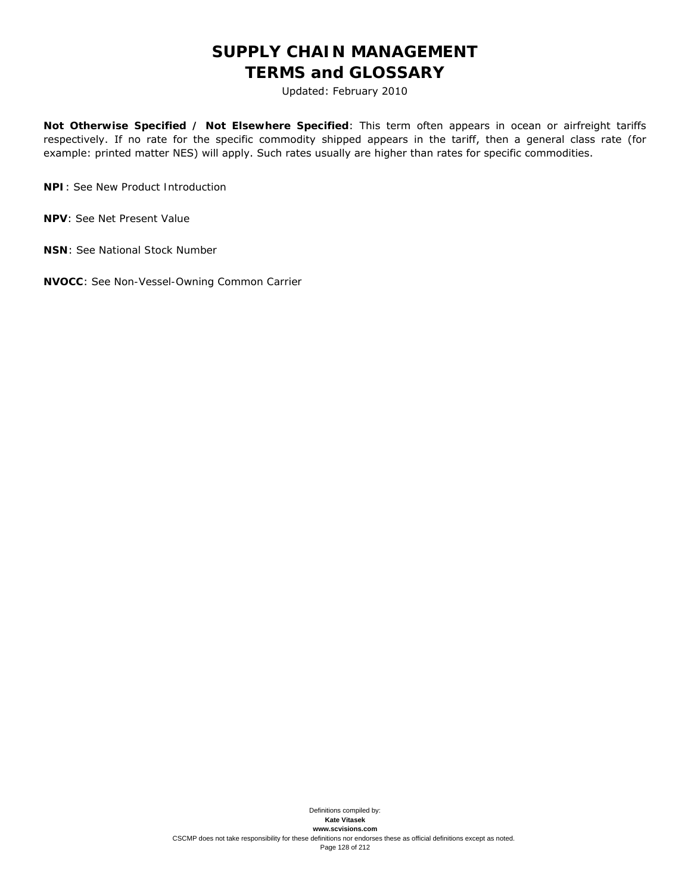Updated: February 2010

**Not Otherwise Specified / Not Elsewhere Specified**: This term often appears in ocean or airfreight tariffs respectively. If no rate for the specific commodity shipped appears in the tariff, then a general class rate (for example: printed matter NES) will apply. Such rates usually are higher than rates for specific commodities.

**NPI**: See *New Product Introduction*

**NPV**: See *Net Present Value*

**NSN**: See *National Stock Number*

**NVOCC**: See *Non-Vessel-Owning Common Carrier*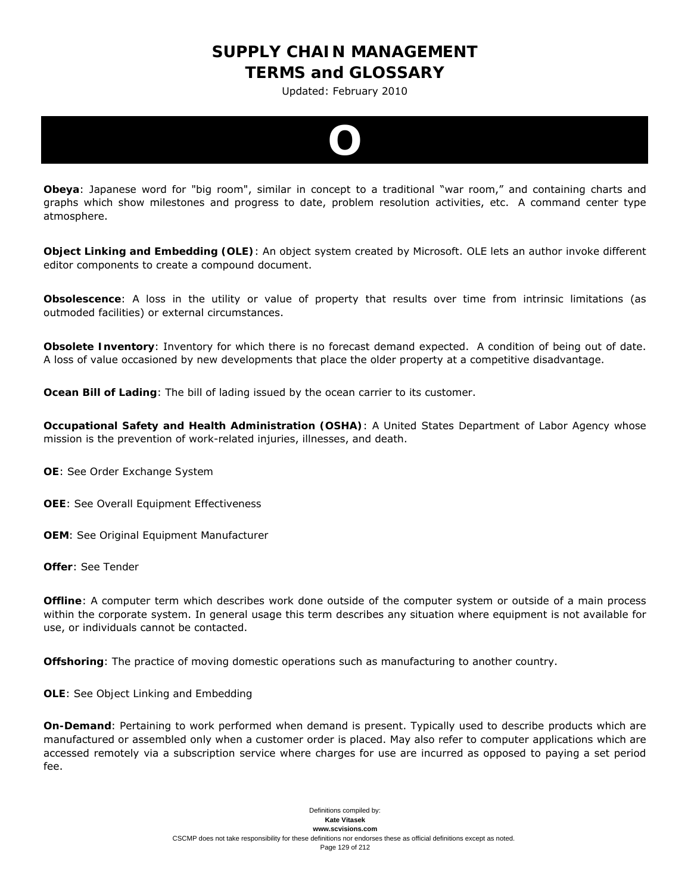Updated: February 2010

# **O**

**Obeya**: Japanese word for "big room", similar in concept to a traditional "war room," and containing charts and graphs which show milestones and progress to date, problem resolution activities, etc. A command center type atmosphere.

**Object Linking and Embedding (OLE)**: An object system created by Microsoft. OLE lets an author invoke different editor components to create a compound document.

**Obsolescence**: A loss in the utility or value of property that results over time from intrinsic limitations (as outmoded facilities) or external circumstances.

**Obsolete Inventory**: Inventory for which there is no forecast demand expected. A condition of being out of date. A loss of value occasioned by new developments that place the older property at a competitive disadvantage.

**Ocean Bill of Lading**: The bill of lading issued by the ocean carrier to its customer.

**Occupational Safety and Health Administration (OSHA)**: A United States Department of Labor Agency whose mission is the prevention of work-related injuries, illnesses, and death.

**OE**: See *Order Exchange System*

**OEE**: See *Overall Equipment Effectiveness*

**OEM**: See *Original Equipment Manufacturer*

**Offer**: See *Tender*

**Offline**: A computer term which describes work done outside of the computer system or outside of a main process within the corporate system. In general usage this term describes any situation where equipment is not available for use, or individuals cannot be contacted.

**Offshoring**: The practice of moving domestic operations such as manufacturing to another country.

**OLE**: See *Object Linking and Embedding*

**On-Demand**: Pertaining to work performed when demand is present. Typically used to describe products which are manufactured or assembled only when a customer order is placed. May also refer to computer applications which are accessed remotely via a subscription service where charges for use are incurred as opposed to paying a set period fee.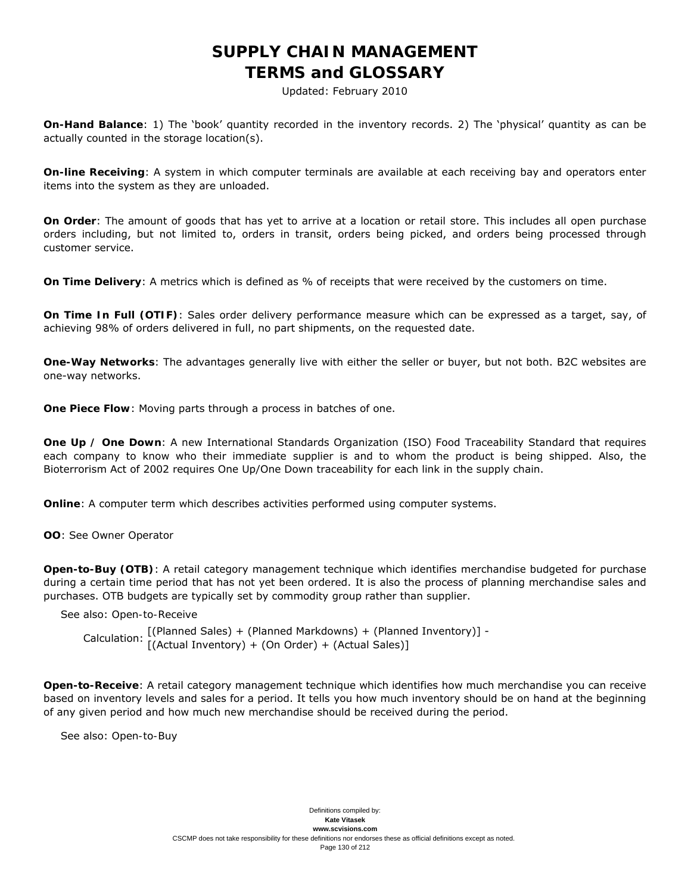Updated: February 2010

**On-Hand Balance**: 1) The 'book' quantity recorded in the inventory records. 2) The 'physical' quantity as can be actually counted in the storage location(s).

**On-line Receiving**: A system in which computer terminals are available at each receiving bay and operators enter items into the system as they are unloaded.

**On Order**: The amount of goods that has yet to arrive at a location or retail store. This includes all open purchase orders including, but not limited to, orders in transit, orders being picked, and orders being processed through customer service.

**On Time Delivery**: A metrics which is defined as % of receipts that were received by the customers on time.

**On Time In Full (OTIF)**: Sales order delivery performance measure which can be expressed as a target, say, of achieving 98% of orders delivered in full, no part shipments, on the requested date.

**One-Way Networks**: The advantages generally live with either the seller or buyer, but not both. B2C websites are one-way networks.

**One Piece Flow**: Moving parts through a process in batches of one.

**One Up / One Down**: A new International Standards Organization (ISO) Food Traceability Standard that requires each company to know who their immediate supplier is and to whom the product is being shipped. Also, the Bioterrorism Act of 2002 requires One Up/One Down traceability for each link in the supply chain.

**Online**: A computer term which describes activities performed using computer systems.

**OO**: See *Owner Operator*

**Open-to-Buy (OTB)**: A retail category management technique which identifies merchandise budgeted for purchase during a certain time period that has not yet been ordered. It is also the process of planning merchandise sales and purchases. OTB budgets are typically set by commodity group rather than supplier.

See also: *Open-to-Receive*

Calculation: [(Planned Sales) + (Planned Markdowns) + (Planned Inventory)] - [(Actual Inventory) + (On Order) + (Actual Sales)]

**Open-to-Receive**: A retail category management technique which identifies how much merchandise you can receive based on inventory levels and sales for a period. It tells you how much inventory should be on hand at the beginning of any given period and how much new merchandise should be received during the period.

See also: *Open-to-Buy*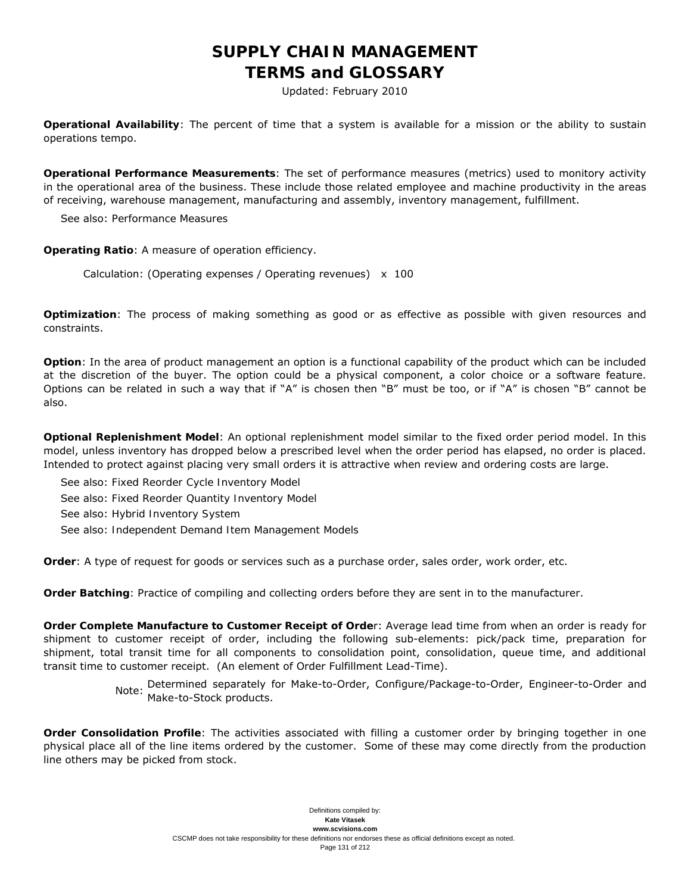Updated: February 2010

**Operational Availability**: The percent of time that a system is available for a mission or the ability to sustain operations tempo.

**Operational Performance Measurements**: The set of performance measures (metrics) used to monitory activity in the operational area of the business. These include those related employee and machine productivity in the areas of receiving, warehouse management, manufacturing and assembly, inventory management, fulfillment.

See also: *Performance Measures*

**Operating Ratio**: A measure of operation efficiency.

Calculation: (Operating expenses / Operating revenues) x 100

**Optimization**: The process of making something as good or as effective as possible with given resources and constraints.

**Option**: In the area of product management an option is a functional capability of the product which can be included at the discretion of the buyer. The option could be a physical component, a color choice or a software feature. Options can be related in such a way that if "A" is chosen then "B" must be too, or if "A" is chosen "B" cannot be also.

**Optional Replenishment Model**: An optional replenishment model similar to the fixed order period model. In this model, unless inventory has dropped below a prescribed level when the order period has elapsed, no order is placed. Intended to protect against placing very small orders it is attractive when review and ordering costs are large.

See also: *Fixed Reorder Cycle Inventory Model* See also: *Fixed Reorder Quantity Inventory Model* See also: *Hybrid Inventory System* See also: *Independent Demand Item Management Models*

**Order**: A type of request for goods or services such as a purchase order, sales order, work order, etc.

**Order Batching**: Practice of compiling and collecting orders before they are sent in to the manufacturer.

**Order Complete Manufacture to Customer Receipt of Orde**r: Average lead time from when an order is ready for shipment to customer receipt of order, including the following sub-elements: pick/pack time, preparation for shipment, total transit time for all components to consolidation point, consolidation, queue time, and additional transit time to customer receipt. (An element of Order Fulfillment Lead-Time).

Note: Determined separately for Make-to-Order, Configure/Package-to-Order, Engineer-to-Order and Make-to-Stock products.

**Order Consolidation Profile**: The activities associated with filling a customer order by bringing together in one physical place all of the line items ordered by the customer. Some of these may come directly from the production line others may be picked from stock.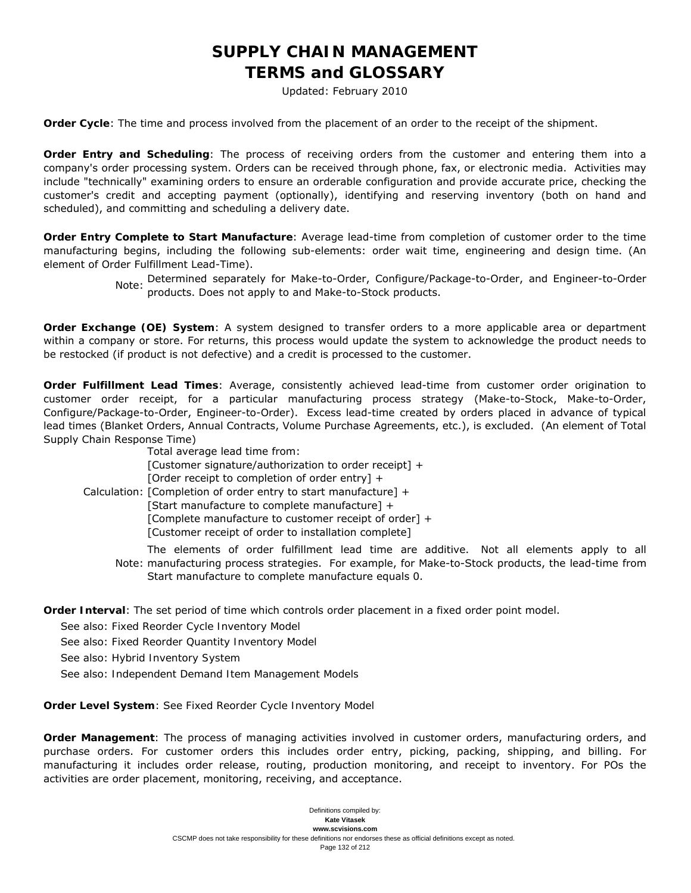Updated: February 2010

**Order Cycle**: The time and process involved from the placement of an order to the receipt of the shipment.

**Order Entry and Scheduling**: The process of receiving orders from the customer and entering them into a company's order processing system. Orders can be received through phone, fax, or electronic media. Activities may include "technically" examining orders to ensure an orderable configuration and provide accurate price, checking the customer's credit and accepting payment (optionally), identifying and reserving inventory (both on hand and scheduled), and committing and scheduling a delivery date.

**Order Entry Complete to Start Manufacture**: Average lead-time from completion of customer order to the time manufacturing begins, including the following sub-elements: order wait time, engineering and design time. (An element of Order Fulfillment Lead-Time).

Note: Determined separately for Make-to-Order, Configure/Package-to-Order, and Engineer-to-Order products. Does not apply to and Make-to-Stock products.

**Order Exchange (OE) System**: A system designed to transfer orders to a more applicable area or department within a company or store. For returns, this process would update the system to acknowledge the product needs to be restocked (if product is not defective) and a credit is processed to the customer.

**Order Fulfillment Lead Times**: Average, consistently achieved lead-time from customer order origination to customer order receipt, for a particular manufacturing process strategy (Make-to-Stock, Make-to-Order, Configure/Package-to-Order, Engineer-to-Order). Excess lead-time created by orders placed in advance of typical lead times (Blanket Orders, Annual Contracts, Volume Purchase Agreements, etc.), is excluded. (An element of Total Supply Chain Response Time)

The elements of order fulfillment lead time are additive. Not all elements apply to all Calculation: [Completion of order entry to start manufacture] + Total average lead time from: [Customer signature/authorization to order receipt] + [Order receipt to completion of order entry] + [Start manufacture to complete manufacture] + [Complete manufacture to customer receipt of order] + [Customer receipt of order to installation complete]

Note: manufacturing process strategies. For example, for Make-to-Stock products, the lead-time from Start manufacture to complete manufacture equals 0.

**Order Interval**: The set period of time which controls order placement in a fixed order point model.

See also: *Fixed Reorder Cycle Inventory Model*

See also: *Fixed Reorder Quantity Inventory Model*

See also: *Hybrid Inventory System*

See also: *Independent Demand Item Management Models*

**Order Level System**: See *Fixed Reorder Cycle Inventory Model* 

**Order Management**: The process of managing activities involved in customer orders, manufacturing orders, and purchase orders. For customer orders this includes order entry, picking, packing, shipping, and billing. For manufacturing it includes order release, routing, production monitoring, and receipt to inventory. For POs the activities are order placement, monitoring, receiving, and acceptance.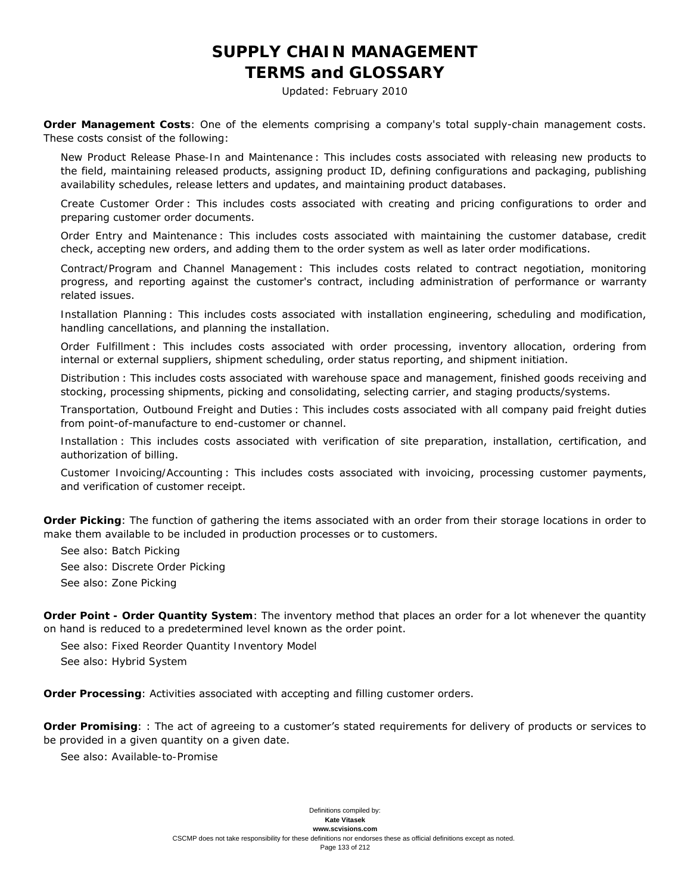Updated: February 2010

**Order Management Costs**: One of the elements comprising a company's total supply-chain management costs. These costs consist of the following:

*New Product Release Phase-In and Maintenance* : This includes costs associated with releasing new products to the field, maintaining released products, assigning product ID, defining configurations and packaging, publishing availability schedules, release letters and updates, and maintaining product databases.

*Create Customer Order* : This includes costs associated with creating and pricing configurations to order and preparing customer order documents.

*Order Entry and Maintenance* : This includes costs associated with maintaining the customer database, credit check, accepting new orders, and adding them to the order system as well as later order modifications.

*Contract/Program and Channel Management* : This includes costs related to contract negotiation, monitoring progress, and reporting against the customer's contract, including administration of performance or warranty related issues.

*Installation Planning* : This includes costs associated with installation engineering, scheduling and modification, handling cancellations, and planning the installation.

*Order Fulfillment* : This includes costs associated with order processing, inventory allocation, ordering from internal or external suppliers, shipment scheduling, order status reporting, and shipment initiation.

*Distribution* : This includes costs associated with warehouse space and management, finished goods receiving and stocking, processing shipments, picking and consolidating, selecting carrier, and staging products/systems.

*Transportation, Outbound Freight and Duties* : This includes costs associated with all company paid freight duties from point-of-manufacture to end-customer or channel.

*Installation* : This includes costs associated with verification of site preparation, installation, certification, and authorization of billing.

*Customer Invoicing/Accounting* : This includes costs associated with invoicing, processing customer payments, and verification of customer receipt.

**Order Picking**: The function of gathering the items associated with an order from their storage locations in order to make them available to be included in production processes or to customers.

See also: *Zone Picking* See also: *Batch Picking* See also: *Discrete Order Picking*

**Order Point - Order Quantity System**: The inventory method that places an order for a lot whenever the quantity on hand is reduced to a predetermined level known as the order point.

See also: *Fixed Reorder Quantity Inventory Model* See also: *Hybrid System*

**Order Processing**: Activities associated with accepting and filling customer orders.

**Order Promising**: : The act of agreeing to a customer's stated requirements for delivery of products or services to be provided in a given quantity on a given date.

See also: *Available-to-Promise*

Definitions compiled by: **Kate Vitasek www.scvisions.com** CSCMP does not take responsibility for these definitions nor endorses these as official definitions except as noted. Page 133 of 212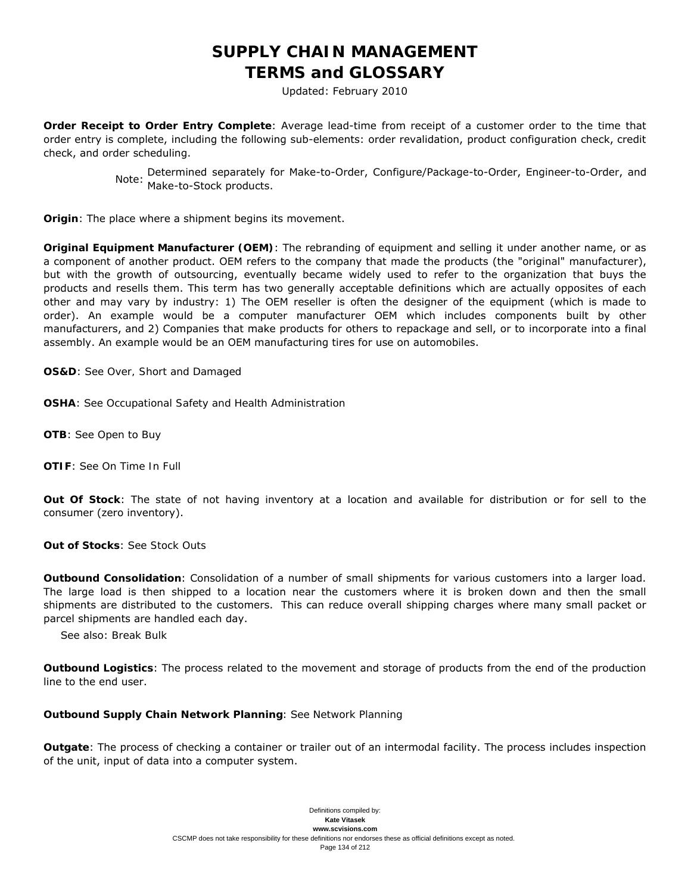Updated: February 2010

**Order Receipt to Order Entry Complete**: Average lead-time from receipt of a customer order to the time that order entry is complete, including the following sub-elements: order revalidation, product configuration check, credit check, and order scheduling.

Note: Determined separately for Make-to-Order, Configure/Package-to-Order, Engineer-to-Order, and Make-to-Stock products.

**Origin**: The place where a shipment begins its movement.

**Original Equipment Manufacturer (OEM)**: The rebranding of equipment and selling it under another name, or as a component of another product. OEM refers to the company that made the products (the "original" manufacturer), but with the growth of outsourcing, eventually became widely used to refer to the organization that buys the products and resells them. This term has two generally acceptable definitions which are actually opposites of each other and may vary by industry: 1) The OEM reseller is often the designer of the equipment (which is made to order). An example would be a computer manufacturer OEM which includes components built by other manufacturers, and 2) Companies that make products for others to repackage and sell, or to incorporate into a final assembly. An example would be an OEM manufacturing tires for use on automobiles.

**OS&D**: See *Over, Short and Damaged* 

**OSHA**: See *Occupational Safety and Health Administration*

**OTB**: See *Open to Buy*

**OTIF**: See *On Time In Full*

**Out Of Stock**: The state of not having inventory at a location and available for distribution or for sell to the consumer (zero inventory).

**Out of Stocks**: See *Stock Outs*

**Outbound Consolidation**: Consolidation of a number of small shipments for various customers into a larger load. The large load is then shipped to a location near the customers where it is broken down and then the small shipments are distributed to the customers. This can reduce overall shipping charges where many small packet or parcel shipments are handled each day.

See also: *Break Bulk*

**Outbound Logistics**: The process related to the movement and storage of products from the end of the production line to the end user.

#### **Outbound Supply Chain Network Planning**: See *Network Planning*

**Outgate**: The process of checking a container or trailer out of an intermodal facility. The process includes inspection of the unit, input of data into a computer system.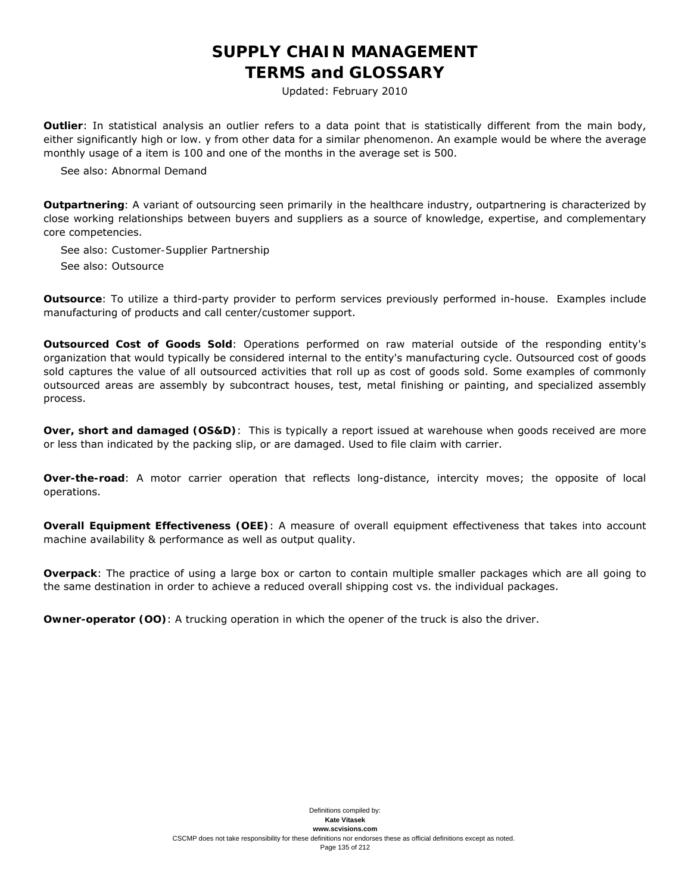Updated: February 2010

**Outlier**: In statistical analysis an outlier refers to a data point that is statistically different from the main body, either significantly high or low. y from other data for a similar phenomenon. An example would be where the average monthly usage of a item is 100 and one of the months in the average set is 500.

See also: *Abnormal Demand*

**Outpartnering**: A variant of outsourcing seen primarily in the healthcare industry, outpartnering is characterized by close working relationships between buyers and suppliers as a source of knowledge, expertise, and complementary core competencies.

See also: *Customer-Supplier Partnership* See also: *Outsource*

**Outsource**: To utilize a third-party provider to perform services previously performed in-house. Examples include manufacturing of products and call center/customer support.

**Outsourced Cost of Goods Sold**: Operations performed on raw material outside of the responding entity's organization that would typically be considered internal to the entity's manufacturing cycle. Outsourced cost of goods sold captures the value of all outsourced activities that roll up as cost of goods sold. Some examples of commonly outsourced areas are assembly by subcontract houses, test, metal finishing or painting, and specialized assembly process.

**Over, short and damaged (OS&D)**: This is typically a report issued at warehouse when goods received are more or less than indicated by the packing slip, or are damaged. Used to file claim with carrier.

**Over-the-road**: A motor carrier operation that reflects long-distance, intercity moves; the opposite of local operations.

**Overall Equipment Effectiveness (OEE)**: A measure of overall equipment effectiveness that takes into account machine availability & performance as well as output quality.

**Overpack**: The practice of using a large box or carton to contain multiple smaller packages which are all going to the same destination in order to achieve a reduced overall shipping cost vs. the individual packages.

**Owner-operator (OO)**: A trucking operation in which the opener of the truck is also the driver.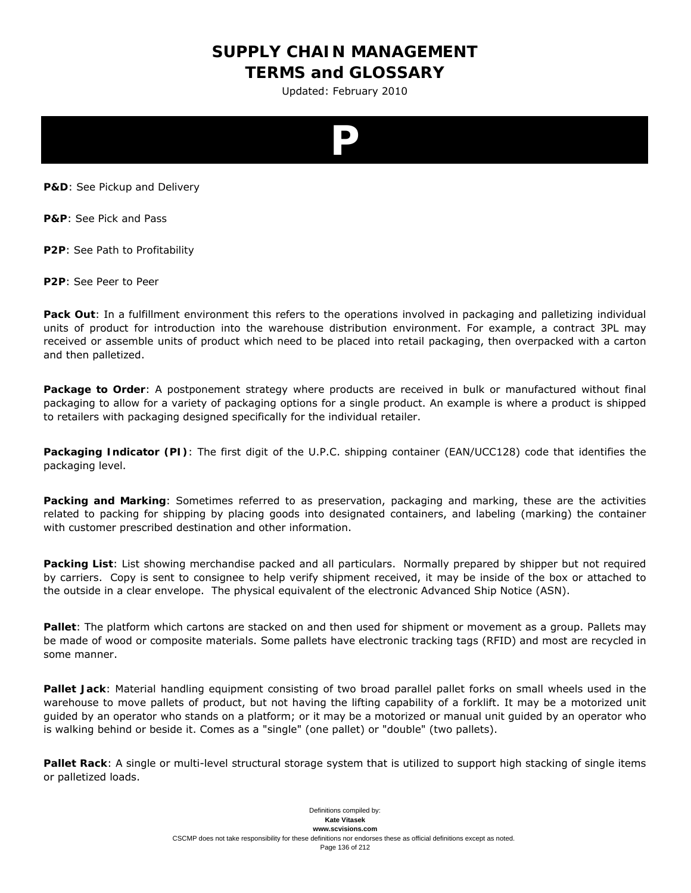Updated: February 2010



**P&D**: See *Pickup and Delivery*

**P&P**: See *Pick and Pass*

**P2P**: See *Path to Profitability*

**P2P**: See *Peer to Peer*

**Pack Out**: In a fulfillment environment this refers to the operations involved in packaging and palletizing individual units of product for introduction into the warehouse distribution environment. For example, a contract 3PL may received or assemble units of product which need to be placed into retail packaging, then overpacked with a carton and then palletized.

**Package to Order**: A postponement strategy where products are received in bulk or manufactured without final packaging to allow for a variety of packaging options for a single product. An example is where a product is shipped to retailers with packaging designed specifically for the individual retailer.

**Packaging Indicator (PI)**: The first digit of the U.P.C. shipping container (EAN/UCC128) code that identifies the packaging level.

**Packing and Marking**: Sometimes referred to as preservation, packaging and marking, these are the activities related to packing for shipping by placing goods into designated containers, and labeling (marking) the container with customer prescribed destination and other information.

**Packing List**: List showing merchandise packed and all particulars. Normally prepared by shipper but not required by carriers. Copy is sent to consignee to help verify shipment received, it may be inside of the box or attached to the outside in a clear envelope. The physical equivalent of the electronic Advanced Ship Notice (ASN).

**Pallet**: The platform which cartons are stacked on and then used for shipment or movement as a group. Pallets may be made of wood or composite materials. Some pallets have electronic tracking tags (RFID) and most are recycled in some manner.

**Pallet Jack**: Material handling equipment consisting of two broad parallel pallet forks on small wheels used in the warehouse to move pallets of product, but not having the lifting capability of a forklift. It may be a motorized unit guided by an operator who stands on a platform; or it may be a motorized or manual unit guided by an operator who is walking behind or beside it. Comes as a "single" (one pallet) or "double" (two pallets).

**Pallet Rack**: A single or multi-level structural storage system that is utilized to support high stacking of single items or palletized loads.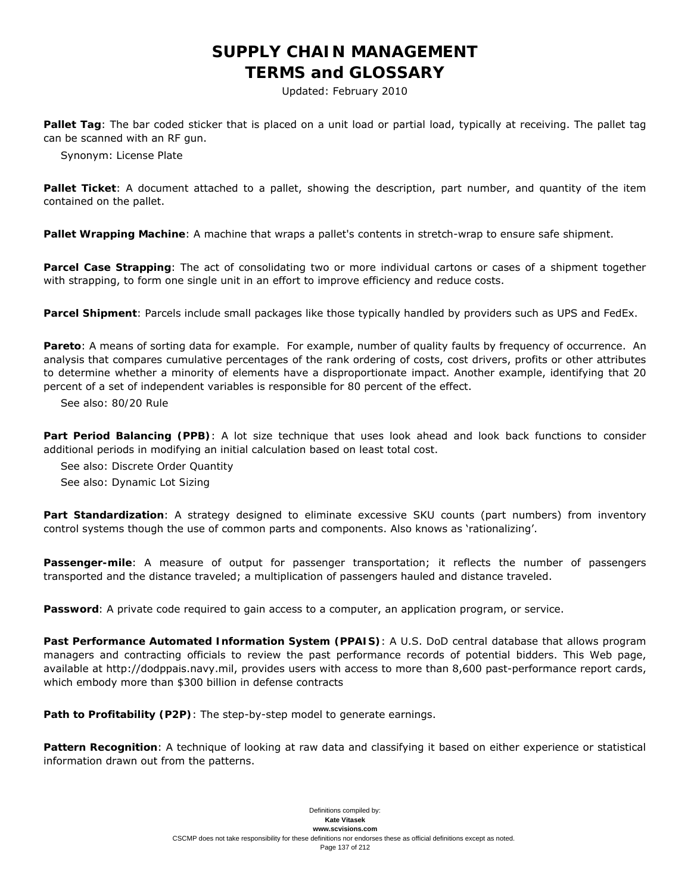Updated: February 2010

**Pallet Tag**: The bar coded sticker that is placed on a unit load or partial load, typically at receiving. The pallet tag can be scanned with an RF gun.

Synonym: *License Plate*

**Pallet Ticket**: A document attached to a pallet, showing the description, part number, and quantity of the item contained on the pallet.

**Pallet Wrapping Machine**: A machine that wraps a pallet's contents in stretch-wrap to ensure safe shipment.

**Parcel Case Strapping**: The act of consolidating two or more individual cartons or cases of a shipment together with strapping, to form one single unit in an effort to improve efficiency and reduce costs.

**Parcel Shipment**: Parcels include small packages like those typically handled by providers such as UPS and FedEx.

**Pareto**: A means of sorting data for example. For example, number of quality faults by frequency of occurrence. An analysis that compares cumulative percentages of the rank ordering of costs, cost drivers, profits or other attributes to determine whether a minority of elements have a disproportionate impact. Another example, identifying that 20 percent of a set of independent variables is responsible for 80 percent of the effect.

See also: *80/20 Rule*

**Part Period Balancing (PPB)**: A lot size technique that uses look ahead and look back functions to consider additional periods in modifying an initial calculation based on least total cost.

See also: *Discrete Order Quantity* See also: *Dynamic Lot Sizing*

**Part Standardization**: A strategy designed to eliminate excessive SKU counts (part numbers) from inventory control systems though the use of common parts and components. Also knows as 'rationalizing'.

**Passenger-mile**: A measure of output for passenger transportation; it reflects the number of passengers transported and the distance traveled; a multiplication of passengers hauled and distance traveled.

**Password**: A private code required to gain access to a computer, an application program, or service.

**Past Performance Automated Information System (PPAIS)**: A U.S. DoD central database that allows program managers and contracting officials to review the past performance records of potential bidders. This Web page, available at http://dodppais.navy.mil, provides users with access to more than 8,600 past-performance report cards, which embody more than \$300 billion in defense contracts

**Path to Profitability (P2P)**: The step-by-step model to generate earnings.

**Pattern Recognition**: A technique of looking at raw data and classifying it based on either experience or statistical information drawn out from the patterns.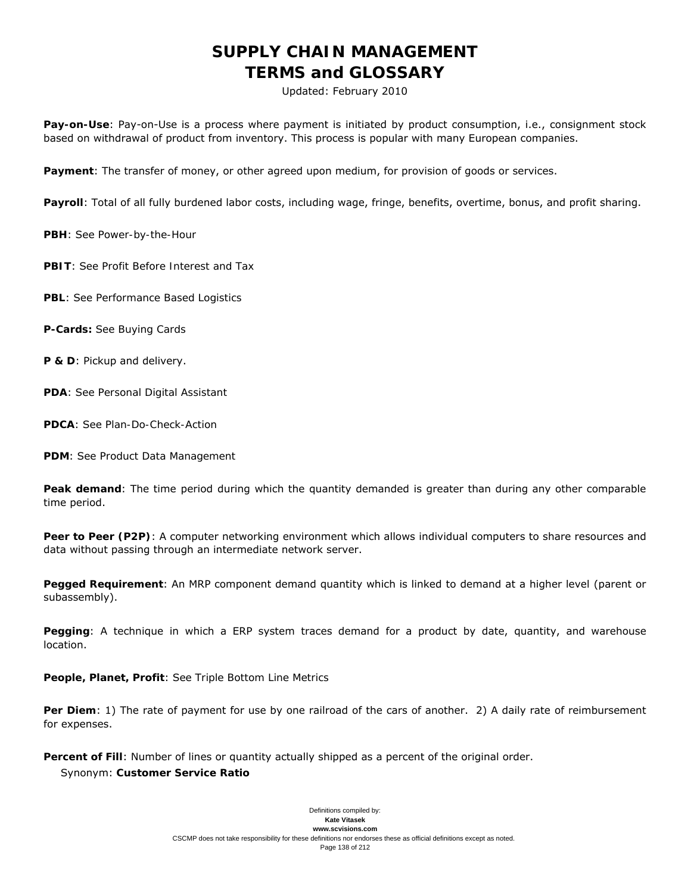Updated: February 2010

**Pay-on-Use**: Pay-on-Use is a process where payment is initiated by product consumption, i.e., consignment stock based on withdrawal of product from inventory. This process is popular with many European companies.

**Payment**: The transfer of money, or other agreed upon medium, for provision of goods or services.

**Payroll**: Total of all fully burdened labor costs, including wage, fringe, benefits, overtime, bonus, and profit sharing.

**PBH**: See *Power-by-the-Hour*

**PBIT**: See *Profit Before Interest and Tax*

**PBL**: See *Performance Based Logistics*

**P-Cards:** See *Buying Cards*

**P & D**: Pickup and delivery.

**PDA**: See *Personal Digital Assistant* 

**PDCA**: See *Plan-Do-Check-Action*

**PDM**: See *Product Data Management*

**Peak demand**: The time period during which the quantity demanded is greater than during any other comparable time period.

**Peer to Peer (P2P)**: A computer networking environment which allows individual computers to share resources and data without passing through an intermediate network server.

**Pegged Requirement**: An MRP component demand quantity which is linked to demand at a higher level (parent or subassembly).

Pegging: A technique in which a ERP system traces demand for a product by date, quantity, and warehouse location.

**People, Planet, Profit**: See *Triple Bottom Line Metrics*

**Per Diem**: 1) The rate of payment for use by one railroad of the cars of another. 2) A daily rate of reimbursement for expenses.

**Percent of Fill**: Number of lines or quantity actually shipped as a percent of the original order.

Synonym: *Customer Service Ratio*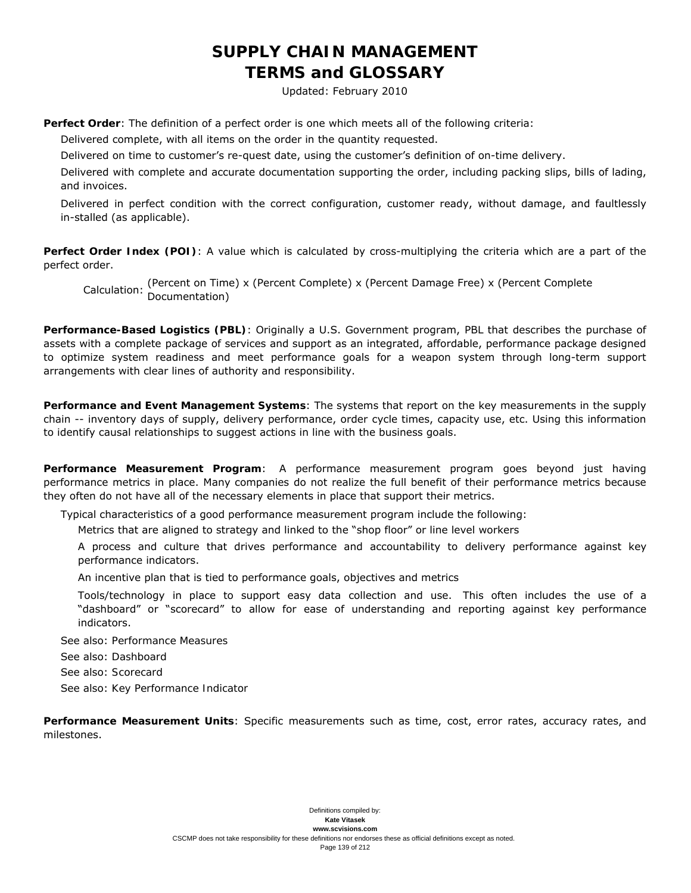Updated: February 2010

**Perfect Order**: The definition of a perfect order is one which meets all of the following criteria: Delivered complete, with all items on the order in the quantity requested.

Delivered on time to customer's re-quest date, using the customer's definition of on-time delivery.

Delivered with complete and accurate documentation supporting the order, including packing slips, bills of lading, and invoices.

Delivered in perfect condition with the correct configuration, customer ready, without damage, and faultlessly in-stalled (as applicable).

**Perfect Order Index (POI)**: A value which is calculated by cross-multiplying the criteria which are a part of the perfect order.

Calculation: (Percent on Time) x (Percent Complete) x (Percent Damage Free) x (Percent Complete Documentation)

**Performance-Based Logistics (PBL)**: Originally a U.S. Government program, PBL that describes the purchase of assets with a complete package of services and support as an integrated, affordable, performance package designed to optimize system readiness and meet performance goals for a weapon system through long-term support arrangements with clear lines of authority and responsibility.

**Performance and Event Management Systems**: The systems that report on the key measurements in the supply chain -- inventory days of supply, delivery performance, order cycle times, capacity use, etc. Using this information to identify causal relationships to suggest actions in line with the business goals.

**Performance Measurement Program**: A performance measurement program goes beyond just having performance metrics in place. Many companies do not realize the full benefit of their performance metrics because they often do not have all of the necessary elements in place that support their metrics.

Typical characteristics of a good performance measurement program include the following:

Metrics that are aligned to strategy and linked to the "shop floor" or line level workers

A process and culture that drives performance and accountability to delivery performance against key performance indicators.

An incentive plan that is tied to performance goals, objectives and metrics

Tools/technology in place to support easy data collection and use. This often includes the use of a "dashboard" or "scorecard" to allow for ease of understanding and reporting against key performance indicators.

See also: *Performance Measures*

See also: *Dashboard*

See also: *Scorecard*

See also: *Key Performance Indicator*

**Performance Measurement Units**: Specific measurements such as time, cost, error rates, accuracy rates, and milestones.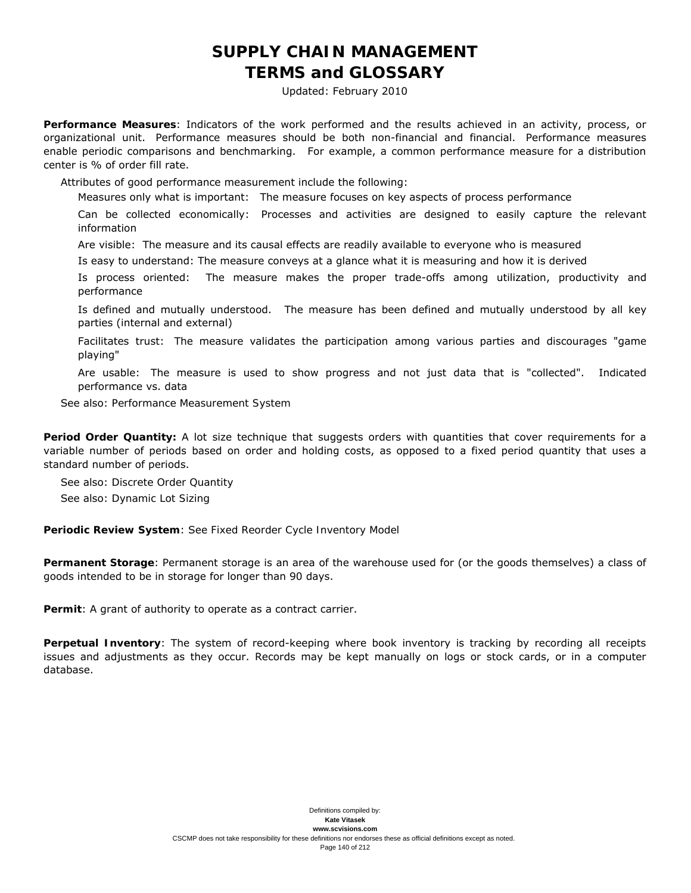Updated: February 2010

**Performance Measures**: Indicators of the work performed and the results achieved in an activity, process, or organizational unit. Performance measures should be both non-financial and financial. Performance measures enable periodic comparisons and benchmarking. For example, a common performance measure for a distribution center is % of order fill rate.

Attributes of good performance measurement include the following:

Measures only what is important: The measure focuses on key aspects of process performance

Can be collected economically: Processes and activities are designed to easily capture the relevant information

Are visible: The measure and its causal effects are readily available to everyone who is measured

Is easy to understand: The measure conveys at a glance what it is measuring and how it is derived

Is process oriented: The measure makes the proper trade-offs among utilization, productivity and performance

Is defined and mutually understood. The measure has been defined and mutually understood by all key parties (internal and external)

Facilitates trust: The measure validates the participation among various parties and discourages "game playing"

Are usable: The measure is used to show progress and not just data that is "collected". Indicated performance vs. data

See also: *Performance Measurement System*

**Period Order Quantity:** A lot size technique that suggests orders with quantities that cover requirements for a variable number of periods based on order and holding costs, as opposed to a fixed period quantity that uses a standard number of periods.

See also: *Dynamic Lot Sizing* See also: *Discrete Order Quantity*

**Periodic Review System**: See *Fixed Reorder Cycle Inventory Model*

**Permanent Storage**: Permanent storage is an area of the warehouse used for (or the goods themselves) a class of goods intended to be in storage for longer than 90 days.

**Permit**: A grant of authority to operate as a contract carrier.

**Perpetual Inventory**: The system of record-keeping where book inventory is tracking by recording all receipts issues and adjustments as they occur. Records may be kept manually on logs or stock cards, or in a computer database.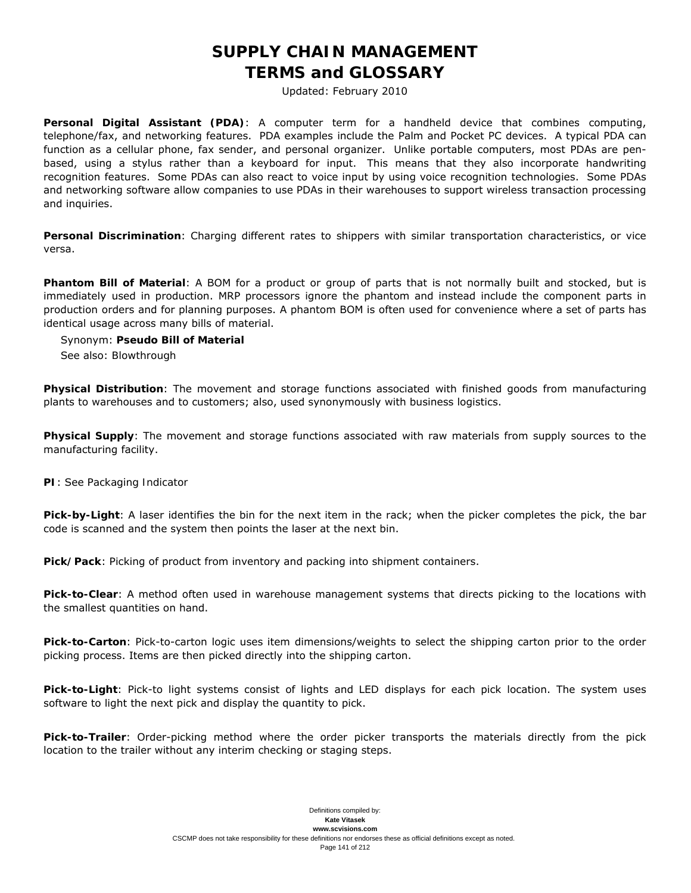Updated: February 2010

**Personal Digital Assistant (PDA)**: A computer term for a handheld device that combines computing, telephone/fax, and networking features. PDA examples include the Palm and Pocket PC devices. A typical PDA can function as a cellular phone, fax sender, and personal organizer. Unlike portable computers, most PDAs are penbased, using a stylus rather than a keyboard for input. This means that they also incorporate handwriting recognition features. Some PDAs can also react to voice input by using voice recognition technologies. Some PDAs and networking software allow companies to use PDAs in their warehouses to support wireless transaction processing and inquiries.

**Personal Discrimination**: Charging different rates to shippers with similar transportation characteristics, or vice versa.

**Phantom Bill of Material**: A BOM for a product or group of parts that is not normally built and stocked, but is immediately used in production. MRP processors ignore the phantom and instead include the component parts in production orders and for planning purposes. A phantom BOM is often used for convenience where a set of parts has identical usage across many bills of material.

See also: *Blowthrough* Synonym: *Pseudo Bill of Material*

**Physical Distribution**: The movement and storage functions associated with finished goods from manufacturing plants to warehouses and to customers; also, used synonymously with business logistics.

**Physical Supply**: The movement and storage functions associated with raw materials from supply sources to the manufacturing facility.

## **PI**: See *Packaging Indicator*

**Pick-by-Light**: A laser identifies the bin for the next item in the rack; when the picker completes the pick, the bar code is scanned and the system then points the laser at the next bin.

**Pick/Pack**: Picking of product from inventory and packing into shipment containers.

**Pick-to-Clear**: A method often used in warehouse management systems that directs picking to the locations with the smallest quantities on hand.

**Pick-to-Carton**: Pick-to-carton logic uses item dimensions/weights to select the shipping carton prior to the order picking process. Items are then picked directly into the shipping carton.

**Pick-to-Light**: Pick-to light systems consist of lights and LED displays for each pick location. The system uses software to light the next pick and display the quantity to pick.

**Pick-to-Trailer**: Order-picking method where the order picker transports the materials directly from the pick location to the trailer without any interim checking or staging steps.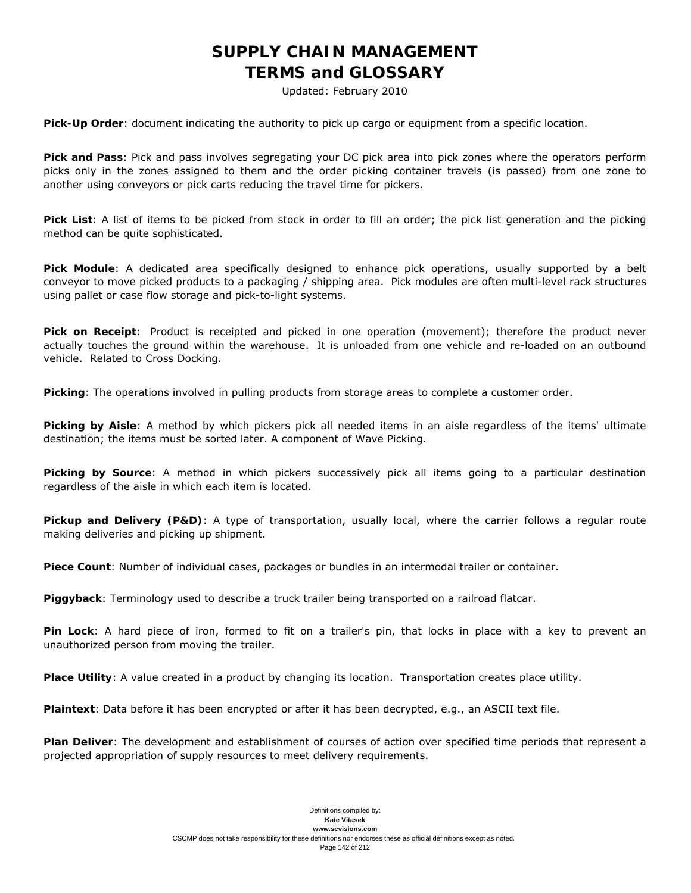Updated: February 2010

**Pick-Up Order**: document indicating the authority to pick up cargo or equipment from a specific location.

**Pick and Pass**: Pick and pass involves segregating your DC pick area into pick zones where the operators perform picks only in the zones assigned to them and the order picking container travels (is passed) from one zone to another using conveyors or pick carts reducing the travel time for pickers.

**Pick List**: A list of items to be picked from stock in order to fill an order; the pick list generation and the picking method can be quite sophisticated.

**Pick Module**: A dedicated area specifically designed to enhance pick operations, usually supported by a belt conveyor to move picked products to a packaging / shipping area. Pick modules are often multi-level rack structures using pallet or case flow storage and pick-to-light systems.

**Pick on Receipt**: Product is receipted and picked in one operation (movement); therefore the product never actually touches the ground within the warehouse. It is unloaded from one vehicle and re-loaded on an outbound vehicle. Related to Cross Docking.

**Picking**: The operations involved in pulling products from storage areas to complete a customer order.

**Picking by Aisle**: A method by which pickers pick all needed items in an aisle regardless of the items' ultimate destination; the items must be sorted later. A component of Wave Picking.

**Picking by Source**: A method in which pickers successively pick all items going to a particular destination regardless of the aisle in which each item is located.

**Pickup and Delivery (P&D)**: A type of transportation, usually local, where the carrier follows a regular route making deliveries and picking up shipment.

**Piece Count**: Number of individual cases, packages or bundles in an intermodal trailer or container.

**Piggyback**: Terminology used to describe a truck trailer being transported on a railroad flatcar.

**Pin Lock**: A hard piece of iron, formed to fit on a trailer's pin, that locks in place with a key to prevent an unauthorized person from moving the trailer.

**Place Utility**: A value created in a product by changing its location. Transportation creates place utility.

**Plaintext**: Data before it has been encrypted or after it has been decrypted, e.g., an ASCII text file.

**Plan Deliver**: The development and establishment of courses of action over specified time periods that represent a projected appropriation of supply resources to meet delivery requirements.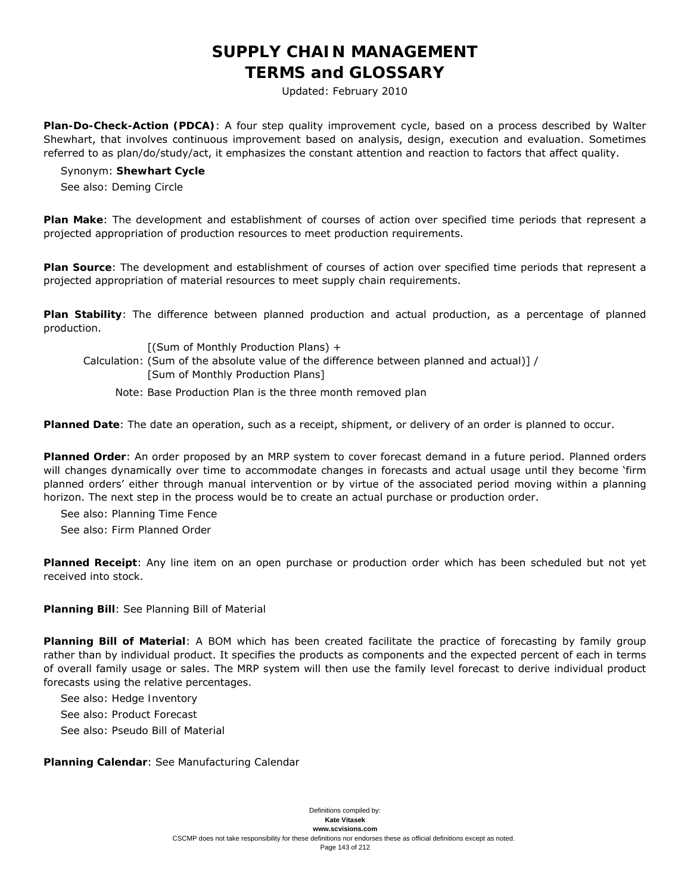Updated: February 2010

**Plan-Do-Check-Action (PDCA)**: A four step quality improvement cycle, based on a process described by Walter Shewhart, that involves continuous improvement based on analysis, design, execution and evaluation. Sometimes referred to as plan/do/study/act, it emphasizes the constant attention and reaction to factors that affect quality.

Synonym: *Shewhart Cycle* See also: *Deming Circle*

**Plan Make**: The development and establishment of courses of action over specified time periods that represent a projected appropriation of production resources to meet production requirements.

**Plan Source**: The development and establishment of courses of action over specified time periods that represent a projected appropriation of material resources to meet supply chain requirements.

**Plan Stability**: The difference between planned production and actual production, as a percentage of planned production.

Calculation: (Sum of the absolute value of the difference between planned and actual)] / [(Sum of Monthly Production Plans) + [Sum of Monthly Production Plans]

Note: Base Production Plan is the three month removed plan

**Planned Date**: The date an operation, such as a receipt, shipment, or delivery of an order is planned to occur.

**Planned Order**: An order proposed by an MRP system to cover forecast demand in a future period. Planned orders will changes dynamically over time to accommodate changes in forecasts and actual usage until they become 'firm planned orders' either through manual intervention or by virtue of the associated period moving within a planning horizon. The next step in the process would be to create an actual purchase or production order.

See also: *Planning Time Fence* See also: *Firm Planned Order*

**Planned Receipt**: Any line item on an open purchase or production order which has been scheduled but not yet received into stock.

## **Planning Bill**: See *Planning Bill of Material*

**Planning Bill of Material**: A BOM which has been created facilitate the practice of forecasting by family group rather than by individual product. It specifies the products as components and the expected percent of each in terms of overall family usage or sales. The MRP system will then use the family level forecast to derive individual product forecasts using the relative percentages.

See also: *Product Forecast* See also: *Hedge Inventory* See also: *Pseudo Bill of Material*

**Planning Calendar**: See *Manufacturing Calendar*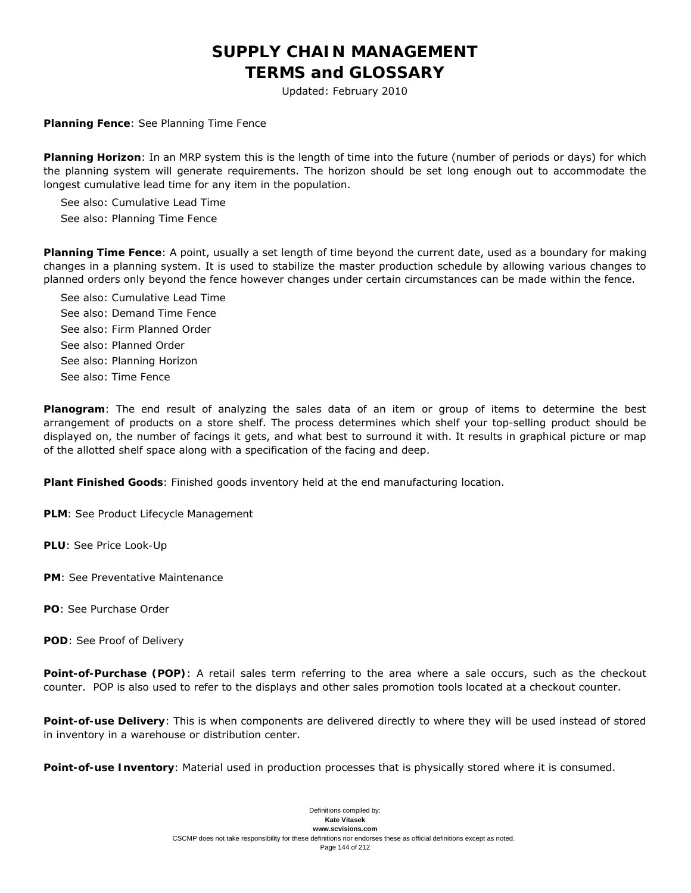Updated: February 2010

## **Planning Fence**: See *Planning Time Fence*

**Planning Horizon**: In an MRP system this is the length of time into the future (number of periods or days) for which the planning system will generate requirements. The horizon should be set long enough out to accommodate the longest cumulative lead time for any item in the population.

See also: *Cumulative Lead Time* See also: *Planning Time Fence*

**Planning Time Fence**: A point, usually a set length of time beyond the current date, used as a boundary for making changes in a planning system. It is used to stabilize the master production schedule by allowing various changes to planned orders only beyond the fence however changes under certain circumstances can be made within the fence.

See also: *Cumulative Lead Time* See also: *Demand Time Fence* See also: *Firm Planned Order* See also: *Planned Order* See also: *Planning Horizon* See also: *Time Fence*

**Planogram**: The end result of analyzing the sales data of an item or group of items to determine the best arrangement of products on a store shelf. The process determines which shelf your top-selling product should be displayed on, the number of facings it gets, and what best to surround it with. It results in graphical picture or map of the allotted shelf space along with a specification of the facing and deep.

**Plant Finished Goods**: Finished goods inventory held at the end manufacturing location.

**PLM**: See *Product Lifecycle Management*

**PLU**: See *Price Look-Up*

**PM**: See *Preventative Maintenance*

**PO**: See *Purchase Order*

**POD**: See *Proof of Delivery*

**Point-of-Purchase (POP)**: A retail sales term referring to the area where a sale occurs, such as the checkout counter. POP is also used to refer to the displays and other sales promotion tools located at a checkout counter.

**Point-of-use Delivery**: This is when components are delivered directly to where they will be used instead of stored in inventory in a warehouse or distribution center.

**Point-of-use Inventory**: Material used in production processes that is physically stored where it is consumed.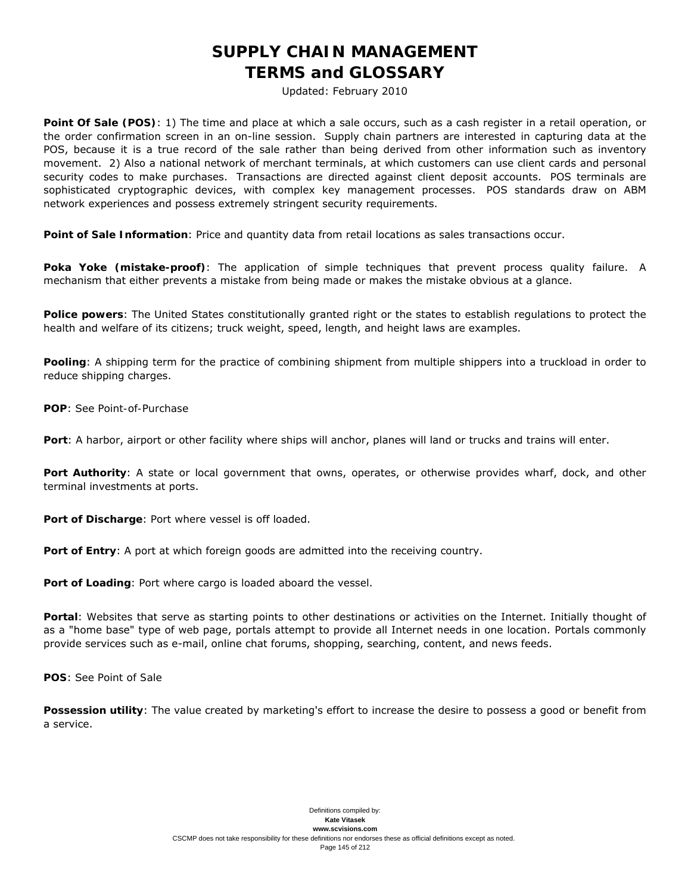Updated: February 2010

**Point Of Sale (POS)**: 1) The time and place at which a sale occurs, such as a cash register in a retail operation, or the order confirmation screen in an on-line session. Supply chain partners are interested in capturing data at the POS, because it is a true record of the sale rather than being derived from other information such as inventory movement. 2) Also a national network of merchant terminals, at which customers can use client cards and personal security codes to make purchases. Transactions are directed against client deposit accounts. POS terminals are sophisticated cryptographic devices, with complex key management processes. POS standards draw on ABM network experiences and possess extremely stringent security requirements.

**Point of Sale Information**: Price and quantity data from retail locations as sales transactions occur.

**Poka Yoke (mistake-proof)**: The application of simple techniques that prevent process quality failure. A mechanism that either prevents a mistake from being made or makes the mistake obvious at a glance.

**Police powers**: The United States constitutionally granted right or the states to establish regulations to protect the health and welfare of its citizens; truck weight, speed, length, and height laws are examples.

**Pooling**: A shipping term for the practice of combining shipment from multiple shippers into a truckload in order to reduce shipping charges.

**POP**: See *Point-of-Purchase*

**Port**: A harbor, airport or other facility where ships will anchor, planes will land or trucks and trains will enter.

**Port Authority**: A state or local government that owns, operates, or otherwise provides wharf, dock, and other terminal investments at ports.

**Port of Discharge**: Port where vessel is off loaded.

**Port of Entry**: A port at which foreign goods are admitted into the receiving country.

**Port of Loading**: Port where cargo is loaded aboard the vessel.

**Portal**: Websites that serve as starting points to other destinations or activities on the Internet. Initially thought of as a "home base" type of web page, portals attempt to provide all Internet needs in one location. Portals commonly provide services such as e-mail, online chat forums, shopping, searching, content, and news feeds.

**POS**: See *Point of Sale*

**Possession utility**: The value created by marketing's effort to increase the desire to possess a good or benefit from a service.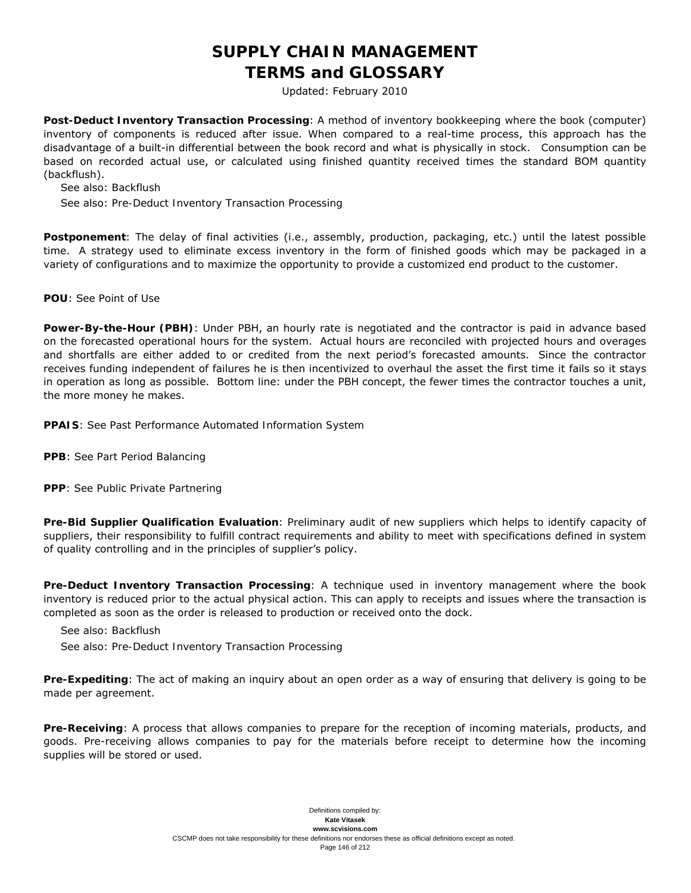Updated: February 2010

**Post-Deduct Inventory Transaction Processing**: A method of inventory bookkeeping where the book (computer) inventory of components is reduced after issue. When compared to a real-time process, this approach has the disadvantage of a built-in differential between the book record and what is physically in stock. Consumption can be based on recorded actual use, or calculated using finished quantity received times the standard BOM quantity (backflush).

#### See also: *Backflush*

See also: *Pre-Deduct Inventory Transaction Processing* 

**Postponement**: The delay of final activities (i.e., assembly, production, packaging, etc.) until the latest possible time. A strategy used to eliminate excess inventory in the form of finished goods which may be packaged in a variety of configurations and to maximize the opportunity to provide a customized end product to the customer.

#### **POU**: See *Point of Use*

**Power-By-the-Hour (PBH)**: Under PBH, an hourly rate is negotiated and the contractor is paid in advance based on the forecasted operational hours for the system. Actual hours are reconciled with projected hours and overages and shortfalls are either added to or credited from the next period's forecasted amounts. Since the contractor receives funding independent of failures he is then incentivized to overhaul the asset the first time it fails so it stays in operation as long as possible. Bottom line: under the PBH concept, the fewer times the contractor touches a unit, the more money he makes.

**PPAIS**: See *Past Performance Automated Information System*

**PPB**: See *Part Period Balancing*

**PPP**: See *Public Private Partnering*

**Pre-Bid Supplier Qualification Evaluation**: Preliminary audit of new suppliers which helps to identify capacity of suppliers, their responsibility to fulfill contract requirements and ability to meet with specifications defined in system of quality controlling and in the principles of supplier's policy.

**Pre-Deduct Inventory Transaction Processing**: A technique used in inventory management where the book inventory is reduced prior to the actual physical action. This can apply to receipts and issues where the transaction is completed as soon as the order is released to production or received onto the dock.

See also: *Backflush* See also: *Pre-Deduct Inventory Transaction Processing* 

**Pre-Expediting**: The act of making an inquiry about an open order as a way of ensuring that delivery is going to be made per agreement.

**Pre-Receiving**: A process that allows companies to prepare for the reception of incoming materials, products, and goods. Pre-receiving allows companies to pay for the materials before receipt to determine how the incoming supplies will be stored or used.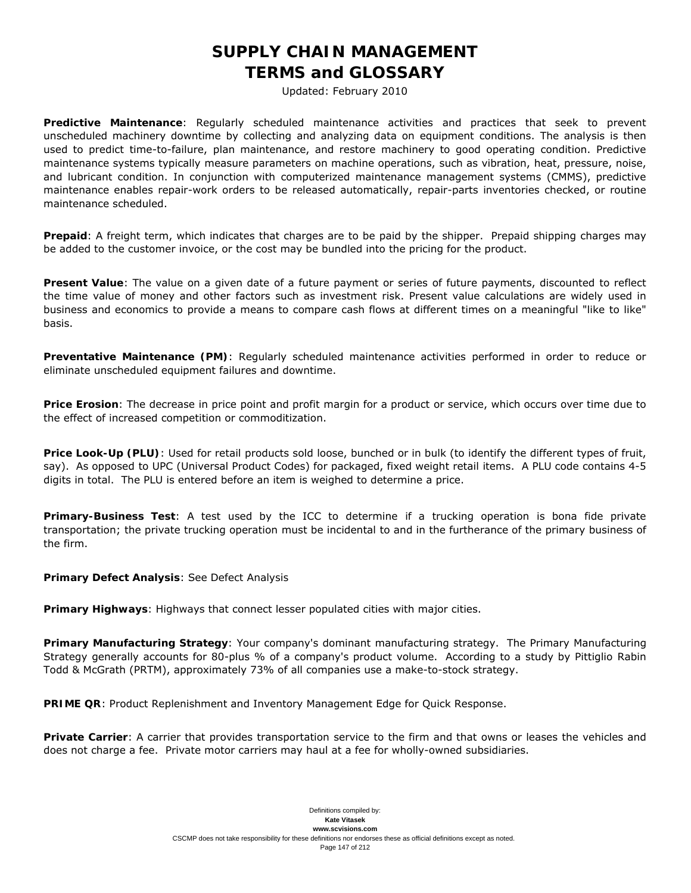Updated: February 2010

**Predictive Maintenance**: Regularly scheduled maintenance activities and practices that seek to prevent unscheduled machinery downtime by collecting and analyzing data on equipment conditions. The analysis is then used to predict time-to-failure, plan maintenance, and restore machinery to good operating condition. Predictive maintenance systems typically measure parameters on machine operations, such as vibration, heat, pressure, noise, and lubricant condition. In conjunction with computerized maintenance management systems (CMMS), predictive maintenance enables repair-work orders to be released automatically, repair-parts inventories checked, or routine maintenance scheduled.

**Prepaid**: A freight term, which indicates that charges are to be paid by the shipper. Prepaid shipping charges may be added to the customer invoice, or the cost may be bundled into the pricing for the product.

**Present Value**: The value on a given date of a future payment or series of future payments, discounted to reflect the time value of money and other factors such as investment risk. Present value calculations are widely used in business and economics to provide a means to compare cash flows at different times on a meaningful "like to like" basis.

**Preventative Maintenance (PM)**: Regularly scheduled maintenance activities performed in order to reduce or eliminate unscheduled equipment failures and downtime.

**Price Erosion**: The decrease in price point and profit margin for a product or service, which occurs over time due to the effect of increased competition or commoditization.

**Price Look-Up (PLU)**: Used for retail products sold loose, bunched or in bulk (to identify the different types of fruit, say). As opposed to UPC (Universal Product Codes) for packaged, fixed weight retail items. A PLU code contains 4-5 digits in total. The PLU is entered before an item is weighed to determine a price.

**Primary-Business Test**: A test used by the ICC to determine if a trucking operation is bona fide private transportation; the private trucking operation must be incidental to and in the furtherance of the primary business of the firm.

#### **Primary Defect Analysis**: See *Defect Analysis*

**Primary Highways**: Highways that connect lesser populated cities with major cities.

**Primary Manufacturing Strategy**: Your company's dominant manufacturing strategy. The Primary Manufacturing Strategy generally accounts for 80-plus % of a company's product volume. According to a study by Pittiglio Rabin Todd & McGrath (PRTM), approximately 73% of all companies use a make-to-stock strategy.

**PRIME QR**: Product Replenishment and Inventory Management Edge for Quick Response.

**Private Carrier**: A carrier that provides transportation service to the firm and that owns or leases the vehicles and does not charge a fee. Private motor carriers may haul at a fee for wholly-owned subsidiaries.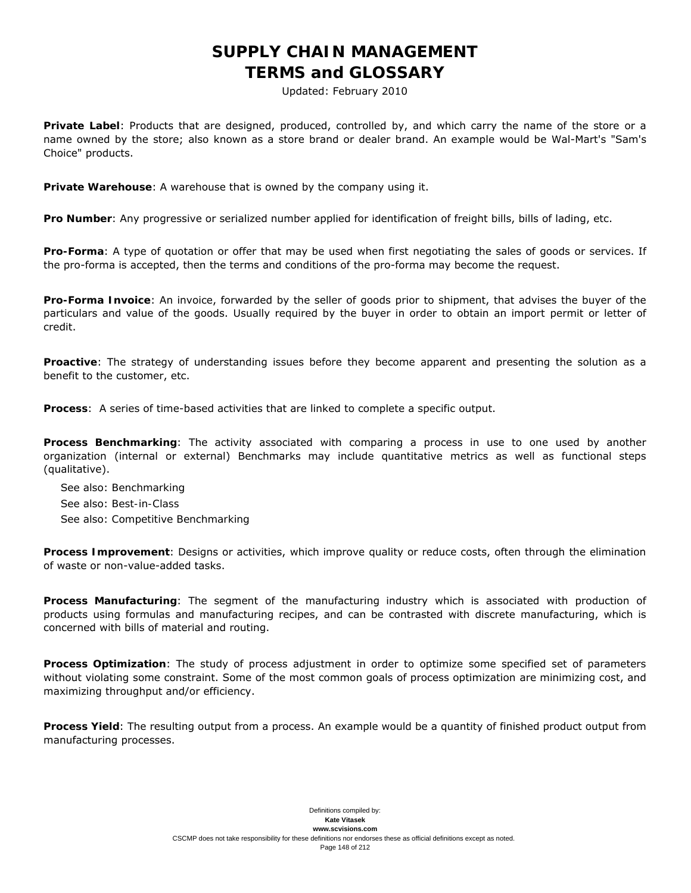Updated: February 2010

**Private Label**: Products that are designed, produced, controlled by, and which carry the name of the store or a name owned by the store; also known as a store brand or dealer brand. An example would be Wal-Mart's "Sam's Choice" products.

**Private Warehouse**: A warehouse that is owned by the company using it.

**Pro Number**: Any progressive or serialized number applied for identification of freight bills, bills of lading, etc.

**Pro-Forma**: A type of quotation or offer that may be used when first negotiating the sales of goods or services. If the pro-forma is accepted, then the terms and conditions of the pro-forma may become the request.

**Pro-Forma Invoice**: An invoice, forwarded by the seller of goods prior to shipment, that advises the buyer of the particulars and value of the goods. Usually required by the buyer in order to obtain an import permit or letter of credit.

**Proactive**: The strategy of understanding issues before they become apparent and presenting the solution as a benefit to the customer, etc.

**Process**: A series of time-based activities that are linked to complete a specific output.

**Process Benchmarking**: The activity associated with comparing a process in use to one used by another organization (internal or external) Benchmarks may include quantitative metrics as well as functional steps (qualitative).

See also: *Competitive Benchmarking* See also: *Best-in-Class* See also: *Benchmarking*

**Process Improvement**: Designs or activities, which improve quality or reduce costs, often through the elimination of waste or non-value-added tasks.

**Process Manufacturing**: The segment of the manufacturing industry which is associated with production of products using formulas and manufacturing recipes, and can be contrasted with discrete manufacturing, which is concerned with bills of material and routing.

**Process Optimization**: The study of process adjustment in order to optimize some specified set of parameters without violating some constraint. Some of the most common goals of process optimization are minimizing cost, and maximizing throughput and/or efficiency.

**Process Yield**: The resulting output from a process. An example would be a quantity of finished product output from manufacturing processes.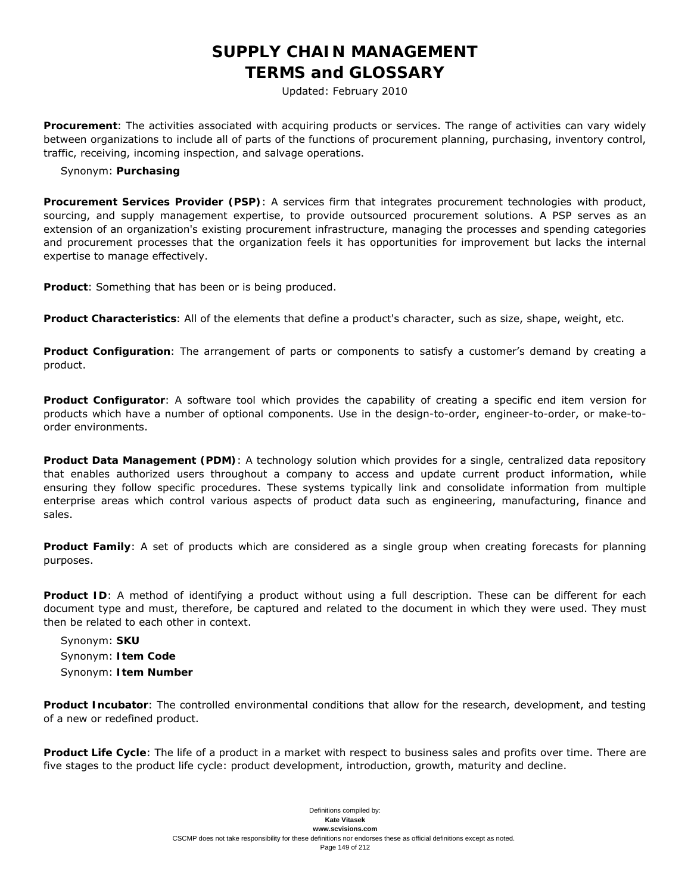Updated: February 2010

**Procurement**: The activities associated with acquiring products or services. The range of activities can vary widely between organizations to include all of parts of the functions of procurement planning, purchasing, inventory control, traffic, receiving, incoming inspection, and salvage operations.

#### Synonym: *Purchasing*

**Procurement Services Provider (PSP)**: A services firm that integrates procurement technologies with product, sourcing, and supply management expertise, to provide outsourced procurement solutions. A PSP serves as an extension of an organization's existing procurement infrastructure, managing the processes and spending categories and procurement processes that the organization feels it has opportunities for improvement but lacks the internal expertise to manage effectively.

**Product**: Something that has been or is being produced.

**Product Characteristics**: All of the elements that define a product's character, such as size, shape, weight, etc.

**Product Configuration**: The arrangement of parts or components to satisfy a customer's demand by creating a product.

**Product Configurator**: A software tool which provides the capability of creating a specific end item version for products which have a number of optional components. Use in the design-to-order, engineer-to-order, or make-toorder environments.

**Product Data Management (PDM)**: A technology solution which provides for a single, centralized data repository that enables authorized users throughout a company to access and update current product information, while ensuring they follow specific procedures. These systems typically link and consolidate information from multiple enterprise areas which control various aspects of product data such as engineering, manufacturing, finance and sales.

**Product Family**: A set of products which are considered as a single group when creating forecasts for planning purposes.

**Product ID**: A method of identifying a product without using a full description. These can be different for each document type and must, therefore, be captured and related to the document in which they were used. They must then be related to each other in context.

Synonym: *Item Code* Synonym: *SKU* Synonym: *Item Number*

**Product Incubator**: The controlled environmental conditions that allow for the research, development, and testing of a new or redefined product.

**Product Life Cycle**: The life of a product in a market with respect to business sales and profits over time. There are five stages to the product life cycle: product development, introduction, growth, maturity and decline.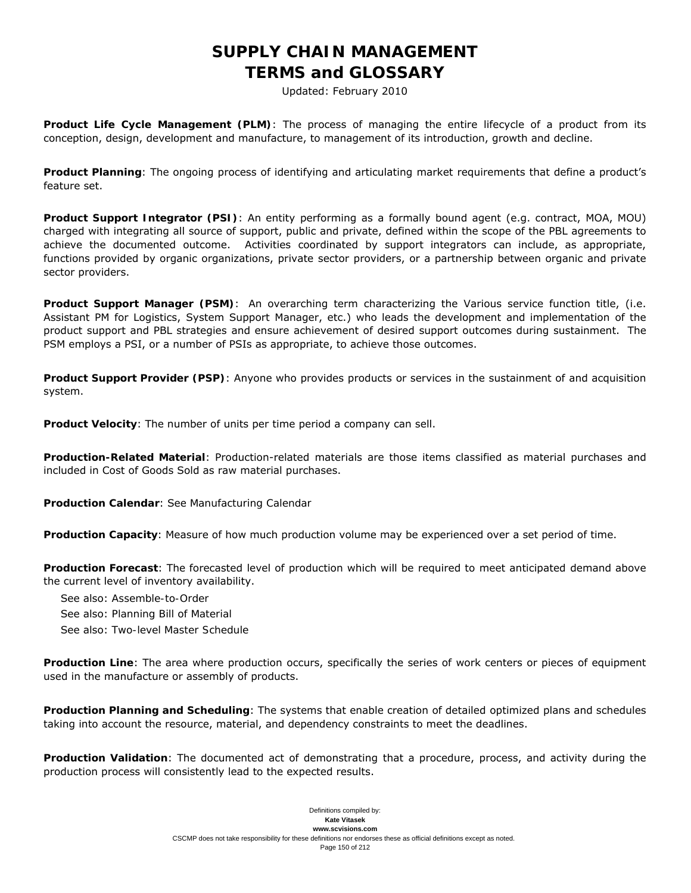Updated: February 2010

**Product Life Cycle Management (PLM)**: The process of managing the entire lifecycle of a product from its conception, design, development and manufacture, to management of its introduction, growth and decline.

**Product Planning**: The ongoing process of identifying and articulating market requirements that define a product's feature set.

**Product Support Integrator (PSI)**: An entity performing as a formally bound agent (e.g. contract, MOA, MOU) charged with integrating all source of support, public and private, defined within the scope of the PBL agreements to achieve the documented outcome. Activities coordinated by support integrators can include, as appropriate, functions provided by organic organizations, private sector providers, or a partnership between organic and private sector providers.

**Product Support Manager (PSM)**: An overarching term characterizing the Various service function title, (i.e. Assistant PM for Logistics, System Support Manager, etc.) who leads the development and implementation of the product support and PBL strategies and ensure achievement of desired support outcomes during sustainment. The PSM employs a PSI, or a number of PSIs as appropriate, to achieve those outcomes.

**Product Support Provider (PSP)**: Anyone who provides products or services in the sustainment of and acquisition system.

**Product Velocity**: The number of units per time period a company can sell.

**Production-Related Material**: Production-related materials are those items classified as material purchases and included in Cost of Goods Sold as raw material purchases.

**Production Calendar**: See *Manufacturing Calendar*

**Production Capacity**: Measure of how much production volume may be experienced over a set period of time.

**Production Forecast**: The forecasted level of production which will be required to meet anticipated demand above the current level of inventory availability.

See also: *Assemble-to-Order* See also: *Planning Bill of Material* See also: *Two-level Master Schedule*

**Production Line**: The area where production occurs, specifically the series of work centers or pieces of equipment used in the manufacture or assembly of products.

**Production Planning and Scheduling**: The systems that enable creation of detailed optimized plans and schedules taking into account the resource, material, and dependency constraints to meet the deadlines.

**Production Validation**: The documented act of demonstrating that a procedure, process, and activity during the production process will consistently lead to the expected results.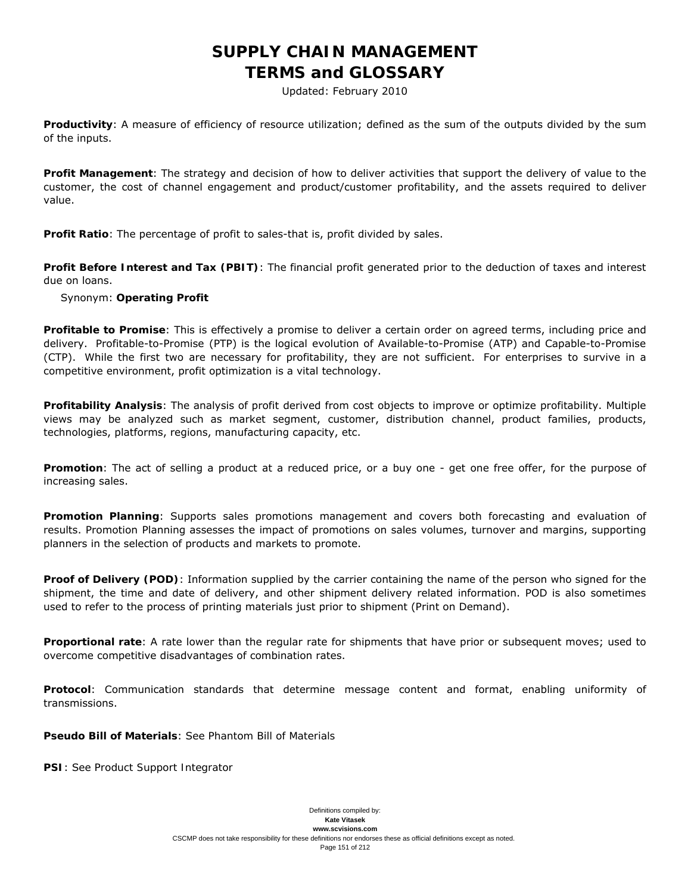Updated: February 2010

**Productivity**: A measure of efficiency of resource utilization; defined as the sum of the outputs divided by the sum of the inputs.

**Profit Management**: The strategy and decision of how to deliver activities that support the delivery of value to the customer, the cost of channel engagement and product/customer profitability, and the assets required to deliver value.

**Profit Ratio**: The percentage of profit to sales-that is, profit divided by sales.

**Profit Before Interest and Tax (PBIT)**: The financial profit generated prior to the deduction of taxes and interest due on loans.

Synonym: *Operating Profit*

**Profitable to Promise**: This is effectively a promise to deliver a certain order on agreed terms, including price and delivery. Profitable-to-Promise (PTP) is the logical evolution of Available-to-Promise (ATP) and Capable-to-Promise (CTP). While the first two are necessary for profitability, they are not sufficient. For enterprises to survive in a competitive environment, profit optimization is a vital technology.

**Profitability Analysis**: The analysis of profit derived from cost objects to improve or optimize profitability. Multiple views may be analyzed such as market segment, customer, distribution channel, product families, products, technologies, platforms, regions, manufacturing capacity, etc.

**Promotion**: The act of selling a product at a reduced price, or a buy one - get one free offer, for the purpose of increasing sales.

**Promotion Planning**: Supports sales promotions management and covers both forecasting and evaluation of results. Promotion Planning assesses the impact of promotions on sales volumes, turnover and margins, supporting planners in the selection of products and markets to promote.

**Proof of Delivery (POD)**: Information supplied by the carrier containing the name of the person who signed for the shipment, the time and date of delivery, and other shipment delivery related information. POD is also sometimes used to refer to the process of printing materials just prior to shipment (Print on Demand).

**Proportional rate**: A rate lower than the regular rate for shipments that have prior or subsequent moves; used to overcome competitive disadvantages of combination rates.

**Protocol**: Communication standards that determine message content and format, enabling uniformity of transmissions.

**Pseudo Bill of Materials**: See *Phantom Bill of Materials*

**PSI**: See *Product Support Integrator*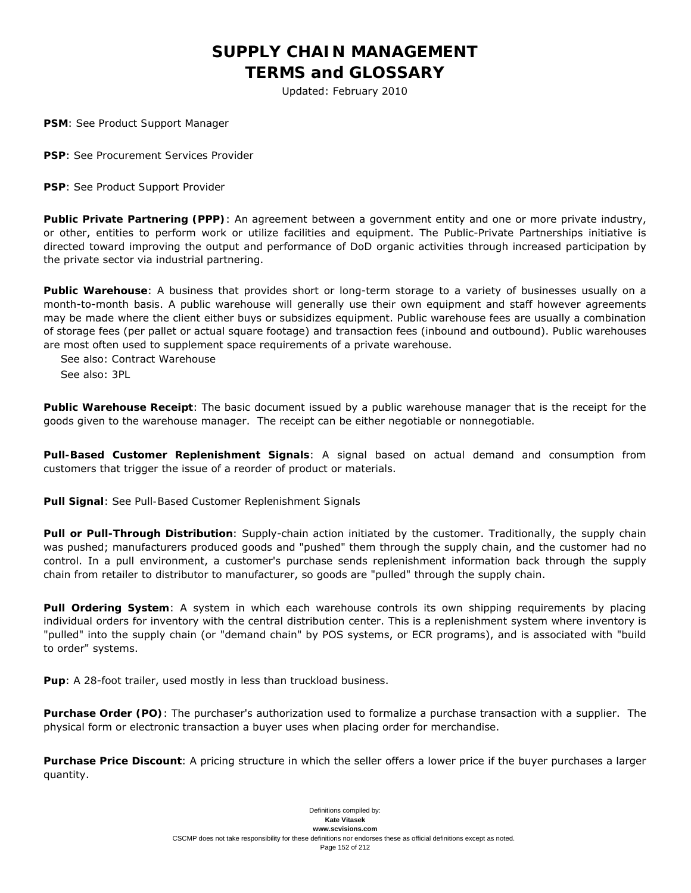Updated: February 2010

**PSM**: See *Product Support Manager*

**PSP**: See *Procurement Services Provider*

**PSP**: See *Product Support Provider*

**Public Private Partnering (PPP)**: An agreement between a government entity and one or more private industry, or other, entities to perform work or utilize facilities and equipment. The Public-Private Partnerships initiative is directed toward improving the output and performance of DoD organic activities through increased participation by the private sector via industrial partnering.

**Public Warehouse**: A business that provides short or long-term storage to a variety of businesses usually on a month-to-month basis. A public warehouse will generally use their own equipment and staff however agreements may be made where the client either buys or subsidizes equipment. Public warehouse fees are usually a combination of storage fees (per pallet or actual square footage) and transaction fees (inbound and outbound). Public warehouses are most often used to supplement space requirements of a private warehouse.

See also: *Contract Warehouse*

See also: *3PL*

**Public Warehouse Receipt**: The basic document issued by a public warehouse manager that is the receipt for the goods given to the warehouse manager. The receipt can be either negotiable or nonnegotiable.

**Pull-Based Customer Replenishment Signals**: A signal based on actual demand and consumption from customers that trigger the issue of a reorder of product or materials.

**Pull Signal**: See *Pull-Based Customer Replenishment Signals*

**Pull or Pull-Through Distribution**: Supply-chain action initiated by the customer. Traditionally, the supply chain was pushed; manufacturers produced goods and "pushed" them through the supply chain, and the customer had no control. In a pull environment, a customer's purchase sends replenishment information back through the supply chain from retailer to distributor to manufacturer, so goods are "pulled" through the supply chain.

**Pull Ordering System**: A system in which each warehouse controls its own shipping requirements by placing individual orders for inventory with the central distribution center. This is a replenishment system where inventory is "pulled" into the supply chain (or "demand chain" by POS systems, or ECR programs), and is associated with "build to order" systems.

**Pup**: A 28-foot trailer, used mostly in less than truckload business.

**Purchase Order (PO)**: The purchaser's authorization used to formalize a purchase transaction with a supplier. The physical form or electronic transaction a buyer uses when placing order for merchandise.

**Purchase Price Discount**: A pricing structure in which the seller offers a lower price if the buyer purchases a larger quantity.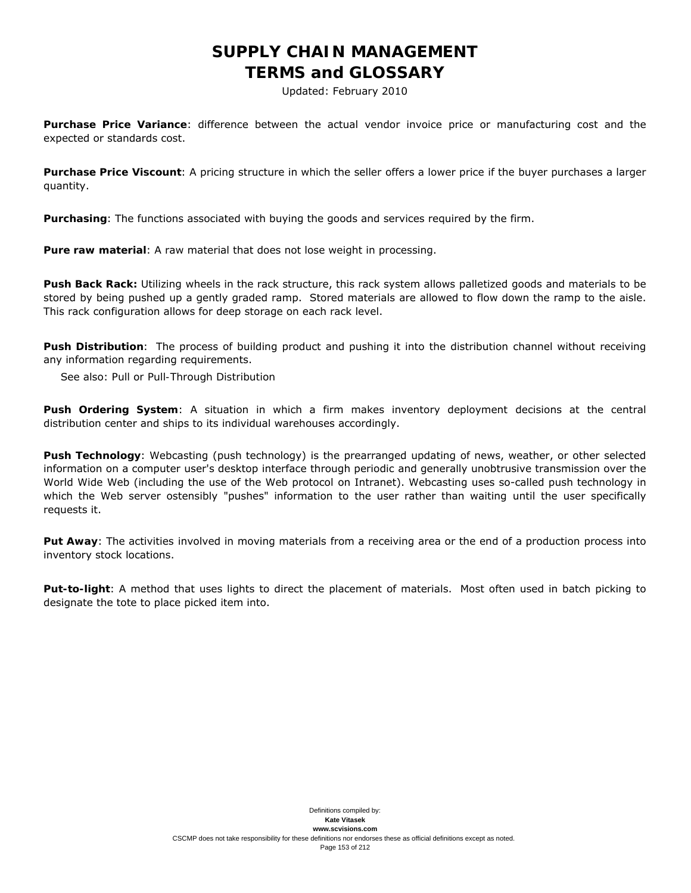Updated: February 2010

**Purchase Price Variance**: difference between the actual vendor invoice price or manufacturing cost and the expected or standards cost.

**Purchase Price Viscount**: A pricing structure in which the seller offers a lower price if the buyer purchases a larger quantity.

**Purchasing**: The functions associated with buying the goods and services required by the firm.

**Pure raw material**: A raw material that does not lose weight in processing.

**Push Back Rack:** Utilizing wheels in the rack structure, this rack system allows palletized goods and materials to be stored by being pushed up a gently graded ramp. Stored materials are allowed to flow down the ramp to the aisle. This rack configuration allows for deep storage on each rack level.

**Push Distribution**: The process of building product and pushing it into the distribution channel without receiving any information regarding requirements.

See also: *Pull or Pull-Through Distribution*

**Push Ordering System**: A situation in which a firm makes inventory deployment decisions at the central distribution center and ships to its individual warehouses accordingly.

**Push Technology**: Webcasting (push technology) is the prearranged updating of news, weather, or other selected information on a computer user's desktop interface through periodic and generally unobtrusive transmission over the World Wide Web (including the use of the Web protocol on Intranet). Webcasting uses so-called push technology in which the Web server ostensibly "pushes" information to the user rather than waiting until the user specifically requests it.

**Put Away**: The activities involved in moving materials from a receiving area or the end of a production process into inventory stock locations.

**Put-to-light**: A method that uses lights to direct the placement of materials. Most often used in batch picking to designate the tote to place picked item into.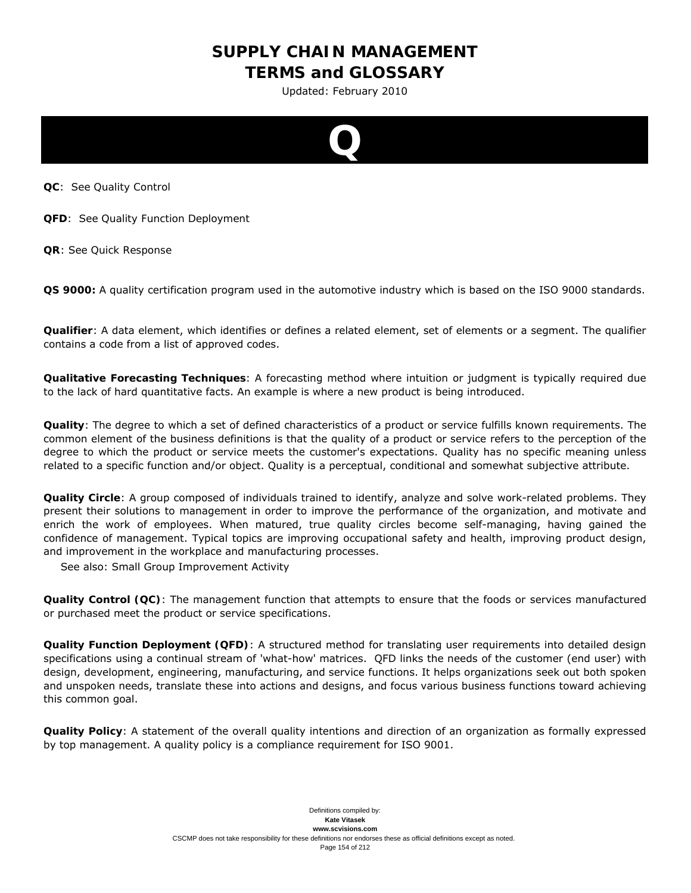Updated: February 2010



**QC**: See *Quality Control*

**QFD**: See *Quality Function Deployment*

**QR**: See *Quick Response*

**QS 9000:** A quality certification program used in the automotive industry which is based on the ISO 9000 standards.

**Qualifier**: A data element, which identifies or defines a related element, set of elements or a segment. The qualifier contains a code from a list of approved codes.

**Qualitative Forecasting Techniques**: A forecasting method where intuition or judgment is typically required due to the lack of hard quantitative facts. An example is where a new product is being introduced.

**Quality**: The degree to which a set of defined characteristics of a product or service fulfills known requirements. The common element of the business definitions is that the quality of a product or service refers to the perception of the degree to which the product or service meets the customer's expectations. Quality has no specific meaning unless related to a specific function and/or object. Quality is a perceptual, conditional and somewhat subjective attribute.

**Quality Circle**: A group composed of individuals trained to identify, analyze and solve work-related problems. They present their solutions to management in order to improve the performance of the organization, and motivate and enrich the work of employees. When matured, true quality circles become self-managing, having gained the confidence of management. Typical topics are improving occupational safety and health, improving product design, and improvement in the workplace and manufacturing processes.

See also: Small Group Improvement Activity

**Quality Control (QC)**: The management function that attempts to ensure that the foods or services manufactured or purchased meet the product or service specifications.

**Quality Function Deployment (QFD)**: A structured method for translating user requirements into detailed design specifications using a continual stream of 'what-how' matrices. QFD links the needs of the customer (end user) with design, development, engineering, manufacturing, and service functions. It helps organizations seek out both spoken and unspoken needs, translate these into actions and designs, and focus various business functions toward achieving this common goal.

**Quality Policy**: A statement of the overall quality intentions and direction of an organization as formally expressed by top management. A quality policy is a compliance requirement for ISO 9001.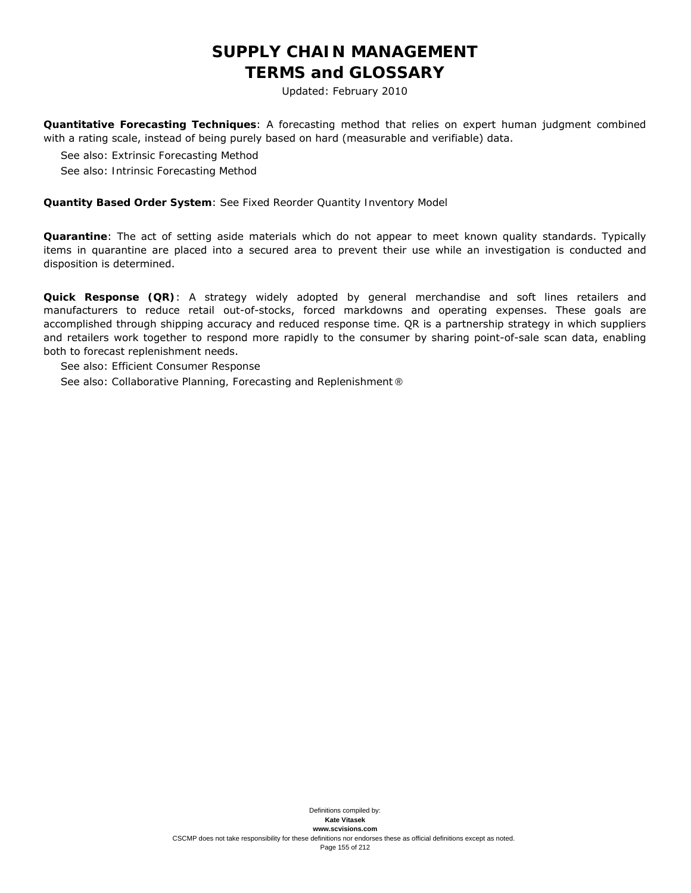Updated: February 2010

**Quantitative Forecasting Techniques**: A forecasting method that relies on expert human judgment combined with a rating scale, instead of being purely based on hard (measurable and verifiable) data.

See also: *Intrinsic Forecasting Method* See also: *Extrinsic Forecasting Method*

#### **Quantity Based Order System**: See *Fixed Reorder Quantity Inventory Model*

**Quarantine**: The act of setting aside materials which do not appear to meet known quality standards. Typically items in quarantine are placed into a secured area to prevent their use while an investigation is conducted and disposition is determined.

**Quick Response (QR)**: A strategy widely adopted by general merchandise and soft lines retailers and manufacturers to reduce retail out-of-stocks, forced markdowns and operating expenses. These goals are accomplished through shipping accuracy and reduced response time. QR is a partnership strategy in which suppliers and retailers work together to respond more rapidly to the consumer by sharing point-of-sale scan data, enabling both to forecast replenishment needs.

See also: *Efficient Consumer Response*  See also: *Collaborative Planning, Forecasting and Replenishment* ®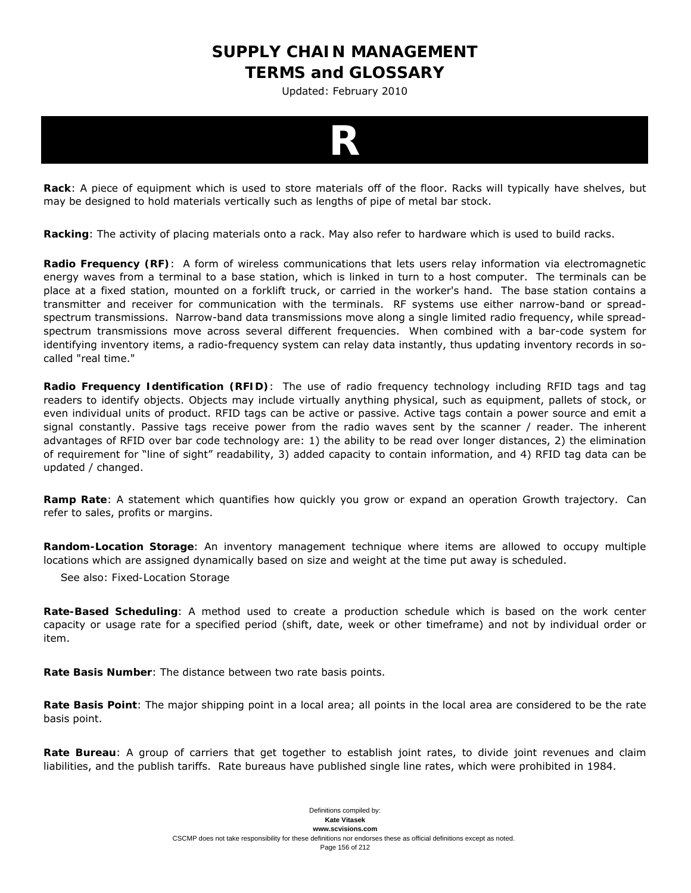Updated: February 2010

# **R**

**Rack**: A piece of equipment which is used to store materials off of the floor. Racks will typically have shelves, but may be designed to hold materials vertically such as lengths of pipe of metal bar stock.

**Racking**: The activity of placing materials onto a rack. May also refer to hardware which is used to build racks.

**Radio Frequency (RF)**: A form of wireless communications that lets users relay information via electromagnetic energy waves from a terminal to a base station, which is linked in turn to a host computer. The terminals can be place at a fixed station, mounted on a forklift truck, or carried in the worker's hand. The base station contains a transmitter and receiver for communication with the terminals. RF systems use either narrow-band or spreadspectrum transmissions. Narrow-band data transmissions move along a single limited radio frequency, while spreadspectrum transmissions move across several different frequencies. When combined with a bar-code system for identifying inventory items, a radio-frequency system can relay data instantly, thus updating inventory records in socalled "real time."

**Radio Frequency Identification (RFID)**: The use of radio frequency technology including RFID tags and tag readers to identify objects. Objects may include virtually anything physical, such as equipment, pallets of stock, or even individual units of product. RFID tags can be active or passive. Active tags contain a power source and emit a signal constantly. Passive tags receive power from the radio waves sent by the scanner / reader. The inherent advantages of RFID over bar code technology are: 1) the ability to be read over longer distances, 2) the elimination of requirement for "line of sight" readability, 3) added capacity to contain information, and 4) RFID tag data can be updated / changed.

**Ramp Rate**: A statement which quantifies how quickly you grow or expand an operation Growth trajectory. Can refer to sales, profits or margins.

**Random-Location Storage**: An inventory management technique where items are allowed to occupy multiple locations which are assigned dynamically based on size and weight at the time put away is scheduled.

See also: *Fixed-Location Storage*

**Rate-Based Scheduling**: A method used to create a production schedule which is based on the work center capacity or usage rate for a specified period (shift, date, week or other timeframe) and not by individual order or item.

**Rate Basis Number**: The distance between two rate basis points.

**Rate Basis Point**: The major shipping point in a local area; all points in the local area are considered to be the rate basis point.

**Rate Bureau**: A group of carriers that get together to establish joint rates, to divide joint revenues and claim liabilities, and the publish tariffs. Rate bureaus have published single line rates, which were prohibited in 1984.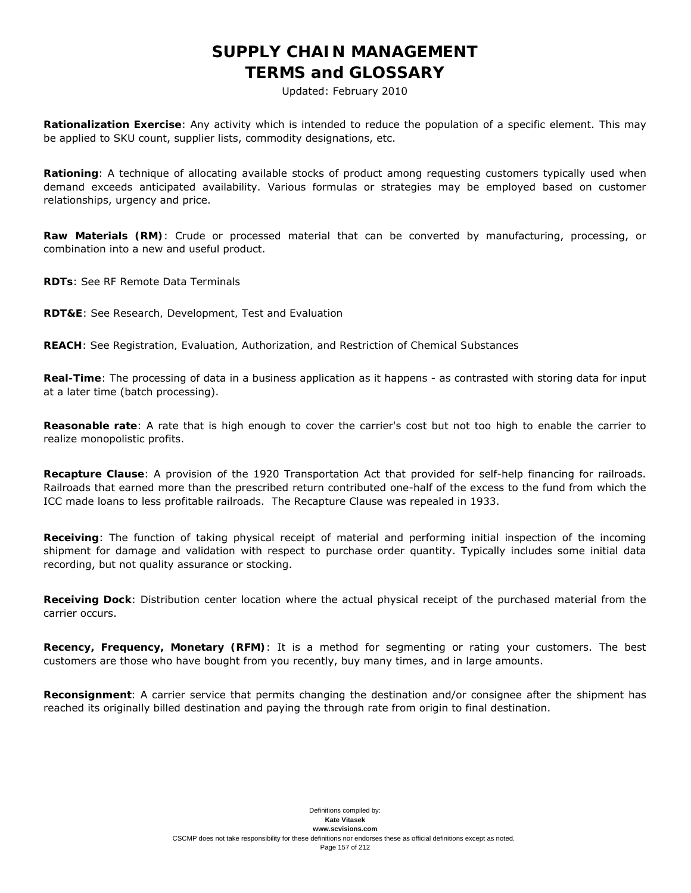Updated: February 2010

**Rationalization Exercise**: Any activity which is intended to reduce the population of a specific element. This may be applied to SKU count, supplier lists, commodity designations, etc.

**Rationing**: A technique of allocating available stocks of product among requesting customers typically used when demand exceeds anticipated availability. Various formulas or strategies may be employed based on customer relationships, urgency and price.

**Raw Materials (RM)**: Crude or processed material that can be converted by manufacturing, processing, or combination into a new and useful product.

**RDTs**: See *RF Remote Data Terminals* 

**RDT&E**: See *Research, Development, Test and Evaluation* 

**REACH**: See *Registration, Evaluation, Authorization, and Restriction of Chemical Substances*

**Real-Time**: The processing of data in a business application as it happens - as contrasted with storing data for input at a later time (batch processing).

**Reasonable rate**: A rate that is high enough to cover the carrier's cost but not too high to enable the carrier to realize monopolistic profits.

**Recapture Clause**: A provision of the 1920 Transportation Act that provided for self-help financing for railroads. Railroads that earned more than the prescribed return contributed one-half of the excess to the fund from which the ICC made loans to less profitable railroads. The Recapture Clause was repealed in 1933.

**Receiving**: The function of taking physical receipt of material and performing initial inspection of the incoming shipment for damage and validation with respect to purchase order quantity. Typically includes some initial data recording, but not quality assurance or stocking.

**Receiving Dock**: Distribution center location where the actual physical receipt of the purchased material from the carrier occurs.

**Recency, Frequency, Monetary (RFM)**: It is a method for segmenting or rating your customers. The best customers are those who have bought from you recently, buy many times, and in large amounts.

**Reconsignment**: A carrier service that permits changing the destination and/or consignee after the shipment has reached its originally billed destination and paying the through rate from origin to final destination.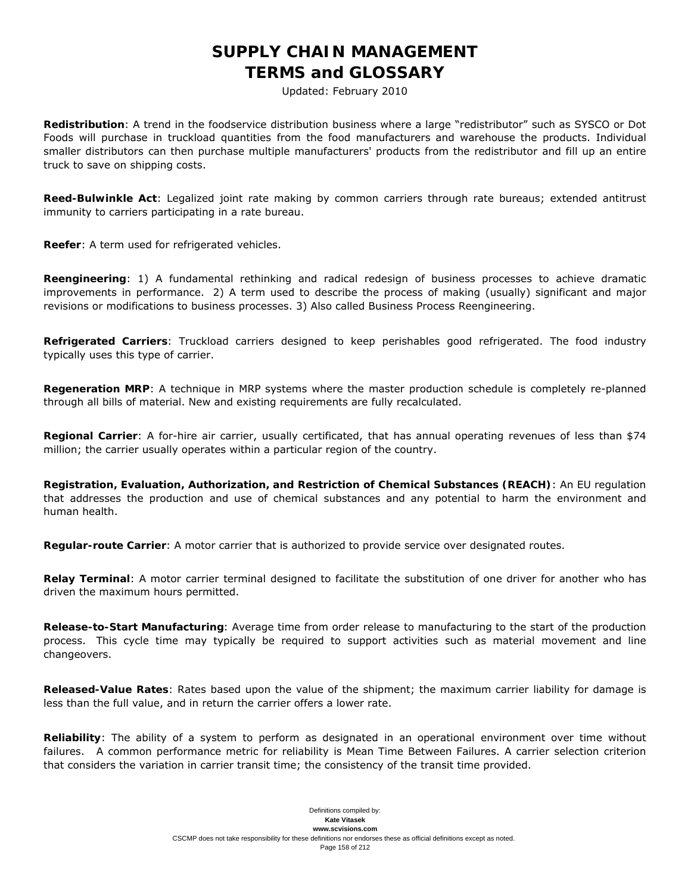Updated: February 2010

**Redistribution**: A trend in the foodservice distribution business where a large "redistributor" such as SYSCO or Dot Foods will purchase in truckload quantities from the food manufacturers and warehouse the products. Individual smaller distributors can then purchase multiple manufacturers' products from the redistributor and fill up an entire truck to save on shipping costs.

**Reed-Bulwinkle Act**: Legalized joint rate making by common carriers through rate bureaus; extended antitrust immunity to carriers participating in a rate bureau.

**Reefer**: A term used for refrigerated vehicles.

**Reengineering**: 1) A fundamental rethinking and radical redesign of business processes to achieve dramatic improvements in performance. 2) A term used to describe the process of making (usually) significant and major revisions or modifications to business processes. 3) Also called Business Process Reengineering.

**Refrigerated Carriers**: Truckload carriers designed to keep perishables good refrigerated. The food industry typically uses this type of carrier.

**Regeneration MRP**: A technique in MRP systems where the master production schedule is completely re-planned through all bills of material. New and existing requirements are fully recalculated.

**Regional Carrier**: A for-hire air carrier, usually certificated, that has annual operating revenues of less than \$74 million; the carrier usually operates within a particular region of the country.

**Registration, Evaluation, Authorization, and Restriction of Chemical Substances (REACH)**: An EU regulation that addresses the production and use of chemical substances and any potential to harm the environment and human health.

**Regular-route Carrier**: A motor carrier that is authorized to provide service over designated routes.

**Relay Terminal**: A motor carrier terminal designed to facilitate the substitution of one driver for another who has driven the maximum hours permitted.

**Release-to-Start Manufacturing**: Average time from order release to manufacturing to the start of the production process. This cycle time may typically be required to support activities such as material movement and line changeovers.

**Released-Value Rates**: Rates based upon the value of the shipment; the maximum carrier liability for damage is less than the full value, and in return the carrier offers a lower rate.

**Reliability**: The ability of a system to perform as designated in an operational environment over time without failures. A common performance metric for reliability is Mean Time Between Failures. A carrier selection criterion that considers the variation in carrier transit time; the consistency of the transit time provided.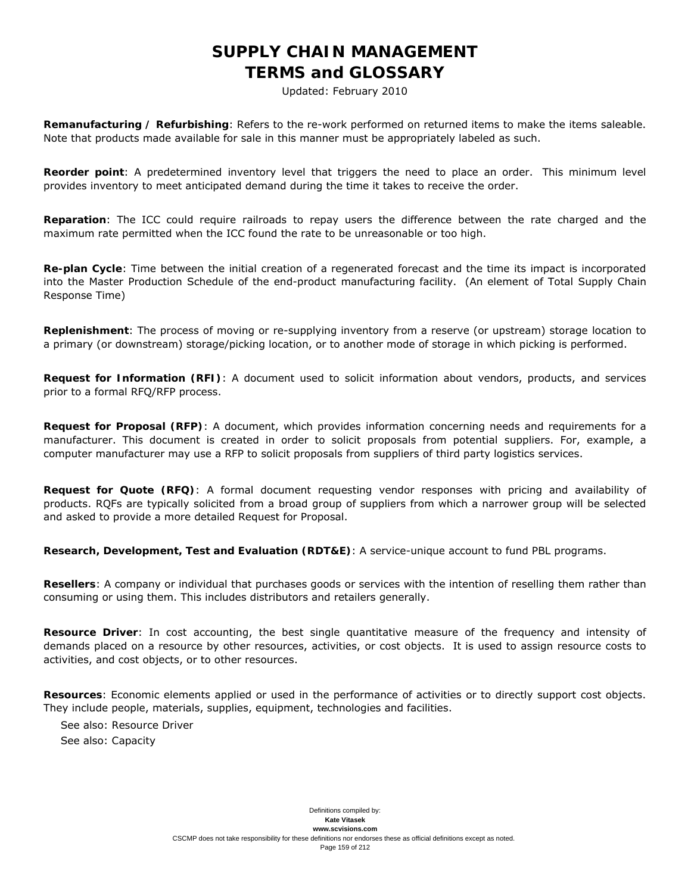Updated: February 2010

**Remanufacturing / Refurbishing**: Refers to the re-work performed on returned items to make the items saleable. Note that products made available for sale in this manner must be appropriately labeled as such.

**Reorder point**: A predetermined inventory level that triggers the need to place an order. This minimum level provides inventory to meet anticipated demand during the time it takes to receive the order.

**Reparation**: The ICC could require railroads to repay users the difference between the rate charged and the maximum rate permitted when the ICC found the rate to be unreasonable or too high.

**Re-plan Cycle**: Time between the initial creation of a regenerated forecast and the time its impact is incorporated into the Master Production Schedule of the end-product manufacturing facility. (An element of Total Supply Chain Response Time)

**Replenishment**: The process of moving or re-supplying inventory from a reserve (or upstream) storage location to a primary (or downstream) storage/picking location, or to another mode of storage in which picking is performed.

**Request for Information (RFI)**: A document used to solicit information about vendors, products, and services prior to a formal RFQ/RFP process.

**Request for Proposal (RFP)**: A document, which provides information concerning needs and requirements for a manufacturer. This document is created in order to solicit proposals from potential suppliers. For, example, a computer manufacturer may use a RFP to solicit proposals from suppliers of third party logistics services.

**Request for Quote (RFQ)**: A formal document requesting vendor responses with pricing and availability of products. RQFs are typically solicited from a broad group of suppliers from which a narrower group will be selected and asked to provide a more detailed Request for Proposal.

**Research, Development, Test and Evaluation (RDT&E)**: A service-unique account to fund PBL programs.

**Resellers**: A company or individual that purchases goods or services with the intention of reselling them rather than consuming or using them. This includes distributors and retailers generally.

**Resource Driver**: In cost accounting, the best single quantitative measure of the frequency and intensity of demands placed on a resource by other resources, activities, or cost objects. It is used to assign resource costs to activities, and cost objects, or to other resources.

**Resources**: Economic elements applied or used in the performance of activities or to directly support cost objects. They include people, materials, supplies, equipment, technologies and facilities.

See also: *Resource Driver* See also: *Capacity*

> Definitions compiled by: **Kate Vitasek www.scvisions.com** CSCMP does not take responsibility for these definitions nor endorses these as official definitions except as noted. Page 159 of 212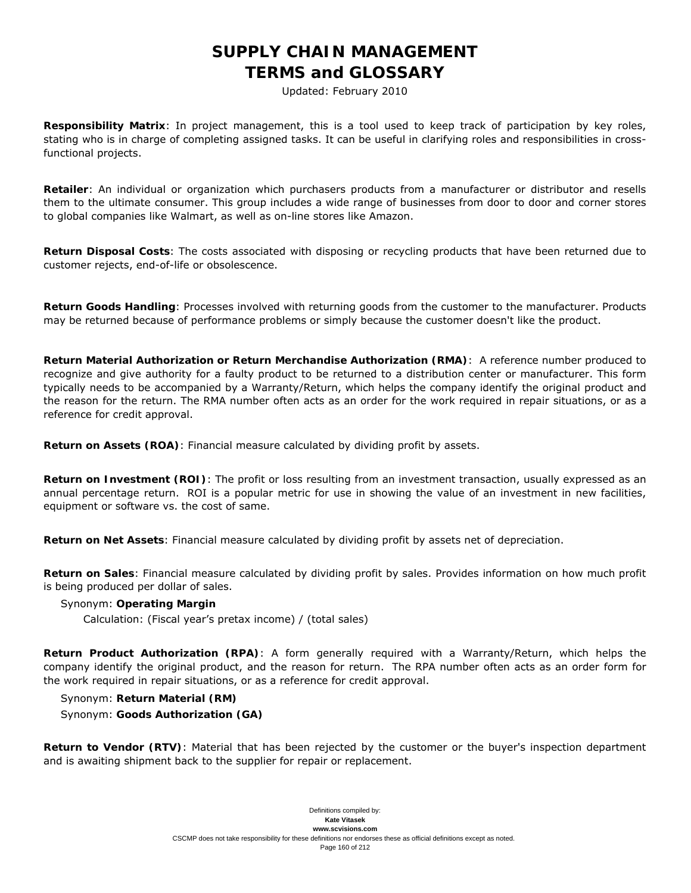Updated: February 2010

**Responsibility Matrix**: In project management, this is a tool used to keep track of participation by key roles, stating who is in charge of completing assigned tasks. It can be useful in clarifying roles and responsibilities in crossfunctional projects.

**Retailer**: An individual or organization which purchasers products from a manufacturer or distributor and resells them to the ultimate consumer. This group includes a wide range of businesses from door to door and corner stores to global companies like Walmart, as well as on-line stores like Amazon.

**Return Disposal Costs**: The costs associated with disposing or recycling products that have been returned due to customer rejects, end-of-life or obsolescence.

**Return Goods Handling**: Processes involved with returning goods from the customer to the manufacturer. Products may be returned because of performance problems or simply because the customer doesn't like the product.

**Return Material Authorization or Return Merchandise Authorization (RMA)**: A reference number produced to recognize and give authority for a faulty product to be returned to a distribution center or manufacturer. This form typically needs to be accompanied by a Warranty/Return, which helps the company identify the original product and the reason for the return. The RMA number often acts as an order for the work required in repair situations, or as a reference for credit approval.

**Return on Assets (ROA)**: Financial measure calculated by dividing profit by assets.

**Return on Investment (ROI)**: The profit or loss resulting from an investment transaction, usually expressed as an annual percentage return. ROI is a popular metric for use in showing the value of an investment in new facilities, equipment or software vs. the cost of same.

**Return on Net Assets**: Financial measure calculated by dividing profit by assets net of depreciation.

**Return on Sales**: Financial measure calculated by dividing profit by sales. Provides information on how much profit is being produced per dollar of sales.

#### Synonym: *Operating Margin*

Calculation: (Fiscal year's pretax income) / (total sales)

**Return Product Authorization (RPA)**: A form generally required with a Warranty/Return, which helps the company identify the original product, and the reason for return. The RPA number often acts as an order form for the work required in repair situations, or as a reference for credit approval.

Synonym: *Return Material (RM)* Synonym: *Goods Authorization (GA)*

**Return to Vendor (RTV)**: Material that has been rejected by the customer or the buyer's inspection department and is awaiting shipment back to the supplier for repair or replacement.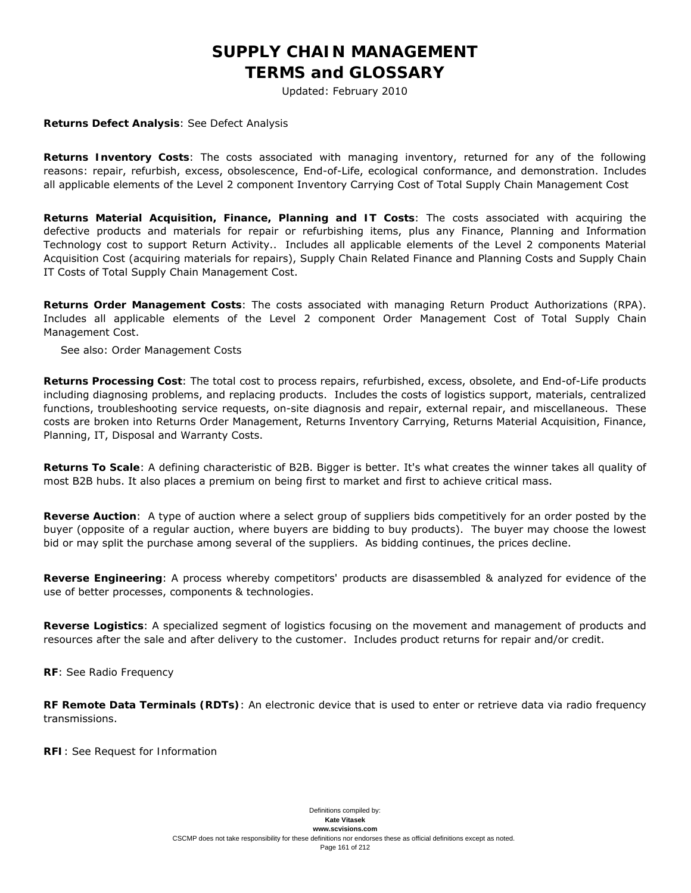Updated: February 2010

#### **Returns Defect Analysis**: See *Defect Analysis*

**Returns Inventory Costs**: The costs associated with managing inventory, returned for any of the following reasons: repair, refurbish, excess, obsolescence, End-of-Life, ecological conformance, and demonstration. Includes all applicable elements of the Level 2 component Inventory Carrying Cost of Total Supply Chain Management Cost

**Returns Material Acquisition, Finance, Planning and IT Costs**: The costs associated with acquiring the defective products and materials for repair or refurbishing items, plus any Finance, Planning and Information Technology cost to support Return Activity.. Includes all applicable elements of the Level 2 components Material Acquisition Cost (acquiring materials for repairs), Supply Chain Related Finance and Planning Costs and Supply Chain IT Costs of Total Supply Chain Management Cost.

**Returns Order Management Costs**: The costs associated with managing Return Product Authorizations (RPA). Includes all applicable elements of the Level 2 component Order Management Cost of Total Supply Chain Management Cost.

See also: *Order Management Costs*

**Returns Processing Cost**: The total cost to process repairs, refurbished, excess, obsolete, and End-of-Life products including diagnosing problems, and replacing products. Includes the costs of logistics support, materials, centralized functions, troubleshooting service requests, on-site diagnosis and repair, external repair, and miscellaneous. These costs are broken into Returns Order Management, Returns Inventory Carrying, Returns Material Acquisition, Finance, Planning, IT, Disposal and Warranty Costs.

**Returns To Scale**: A defining characteristic of B2B. Bigger is better. It's what creates the winner takes all quality of most B2B hubs. It also places a premium on being first to market and first to achieve critical mass.

**Reverse Auction**: A type of auction where a select group of suppliers bids competitively for an order posted by the buyer (opposite of a regular auction, where buyers are bidding to buy products). The buyer may choose the lowest bid or may split the purchase among several of the suppliers. As bidding continues, the prices decline.

**Reverse Engineering**: A process whereby competitors' products are disassembled & analyzed for evidence of the use of better processes, components & technologies.

**Reverse Logistics**: A specialized segment of logistics focusing on the movement and management of products and resources after the sale and after delivery to the customer. Includes product returns for repair and/or credit.

**RF**: See *Radio Frequency*

**RF Remote Data Terminals (RDTs)**: An electronic device that is used to enter or retrieve data via radio frequency transmissions.

**RFI**: See *Request for Information*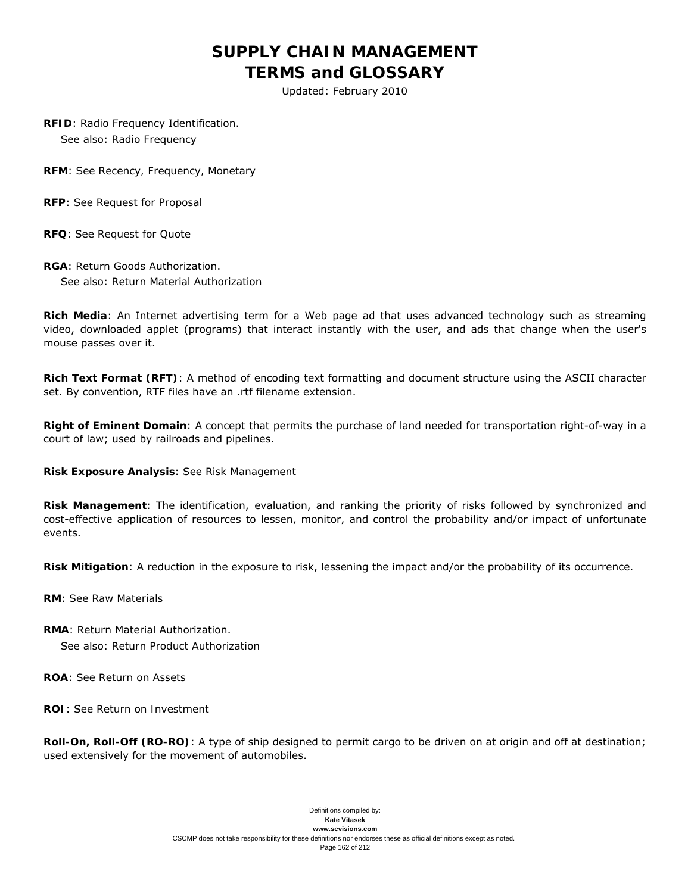Updated: February 2010

**RFID**: Radio Frequency Identification. See also: *Radio Frequency*

**RFM**: See *Recency, Frequency, Monetary*

**RFP**: See *Request for Proposal*

**RFQ**: See *Request for Quote*

**RGA**: Return Goods Authorization. See also: *Return Material Authorization*

**Rich Media**: An Internet advertising term for a Web page ad that uses advanced technology such as streaming video, downloaded applet (programs) that interact instantly with the user, and ads that change when the user's mouse passes over it.

**Rich Text Format (RFT)**: A method of encoding text formatting and document structure using the ASCII character set. By convention, RTF files have an .rtf filename extension.

**Right of Eminent Domain**: A concept that permits the purchase of land needed for transportation right-of-way in a court of law; used by railroads and pipelines.

**Risk Exposure Analysis**: See *Risk Management*

**Risk Management**: The identification, evaluation, and ranking the priority of risks followed by synchronized and cost-effective application of resources to lessen, monitor, and control the probability and/or impact of unfortunate events.

**Risk Mitigation**: A reduction in the exposure to risk, lessening the impact and/or the probability of its occurrence.

**RM**: See *Raw Materials*

**RMA**: Return Material Authorization. See also: *Return Product Authorization*

**ROA**: See *Return on Assets*

**ROI**: See *Return on Investment*

**Roll-On, Roll-Off (RO-RO)**: A type of ship designed to permit cargo to be driven on at origin and off at destination; used extensively for the movement of automobiles.

> Definitions compiled by: **Kate Vitasek www.scvisions.com** CSCMP does not take responsibility for these definitions nor endorses these as official definitions except as noted. Page 162 of 212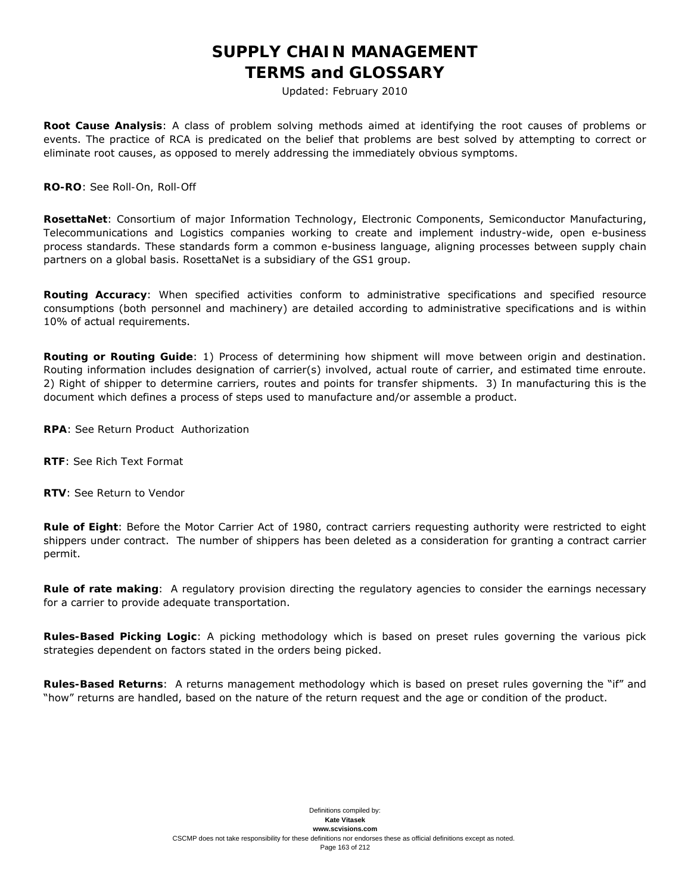Updated: February 2010

**Root Cause Analysis**: A class of problem solving methods aimed at identifying the root causes of problems or events. The practice of RCA is predicated on the belief that problems are best solved by attempting to correct or eliminate root causes, as opposed to merely addressing the immediately obvious symptoms.

#### **RO-RO**: See *Roll-On, Roll-Off*

**RosettaNet**: Consortium of major Information Technology, Electronic Components, Semiconductor Manufacturing, Telecommunications and Logistics companies working to create and implement industry-wide, open e-business process standards. These standards form a common e-business language, aligning processes between supply chain partners on a global basis. RosettaNet is a subsidiary of the GS1 group.

**Routing Accuracy**: When specified activities conform to administrative specifications and specified resource consumptions (both personnel and machinery) are detailed according to administrative specifications and is within 10% of actual requirements.

**Routing or Routing Guide**: 1) Process of determining how shipment will move between origin and destination. Routing information includes designation of carrier(s) involved, actual route of carrier, and estimated time enroute. 2) Right of shipper to determine carriers, routes and points for transfer shipments. 3) In manufacturing this is the document which defines a process of steps used to manufacture and/or assemble a product.

**RPA**: See *Return Product Authorization*

**RTF**: See *Rich Text Format*

**RTV**: See *Return to Vendor*

**Rule of Eight**: Before the Motor Carrier Act of 1980, contract carriers requesting authority were restricted to eight shippers under contract. The number of shippers has been deleted as a consideration for granting a contract carrier permit.

**Rule of rate making**: A regulatory provision directing the regulatory agencies to consider the earnings necessary for a carrier to provide adequate transportation.

**Rules-Based Picking Logic**: A picking methodology which is based on preset rules governing the various pick strategies dependent on factors stated in the orders being picked.

**Rules-Based Returns**: A returns management methodology which is based on preset rules governing the "if" and "how" returns are handled, based on the nature of the return request and the age or condition of the product.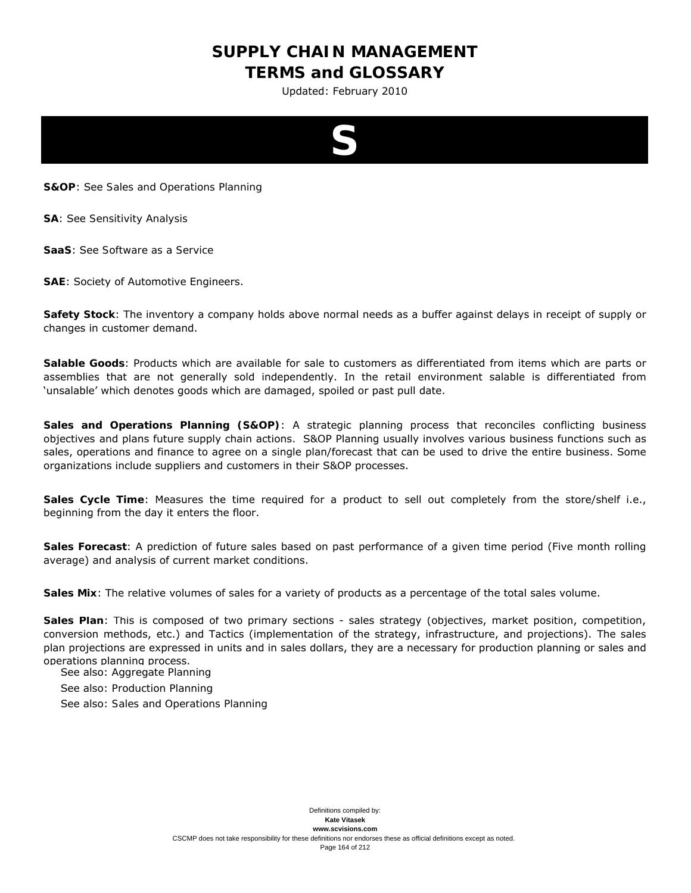Updated: February 2010



**S&OP**: See *Sales and Operations Planning*

**SA**: See *Sensitivity Analysis*

**SaaS**: See *Software as a Service*

**SAE**: Society of Automotive Engineers.

**Safety Stock**: The inventory a company holds above normal needs as a buffer against delays in receipt of supply or changes in customer demand.

**Salable Goods**: Products which are available for sale to customers as differentiated from items which are parts or assemblies that are not generally sold independently. In the retail environment salable is differentiated from 'unsalable' which denotes goods which are damaged, spoiled or past pull date.

**Sales and Operations Planning (S&OP)**: A strategic planning process that reconciles conflicting business objectives and plans future supply chain actions. S&OP Planning usually involves various business functions such as sales, operations and finance to agree on a single plan/forecast that can be used to drive the entire business. Some organizations include suppliers and customers in their S&OP processes.

**Sales Cycle Time**: Measures the time required for a product to sell out completely from the store/shelf i.e., beginning from the day it enters the floor.

**Sales Forecast**: A prediction of future sales based on past performance of a given time period (Five month rolling average) and analysis of current market conditions.

**Sales Mix**: The relative volumes of sales for a variety of products as a percentage of the total sales volume.

**Sales Plan**: This is composed of two primary sections - sales strategy (objectives, market position, competition, conversion methods, etc.) and Tactics (implementation of the strategy, infrastructure, and projections). The sales plan projections are expressed in units and in sales dollars, they are a necessary for production planning or sales and operations planning process.

See also: *Aggregate Planning* See also: *Production Planning* See also: *Sales and Operations Planning*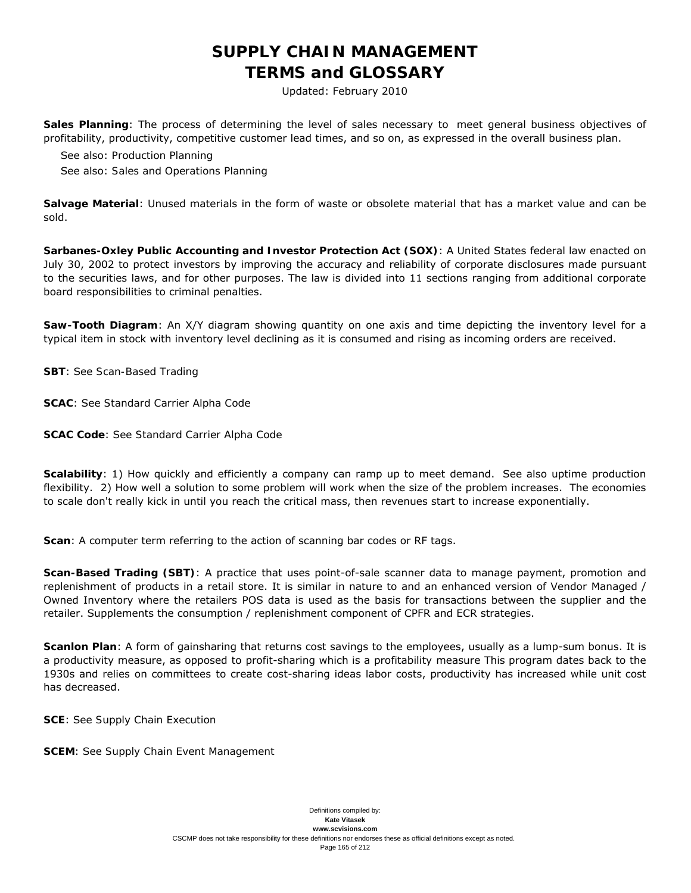Updated: February 2010

**Sales Planning**: The process of determining the level of sales necessary to meet general business objectives of profitability, productivity, competitive customer lead times, and so on, as expressed in the overall business plan.

See also: *Production Planning* See also: *Sales and Operations Planning*

**Salvage Material**: Unused materials in the form of waste or obsolete material that has a market value and can be sold.

**Sarbanes-Oxley Public Accounting and Investor Protection Act (SOX)**: A United States federal law enacted on July 30, 2002 to protect investors by improving the accuracy and reliability of corporate disclosures made pursuant to the securities laws, and for other purposes. The law is divided into 11 sections ranging from additional corporate board responsibilities to criminal penalties.

**Saw-Tooth Diagram**: An X/Y diagram showing quantity on one axis and time depicting the inventory level for a typical item in stock with inventory level declining as it is consumed and rising as incoming orders are received.

**SBT**: See *Scan-Based Trading*

**SCAC**: See *Standard Carrier Alpha Code* 

**SCAC Code**: See *Standard Carrier Alpha Code* 

**Scalability**: 1) How quickly and efficiently a company can ramp up to meet demand. See also uptime production flexibility. 2) How well a solution to some problem will work when the size of the problem increases. The economies to scale don't really kick in until you reach the critical mass, then revenues start to increase exponentially.

**Scan**: A computer term referring to the action of scanning bar codes or RF tags.

**Scan-Based Trading (SBT)**: A practice that uses point-of-sale scanner data to manage payment, promotion and replenishment of products in a retail store. It is similar in nature to and an enhanced version of Vendor Managed / Owned Inventory where the retailers POS data is used as the basis for transactions between the supplier and the retailer. Supplements the consumption / replenishment component of CPFR and ECR strategies.

**Scanlon Plan**: A form of gainsharing that returns cost savings to the employees, usually as a lump-sum bonus. It is a productivity measure, as opposed to profit-sharing which is a profitability measure This program dates back to the 1930s and relies on committees to create cost-sharing ideas labor costs, productivity has increased while unit cost has decreased.

**SCE**: See *Supply Chain Execution*

**SCEM**: See *Supply Chain Event Management*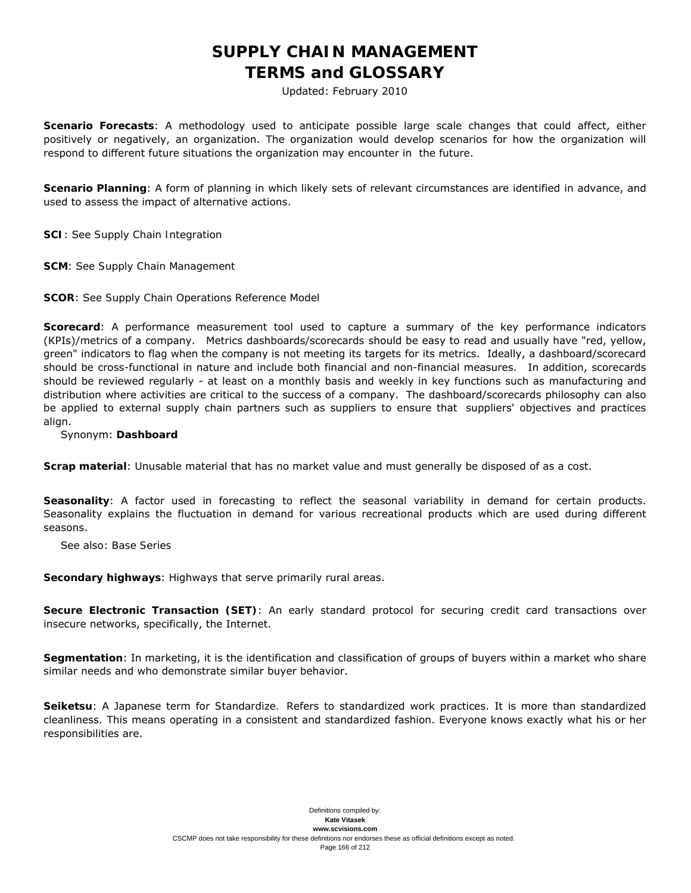Updated: February 2010

**Scenario Forecasts**: A methodology used to anticipate possible large scale changes that could affect, either positively or negatively, an organization. The organization would develop scenarios for how the organization will respond to different future situations the organization may encounter in the future.

**Scenario Planning**: A form of planning in which likely sets of relevant circumstances are identified in advance, and used to assess the impact of alternative actions.

**SCI**: See *Supply Chain Integration*

**SCM**: See *Supply Chain Management*

**SCOR**: See *Supply Chain Operations Reference Model*

**Scorecard**: A performance measurement tool used to capture a summary of the key performance indicators (KPIs)/metrics of a company. Metrics dashboards/scorecards should be easy to read and usually have "red, yellow, green" indicators to flag when the company is not meeting its targets for its metrics. Ideally, a dashboard/scorecard should be cross-functional in nature and include both financial and non-financial measures. In addition, scorecards should be reviewed regularly - at least on a monthly basis and weekly in key functions such as manufacturing and distribution where activities are critical to the success of a company. The dashboard/scorecards philosophy can also be applied to external supply chain partners such as suppliers to ensure that suppliers' objectives and practices align.

Synonym: *Dashboard*

**Scrap material**: Unusable material that has no market value and must generally be disposed of as a cost.

**Seasonality**: A factor used in forecasting to reflect the seasonal variability in demand for certain products. Seasonality explains the fluctuation in demand for various recreational products which are used during different seasons.

See also: *Base Series*

**Secondary highways**: Highways that serve primarily rural areas.

**Secure Electronic Transaction (SET)**: An early standard protocol for securing credit card transactions over insecure networks, specifically, the Internet.

**Segmentation**: In marketing, it is the identification and classification of groups of buyers within a market who share similar needs and who demonstrate similar buyer behavior.

**Seiketsu**: A Japanese term for *Standardize.* Refers to standardized work practices. It is more than standardized cleanliness. This means operating in a consistent and standardized fashion. Everyone knows exactly what his or her responsibilities are.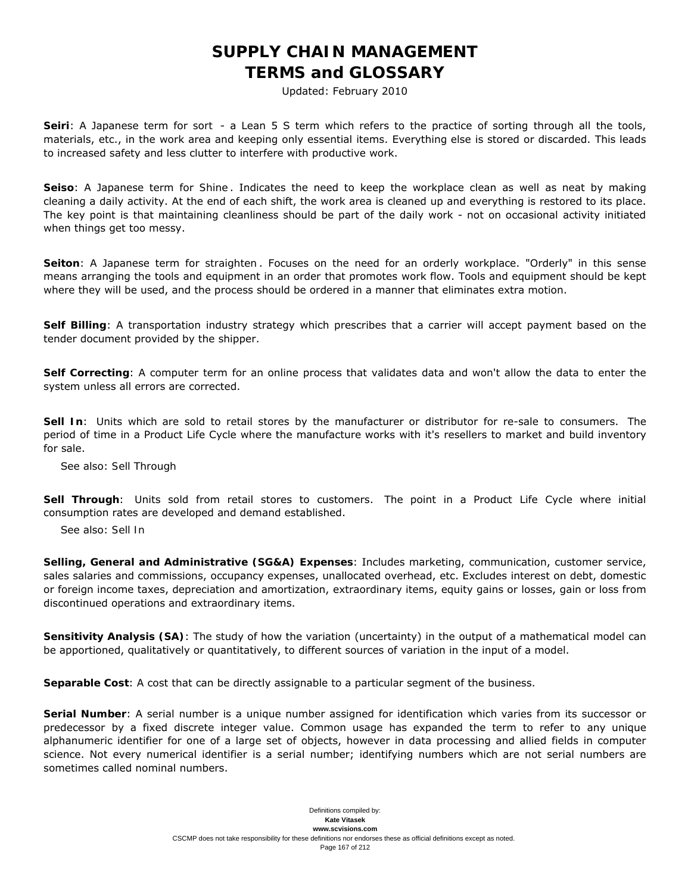Updated: February 2010

**Seiri**: A Japanese term for *sort* - a Lean 5 S term which refers to the practice of sorting through all the tools, materials, etc., in the work area and keeping only essential items. Everything else is stored or discarded. This leads to increased safety and less clutter to interfere with productive work.

**Seiso**: A Japanese term for *Shine* . Indicates the need to keep the workplace clean as well as neat by making cleaning a daily activity. At the end of each shift, the work area is cleaned up and everything is restored to its place. The key point is that maintaining cleanliness should be part of the daily work - not on occasional activity initiated when things get too messy.

**Seiton**: A Japanese term for *straighten* . Focuses on the need for an orderly workplace. "Orderly" in this sense means arranging the tools and equipment in an order that promotes work flow. Tools and equipment should be kept where they will be used, and the process should be ordered in a manner that eliminates extra motion.

**Self Billing**: A transportation industry strategy which prescribes that a carrier will accept payment based on the tender document provided by the shipper.

**Self Correcting**: A computer term for an online process that validates data and won't allow the data to enter the system unless all errors are corrected.

**Sell In**: Units which are sold to retail stores by the manufacturer or distributor for re-sale to consumers. The period of time in a Product Life Cycle where the manufacture works with it's resellers to market and build inventory for sale.

See also: *Sell Through*

**Sell Through**: Units sold from retail stores to customers. The point in a Product Life Cycle where initial consumption rates are developed and demand established.

See also: *Sell In*

**Selling, General and Administrative (SG&A) Expenses**: Includes marketing, communication, customer service, sales salaries and commissions, occupancy expenses, unallocated overhead, etc. Excludes interest on debt, domestic or foreign income taxes, depreciation and amortization, extraordinary items, equity gains or losses, gain or loss from discontinued operations and extraordinary items.

**Sensitivity Analysis (SA)**: The study of how the variation (uncertainty) in the output of a mathematical model can be apportioned, qualitatively or quantitatively, to different sources of variation in the input of a model.

**Separable Cost**: A cost that can be directly assignable to a particular segment of the business.

**Serial Number**: A serial number is a unique number assigned for identification which varies from its successor or predecessor by a fixed discrete integer value. Common usage has expanded the term to refer to any unique alphanumeric identifier for one of a large set of objects, however in data processing and allied fields in computer science. Not every numerical identifier is a serial number; identifying numbers which are not serial numbers are sometimes called nominal numbers.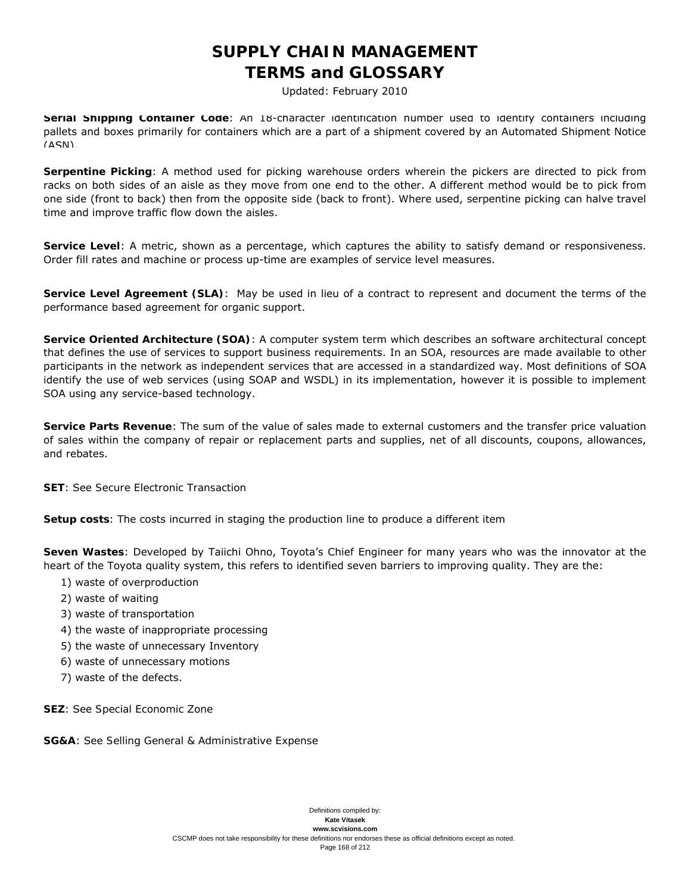Updated: February 2010

**Serial Shipping Container Code**: An 18-character identification number used to identify containers including pallets and boxes primarily for containers which are a part of a shipment covered by an Automated Shipment Notice (ASN).

**Serpentine Picking**: A method used for picking warehouse orders wherein the pickers are directed to pick from racks on both sides of an aisle as they move from one end to the other. A different method would be to pick from one side (front to back) then from the opposite side (back to front). Where used, serpentine picking can halve travel time and improve traffic flow down the aisles.

**Service Level**: A metric, shown as a percentage, which captures the ability to satisfy demand or responsiveness. Order fill rates and machine or process up-time are examples of service level measures.

**Service Level Agreement (SLA)**: May be used in lieu of a contract to represent and document the terms of the performance based agreement for organic support.

**Service Oriented Architecture (SOA)**: A computer system term which describes an software architectural concept that defines the use of services to support business requirements. In an SOA, resources are made available to other participants in the network as independent services that are accessed in a standardized way. Most definitions of SOA identify the use of web services (using SOAP and WSDL) in its implementation, however it is possible to implement SOA using any service-based technology.

**Service Parts Revenue**: The sum of the value of sales made to external customers and the transfer price valuation of sales within the company of repair or replacement parts and supplies, net of all discounts, coupons, allowances, and rebates.

**SET**: See *Secure Electronic Transaction*

**Setup costs**: The costs incurred in staging the production line to produce a different item

**Seven Wastes**: Developed by Taiichi Ohno, Toyota's Chief Engineer for many years who was the innovator at the heart of the Toyota quality system, this refers to identified seven barriers to improving quality. They are the:

- 1) waste of overproduction
- 2) waste of waiting
- 3) waste of transportation
- 4) the waste of inappropriate processing
- 5) the waste of unnecessary Inventory
- 6) waste of unnecessary motions
- 7) waste of the defects.

**SEZ**: See *Special Economic Zone*

**SG&A**: See *Selling General & Administrative Expense*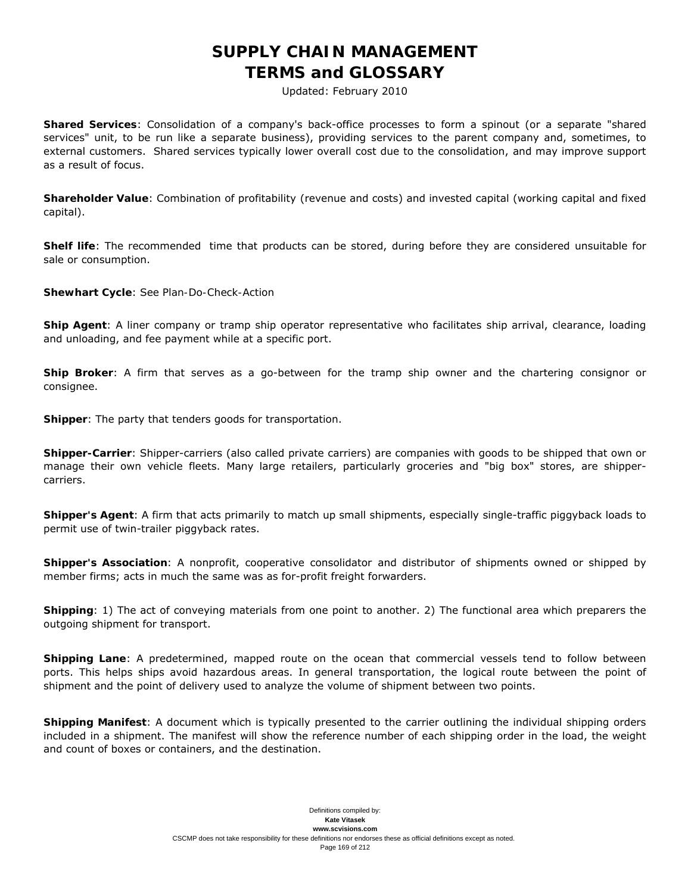Updated: February 2010

**Shared Services**: Consolidation of a company's back-office processes to form a spinout (or a separate "shared services" unit, to be run like a separate business), providing services to the parent company and, sometimes, to external customers. Shared services typically lower overall cost due to the consolidation, and may improve support as a result of focus.

**Shareholder Value**: Combination of profitability (revenue and costs) and invested capital (working capital and fixed capital).

**Shelf life**: The recommended time that products can be stored, during before they are considered unsuitable for sale or consumption.

**Shewhart Cycle**: See *Plan-Do-Check-Action*

**Ship Agent**: A liner company or tramp ship operator representative who facilitates ship arrival, clearance, loading and unloading, and fee payment while at a specific port.

**Ship Broker**: A firm that serves as a go-between for the tramp ship owner and the chartering consignor or consignee.

**Shipper**: The party that tenders goods for transportation.

**Shipper-Carrier**: Shipper-carriers (also called private carriers) are companies with goods to be shipped that own or manage their own vehicle fleets. Many large retailers, particularly groceries and "big box" stores, are shippercarriers.

**Shipper's Agent**: A firm that acts primarily to match up small shipments, especially single-traffic piggyback loads to permit use of twin-trailer piggyback rates.

**Shipper's Association**: A nonprofit, cooperative consolidator and distributor of shipments owned or shipped by member firms; acts in much the same was as for-profit freight forwarders.

**Shipping**: 1) The act of conveying materials from one point to another. 2) The functional area which preparers the outgoing shipment for transport.

**Shipping Lane**: A predetermined, mapped route on the ocean that commercial vessels tend to follow between ports. This helps ships avoid hazardous areas. In general transportation, the logical route between the point of shipment and the point of delivery used to analyze the volume of shipment between two points.

**Shipping Manifest**: A document which is typically presented to the carrier outlining the individual shipping orders included in a shipment. The manifest will show the reference number of each shipping order in the load, the weight and count of boxes or containers, and the destination.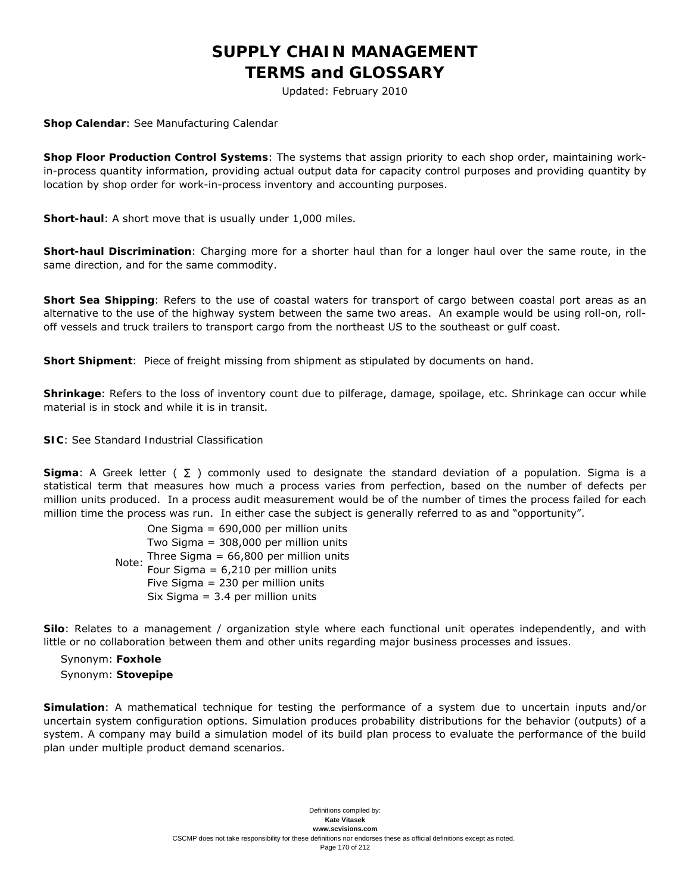Updated: February 2010

**Shop Calendar**: See *Manufacturing Calendar*

**Shop Floor Production Control Systems**: The systems that assign priority to each shop order, maintaining workin-process quantity information, providing actual output data for capacity control purposes and providing quantity by location by shop order for work-in-process inventory and accounting purposes.

**Short-haul**: A short move that is usually under 1,000 miles.

**Short-haul Discrimination**: Charging more for a shorter haul than for a longer haul over the same route, in the same direction, and for the same commodity.

**Short Sea Shipping**: Refers to the use of coastal waters for transport of cargo between coastal port areas as an alternative to the use of the highway system between the same two areas. An example would be using roll-on, rolloff vessels and truck trailers to transport cargo from the northeast US to the southeast or gulf coast.

**Short Shipment**: Piece of freight missing from shipment as stipulated by documents on hand.

**Shrinkage**: Refers to the loss of inventory count due to pilferage, damage, spoilage, etc. Shrinkage can occur while material is in stock and while it is in transit.

#### **SIC**: See *Standard Industrial Classification*

**Sigma**: A Greek letter ( $\Sigma$ ) commonly used to designate the standard deviation of a population. Sigma is a statistical term that measures how much a process varies from perfection, based on the number of defects per million units produced. In a process audit measurement would be of the number of times the process failed for each million time the process was run. In either case the subject is generally referred to as and "opportunity".

> Note: Three Sigma = 66,800 per million units One Sigma = 690,000 per million units Two Sigma = 308,000 per million units Four Sigma =  $6,210$  per million units Five Sigma = 230 per million units Six Sigma = 3.4 per million units

**Silo**: Relates to a management / organization style where each functional unit operates independently, and with little or no collaboration between them and other units regarding major business processes and issues.

# Synonym: *Foxhole*

Synonym: *Stovepipe*

**Simulation**: A mathematical technique for testing the performance of a system due to uncertain inputs and/or uncertain system configuration options. Simulation produces probability distributions for the behavior (outputs) of a system. A company may build a simulation model of its build plan process to evaluate the performance of the build plan under multiple product demand scenarios.

> Definitions compiled by: **Kate Vitasek www.scvisions.com** CSCMP does not take responsibility for these definitions nor endorses these as official definitions except as noted. Page 170 of 212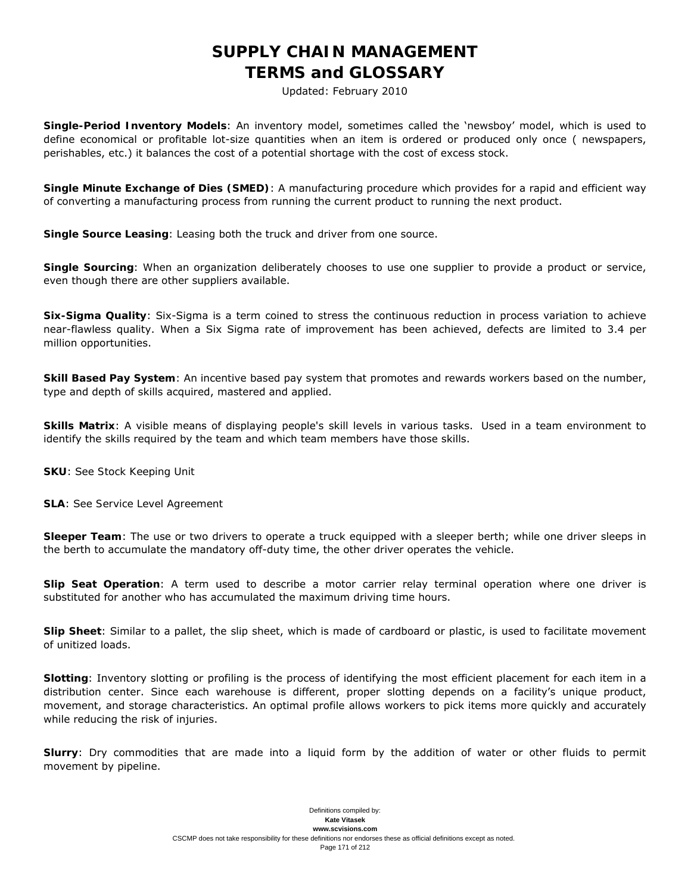Updated: February 2010

**Single-Period Inventory Models**: An inventory model, sometimes called the 'newsboy' model, which is used to define economical or profitable lot-size quantities when an item is ordered or produced only once ( newspapers, perishables, etc.) it balances the cost of a potential shortage with the cost of excess stock.

**Single Minute Exchange of Dies (SMED)**: A manufacturing procedure which provides for a rapid and efficient way of converting a manufacturing process from running the current product to running the next product.

**Single Source Leasing**: Leasing both the truck and driver from one source.

**Single Sourcing**: When an organization deliberately chooses to use one supplier to provide a product or service, even though there are other suppliers available.

**Six-Sigma Quality**: Six-Sigma is a term coined to stress the continuous reduction in process variation to achieve near-flawless quality. When a Six Sigma rate of improvement has been achieved, defects are limited to 3.4 per million opportunities.

**Skill Based Pay System**: An incentive based pay system that promotes and rewards workers based on the number, type and depth of skills acquired, mastered and applied.

**Skills Matrix**: A visible means of displaying people's skill levels in various tasks. Used in a team environment to identify the skills required by the team and which team members have those skills.

**SKU**: See *Stock Keeping Unit*

**SLA**: See *Service Level Agreement*

**Sleeper Team**: The use or two drivers to operate a truck equipped with a sleeper berth; while one driver sleeps in the berth to accumulate the mandatory off-duty time, the other driver operates the vehicle.

**Slip Seat Operation**: A term used to describe a motor carrier relay terminal operation where one driver is substituted for another who has accumulated the maximum driving time hours.

**Slip Sheet**: Similar to a pallet, the slip sheet, which is made of cardboard or plastic, is used to facilitate movement of unitized loads.

**Slotting**: Inventory slotting or profiling is the process of identifying the most efficient placement for each item in a distribution center. Since each warehouse is different, proper slotting depends on a facility's unique product, movement, and storage characteristics. An optimal profile allows workers to pick items more quickly and accurately while reducing the risk of injuries.

**Slurry**: Dry commodities that are made into a liquid form by the addition of water or other fluids to permit movement by pipeline.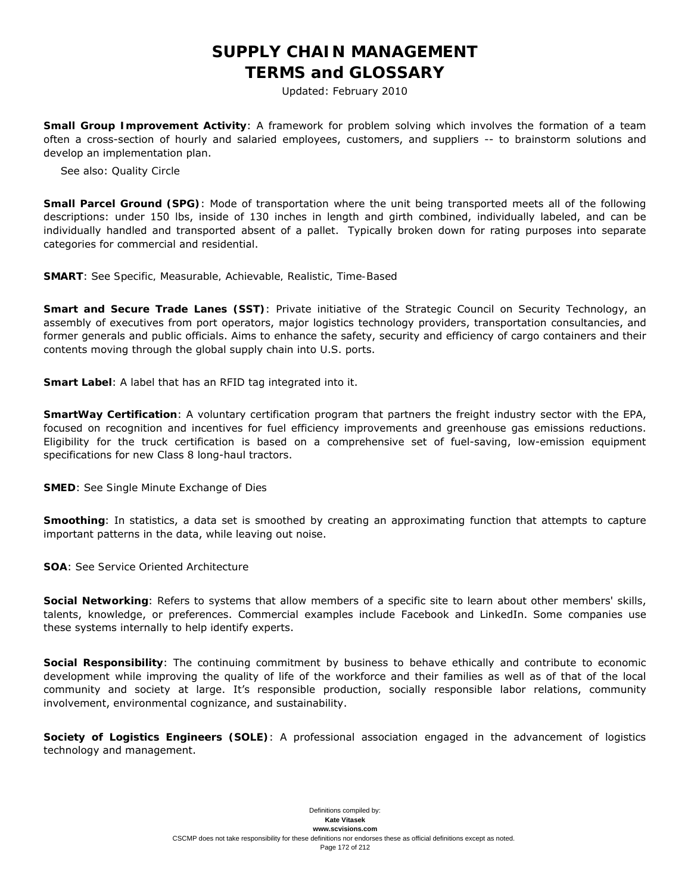Updated: February 2010

**Small Group Improvement Activity**: A framework for problem solving which involves the formation of a team often a cross-section of hourly and salaried employees, customers, and suppliers -- to brainstorm solutions and develop an implementation plan.

See also: *Quality Circle*

**Small Parcel Ground (SPG)**: Mode of transportation where the unit being transported meets all of the following descriptions: under 150 lbs, inside of 130 inches in length and girth combined, individually labeled, and can be individually handled and transported absent of a pallet. Typically broken down for rating purposes into separate categories for commercial and residential.

#### **SMART**: See *Specific, Measurable, Achievable, Realistic, Time-Based*

**Smart and Secure Trade Lanes (SST)**: Private initiative of the Strategic Council on Security Technology, an assembly of executives from port operators, major logistics technology providers, transportation consultancies, and former generals and public officials. Aims to enhance the safety, security and efficiency of cargo containers and their contents moving through the global supply chain into U.S. ports.

**Smart Label**: A label that has an RFID tag integrated into it.

**SmartWay Certification**: A voluntary certification program that partners the freight industry sector with the EPA, focused on recognition and incentives for fuel efficiency improvements and greenhouse gas emissions reductions. Eligibility for the truck certification is based on a comprehensive set of fuel-saving, low-emission equipment specifications for new Class 8 long-haul tractors.

**SMED**: See *Single Minute Exchange of Dies*

**Smoothing**: In statistics, a data set is smoothed by creating an approximating function that attempts to capture important patterns in the data, while leaving out noise.

**SOA**: See *Service Oriented Architecture*

**Social Networking**: Refers to systems that allow members of a specific site to learn about other members' skills, talents, knowledge, or preferences. Commercial examples include Facebook and LinkedIn. Some companies use these systems internally to help identify experts.

**Social Responsibility**: The continuing commitment by business to behave ethically and contribute to economic development while improving the quality of life of the workforce and their families as well as of that of the local community and society at large. It's responsible production, socially responsible labor relations, community involvement, environmental cognizance, and sustainability.

**Society of Logistics Engineers (SOLE)**: A professional association engaged in the advancement of logistics technology and management.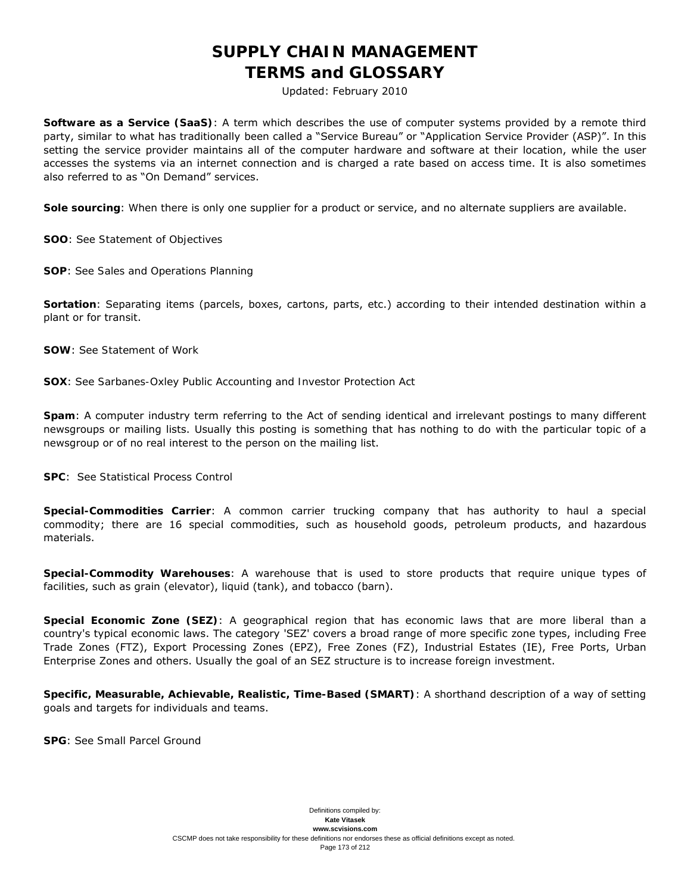Updated: February 2010

**Software as a Service (SaaS)**: A term which describes the use of computer systems provided by a remote third party, similar to what has traditionally been called a "Service Bureau" or "Application Service Provider (ASP)". In this setting the service provider maintains all of the computer hardware and software at their location, while the user accesses the systems via an internet connection and is charged a rate based on access time. It is also sometimes also referred to as "On Demand" services.

**Sole sourcing**: When there is only one supplier for a product or service, and no alternate suppliers are available.

**SOO**: See *Statement of Objectives*

**SOP**: See *Sales and Operations Planning*

**Sortation**: Separating items (parcels, boxes, cartons, parts, etc.) according to their intended destination within a plant or for transit.

**SOW**: See *Statement of Work*

**SOX**: See *Sarbanes-Oxley Public Accounting and Investor Protection Act*

**Spam**: A computer industry term referring to the Act of sending identical and irrelevant postings to many different newsgroups or mailing lists. Usually this posting is something that has nothing to do with the particular topic of a newsgroup or of no real interest to the person on the mailing list.

**SPC**: See *Statistical Process Control*

**Special-Commodities Carrier**: A common carrier trucking company that has authority to haul a special commodity; there are 16 special commodities, such as household goods, petroleum products, and hazardous materials.

**Special-Commodity Warehouses**: A warehouse that is used to store products that require unique types of facilities, such as grain (elevator), liquid (tank), and tobacco (barn).

**Special Economic Zone (SEZ)**: A geographical region that has economic laws that are more liberal than a country's typical economic laws. The category 'SEZ' covers a broad range of more specific zone types, including Free Trade Zones (FTZ), Export Processing Zones (EPZ), Free Zones (FZ), Industrial Estates (IE), Free Ports, Urban Enterprise Zones and others. Usually the goal of an SEZ structure is to increase foreign investment.

**Specific, Measurable, Achievable, Realistic, Time-Based (SMART)**: A shorthand description of a way of setting goals and targets for individuals and teams.

**SPG**: See *Small Parcel Ground*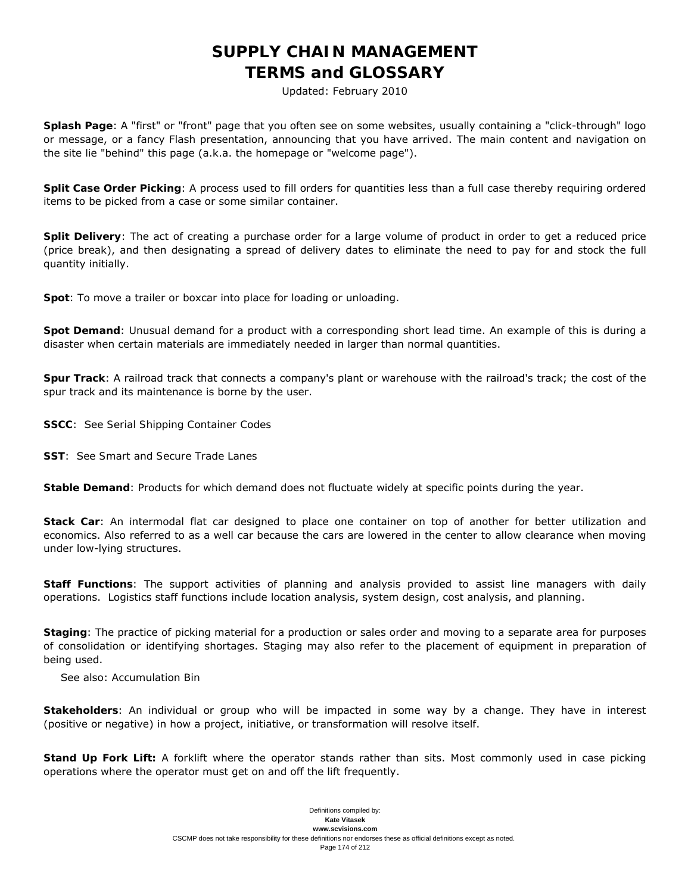Updated: February 2010

**Splash Page**: A "first" or "front" page that you often see on some websites, usually containing a "click-through" logo or message, or a fancy Flash presentation, announcing that you have arrived. The main content and navigation on the site lie "behind" this page (a.k.a. the homepage or "welcome page").

**Split Case Order Picking**: A process used to fill orders for quantities less than a full case thereby requiring ordered items to be picked from a case or some similar container.

**Split Delivery**: The act of creating a purchase order for a large volume of product in order to get a reduced price (price break), and then designating a spread of delivery dates to eliminate the need to pay for and stock the full quantity initially.

**Spot**: To move a trailer or boxcar into place for loading or unloading.

**Spot Demand**: Unusual demand for a product with a corresponding short lead time. An example of this is during a disaster when certain materials are immediately needed in larger than normal quantities.

**Spur Track**: A railroad track that connects a company's plant or warehouse with the railroad's track; the cost of the spur track and its maintenance is borne by the user.

**SSCC**: See *Serial Shipping Container Codes*

**SST**: See *Smart and Secure Trade Lanes*

**Stable Demand**: Products for which demand does not fluctuate widely at specific points during the year.

**Stack Car**: An intermodal flat car designed to place one container on top of another for better utilization and economics. Also referred to as a well car because the cars are lowered in the center to allow clearance when moving under low-lying structures.

**Staff Functions**: The support activities of planning and analysis provided to assist line managers with daily operations. Logistics staff functions include location analysis, system design, cost analysis, and planning.

**Staging**: The practice of picking material for a production or sales order and moving to a separate area for purposes of consolidation or identifying shortages. Staging may also refer to the placement of equipment in preparation of being used.

See also: *Accumulation Bin*

**Stakeholders**: An individual or group who will be impacted in some way by a change. They have in interest (positive or negative) in how a project, initiative, or transformation will resolve itself.

**Stand Up Fork Lift:** A forklift where the operator stands rather than sits. Most commonly used in case picking operations where the operator must get on and off the lift frequently.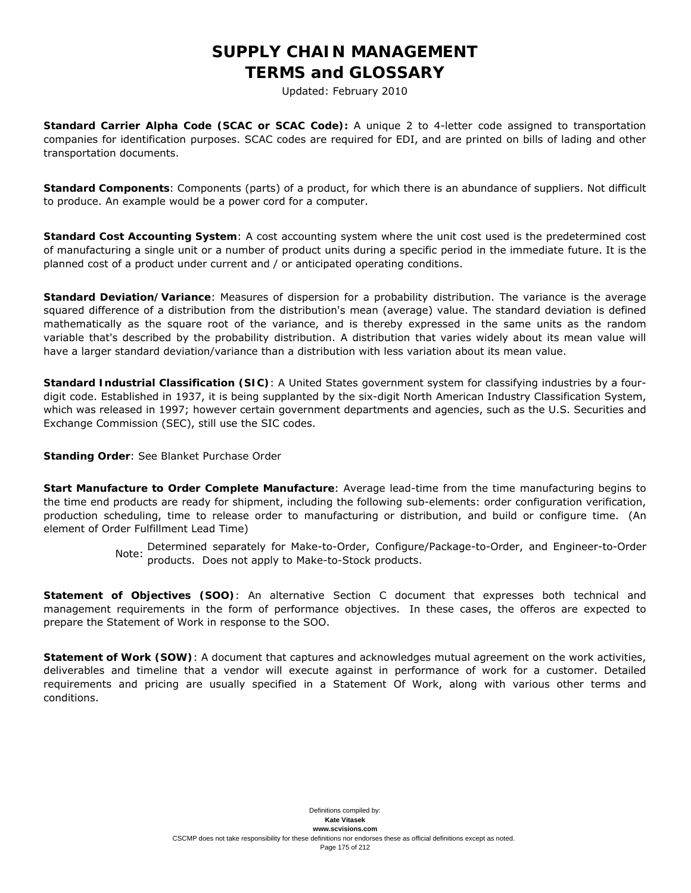Updated: February 2010

**Standard Carrier Alpha Code (SCAC or SCAC Code):** A unique 2 to 4-letter code assigned to transportation companies for identification purposes. SCAC codes are required for EDI, and are printed on bills of lading and other transportation documents.

**Standard Components**: Components (parts) of a product, for which there is an abundance of suppliers. Not difficult to produce. An example would be a power cord for a computer.

**Standard Cost Accounting System**: A cost accounting system where the unit cost used is the predetermined cost of manufacturing a single unit or a number of product units during a specific period in the immediate future. It is the planned cost of a product under current and / or anticipated operating conditions.

**Standard Deviation/Variance**: Measures of dispersion for a probability distribution. The variance is the average squared difference of a distribution from the distribution's mean (average) value. The standard deviation is defined mathematically as the square root of the variance, and is thereby expressed in the same units as the random variable that's described by the probability distribution. A distribution that varies widely about its mean value will have a larger standard deviation/variance than a distribution with less variation about its mean value.

**Standard Industrial Classification (SIC)**: A United States government system for classifying industries by a fourdigit code. Established in 1937, it is being supplanted by the six-digit North American Industry Classification System, which was released in 1997; however certain government departments and agencies, such as the U.S. Securities and Exchange Commission (SEC), still use the SIC codes.

**Standing Order**: See *Blanket Purchase Order*

**Start Manufacture to Order Complete Manufacture**: Average lead-time from the time manufacturing begins to the time end products are ready for shipment, including the following sub-elements: order configuration verification, production scheduling, time to release order to manufacturing or distribution, and build or configure time. (An element of Order Fulfillment Lead Time)

Note: Determined separately for Make-to-Order, Configure/Package-to-Order, and Engineer-to-Order products. Does not apply to Make-to-Stock products.

**Statement of Objectives (SOO)**: An alternative Section C document that expresses both technical and management requirements in the form of performance objectives. In these cases, the offeros are expected to prepare the Statement of Work in response to the SOO.

**Statement of Work (SOW)**: A document that captures and acknowledges mutual agreement on the work activities, deliverables and timeline that a vendor will execute against in performance of work for a customer. Detailed requirements and pricing are usually specified in a Statement Of Work, along with various other terms and conditions.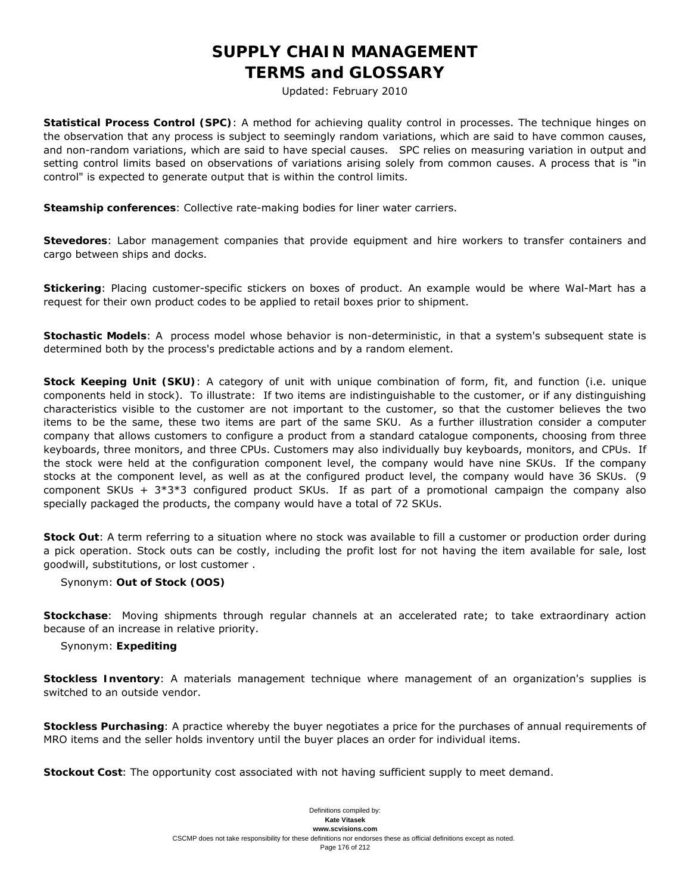Updated: February 2010

**Statistical Process Control (SPC)**: A method for achieving quality control in processes. The technique hinges on the observation that any process is subject to seemingly random variations, which are said to have common causes, and non-random variations, which are said to have special causes. SPC relies on measuring variation in output and setting control limits based on observations of variations arising solely from common causes. A process that is "in control" is expected to generate output that is within the control limits.

**Steamship conferences**: Collective rate-making bodies for liner water carriers.

**Stevedores**: Labor management companies that provide equipment and hire workers to transfer containers and cargo between ships and docks.

**Stickering**: Placing customer-specific stickers on boxes of product. An example would be where Wal-Mart has a request for their own product codes to be applied to retail boxes prior to shipment.

**Stochastic Models**: A process model whose behavior is non-deterministic, in that a system's subsequent state is determined both by the process's predictable actions and by a random element.

**Stock Keeping Unit (SKU)**: A category of unit with unique combination of form, fit, and function (i.e. unique components held in stock). To illustrate: If two items are indistinguishable to the customer, or if any distinguishing characteristics visible to the customer are not important to the customer, so that the customer believes the two items to be the same, these two items are part of the same SKU. As a further illustration consider a computer company that allows customers to configure a product from a standard catalogue components, choosing from three keyboards, three monitors, and three CPUs. Customers may also individually buy keyboards, monitors, and CPUs. If the stock were held at the configuration component level, the company would have nine SKUs. If the company stocks at the component level, as well as at the configured product level, the company would have 36 SKUs. (9 component SKUs + 3\*3\*3 configured product SKUs. If as part of a promotional campaign the company also specially packaged the products, the company would have a total of 72 SKUs.

**Stock Out**: A term referring to a situation where no stock was available to fill a customer or production order during a pick operation. Stock outs can be costly, including the profit lost for not having the item available for sale, lost goodwill, substitutions, or lost customer .

#### Synonym: *Out of Stock (OOS)*

**Stockchase**: Moving shipments through regular channels at an accelerated rate; to take extraordinary action because of an increase in relative priority.

#### Synonym: *Expediting*

**Stockless Inventory**: A materials management technique where management of an organization's supplies is switched to an outside vendor.

**Stockless Purchasing**: A practice whereby the buyer negotiates a price for the purchases of annual requirements of MRO items and the seller holds inventory until the buyer places an order for individual items.

**Stockout Cost**: The opportunity cost associated with not having sufficient supply to meet demand.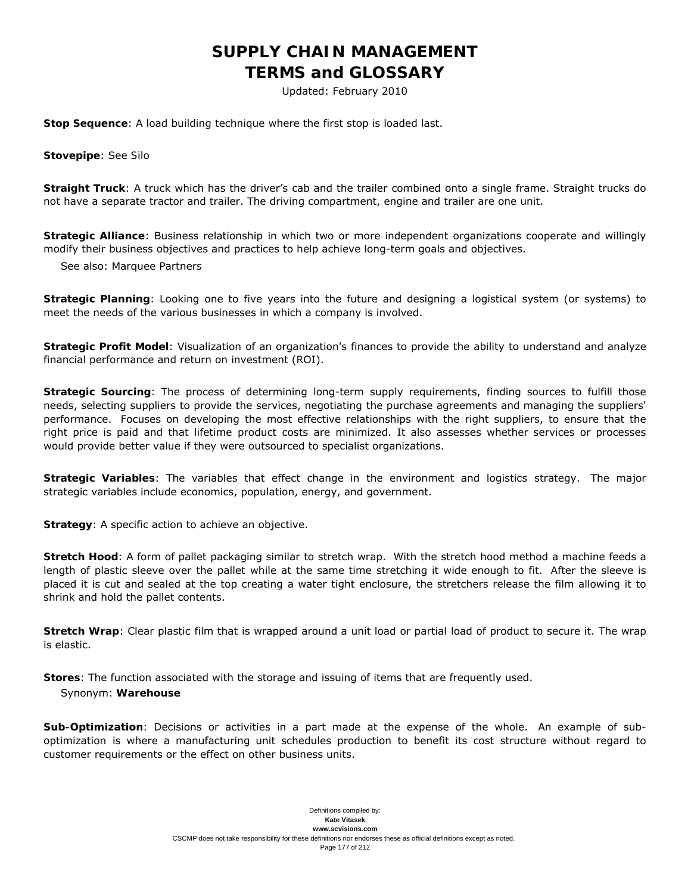Updated: February 2010

**Stop Sequence**: A load building technique where the first stop is loaded last.

**Stovepipe**: See *Silo*

**Straight Truck**: A truck which has the driver's cab and the trailer combined onto a single frame. Straight trucks do not have a separate tractor and trailer. The driving compartment, engine and trailer are one unit.

**Strategic Alliance**: Business relationship in which two or more independent organizations cooperate and willingly modify their business objectives and practices to help achieve long-term goals and objectives.

See also: *Marquee Partners*

**Strategic Planning**: Looking one to five years into the future and designing a logistical system (or systems) to meet the needs of the various businesses in which a company is involved.

**Strategic Profit Model**: Visualization of an organization's finances to provide the ability to understand and analyze financial performance and return on investment (ROI).

**Strategic Sourcing**: The process of determining long-term supply requirements, finding sources to fulfill those needs, selecting suppliers to provide the services, negotiating the purchase agreements and managing the suppliers' performance. Focuses on developing the most effective relationships with the right suppliers, to ensure that the right price is paid and that lifetime product costs are minimized. It also assesses whether services or processes would provide better value if they were outsourced to specialist organizations.

**Strategic Variables**: The variables that effect change in the environment and logistics strategy. The major strategic variables include economics, population, energy, and government.

**Strategy**: A specific action to achieve an objective.

**Stretch Hood**: A form of pallet packaging similar to stretch wrap. With the stretch hood method a machine feeds a length of plastic sleeve over the pallet while at the same time stretching it wide enough to fit. After the sleeve is placed it is cut and sealed at the top creating a water tight enclosure, the stretchers release the film allowing it to shrink and hold the pallet contents.

**Stretch Wrap**: Clear plastic film that is wrapped around a unit load or partial load of product to secure it. The wrap is elastic.

Synonym: *Warehouse* **Stores**: The function associated with the storage and issuing of items that are frequently used.

**Sub-Optimization**: Decisions or activities in a part made at the expense of the whole. An example of suboptimization is where a manufacturing unit schedules production to benefit its cost structure without regard to customer requirements or the effect on other business units.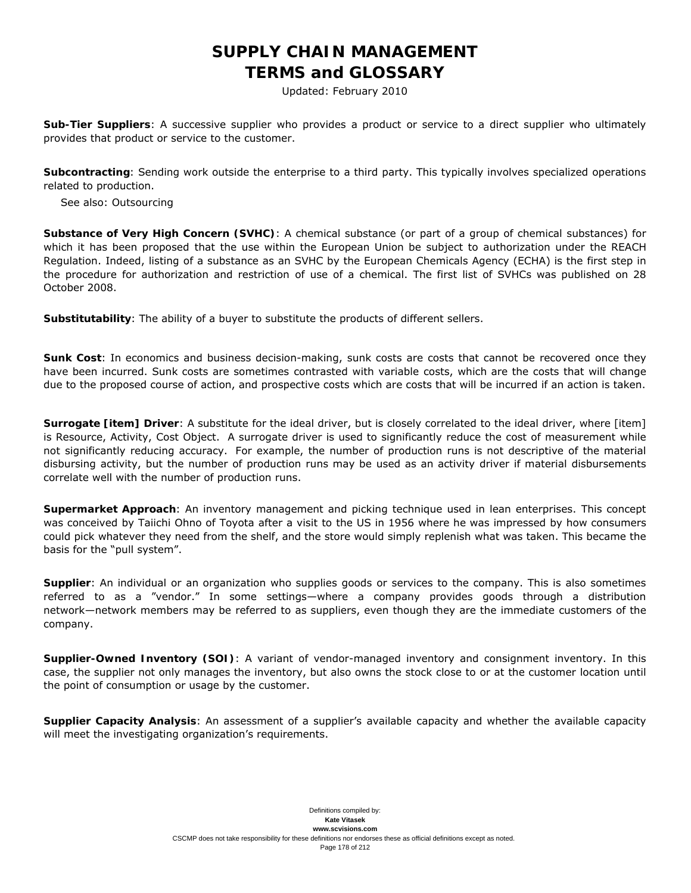Updated: February 2010

**Sub-Tier Suppliers**: A successive supplier who provides a product or service to a direct supplier who ultimately provides that product or service to the customer.

**Subcontracting**: Sending work outside the enterprise to a third party. This typically involves specialized operations related to production.

See also: *Outsourcing*

**Substance of Very High Concern (SVHC)**: A chemical substance (or part of a group of chemical substances) for which it has been proposed that the use within the European Union be subject to authorization under the REACH Regulation. Indeed, listing of a substance as an SVHC by the European Chemicals Agency (ECHA) is the first step in the procedure for authorization and restriction of use of a chemical. The first list of SVHCs was published on 28 October 2008.

**Substitutability**: The ability of a buyer to substitute the products of different sellers.

**Sunk Cost**: In economics and business decision-making, sunk costs are costs that cannot be recovered once they have been incurred. Sunk costs are sometimes contrasted with variable costs, which are the costs that will change due to the proposed course of action, and prospective costs which are costs that will be incurred if an action is taken.

**Surrogate [item] Driver**: A substitute for the ideal driver, but is closely correlated to the ideal driver, where [item] is Resource, Activity, Cost Object. A surrogate driver is used to significantly reduce the cost of measurement while not significantly reducing accuracy. For example, the number of production runs is not descriptive of the material disbursing activity, but the number of production runs may be used as an activity driver if material disbursements correlate well with the number of production runs.

**Supermarket Approach**: An inventory management and picking technique used in lean enterprises. This concept was conceived by Taiichi Ohno of Toyota after a visit to the US in 1956 where he was impressed by how consumers could pick whatever they need from the shelf, and the store would simply replenish what was taken. This became the basis for the "pull system".

**Supplier**: An individual or an organization who supplies goods or services to the company. This is also sometimes referred to as a "vendor." In some settings—where a company provides goods through a distribution network—network members may be referred to as suppliers, even though they are the immediate customers of the company.

**Supplier-Owned Inventory (SOI)**: A variant of vendor-managed inventory and consignment inventory. In this case, the supplier not only manages the inventory, but also owns the stock close to or at the customer location until the point of consumption or usage by the customer.

**Supplier Capacity Analysis**: An assessment of a supplier's available capacity and whether the available capacity will meet the investigating organization's requirements.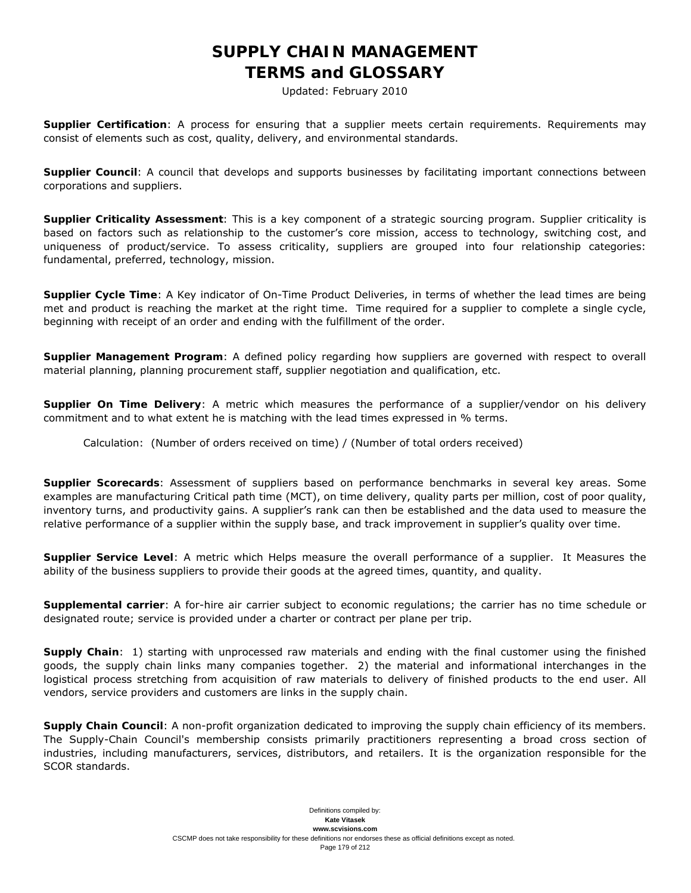Updated: February 2010

**Supplier Certification**: A process for ensuring that a supplier meets certain requirements. Requirements may consist of elements such as cost, quality, delivery, and environmental standards.

**Supplier Council**: A council that develops and supports businesses by facilitating important connections between corporations and suppliers.

**Supplier Criticality Assessment**: This is a key component of a strategic sourcing program. Supplier criticality is based on factors such as relationship to the customer's core mission, access to technology, switching cost, and uniqueness of product/service. To assess criticality, suppliers are grouped into four relationship categories: fundamental, preferred, technology, mission.

**Supplier Cycle Time**: A Key indicator of On-Time Product Deliveries, in terms of whether the lead times are being met and product is reaching the market at the right time. Time required for a supplier to complete a single cycle, beginning with receipt of an order and ending with the fulfillment of the order.

**Supplier Management Program**: A defined policy regarding how suppliers are governed with respect to overall material planning, planning procurement staff, supplier negotiation and qualification, etc.

**Supplier On Time Delivery**: A metric which measures the performance of a supplier/vendor on his delivery commitment and to what extent he is matching with the lead times expressed in % terms.

Calculation: (Number of orders received on time) / (Number of total orders received)

**Supplier Scorecards**: Assessment of suppliers based on performance benchmarks in several key areas. Some examples are manufacturing Critical path time (MCT), on time delivery, quality parts per million, cost of poor quality, inventory turns, and productivity gains. A supplier's rank can then be established and the data used to measure the relative performance of a supplier within the supply base, and track improvement in supplier's quality over time.

**Supplier Service Level**: A metric which Helps measure the overall performance of a supplier. It Measures the ability of the business suppliers to provide their goods at the agreed times, quantity, and quality.

**Supplemental carrier**: A for-hire air carrier subject to economic regulations; the carrier has no time schedule or designated route; service is provided under a charter or contract per plane per trip.

**Supply Chain**: 1) starting with unprocessed raw materials and ending with the final customer using the finished goods, the supply chain links many companies together. 2) the material and informational interchanges in the logistical process stretching from acquisition of raw materials to delivery of finished products to the end user. All vendors, service providers and customers are links in the supply chain.

**Supply Chain Council**: A non-profit organization dedicated to improving the supply chain efficiency of its members. The Supply-Chain Council's membership consists primarily practitioners representing a broad cross section of industries, including manufacturers, services, distributors, and retailers. It is the organization responsible for the SCOR standards.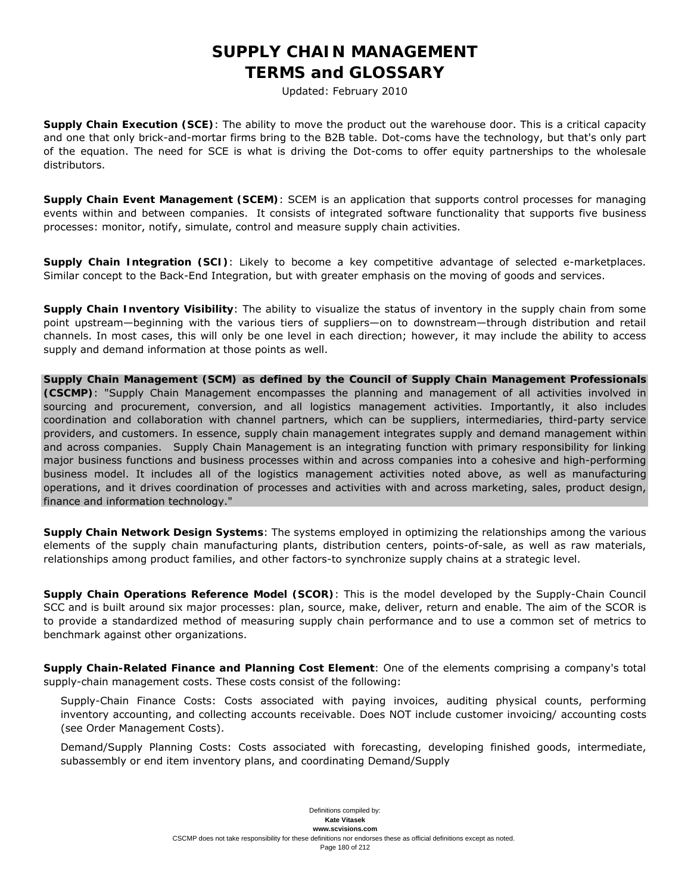Updated: February 2010

**Supply Chain Execution (SCE)**: The ability to move the product out the warehouse door. This is a critical capacity and one that only brick-and-mortar firms bring to the B2B table. Dot-coms have the technology, but that's only part of the equation. The need for SCE is what is driving the Dot-coms to offer equity partnerships to the wholesale distributors.

**Supply Chain Event Management (SCEM)**: SCEM is an application that supports control processes for managing events within and between companies. It consists of integrated software functionality that supports five business processes: monitor, notify, simulate, control and measure supply chain activities.

**Supply Chain Integration (SCI)**: Likely to become a key competitive advantage of selected e-marketplaces. Similar concept to the Back-End Integration, but with greater emphasis on the moving of goods and services.

**Supply Chain Inventory Visibility**: The ability to visualize the status of inventory in the supply chain from some point upstream—beginning with the various tiers of suppliers—on to downstream—through distribution and retail channels. In most cases, this will only be one level in each direction; however, it may include the ability to access supply and demand information at those points as well.

**Supply Chain Management (SCM) as defined by the Council of Supply Chain Management Professionals (CSCMP)**: "Supply Chain Management encompasses the planning and management of all activities involved in sourcing and procurement, conversion, and all logistics management activities. Importantly, it also includes coordination and collaboration with channel partners, which can be suppliers, intermediaries, third-party service providers, and customers. In essence, supply chain management integrates supply and demand management within and across companies. Supply Chain Management is an integrating function with primary responsibility for linking major business functions and business processes within and across companies into a cohesive and high-performing business model. It includes all of the logistics management activities noted above, as well as manufacturing operations, and it drives coordination of processes and activities with and across marketing, sales, product design, finance and information technology."

**Supply Chain Network Design Systems**: The systems employed in optimizing the relationships among the various elements of the supply chain manufacturing plants, distribution centers, points-of-sale, as well as raw materials, relationships among product families, and other factors-to synchronize supply chains at a strategic level.

**Supply Chain Operations Reference Model (SCOR)**: This is the model developed by the Supply-Chain Council SCC and is built around six major processes: plan, source, make, deliver, return and enable. The aim of the SCOR is to provide a standardized method of measuring supply chain performance and to use a common set of metrics to benchmark against other organizations.

**Supply Chain-Related Finance and Planning Cost Element**: One of the elements comprising a company's total supply-chain management costs. These costs consist of the following:

Supply-Chain Finance Costs: Costs associated with paying invoices, auditing physical counts, performing inventory accounting, and collecting accounts receivable. Does NOT include customer invoicing/ accounting costs (see Order Management Costs).

Demand/Supply Planning Costs: Costs associated with forecasting, developing finished goods, intermediate, subassembly or end item inventory plans, and coordinating Demand/Supply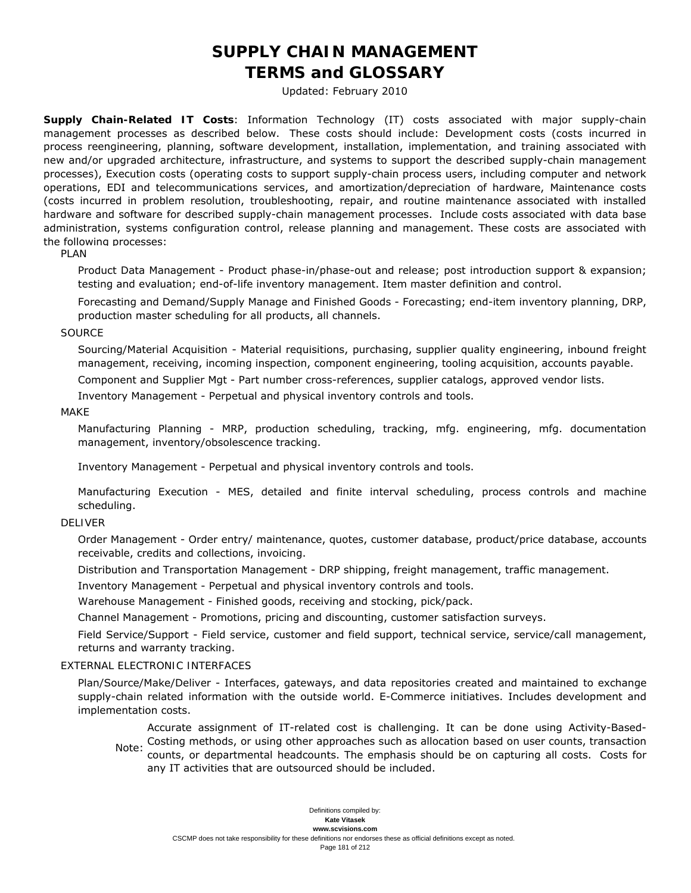Updated: February 2010

**Supply Chain-Related IT Costs**: Information Technology (IT) costs associated with major supply-chain management processes as described below. These costs should include: Development costs (costs incurred in process reengineering, planning, software development, installation, implementation, and training associated with new and/or upgraded architecture, infrastructure, and systems to support the described supply-chain management processes), Execution costs (operating costs to support supply-chain process users, including computer and network operations, EDI and telecommunications services, and amortization/depreciation of hardware, Maintenance costs (costs incurred in problem resolution, troubleshooting, repair, and routine maintenance associated with installed hardware and software for described supply-chain management processes. Include costs associated with data base administration, systems configuration control, release planning and management. These costs are associated with the following processes:

#### *PLAN*

Product Data Management - Product phase-in/phase-out and release; post introduction support & expansion; testing and evaluation; end-of-life inventory management. Item master definition and control.

Forecasting and Demand/Supply Manage and Finished Goods - Forecasting; end-item inventory planning, DRP, production master scheduling for all products, all channels.

#### *SOURCE*

Sourcing/Material Acquisition - Material requisitions, purchasing, supplier quality engineering, inbound freight management, receiving, incoming inspection, component engineering, tooling acquisition, accounts payable.

Component and Supplier Mgt - Part number cross-references, supplier catalogs, approved vendor lists.

Inventory Management - Perpetual and physical inventory controls and tools.

#### *MAKE*

Manufacturing Planning - MRP, production scheduling, tracking, mfg. engineering, mfg. documentation management, inventory/obsolescence tracking.

Inventory Management - Perpetual and physical inventory controls and tools.

Manufacturing Execution - MES, detailed and finite interval scheduling, process controls and machine scheduling.

#### *DELIVER*

Order Management - Order entry/ maintenance, quotes, customer database, product/price database, accounts receivable, credits and collections, invoicing.

Distribution and Transportation Management - DRP shipping, freight management, traffic management.

Inventory Management - Perpetual and physical inventory controls and tools.

Warehouse Management - Finished goods, receiving and stocking, pick/pack.

Channel Management - Promotions, pricing and discounting, customer satisfaction surveys.

Field Service/Support - Field service, customer and field support, technical service, service/call management, returns and warranty tracking.

#### *EXTERNAL ELECTRONIC INTERFACES*

Plan/Source/Make/Deliver - Interfaces, gateways, and data repositories created and maintained to exchange supply-chain related information with the outside world. E-Commerce initiatives. Includes development and implementation costs.

Note: Costing methods, or using other approaches such as allocation based on user counts, transaction Accurate assignment of IT-related cost is challenging. It can be done using Activity-Basedcounts, or departmental headcounts. The emphasis should be on capturing all costs. Costs for any IT activities that are outsourced should be included.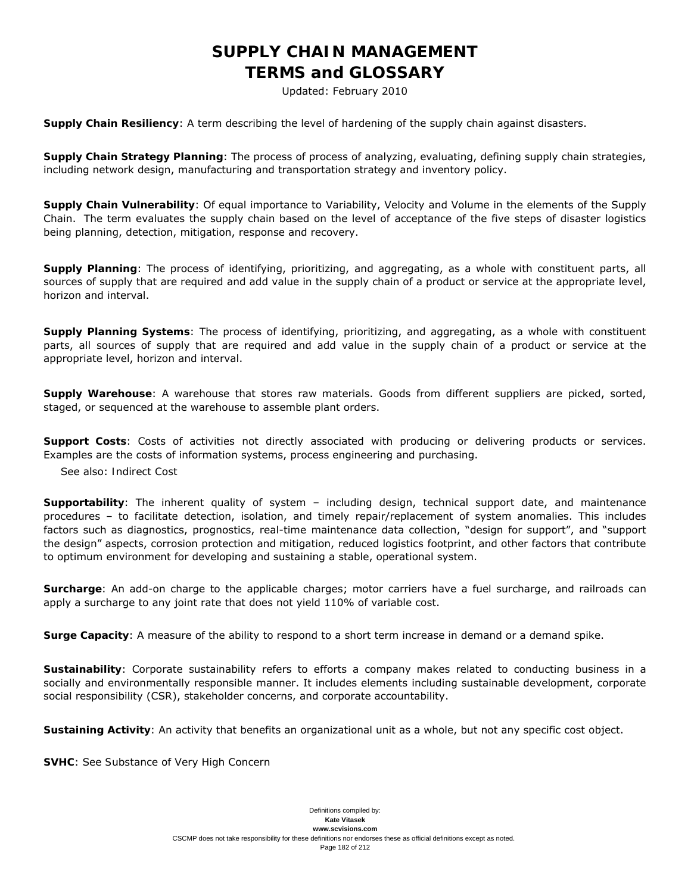Updated: February 2010

**Supply Chain Resiliency**: A term describing the level of hardening of the supply chain against disasters.

**Supply Chain Strategy Planning**: The process of process of analyzing, evaluating, defining supply chain strategies, including network design, manufacturing and transportation strategy and inventory policy.

**Supply Chain Vulnerability**: Of equal importance to Variability, Velocity and Volume in the elements of the Supply Chain. The term evaluates the supply chain based on the level of acceptance of the five steps of disaster logistics being planning, detection, mitigation, response and recovery.

**Supply Planning**: The process of identifying, prioritizing, and aggregating, as a whole with constituent parts, all sources of supply that are required and add value in the supply chain of a product or service at the appropriate level, horizon and interval.

**Supply Planning Systems**: The process of identifying, prioritizing, and aggregating, as a whole with constituent parts, all sources of supply that are required and add value in the supply chain of a product or service at the appropriate level, horizon and interval.

**Supply Warehouse**: A warehouse that stores raw materials. Goods from different suppliers are picked, sorted, staged, or sequenced at the warehouse to assemble plant orders.

**Support Costs**: Costs of activities not directly associated with producing or delivering products or services. Examples are the costs of information systems, process engineering and purchasing.

See also: *Indirect Cost*

**Supportability**: The inherent quality of system – including design, technical support date, and maintenance procedures – to facilitate detection, isolation, and timely repair/replacement of system anomalies. This includes factors such as diagnostics, prognostics, real-time maintenance data collection, "design for support", and "support the design" aspects, corrosion protection and mitigation, reduced logistics footprint, and other factors that contribute to optimum environment for developing and sustaining a stable, operational system.

**Surcharge**: An add-on charge to the applicable charges; motor carriers have a fuel surcharge, and railroads can apply a surcharge to any joint rate that does not yield 110% of variable cost.

**Surge Capacity**: A measure of the ability to respond to a short term increase in demand or a demand spike.

**Sustainability**: Corporate sustainability refers to efforts a company makes related to conducting business in a socially and environmentally responsible manner. It includes elements including sustainable development, corporate social responsibility (CSR), stakeholder concerns, and corporate accountability.

**Sustaining Activity**: An activity that benefits an organizational unit as a whole, but not any specific cost object.

**SVHC**: See *Substance of Very High Concern*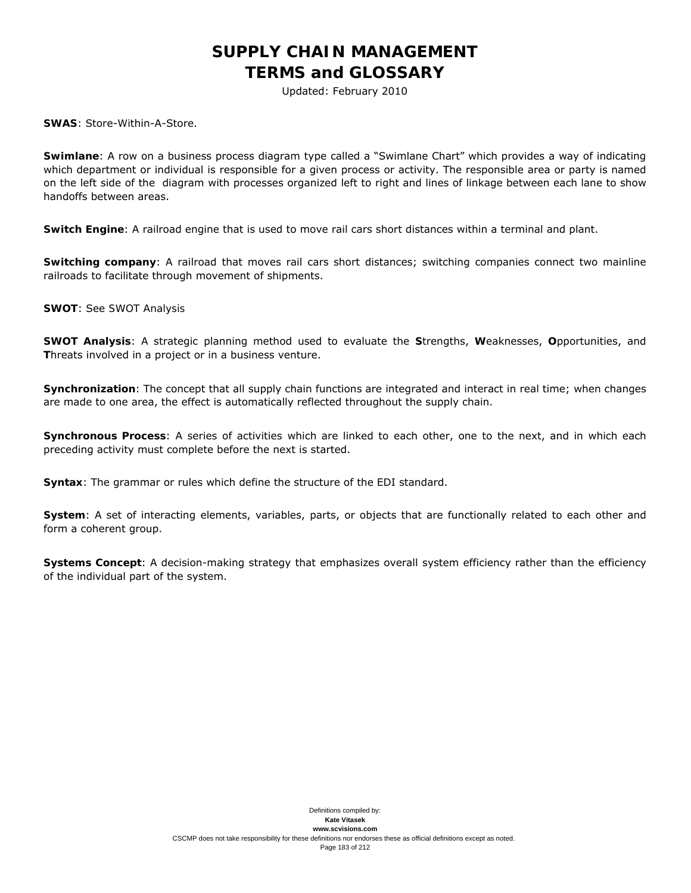Updated: February 2010

**SWAS**: Store-Within-A-Store.

**Swimlane**: A row on a business process diagram type called a "Swimlane Chart" which provides a way of indicating which department or individual is responsible for a given process or activity. The responsible area or party is named on the left side of the diagram with processes organized left to right and lines of linkage between each lane to show handoffs between areas.

**Switch Engine**: A railroad engine that is used to move rail cars short distances within a terminal and plant.

**Switching company**: A railroad that moves rail cars short distances; switching companies connect two mainline railroads to facilitate through movement of shipments.

**SWOT**: See *SWOT Analysis*

**SWOT Analysis**: A strategic planning method used to evaluate the **S**trengths, **W**eaknesses, **O**pportunities, and **T**hreats involved in a project or in a business venture.

**Synchronization**: The concept that all supply chain functions are integrated and interact in real time; when changes are made to one area, the effect is automatically reflected throughout the supply chain.

**Synchronous Process**: A series of activities which are linked to each other, one to the next, and in which each preceding activity must complete before the next is started.

**Syntax**: The grammar or rules which define the structure of the EDI standard.

**System**: A set of interacting elements, variables, parts, or objects that are functionally related to each other and form a coherent group.

**Systems Concept**: A decision-making strategy that emphasizes overall system efficiency rather than the efficiency of the individual part of the system.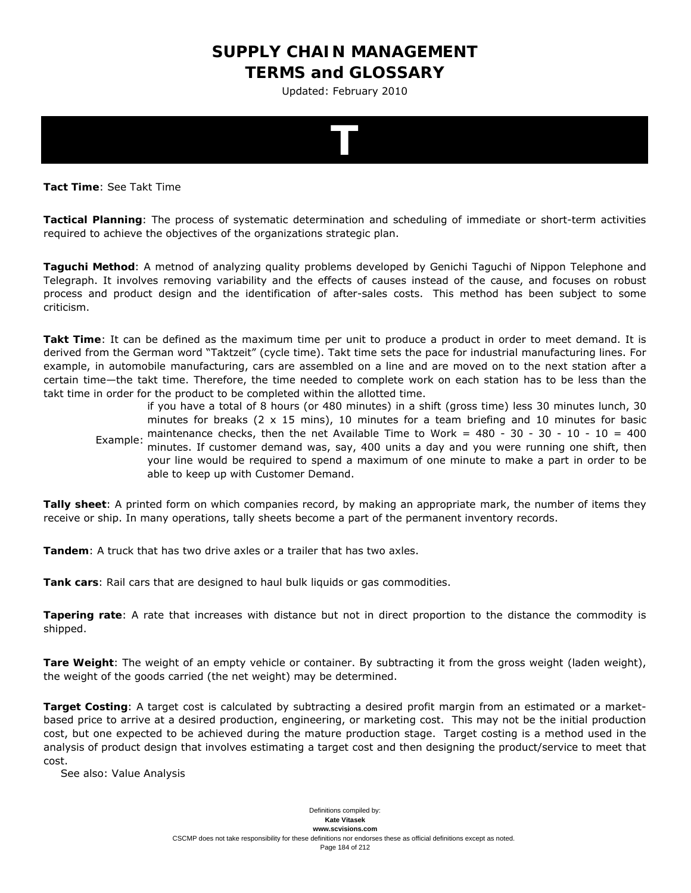Updated: February 2010



**Tact Time**: See *Takt Time*

**Tactical Planning**: The process of systematic determination and scheduling of immediate or short-term activities required to achieve the objectives of the organizations strategic plan.

**Taguchi Method**: A metnod of analyzing quality problems developed by Genichi Taguchi of Nippon Telephone and Telegraph. It involves removing variability and the effects of causes instead of the cause, and focuses on robust process and product design and the identification of after-sales costs. This method has been subject to some criticism.

**Takt Time**: It can be defined as the maximum time per unit to produce a product in order to meet demand. It is derived from the German word "Taktzeit" (cycle time). Takt time sets the pace for industrial manufacturing lines. For example, in automobile manufacturing, cars are assembled on a line and are moved on to the next station after a certain time—the takt time. Therefore, the time needed to complete work on each station has to be less than the takt time in order for the product to be completed within the allotted time.

if you have a total of 8 hours (or 480 minutes) in a shift (gross time) less 30 minutes lunch, 30 minutes for breaks ( $2 \times 15$  mins), 10 minutes for a team briefing and 10 minutes for basic maintenance checks, then the net Available Time to Work =  $480 - 30 - 30 - 10 - 10 = 400$ <br>Example: wington If we have a long of we can 480 with a developed second we were applied to the three minutes. If customer demand was, say, 400 units a day and you were running one shift, then your line would be required to spend a maximum of one minute to make a part in order to be able to keep up with Customer Demand.

**Tally sheet**: A printed form on which companies record, by making an appropriate mark, the number of items they receive or ship. In many operations, tally sheets become a part of the permanent inventory records.

**Tandem**: A truck that has two drive axles or a trailer that has two axles.

**Tank cars**: Rail cars that are designed to haul bulk liquids or gas commodities.

**Tapering rate**: A rate that increases with distance but not in direct proportion to the distance the commodity is shipped.

**Tare Weight**: The weight of an empty vehicle or container. By subtracting it from the gross weight (laden weight), the weight of the goods carried (the net weight) may be determined.

**Target Costing**: A target cost is calculated by subtracting a desired profit margin from an estimated or a marketbased price to arrive at a desired production, engineering, or marketing cost. This may not be the initial production cost, but one expected to be achieved during the mature production stage. Target costing is a method used in the analysis of product design that involves estimating a target cost and then designing the product/service to meet that cost.

See also: *Value Analysis*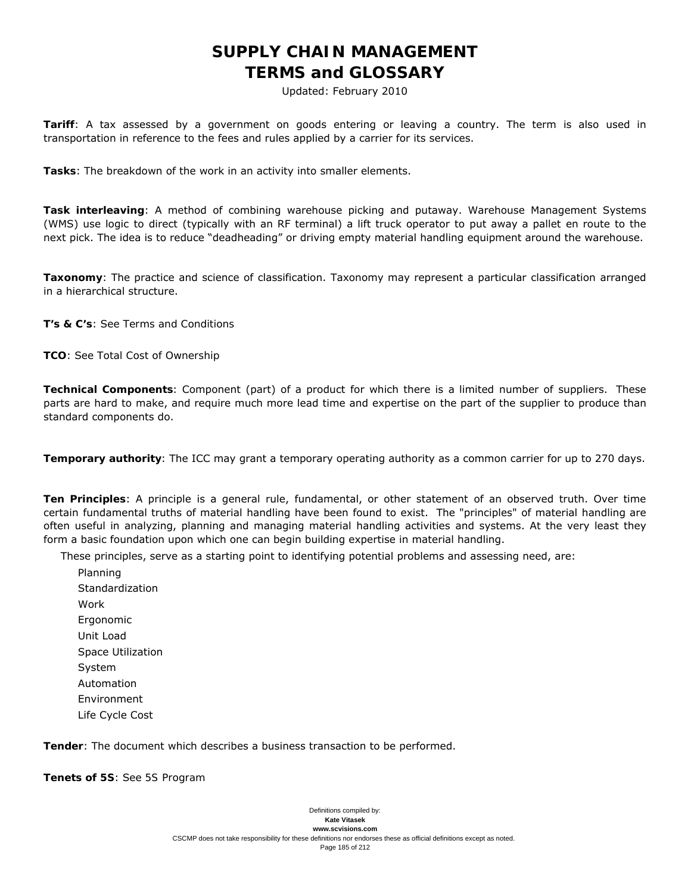Updated: February 2010

**Tariff**: A tax assessed by a government on goods entering or leaving a country. The term is also used in transportation in reference to the fees and rules applied by a carrier for its services.

**Tasks**: The breakdown of the work in an activity into smaller elements.

**Task interleaving**: A method of combining warehouse picking and putaway. Warehouse Management Systems (WMS) use logic to direct (typically with an RF terminal) a lift truck operator to put away a pallet en route to the next pick. The idea is to reduce "deadheading" or driving empty material handling equipment around the warehouse.

**Taxonomy**: The practice and science of classification. Taxonomy may represent a particular classification arranged in a hierarchical structure.

**T's & C's**: See *Terms and Conditions*

**TCO**: See *Total Cost of Ownership*

**Technical Components**: Component (part) of a product for which there is a limited number of suppliers. These parts are hard to make, and require much more lead time and expertise on the part of the supplier to produce than standard components do.

**Temporary authority**: The ICC may grant a temporary operating authority as a common carrier for up to 270 days.

**Ten Principles**: A principle is a general rule, fundamental, or other statement of an observed truth. Over time certain fundamental truths of material handling have been found to exist. The "principles" of material handling are often useful in analyzing, planning and managing material handling activities and systems. At the very least they form a basic foundation upon which one can begin building expertise in material handling.

These principles, serve as a starting point to identifying potential problems and assessing need, are:

Planning Standardization Work Ergonomic Unit Load Space Utilization System Automation Environment Life Cycle Cost

**Tender**: The document which describes a business transaction to be performed.

**Tenets of 5S**: See *5S Program*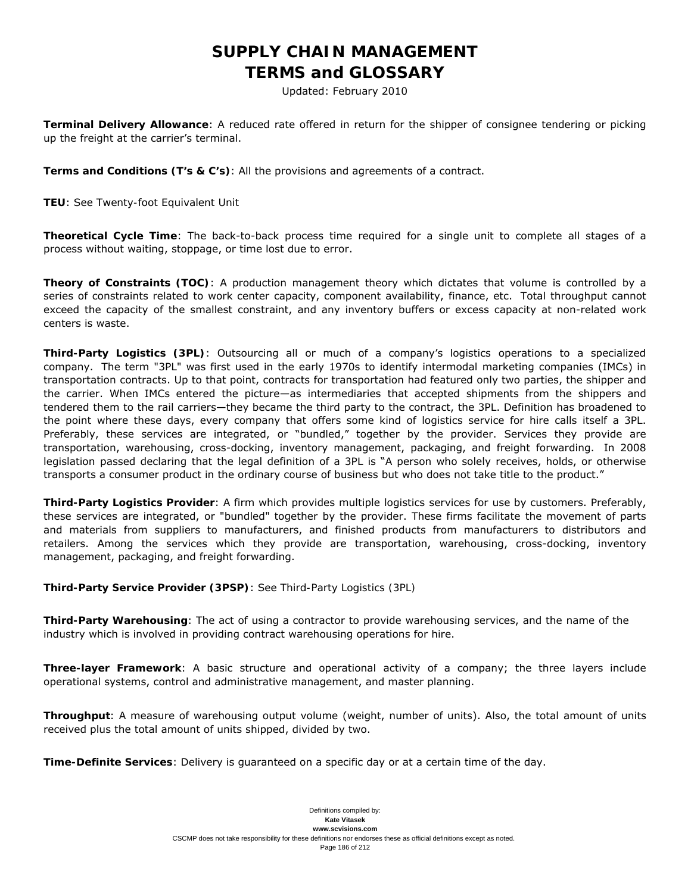Updated: February 2010

**Terminal Delivery Allowance**: A reduced rate offered in return for the shipper of consignee tendering or picking up the freight at the carrier's terminal.

**Terms and Conditions (T's & C's)**: All the provisions and agreements of a contract.

**TEU**: See *Twenty-foot Equivalent Unit*

**Theoretical Cycle Time**: The back-to-back process time required for a single unit to complete all stages of a process without waiting, stoppage, or time lost due to error.

**Theory of Constraints (TOC)**: A production management theory which dictates that volume is controlled by a series of constraints related to work center capacity, component availability, finance, etc. Total throughput cannot exceed the capacity of the smallest constraint, and any inventory buffers or excess capacity at non-related work centers is waste.

**Third-Party Logistics (3PL)**: Outsourcing all or much of a company's logistics operations to a specialized company. The term "3PL" was first used in the early 1970s to identify intermodal marketing companies (IMCs) in transportation contracts. Up to that point, contracts for transportation had featured only two parties, the shipper and the carrier. When IMCs entered the picture—as intermediaries that accepted shipments from the shippers and tendered them to the rail carriers—they became the third party to the contract, the 3PL. Definition has broadened to the point where these days, every company that offers some kind of logistics service for hire calls itself a 3PL. Preferably, these services are integrated, or "bundled," together by the provider. Services they provide are transportation, warehousing, cross-docking, inventory management, packaging, and freight forwarding. In 2008 legislation passed declaring that the legal definition of a 3PL is "A person who solely receives, holds, or otherwise transports a consumer product in the ordinary course of business but who does not take title to the product."

**Third-Party Logistics Provider**: A firm which provides multiple logistics services for use by customers. Preferably, these services are integrated, or "bundled" together by the provider. These firms facilitate the movement of parts and materials from suppliers to manufacturers, and finished products from manufacturers to distributors and retailers. Among the services which they provide are transportation, warehousing, cross-docking, inventory management, packaging, and freight forwarding.

**Third-Party Service Provider (3PSP)**: See *Third-Party Logistics (3PL)*

**Third-Party Warehousing**: The act of using a contractor to provide warehousing services, and the name of the industry which is involved in providing contract warehousing operations for hire.

**Three-layer Framework**: A basic structure and operational activity of a company; the three layers include operational systems, control and administrative management, and master planning.

**Throughput**: A measure of warehousing output volume (weight, number of units). Also, the total amount of units received plus the total amount of units shipped, divided by two.

**Time-Definite Services**: Delivery is guaranteed on a specific day or at a certain time of the day.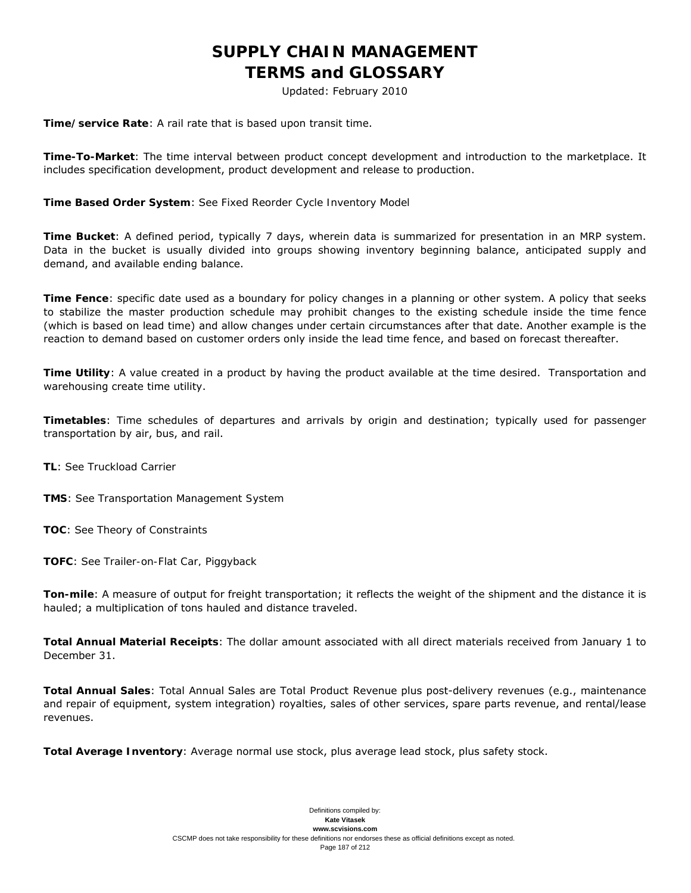Updated: February 2010

**Time/service Rate**: A rail rate that is based upon transit time.

**Time-To-Market**: The time interval between product concept development and introduction to the marketplace. It includes specification development, product development and release to production.

**Time Based Order System**: See *Fixed Reorder Cycle Inventory Model*

**Time Bucket**: A defined period, typically 7 days, wherein data is summarized for presentation in an MRP system. Data in the bucket is usually divided into groups showing inventory beginning balance, anticipated supply and demand, and available ending balance.

**Time Fence**: specific date used as a boundary for policy changes in a planning or other system. A policy that seeks to stabilize the master production schedule may prohibit changes to the existing schedule inside the time fence (which is based on lead time) and allow changes under certain circumstances after that date. Another example is the reaction to demand based on customer orders only inside the lead time fence, and based on forecast thereafter.

**Time Utility**: A value created in a product by having the product available at the time desired. Transportation and warehousing create time utility.

**Timetables**: Time schedules of departures and arrivals by origin and destination; typically used for passenger transportation by air, bus, and rail.

**TL**: See *Truckload Carrier* 

**TMS**: See *Transportation Management System*

**TOC**: See *Theory of Constraints*

**TOFC**: See *Trailer-on-Flat Car, Piggyback*

**Ton-mile**: A measure of output for freight transportation; it reflects the weight of the shipment and the distance it is hauled; a multiplication of tons hauled and distance traveled.

**Total Annual Material Receipts**: The dollar amount associated with all direct materials received from January 1 to December 31.

**Total Annual Sales**: Total Annual Sales are Total Product Revenue plus post-delivery revenues (e.g., maintenance and repair of equipment, system integration) royalties, sales of other services, spare parts revenue, and rental/lease revenues.

**Total Average Inventory**: Average normal use stock, plus average lead stock, plus safety stock.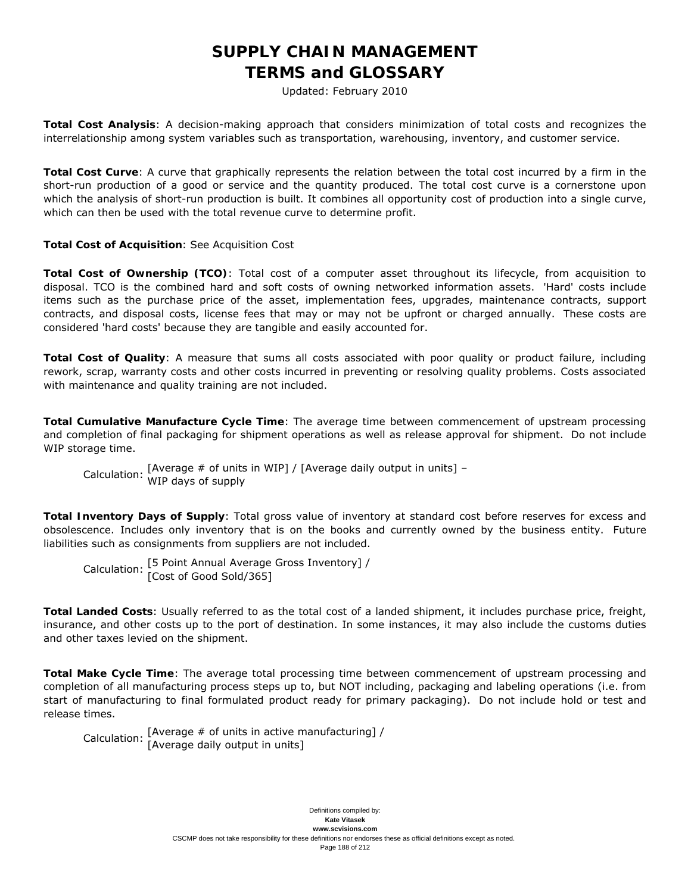Updated: February 2010

**Total Cost Analysis**: A decision-making approach that considers minimization of total costs and recognizes the interrelationship among system variables such as transportation, warehousing, inventory, and customer service.

**Total Cost Curve**: A curve that graphically represents the relation between the total cost incurred by a firm in the short-run production of a good or service and the quantity produced. The total cost curve is a cornerstone upon which the analysis of short-run production is built. It combines all opportunity cost of production into a single curve, which can then be used with the total revenue curve to determine profit.

**Total Cost of Acquisition**: See *Acquisition Cost*

**Total Cost of Ownership (TCO)**: Total cost of a computer asset throughout its lifecycle, from acquisition to disposal. TCO is the combined hard and soft costs of owning networked information assets. 'Hard' costs include items such as the purchase price of the asset, implementation fees, upgrades, maintenance contracts, support contracts, and disposal costs, license fees that may or may not be upfront or charged annually. These costs are considered 'hard costs' because they are tangible and easily accounted for.

**Total Cost of Quality**: A measure that sums all costs associated with poor quality or product failure, including rework, scrap, warranty costs and other costs incurred in preventing or resolving quality problems. Costs associated with maintenance and quality training are not included.

**Total Cumulative Manufacture Cycle Time**: The average time between commencement of upstream processing and completion of final packaging for shipment operations as well as release approval for shipment. Do not include WIP storage time.

Calculation: [Average # of units in WIP] / [Average daily output in units] – WIP days of supply

**Total Inventory Days of Supply**: Total gross value of inventory at standard cost before reserves for excess and obsolescence. Includes only inventory that is on the books and currently owned by the business entity. Future liabilities such as consignments from suppliers are not included.

Calculation: [5 Point Annual Average Gross Inventory] / [Cost of Good Sold/365]

**Total Landed Costs**: Usually referred to as the total cost of a landed shipment, it includes purchase price, freight, insurance, and other costs up to the port of destination. In some instances, it may also include the customs duties and other taxes levied on the shipment.

**Total Make Cycle Time**: The average total processing time between commencement of upstream processing and completion of all manufacturing process steps up to, but NOT including, packaging and labeling operations (i.e. from start of manufacturing to final formulated product ready for primary packaging). Do not include hold or test and release times.

Calculation: [Average # of units in active manufacturing] / [Average daily output in units]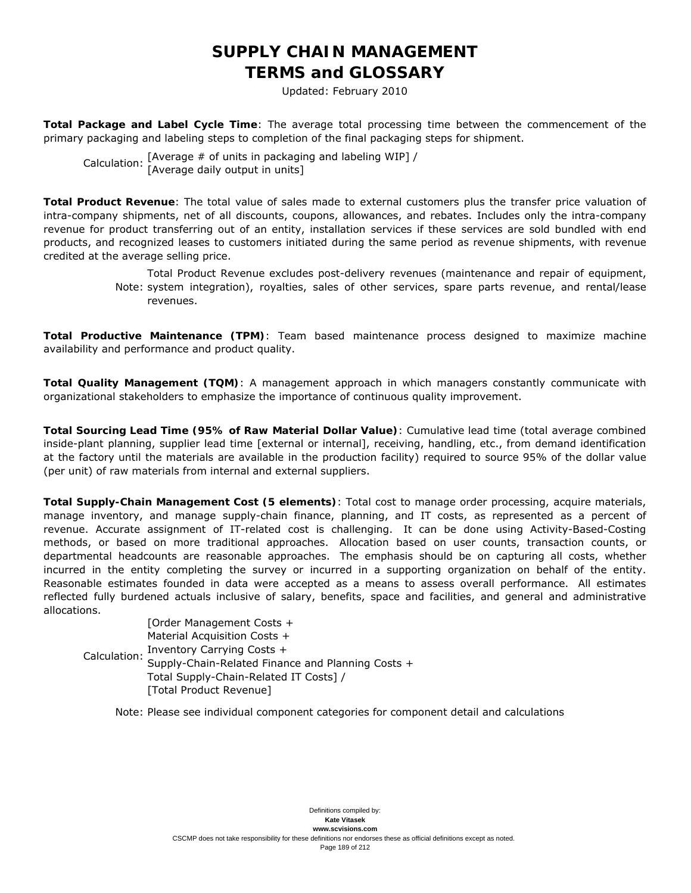Updated: February 2010

**Total Package and Label Cycle Time**: The average total processing time between the commencement of the primary packaging and labeling steps to completion of the final packaging steps for shipment.

Calculation: [Average # of units in packaging and labeling WIP] / [Average daily output in units]

**Total Product Revenue**: The total value of sales made to external customers plus the transfer price valuation of intra-company shipments, net of all discounts, coupons, allowances, and rebates. Includes only the intra-company revenue for product transferring out of an entity, installation services if these services are sold bundled with end products, and recognized leases to customers initiated during the same period as revenue shipments, with revenue credited at the average selling price.

> Note: system integration), royalties, sales of other services, spare parts revenue, and rental/lease Total Product Revenue excludes post-delivery revenues (maintenance and repair of equipment, revenues.

**Total Productive Maintenance (TPM)**: Team based maintenance process designed to maximize machine availability and performance and product quality.

**Total Quality Management (TQM)**: A management approach in which managers constantly communicate with organizational stakeholders to emphasize the importance of continuous quality improvement.

**Total Sourcing Lead Time (95% of Raw Material Dollar Value)**: Cumulative lead time (total average combined inside-plant planning, supplier lead time [external or internal], receiving, handling, etc., from demand identification at the factory until the materials are available in the production facility) required to source 95% of the dollar value (per unit) of raw materials from internal and external suppliers.

**Total Supply-Chain Management Cost (5 elements)**: Total cost to manage order processing, acquire materials, manage inventory, and manage supply-chain finance, planning, and IT costs, as represented as a percent of revenue. Accurate assignment of IT-related cost is challenging. It can be done using Activity-Based-Costing methods, or based on more traditional approaches. Allocation based on user counts, transaction counts, or departmental headcounts are reasonable approaches. The emphasis should be on capturing all costs, whether incurred in the entity completing the survey or incurred in a supporting organization on behalf of the entity. Reasonable estimates founded in data were accepted as a means to assess overall performance. All estimates reflected fully burdened actuals inclusive of salary, benefits, space and facilities, and general and administrative allocations.

Calculation: Inventory Carrying Costs + [Order Management Costs + Material Acquisition Costs + Supply-Chain-Related Finance and Planning Costs + Total Supply-Chain-Related IT Costs] / [Total Product Revenue]

Note: Please see individual component categories for component detail and calculations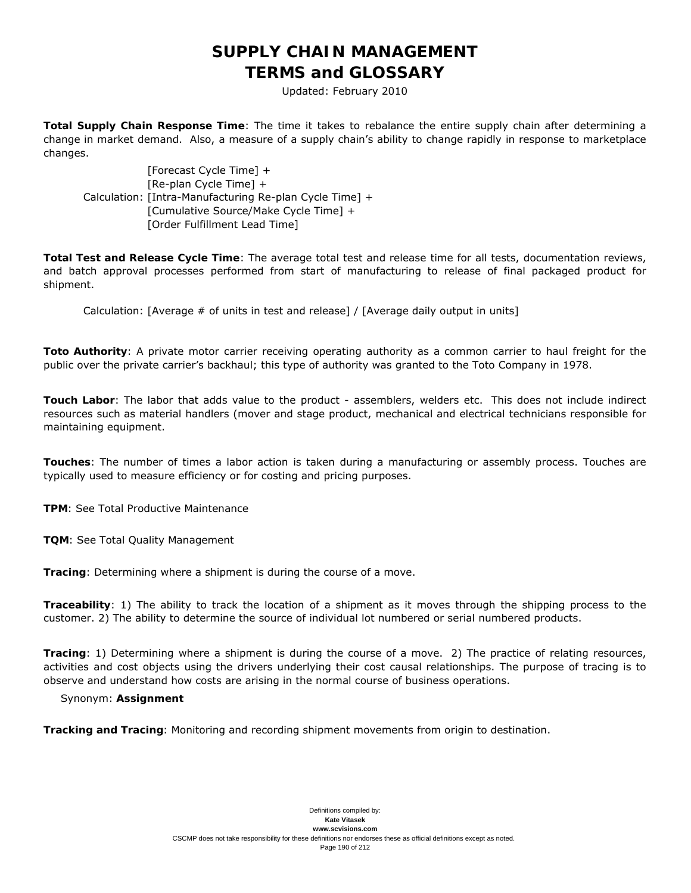Updated: February 2010

**Total Supply Chain Response Time**: The time it takes to rebalance the entire supply chain after determining a change in market demand. Also, a measure of a supply chain's ability to change rapidly in response to marketplace changes.

Calculation: [Intra-Manufacturing Re-plan Cycle Time] + [Forecast Cycle Time] + [Re-plan Cycle Time] + [Cumulative Source/Make Cycle Time] + [Order Fulfillment Lead Time]

**Total Test and Release Cycle Time**: The average total test and release time for all tests, documentation reviews, and batch approval processes performed from start of manufacturing to release of final packaged product for shipment.

Calculation: [Average # of units in test and release] / [Average daily output in units]

**Toto Authority**: A private motor carrier receiving operating authority as a common carrier to haul freight for the public over the private carrier's backhaul; this type of authority was granted to the Toto Company in 1978.

**Touch Labor**: The labor that adds value to the product - assemblers, welders etc. This does not include indirect resources such as material handlers (mover and stage product, mechanical and electrical technicians responsible for maintaining equipment.

**Touches**: The number of times a labor action is taken during a manufacturing or assembly process. Touches are typically used to measure efficiency or for costing and pricing purposes.

**TPM**: See *Total Productive Maintenance*

**TQM**: See *Total Quality Management*

**Tracing**: Determining where a shipment is during the course of a move.

**Traceability**: 1) The ability to track the location of a shipment as it moves through the shipping process to the customer. 2) The ability to determine the source of individual lot numbered or serial numbered products.

**Tracing**: 1) Determining where a shipment is during the course of a move. 2) The practice of relating resources, activities and cost objects using the drivers underlying their cost causal relationships. The purpose of tracing is to observe and understand how costs are arising in the normal course of business operations.

Synonym: *Assignment*

**Tracking and Tracing**: Monitoring and recording shipment movements from origin to destination.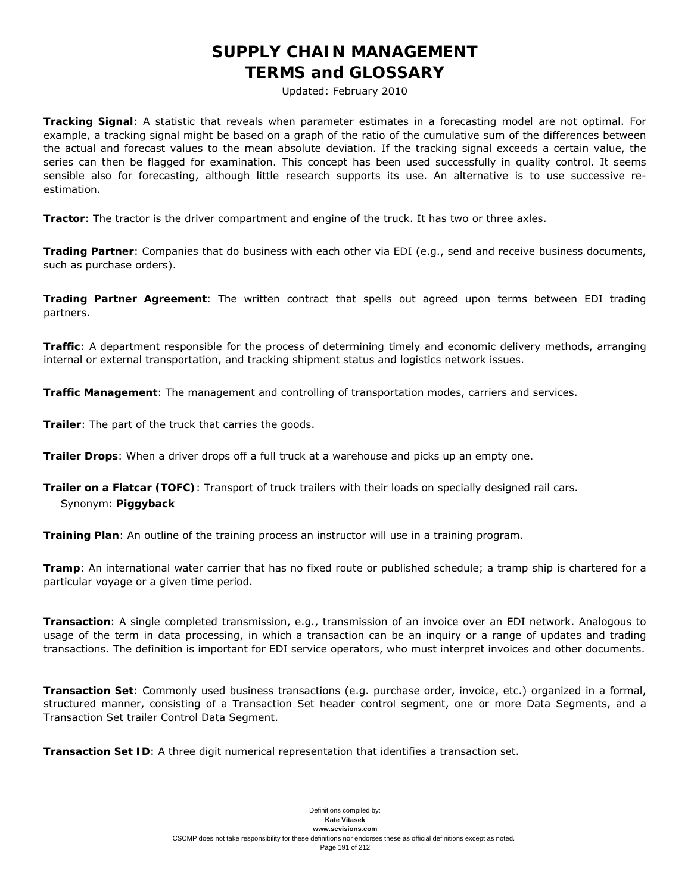Updated: February 2010

**Tracking Signal**: A statistic that reveals when parameter estimates in a forecasting model are not optimal. For example, a tracking signal might be based on a graph of the ratio of the cumulative sum of the differences between the actual and forecast values to the mean absolute deviation. If the tracking signal exceeds a certain value, the series can then be flagged for examination. This concept has been used successfully in quality control. It seems sensible also for forecasting, although little research supports its use. An alternative is to use successive reestimation.

**Tractor**: The tractor is the driver compartment and engine of the truck. It has two or three axles.

**Trading Partner**: Companies that do business with each other via EDI (e.g., send and receive business documents, such as purchase orders).

**Trading Partner Agreement**: The written contract that spells out agreed upon terms between EDI trading partners.

**Traffic**: A department responsible for the process of determining timely and economic delivery methods, arranging internal or external transportation, and tracking shipment status and logistics network issues.

**Traffic Management**: The management and controlling of transportation modes, carriers and services.

**Trailer**: The part of the truck that carries the goods.

**Trailer Drops**: When a driver drops off a full truck at a warehouse and picks up an empty one.

Synonym: *Piggyback* **Trailer on a Flatcar (TOFC)**: Transport of truck trailers with their loads on specially designed rail cars.

**Training Plan**: An outline of the training process an instructor will use in a training program.

**Tramp**: An international water carrier that has no fixed route or published schedule; a tramp ship is chartered for a particular voyage or a given time period.

**Transaction**: A single completed transmission, e.g., transmission of an invoice over an EDI network. Analogous to usage of the term in data processing, in which a transaction can be an inquiry or a range of updates and trading transactions. The definition is important for EDI service operators, who must interpret invoices and other documents.

**Transaction Set**: Commonly used business transactions (e.g. purchase order, invoice, etc.) organized in a formal, structured manner, consisting of a Transaction Set header control segment, one or more Data Segments, and a Transaction Set trailer Control Data Segment.

**Transaction Set ID**: A three digit numerical representation that identifies a transaction set.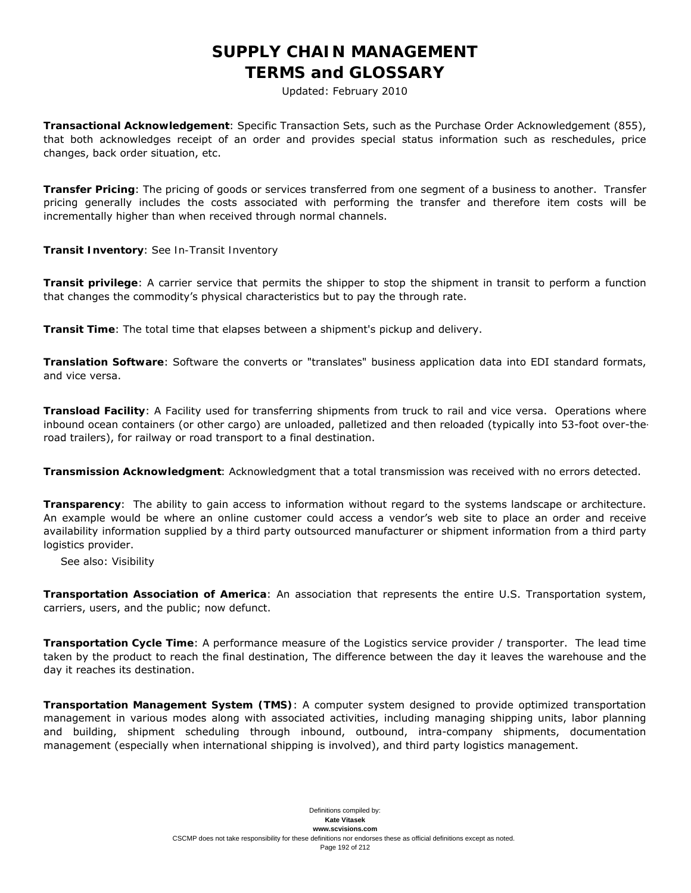Updated: February 2010

**Transactional Acknowledgement**: Specific Transaction Sets, such as the Purchase Order Acknowledgement (855), that both acknowledges receipt of an order and provides special status information such as reschedules, price changes, back order situation, etc.

**Transfer Pricing**: The pricing of goods or services transferred from one segment of a business to another. Transfer pricing generally includes the costs associated with performing the transfer and therefore item costs will be incrementally higher than when received through normal channels.

**Transit Inventory**: See *In-Transit Inventory*

**Transit privilege**: A carrier service that permits the shipper to stop the shipment in transit to perform a function that changes the commodity's physical characteristics but to pay the through rate.

**Transit Time**: The total time that elapses between a shipment's pickup and delivery.

**Translation Software**: Software the converts or "translates" business application data into EDI standard formats, and vice versa.

**Transload Facility**: A Facility used for transferring shipments from truck to rail and vice versa. Operations where inbound ocean containers (or other cargo) are unloaded, palletized and then reloaded (typically into 53-foot over-theroad trailers), for railway or road transport to a final destination.

**Transmission Acknowledgment**: Acknowledgment that a total transmission was received with no errors detected.

**Transparency**: The ability to gain access to information without regard to the systems landscape or architecture. An example would be where an online customer could access a vendor's web site to place an order and receive availability information supplied by a third party outsourced manufacturer or shipment information from a third party logistics provider.

See also: *Visibility*

**Transportation Association of America**: An association that represents the entire U.S. Transportation system, carriers, users, and the public; now defunct.

**Transportation Cycle Time**: A performance measure of the Logistics service provider / transporter. The lead time taken by the product to reach the final destination, The difference between the day it leaves the warehouse and the day it reaches its destination.

**Transportation Management System (TMS)**: A computer system designed to provide optimized transportation management in various modes along with associated activities, including managing shipping units, labor planning and building, shipment scheduling through inbound, outbound, intra-company shipments, documentation management (especially when international shipping is involved), and third party logistics management.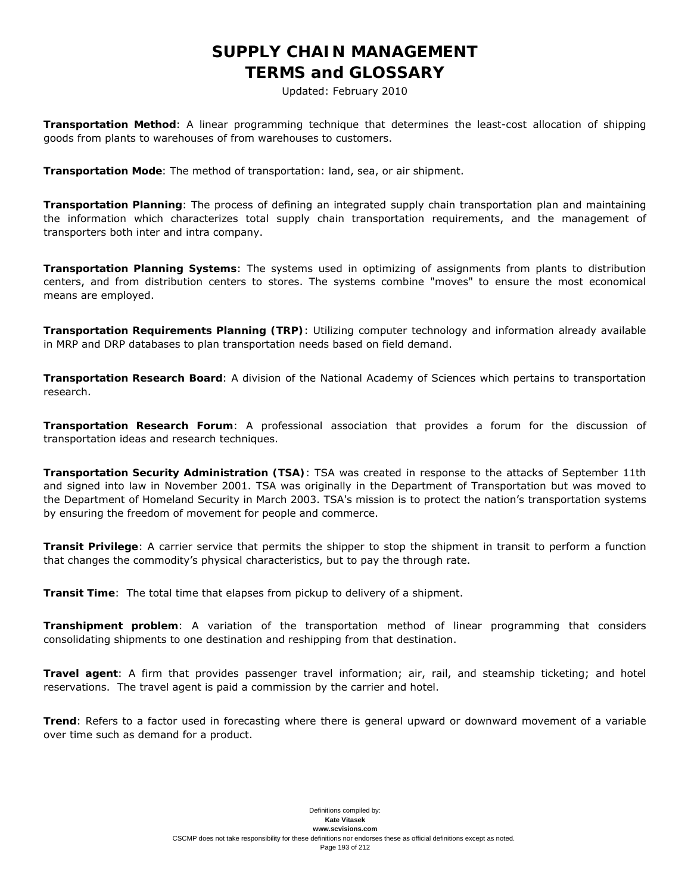Updated: February 2010

**Transportation Method**: A linear programming technique that determines the least-cost allocation of shipping goods from plants to warehouses of from warehouses to customers.

**Transportation Mode**: The method of transportation: land, sea, or air shipment.

**Transportation Planning**: The process of defining an integrated supply chain transportation plan and maintaining the information which characterizes total supply chain transportation requirements, and the management of transporters both inter and intra company.

**Transportation Planning Systems**: The systems used in optimizing of assignments from plants to distribution centers, and from distribution centers to stores. The systems combine "moves" to ensure the most economical means are employed.

**Transportation Requirements Planning (TRP)**: Utilizing computer technology and information already available in MRP and DRP databases to plan transportation needs based on field demand.

**Transportation Research Board**: A division of the National Academy of Sciences which pertains to transportation research.

**Transportation Research Forum**: A professional association that provides a forum for the discussion of transportation ideas and research techniques.

**Transportation Security Administration (TSA)**: TSA was created in response to the attacks of September 11th and signed into law in November 2001. TSA was originally in the Department of Transportation but was moved to the Department of Homeland Security in March 2003. TSA's mission is to protect the nation's transportation systems by ensuring the freedom of movement for people and commerce.

**Transit Privilege**: A carrier service that permits the shipper to stop the shipment in transit to perform a function that changes the commodity's physical characteristics, but to pay the through rate.

**Transit Time**: The total time that elapses from pickup to delivery of a shipment.

**Transhipment problem**: A variation of the transportation method of linear programming that considers consolidating shipments to one destination and reshipping from that destination.

**Travel agent**: A firm that provides passenger travel information; air, rail, and steamship ticketing; and hotel reservations. The travel agent is paid a commission by the carrier and hotel.

**Trend**: Refers to a factor used in forecasting where there is general upward or downward movement of a variable over time such as demand for a product.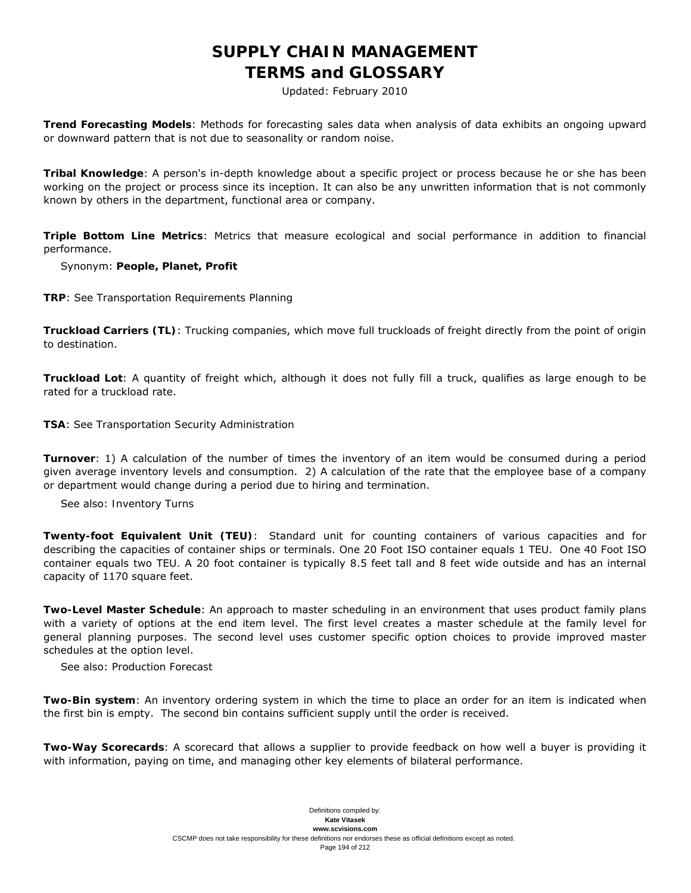Updated: February 2010

**Trend Forecasting Models**: Methods for forecasting sales data when analysis of data exhibits an ongoing upward or downward pattern that is not due to seasonality or random noise.

**Tribal Knowledge**: A person's in-depth knowledge about a specific project or process because he or she has been working on the project or process since its inception. It can also be any unwritten information that is not commonly known by others in the department, functional area or company.

**Triple Bottom Line Metrics**: Metrics that measure ecological and social performance in addition to financial performance.

Synonym: *People, Planet, Profit*

**TRP**: See *Transportation Requirements Planning*

**Truckload Carriers (TL)**: Trucking companies, which move full truckloads of freight directly from the point of origin to destination.

**Truckload Lot**: A quantity of freight which, although it does not fully fill a truck, qualifies as large enough to be rated for a truckload rate.

**TSA**: See *Transportation Security Administration*

**Turnover**: 1) A calculation of the number of times the inventory of an item would be consumed during a period given average inventory levels and consumption. 2) A calculation of the rate that the employee base of a company or department would change during a period due to hiring and termination.

See also: *Inventory Turns*

**Twenty-foot Equivalent Unit (TEU)**: Standard unit for counting containers of various capacities and for describing the capacities of container ships or terminals. One 20 Foot ISO container equals 1 TEU. One 40 Foot ISO container equals two TEU. A 20 foot container is typically 8.5 feet tall and 8 feet wide outside and has an internal capacity of 1170 square feet.

**Two-Level Master Schedule**: An approach to master scheduling in an environment that uses product family plans with a variety of options at the end item level. The first level creates a master schedule at the family level for general planning purposes. The second level uses customer specific option choices to provide improved master schedules at the option level.

See also: *Production Forecast*

**Two-Bin system**: An inventory ordering system in which the time to place an order for an item is indicated when the first bin is empty. The second bin contains sufficient supply until the order is received.

**Two-Way Scorecards**: A scorecard that allows a supplier to provide feedback on how well a buyer is providing it with information, paying on time, and managing other key elements of bilateral performance.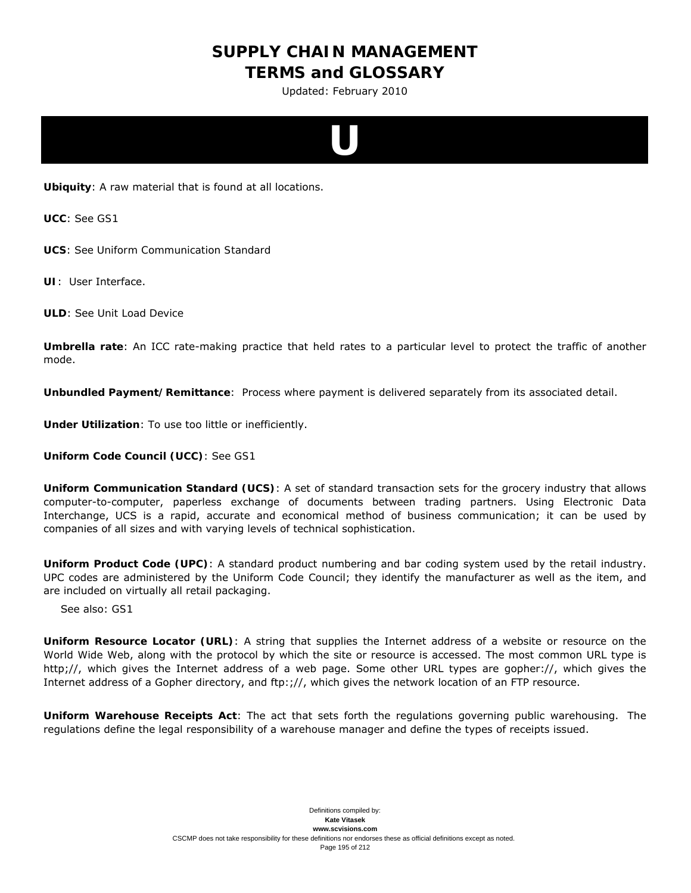Updated: February 2010

# **U**

**Ubiquity**: A raw material that is found at all locations.

**UCC**: See *GS1*

**UCS**: See *Uniform Communication Standard*

**UI**: User Interface.

**ULD**: See *Unit Load Device*

**Umbrella rate**: An ICC rate-making practice that held rates to a particular level to protect the traffic of another mode.

**Unbundled Payment/Remittance**: Process where payment is delivered separately from its associated detail.

**Under Utilization**: To use too little or inefficiently.

**Uniform Code Council (UCC)**: See *GS1*

**Uniform Communication Standard (UCS)**: A set of standard transaction sets for the grocery industry that allows computer-to-computer, paperless exchange of documents between trading partners. Using Electronic Data Interchange, UCS is a rapid, accurate and economical method of business communication; it can be used by companies of all sizes and with varying levels of technical sophistication.

**Uniform Product Code (UPC)**: A standard product numbering and bar coding system used by the retail industry. UPC codes are administered by the Uniform Code Council; they identify the manufacturer as well as the item, and are included on virtually all retail packaging.

See also: *GS1*

**Uniform Resource Locator (URL)**: A string that supplies the Internet address of a website or resource on the World Wide Web, along with the protocol by which the site or resource is accessed. The most common URL type is http;//, which gives the Internet address of a web page. Some other URL types are gopher://, which gives the Internet address of a Gopher directory, and ftp:;//, which gives the network location of an FTP resource.

**Uniform Warehouse Receipts Act**: The act that sets forth the regulations governing public warehousing. The regulations define the legal responsibility of a warehouse manager and define the types of receipts issued.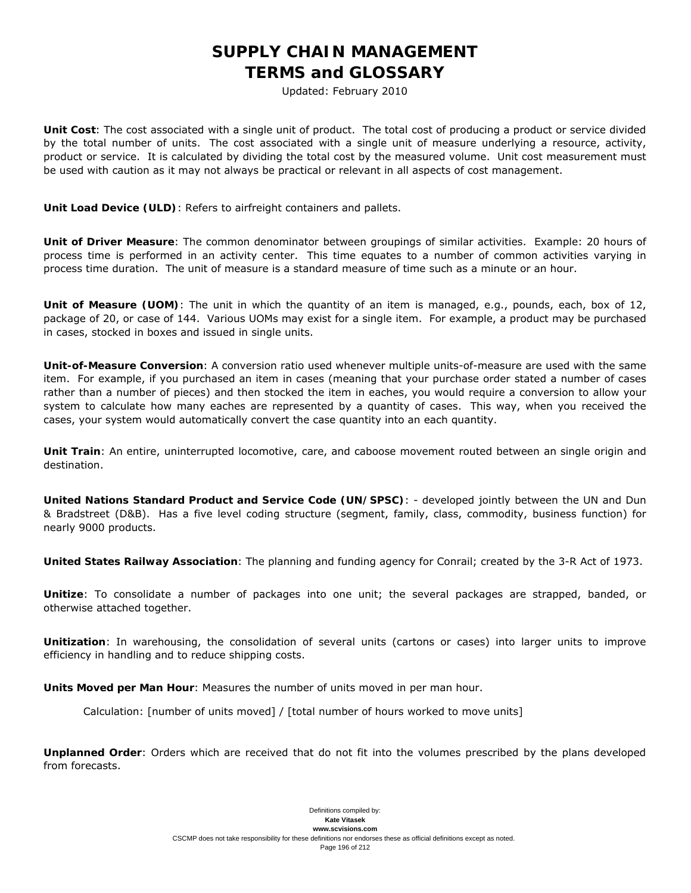Updated: February 2010

**Unit Cost**: The cost associated with a single unit of product. The total cost of producing a product or service divided by the total number of units. The cost associated with a single unit of measure underlying a resource, activity, product or service. It is calculated by dividing the total cost by the measured volume. Unit cost measurement must be used with caution as it may not always be practical or relevant in all aspects of cost management.

**Unit Load Device (ULD)**: Refers to airfreight containers and pallets.

**Unit of Driver Measure**: The common denominator between groupings of similar activities. Example: 20 hours of process time is performed in an activity center. This time equates to a number of common activities varying in process time duration. The unit of measure is a standard measure of time such as a minute or an hour.

**Unit of Measure (UOM)**: The unit in which the quantity of an item is managed, e.g., pounds, each, box of 12, package of 20, or case of 144. Various UOMs may exist for a single item. For example, a product may be purchased in cases, stocked in boxes and issued in single units.

**Unit-of-Measure Conversion**: A conversion ratio used whenever multiple units-of-measure are used with the same item. For example, if you purchased an item in cases (meaning that your purchase order stated a number of cases rather than a number of pieces) and then stocked the item in eaches, you would require a conversion to allow your system to calculate how many eaches are represented by a quantity of cases. This way, when you received the cases, your system would automatically convert the case quantity into an each quantity.

**Unit Train**: An entire, uninterrupted locomotive, care, and caboose movement routed between an single origin and destination.

**United Nations Standard Product and Service Code (UN/SPSC)**: - developed jointly between the UN and Dun & Bradstreet (D&B). Has a five level coding structure (segment, family, class, commodity, business function) for nearly 9000 products.

**United States Railway Association**: The planning and funding agency for Conrail; created by the 3-R Act of 1973.

**Unitize**: To consolidate a number of packages into one unit; the several packages are strapped, banded, or otherwise attached together.

**Unitization**: In warehousing, the consolidation of several units (cartons or cases) into larger units to improve efficiency in handling and to reduce shipping costs.

**Units Moved per Man Hour**: Measures the number of units moved in per man hour.

Calculation: [number of units moved] / [total number of hours worked to move units]

**Unplanned Order**: Orders which are received that do not fit into the volumes prescribed by the plans developed from forecasts.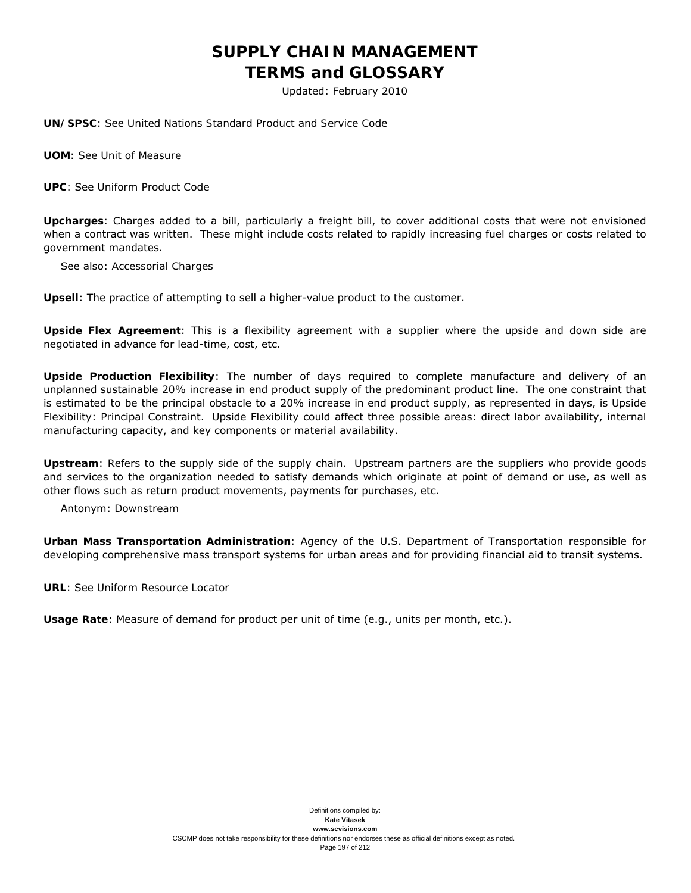Updated: February 2010

**UN/SPSC**: See *United Nations Standard Product and Service Code* 

**UOM**: See *Unit of Measure*

**UPC**: See *Uniform Product Code*

**Upcharges**: Charges added to a bill, particularly a freight bill, to cover additional costs that were not envisioned when a contract was written. These might include costs related to rapidly increasing fuel charges or costs related to government mandates.

See also: *Accessorial Charges*

**Upsell**: The practice of attempting to sell a higher-value product to the customer.

**Upside Flex Agreement**: This is a flexibility agreement with a supplier where the upside and down side are negotiated in advance for lead-time, cost, etc.

**Upside Production Flexibility**: The number of days required to complete manufacture and delivery of an unplanned sustainable 20% increase in end product supply of the predominant product line. The one constraint that is estimated to be the principal obstacle to a 20% increase in end product supply, as represented in days, is Upside Flexibility: Principal Constraint. Upside Flexibility could affect three possible areas: direct labor availability, internal manufacturing capacity, and key components or material availability.

**Upstream**: Refers to the supply side of the supply chain. Upstream partners are the suppliers who provide goods and services to the organization needed to satisfy demands which originate at point of demand or use, as well as other flows such as return product movements, payments for purchases, etc.

Antonym: *Downstream*

**Urban Mass Transportation Administration**: Agency of the U.S. Department of Transportation responsible for developing comprehensive mass transport systems for urban areas and for providing financial aid to transit systems.

**URL**: See *Uniform Resource Locator*

**Usage Rate**: Measure of demand for product per unit of time (e.g., units per month, etc.).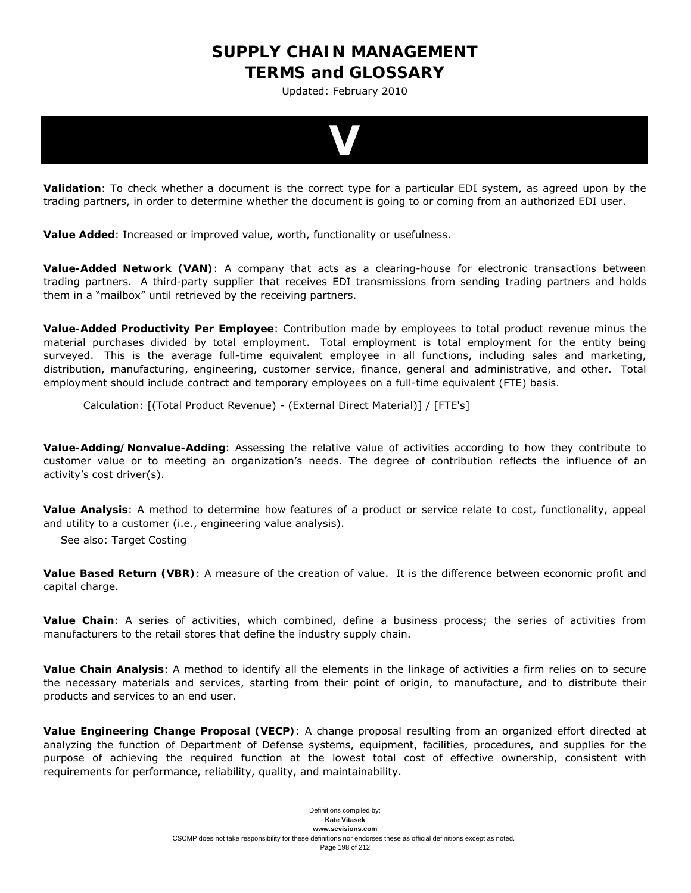Updated: February 2010



**Validation**: To check whether a document is the correct type for a particular EDI system, as agreed upon by the trading partners, in order to determine whether the document is going to or coming from an authorized EDI user.

**Value Added**: Increased or improved value, worth, functionality or usefulness.

**Value-Added Network (VAN)**: A company that acts as a clearing-house for electronic transactions between trading partners. A third-party supplier that receives EDI transmissions from sending trading partners and holds them in a "mailbox" until retrieved by the receiving partners.

**Value-Added Productivity Per Employee**: Contribution made by employees to total product revenue minus the material purchases divided by total employment. Total employment is total employment for the entity being surveyed. This is the average full-time equivalent employee in all functions, including sales and marketing, distribution, manufacturing, engineering, customer service, finance, general and administrative, and other. Total employment should include contract and temporary employees on a full-time equivalent (FTE) basis.

Calculation: [(Total Product Revenue) - (External Direct Material)] / [FTE's]

**Value-Adding/Nonvalue-Adding**: Assessing the relative value of activities according to how they contribute to customer value or to meeting an organization's needs. The degree of contribution reflects the influence of an activity's cost driver(s).

**Value Analysis**: A method to determine how features of a product or service relate to cost, functionality, appeal and utility to a customer (i.e., engineering value analysis).

See also: *Target Costing*

**Value Based Return (VBR)**: A measure of the creation of value. It is the difference between economic profit and capital charge.

**Value Chain**: A series of activities, which combined, define a business process; the series of activities from manufacturers to the retail stores that define the industry supply chain.

**Value Chain Analysis**: A method to identify all the elements in the linkage of activities a firm relies on to secure the necessary materials and services, starting from their point of origin, to manufacture, and to distribute their products and services to an end user.

**Value Engineering Change Proposal (VECP)**: A change proposal resulting from an organized effort directed at analyzing the function of Department of Defense systems, equipment, facilities, procedures, and supplies for the purpose of achieving the required function at the lowest total cost of effective ownership, consistent with requirements for performance, reliability, quality, and maintainability.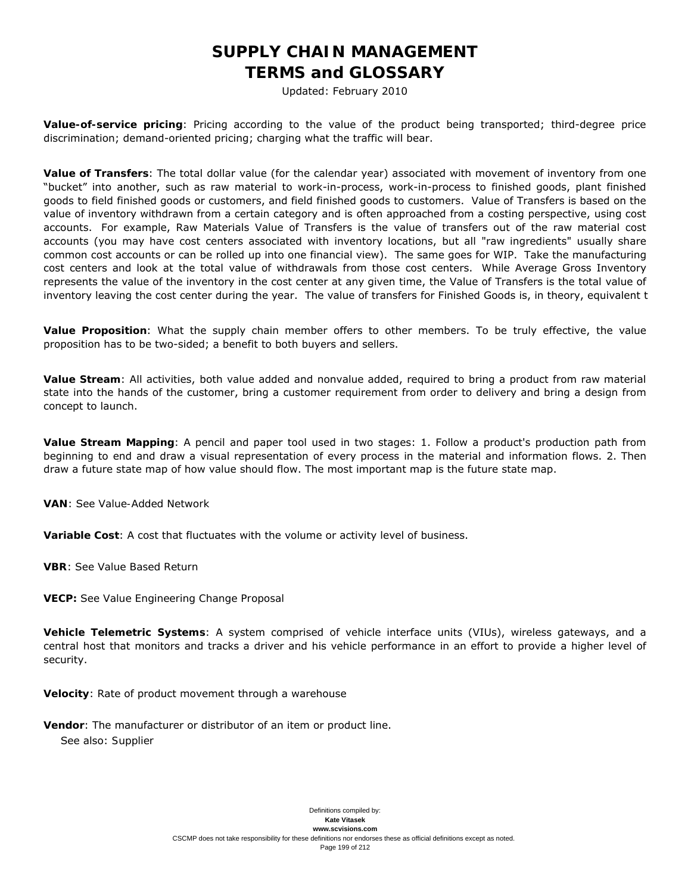Updated: February 2010

**Value-of-service pricing**: Pricing according to the value of the product being transported; third-degree price discrimination; demand-oriented pricing; charging what the traffic will bear.

**Value of Transfers**: The total dollar value (for the calendar year) associated with movement of inventory from one "bucket" into another, such as raw material to work-in-process, work-in-process to finished goods, plant finished goods to field finished goods or customers, and field finished goods to customers. Value of Transfers is based on the value of inventory withdrawn from a certain category and is often approached from a costing perspective, using cost accounts. For example, Raw Materials Value of Transfers is the value of transfers out of the raw material cost accounts (you may have cost centers associated with inventory locations, but all "raw ingredients" usually share common cost accounts or can be rolled up into one financial view). The same goes for WIP. Take the manufacturing cost centers and look at the total value of withdrawals from those cost centers. While Average Gross Inventory represents the value of the inventory in the cost center at any given time, the Value of Transfers is the total value of inventory leaving the cost center during the year. The value of transfers for Finished Goods is, in theory, equivalent t

**Value Proposition**: What the supply chain member offers to other members. To be truly effective, the value proposition has to be two-sided; a benefit to both buyers and sellers.

**Value Stream**: All activities, both value added and nonvalue added, required to bring a product from raw material state into the hands of the customer, bring a customer requirement from order to delivery and bring a design from concept to launch.

**Value Stream Mapping**: A pencil and paper tool used in two stages: 1. Follow a product's production path from beginning to end and draw a visual representation of every process in the material and information flows. 2. Then draw a future state map of how value should flow. The most important map is the future state map.

**VAN**: See *Value-Added Network*

**Variable Cost**: A cost that fluctuates with the volume or activity level of business.

**VBR**: See *Value Based Return*

**VECP:** See *Value Engineering Change Proposal* 

**Vehicle Telemetric Systems**: A system comprised of vehicle interface units (VIUs), wireless gateways, and a central host that monitors and tracks a driver and his vehicle performance in an effort to provide a higher level of security.

**Velocity**: Rate of product movement through a warehouse

**Vendor**: The manufacturer or distributor of an item or product line. See also: *Supplier*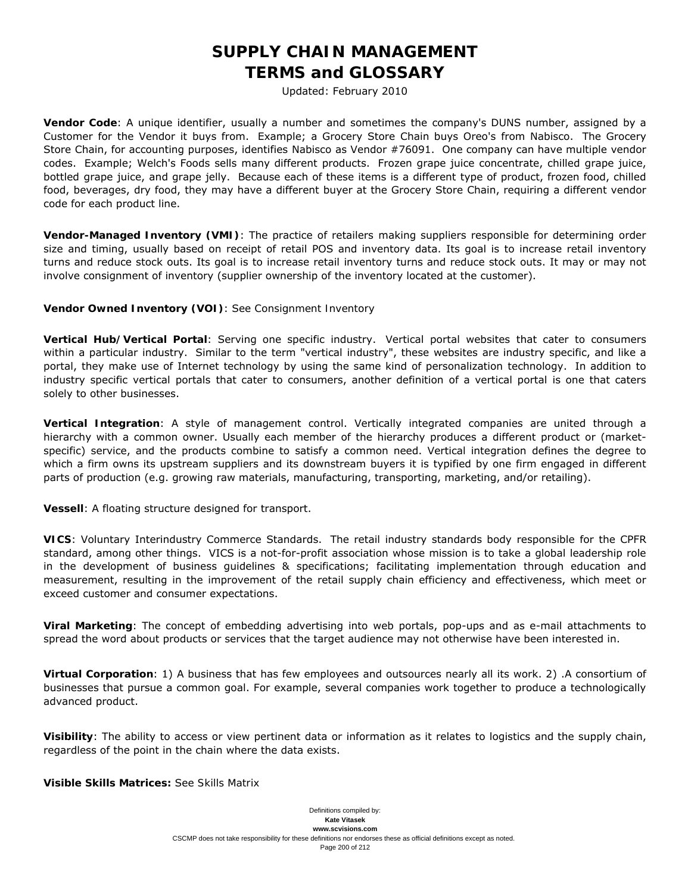Updated: February 2010

**Vendor Code**: A unique identifier, usually a number and sometimes the company's DUNS number, assigned by a Customer for the Vendor it buys from. Example; a Grocery Store Chain buys Oreo's from Nabisco. The Grocery Store Chain, for accounting purposes, identifies Nabisco as Vendor #76091. One company can have multiple vendor codes. Example; Welch's Foods sells many different products. Frozen grape juice concentrate, chilled grape juice, bottled grape juice, and grape jelly. Because each of these items is a different type of product, frozen food, chilled food, beverages, dry food, they may have a different buyer at the Grocery Store Chain, requiring a different vendor code for each product line.

**Vendor-Managed Inventory (VMI)**: The practice of retailers making suppliers responsible for determining order size and timing, usually based on receipt of retail POS and inventory data. Its goal is to increase retail inventory turns and reduce stock outs. Its goal is to increase retail inventory turns and reduce stock outs. It may or may not involve consignment of inventory (supplier ownership of the inventory located at the customer).

#### **Vendor Owned Inventory (VOI)**: See *Consignment Inventory*

**Vertical Hub/Vertical Portal**: Serving one specific industry. Vertical portal websites that cater to consumers within a particular industry. Similar to the term "vertical industry", these websites are industry specific, and like a portal, they make use of Internet technology by using the same kind of personalization technology. In addition to industry specific vertical portals that cater to consumers, another definition of a vertical portal is one that caters solely to other businesses.

**Vertical Integration**: A style of management control. Vertically integrated companies are united through a hierarchy with a common owner. Usually each member of the hierarchy produces a different product or (marketspecific) service, and the products combine to satisfy a common need. Vertical integration defines the degree to which a firm owns its upstream suppliers and its downstream buyers it is typified by one firm engaged in different parts of production (e.g. growing raw materials, manufacturing, transporting, marketing, and/or retailing).

**Vessell**: A floating structure designed for transport.

**VICS**: Voluntary Interindustry Commerce Standards. The retail industry standards body responsible for the CPFR standard, among other things. VICS is a not-for-profit association whose mission is to take a global leadership role in the development of business guidelines & specifications; facilitating implementation through education and measurement, resulting in the improvement of the retail supply chain efficiency and effectiveness, which meet or exceed customer and consumer expectations.

**Viral Marketing**: The concept of embedding advertising into web portals, pop-ups and as e-mail attachments to spread the word about products or services that the target audience may not otherwise have been interested in.

**Virtual Corporation**: 1) A business that has few employees and outsources nearly all its work. 2) .A consortium of businesses that pursue a common goal. For example, several companies work together to produce a technologically advanced product.

**Visibility**: The ability to access or view pertinent data or information as it relates to logistics and the supply chain, regardless of the point in the chain where the data exists.

**Visible Skills Matrices:** See *Skills Matrix*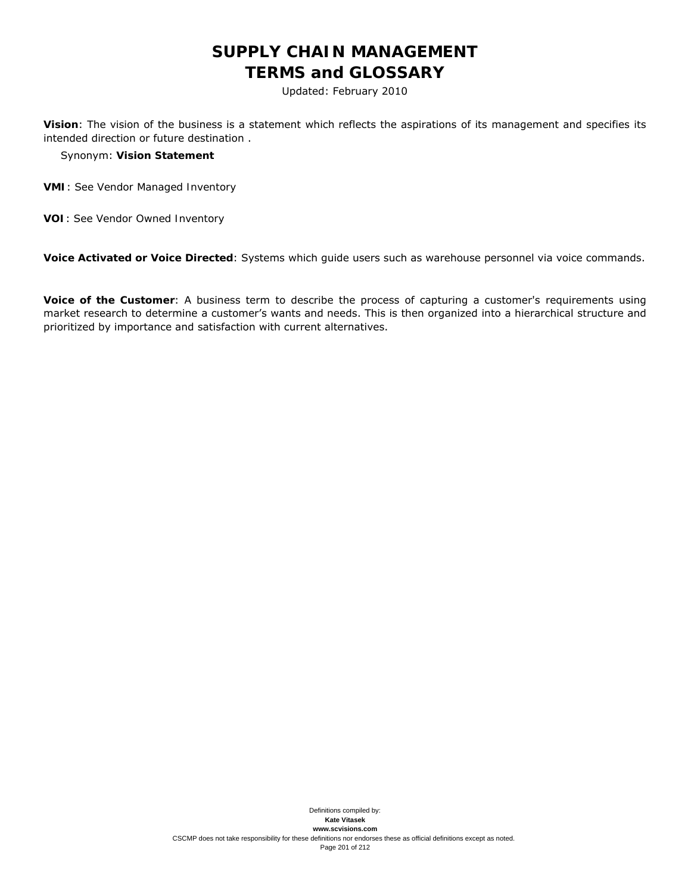Updated: February 2010

**Vision**: The vision of the business is a statement which reflects the aspirations of its management and specifies its intended direction or future destination .

#### Synonym: *Vision Statement*

**VMI**: See *Vendor Managed Inventory*

**VOI**: See *Vendor Owned Inventory*

**Voice Activated or Voice Directed**: Systems which guide users such as warehouse personnel via voice commands.

**Voice of the Customer**: A business term to describe the process of capturing a customer's requirements using market research to determine a customer's wants and needs. This is then organized into a hierarchical structure and prioritized by importance and satisfaction with current alternatives.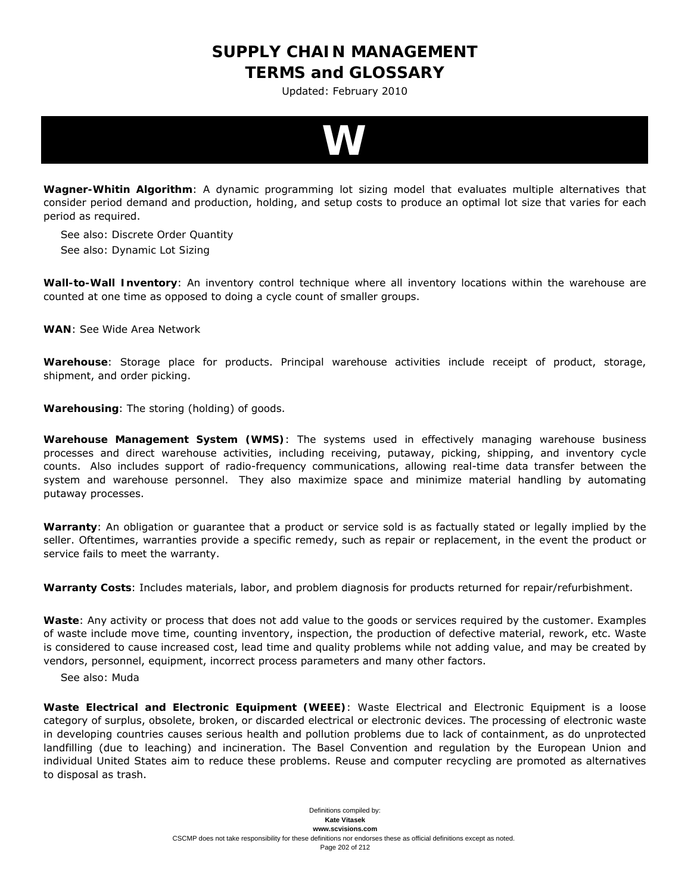Updated: February 2010

# **W**

**Wagner-Whitin Algorithm**: A dynamic programming lot sizing model that evaluates multiple alternatives that consider period demand and production, holding, and setup costs to produce an optimal lot size that varies for each period as required.

See also: *Discrete Order Quantity* See also: *Dynamic Lot Sizing*

**Wall-to-Wall Inventory**: An inventory control technique where all inventory locations within the warehouse are counted at one time as opposed to doing a cycle count of smaller groups.

#### **WAN**: See *Wide Area Network*

**Warehouse**: Storage place for products. Principal warehouse activities include receipt of product, storage, shipment, and order picking.

**Warehousing**: The storing (holding) of goods.

**Warehouse Management System (WMS)**: The systems used in effectively managing warehouse business processes and direct warehouse activities, including receiving, putaway, picking, shipping, and inventory cycle counts. Also includes support of radio-frequency communications, allowing real-time data transfer between the system and warehouse personnel. They also maximize space and minimize material handling by automating putaway processes.

**Warranty**: An obligation or guarantee that a product or service sold is as factually stated or legally implied by the seller. Oftentimes, warranties provide a specific remedy, such as repair or replacement, in the event the product or service fails to meet the warranty.

**Warranty Costs**: Includes materials, labor, and problem diagnosis for products returned for repair/refurbishment.

**Waste**: Any activity or process that does not add value to the goods or services required by the customer. Examples of waste include move time, counting inventory, inspection, the production of defective material, rework, etc. Waste is considered to cause increased cost, lead time and quality problems while not adding value, and may be created by vendors, personnel, equipment, incorrect process parameters and many other factors.

See also: *Muda*

**Waste Electrical and Electronic Equipment (WEEE)**: Waste Electrical and Electronic Equipment is a loose category of surplus, obsolete, broken, or discarded electrical or electronic devices. The processing of electronic waste in developing countries causes serious health and pollution problems due to lack of containment, as do unprotected landfilling (due to leaching) and incineration. The Basel Convention and regulation by the European Union and individual United States aim to reduce these problems. Reuse and computer recycling are promoted as alternatives to disposal as trash.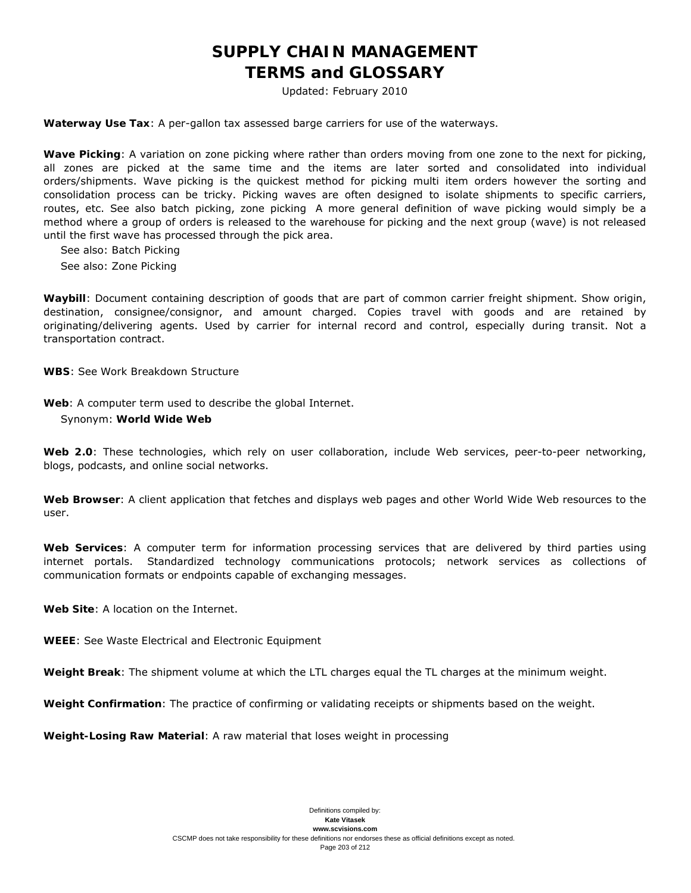Updated: February 2010

**Waterway Use Tax**: A per-gallon tax assessed barge carriers for use of the waterways.

**Wave Picking**: A variation on zone picking where rather than orders moving from one zone to the next for picking, all zones are picked at the same time and the items are later sorted and consolidated into individual orders/shipments. Wave picking is the quickest method for picking multi item orders however the sorting and consolidation process can be tricky. Picking waves are often designed to isolate shipments to specific carriers, routes, etc. See also batch picking, zone picking A more general definition of wave picking would simply be a method where a group of orders is released to the warehouse for picking and the next group (wave) is not released until the first wave has processed through the pick area.

See also: *Zone Picking* See also: *Batch Picking*

**Waybill**: Document containing description of goods that are part of common carrier freight shipment. Show origin, destination, consignee/consignor, and amount charged. Copies travel with goods and are retained by originating/delivering agents. Used by carrier for internal record and control, especially during transit. Not a transportation contract.

**WBS**: See *Work Breakdown Structure*

**Web**: A computer term used to describe the global Internet.

#### Synonym: *World Wide Web*

**Web 2.0**: These technologies, which rely on user collaboration, include Web services, peer-to-peer networking, blogs, podcasts, and online social networks.

**Web Browser**: A client application that fetches and displays web pages and other World Wide Web resources to the user.

**Web Services**: A computer term for information processing services that are delivered by third parties using internet portals. Standardized technology communications protocols; network services as collections of communication formats or endpoints capable of exchanging messages.

**Web Site**: A location on the Internet.

**WEEE**: See *Waste Electrical and Electronic Equipment*

**Weight Break**: The shipment volume at which the LTL charges equal the TL charges at the minimum weight.

**Weight Confirmation**: The practice of confirming or validating receipts or shipments based on the weight.

**Weight-Losing Raw Material**: A raw material that loses weight in processing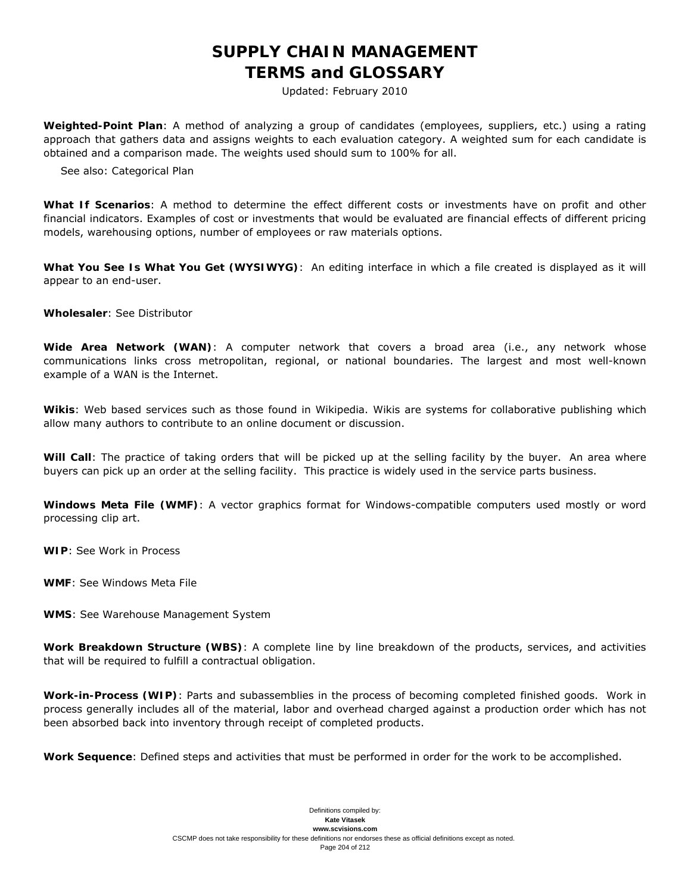Updated: February 2010

**Weighted-Point Plan**: A method of analyzing a group of candidates (employees, suppliers, etc.) using a rating approach that gathers data and assigns weights to each evaluation category. A weighted sum for each candidate is obtained and a comparison made. The weights used should sum to 100% for all.

#### See also: *Categorical Plan*

**What If Scenarios**: A method to determine the effect different costs or investments have on profit and other financial indicators. Examples of cost or investments that would be evaluated are financial effects of different pricing models, warehousing options, number of employees or raw materials options.

**What You See Is What You Get (WYSIWYG)**: An editing interface in which a file created is displayed as it will appear to an end-user.

#### **Wholesaler**: See *Distributor*

**Wide Area Network (WAN)**: A computer network that covers a broad area (i.e., any network whose communications links cross metropolitan, regional, or national boundaries. The largest and most well-known example of a WAN is the Internet.

**Wikis**: Web based services such as those found in Wikipedia. Wikis are systems for collaborative publishing which allow many authors to contribute to an online document or discussion.

**Will Call**: The practice of taking orders that will be picked up at the selling facility by the buyer. An area where buyers can pick up an order at the selling facility. This practice is widely used in the service parts business.

**Windows Meta File (WMF)**: A vector graphics format for Windows-compatible computers used mostly or word processing clip art.

**WIP**: See *Work in Process*

**WMF**: See *Windows Meta File*

**WMS**: See *Warehouse Management System*

**Work Breakdown Structure (WBS)**: A complete line by line breakdown of the products, services, and activities that will be required to fulfill a contractual obligation.

**Work-in-Process (WIP)**: Parts and subassemblies in the process of becoming completed finished goods. Work in process generally includes all of the material, labor and overhead charged against a production order which has not been absorbed back into inventory through receipt of completed products.

**Work Sequence**: Defined steps and activities that must be performed in order for the work to be accomplished.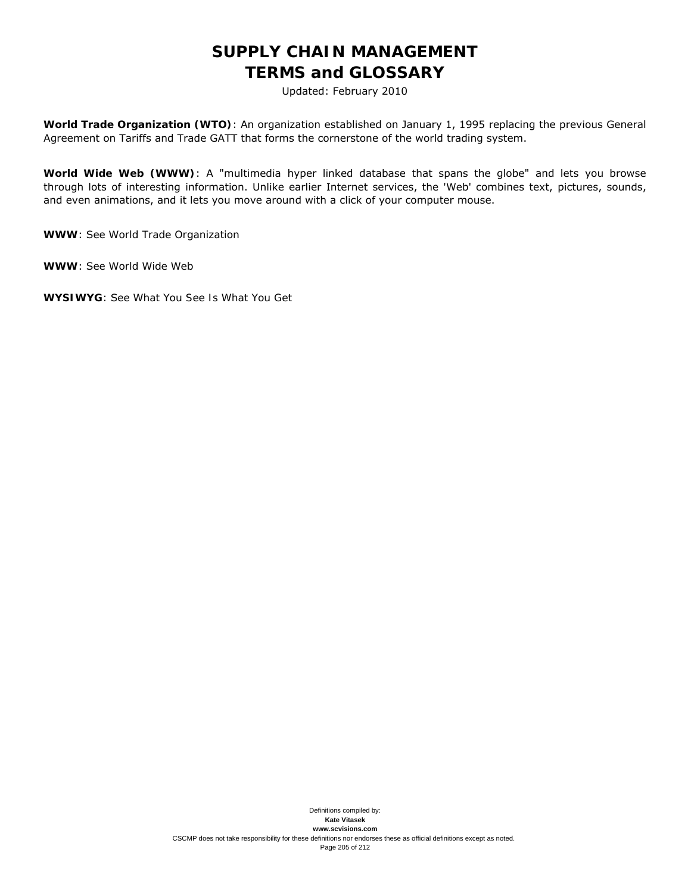Updated: February 2010

**World Trade Organization (WTO)**: An organization established on January 1, 1995 replacing the previous General Agreement on Tariffs and Trade GATT that forms the cornerstone of the world trading system.

**World Wide Web (WWW)**: A "multimedia hyper linked database that spans the globe" and lets you browse through lots of interesting information. Unlike earlier Internet services, the 'Web' combines text, pictures, sounds, and even animations, and it lets you move around with a click of your computer mouse.

**WWW**: See *World Trade Organization*

**WWW**: See *World Wide Web*

**WYSIWYG**: See *What You See Is What You Get*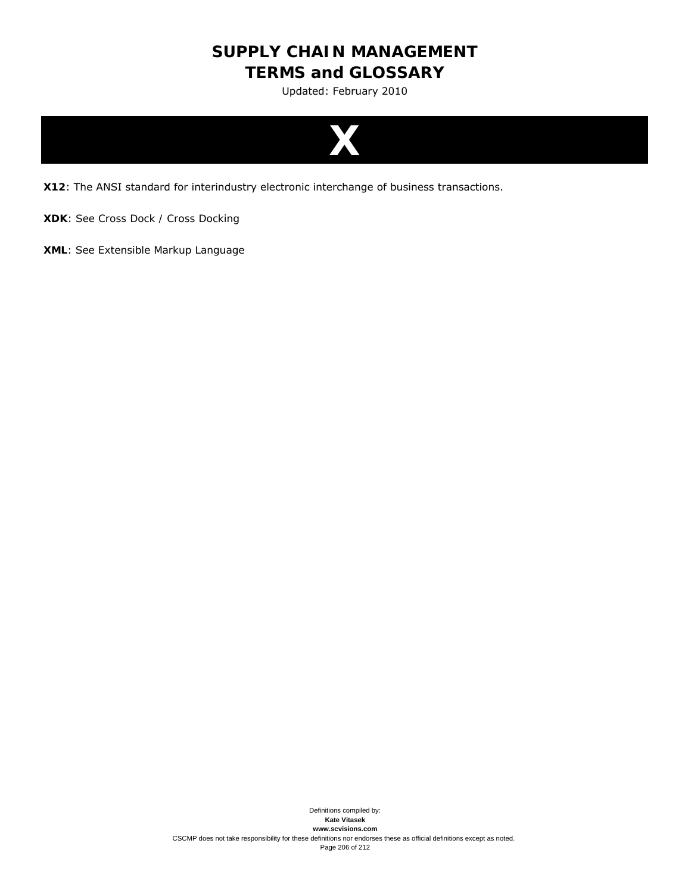Updated: February 2010



**X12**: The ANSI standard for interindustry electronic interchange of business transactions.

**XDK**: See *Cross Dock / Cross Docking*

**XML**: See *Extensible Markup Language*

Definitions compiled by: **Kate Vitasek www.scvisions.com** CSCMP does not take responsibility for these definitions nor endorses these as official definitions except as noted. Page 206 of 212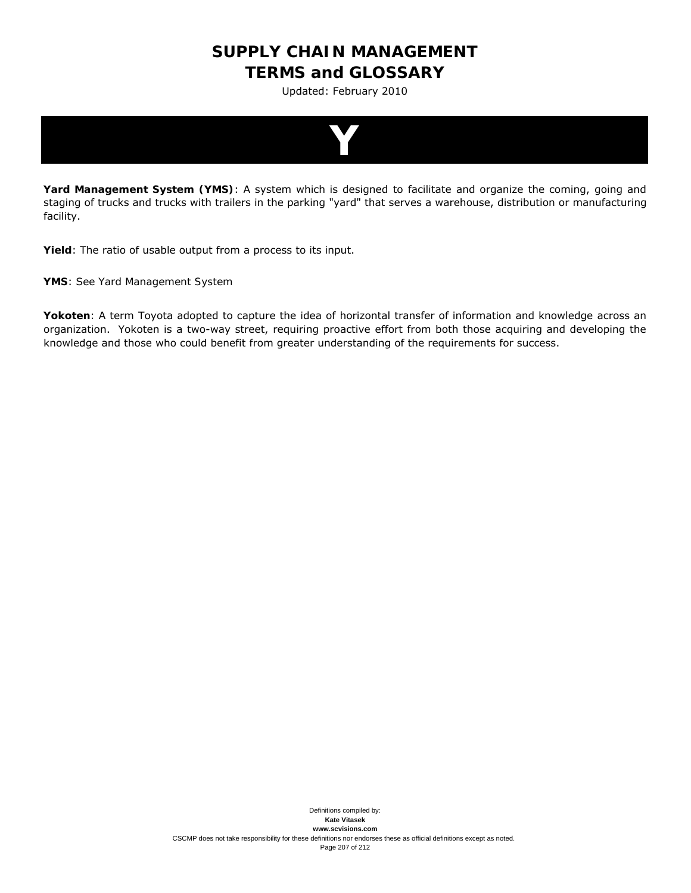Updated: February 2010



**Yard Management System (YMS)**: A system which is designed to facilitate and organize the coming, going and staging of trucks and trucks with trailers in the parking "yard" that serves a warehouse, distribution or manufacturing facility.

**Yield**: The ratio of usable output from a process to its input.

**YMS**: See *Yard Management System*

**Yokoten**: A term Toyota adopted to capture the idea of horizontal transfer of information and knowledge across an organization. Yokoten is a two-way street, requiring proactive effort from both those acquiring and developing the knowledge and those who could benefit from greater understanding of the requirements for success.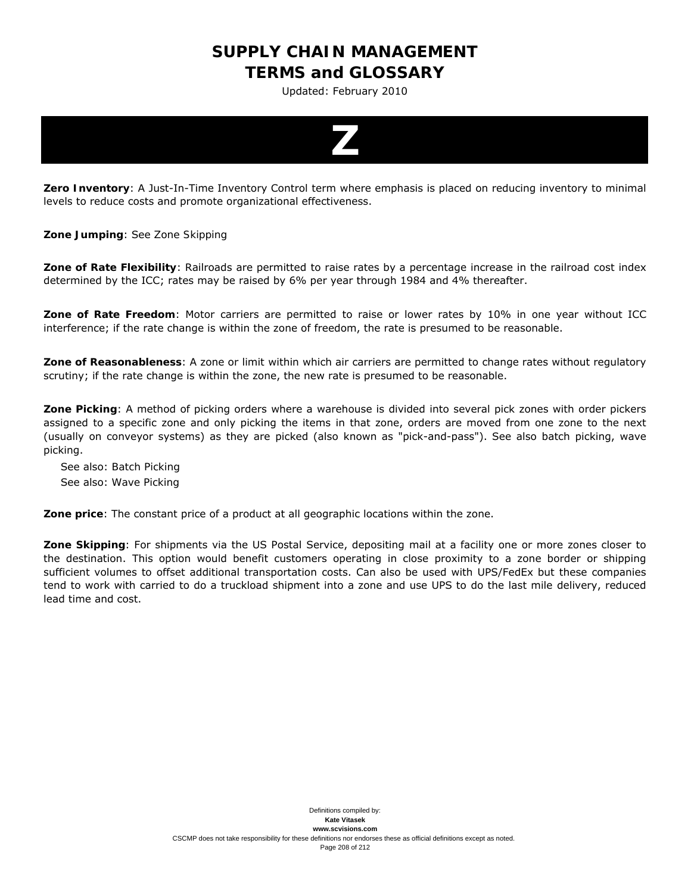Updated: February 2010



**Zero Inventory**: A Just-In-Time Inventory Control term where emphasis is placed on reducing inventory to minimal levels to reduce costs and promote organizational effectiveness.

**Zone Jumping**: See *Zone Skipping*

**Zone of Rate Flexibility**: Railroads are permitted to raise rates by a percentage increase in the railroad cost index determined by the ICC; rates may be raised by 6% per year through 1984 and 4% thereafter.

**Zone of Rate Freedom**: Motor carriers are permitted to raise or lower rates by 10% in one year without ICC interference; if the rate change is within the zone of freedom, the rate is presumed to be reasonable.

**Zone of Reasonableness**: A zone or limit within which air carriers are permitted to change rates without regulatory scrutiny; if the rate change is within the zone, the new rate is presumed to be reasonable.

**Zone Picking**: A method of picking orders where a warehouse is divided into several pick zones with order pickers assigned to a specific zone and only picking the items in that zone, orders are moved from one zone to the next (usually on conveyor systems) as they are picked (also known as "pick-and-pass"). See also batch picking, wave picking.

See also: *Wave Picking* See also: *Batch Picking*

**Zone price**: The constant price of a product at all geographic locations within the zone.

**Zone Skipping**: For shipments via the US Postal Service, depositing mail at a facility one or more zones closer to the destination. This option would benefit customers operating in close proximity to a zone border or shipping sufficient volumes to offset additional transportation costs. Can also be used with UPS/FedEx but these companies tend to work with carried to do a truckload shipment into a zone and use UPS to do the last mile delivery, reduced lead time and cost.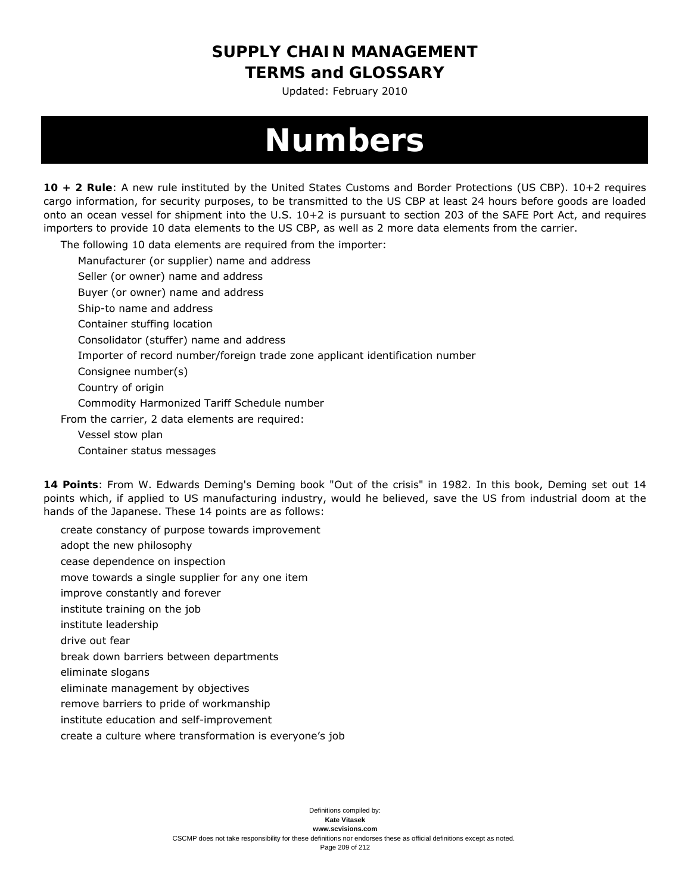Updated: February 2010

## **Numbers**

**10 + 2 Rule**: A new rule instituted by the United States Customs and Border Protections (US CBP). 10+2 requires cargo information, for security purposes, to be transmitted to the US CBP at least 24 hours before goods are loaded onto an ocean vessel for shipment into the U.S. 10+2 is pursuant to section 203 of the SAFE Port Act, and requires importers to provide 10 data elements to the US CBP, as well as 2 more data elements from the carrier.

The following 10 data elements are required from the importer:

Manufacturer (or supplier) name and address

Seller (or owner) name and address

Buyer (or owner) name and address

Ship-to name and address

Container stuffing location

Consolidator (stuffer) name and address

Importer of record number/foreign trade zone applicant identification number

Consignee number(s)

Country of origin

Commodity Harmonized Tariff Schedule number

From the carrier, 2 data elements are required:

Vessel stow plan

Container status messages

**14 Points**: From W. Edwards Deming's Deming book "Out of the crisis" in 1982. In this book, Deming set out 14 points which, if applied to US manufacturing industry, would he believed, save the US from industrial doom at the hands of the Japanese. These 14 points are as follows:

move towards a single supplier for any one item cease dependence on inspection create constancy of purpose towards improvement drive out fear institute leadership institute training on the job improve constantly and forever create a culture where transformation is everyone's job institute education and self-improvement remove barriers to pride of workmanship eliminate management by objectives eliminate slogans break down barriers between departments adopt the new philosophy

> Definitions compiled by: **Kate Vitasek www.scvisions.com** CSCMP does not take responsibility for these definitions nor endorses these as official definitions except as noted. Page 209 of 212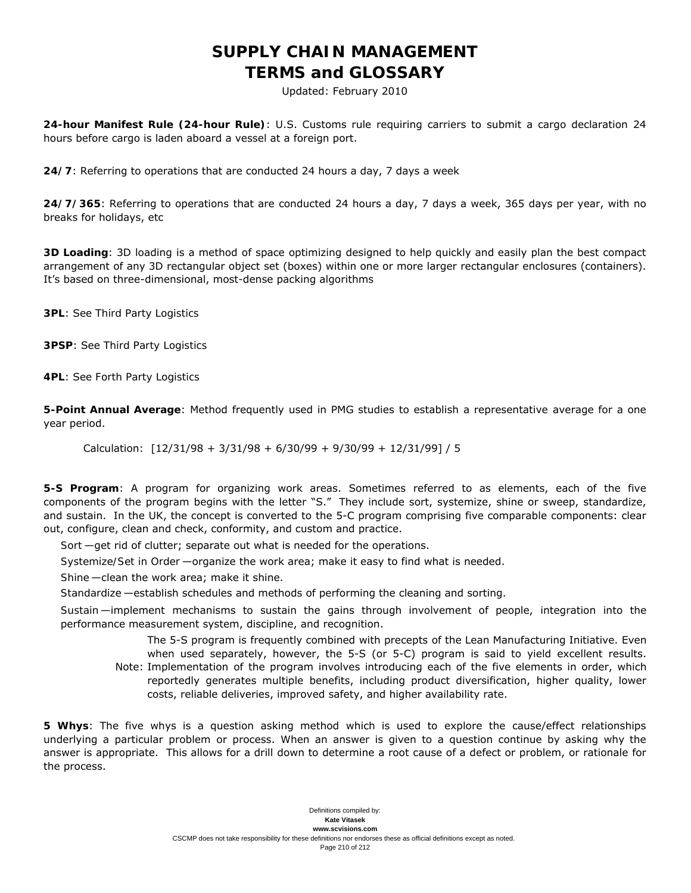Updated: February 2010

**24-hour Manifest Rule (24-hour Rule)**: U.S. Customs rule requiring carriers to submit a cargo declaration 24 hours before cargo is laden aboard a vessel at a foreign port.

**24/7**: Referring to operations that are conducted 24 hours a day, 7 days a week

**24/7/365**: Referring to operations that are conducted 24 hours a day, 7 days a week, 365 days per year, with no breaks for holidays, etc

**3D Loading**: 3D loading is a method of space optimizing designed to help quickly and easily plan the best compact arrangement of any 3D rectangular object set (boxes) within one or more larger rectangular enclosures (containers). It's based on three-dimensional, most-dense packing algorithms

**3PL**: See *Third Party Logistics*

**3PSP**: See *Third Party Logistics*

**4PL**: See *Forth Party Logistics*

**5-Point Annual Average**: Method frequently used in PMG studies to establish a representative average for a one year period.

Calculation: [12/31/98 + 3/31/98 + 6/30/99 + 9/30/99 + 12/31/99] / 5

**5-S Program**: A program for organizing work areas. Sometimes referred to as elements, each of the five components of the program begins with the letter "S." They include sort, systemize, shine or sweep, standardize, and sustain. In the UK, the concept is converted to the 5-C program comprising five comparable components: clear out, configure, clean and check, conformity, and custom and practice.

*Sort* —get rid of clutter; separate out what is needed for the operations.

*Systemize/Set in Order* —organize the work area; make it easy to find what is needed.

*Shine* —clean the work area; make it shine.

*Standardize* —establish schedules and methods of performing the cleaning and sorting.

*Sustain* —implement mechanisms to sustain the gains through involvement of people, integration into the performance measurement system, discipline, and recognition.

Note: Implementation of the program involves introducing each of the five elements in order, which The 5-S program is frequently combined with precepts of the Lean Manufacturing Initiative. Even when used separately, however, the 5-S (or 5-C) program is said to yield excellent results. reportedly generates multiple benefits, including product diversification, higher quality, lower costs, reliable deliveries, improved safety, and higher availability rate.

**5 Whys**: The five whys is a question asking method which is used to explore the cause/effect relationships underlying a particular problem or process. When an answer is given to a question continue by asking why the answer is appropriate. This allows for a drill down to determine a root cause of a defect or problem, or rationale for the process.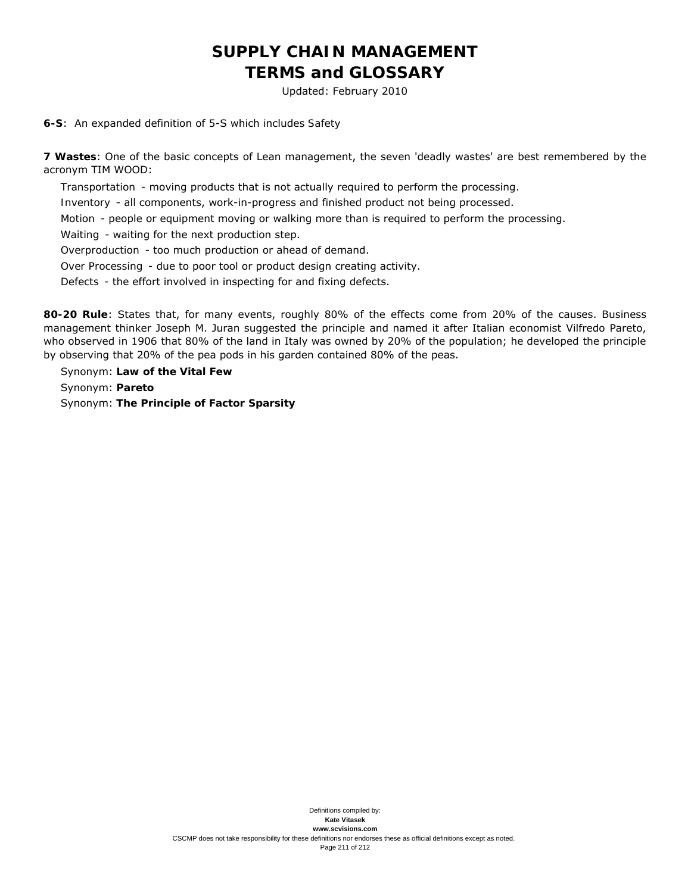Updated: February 2010

**6-S**: An expanded definition of 5-S which includes *Safety*

**7 Wastes**: One of the basic concepts of Lean management, the seven 'deadly wastes' are best remembered by the acronym TIM WOOD:

*Transportation* - moving products that is not actually required to perform the processing.

*Inventory* - all components, work-in-progress and finished product not being processed.

*Motion* - people or equipment moving or walking more than is required to perform the processing.

*Waiting* - waiting for the next production step.

*Overproduction* - too much production or ahead of demand.

*Over Processing* - due to poor tool or product design creating activity.

*Defects* - the effort involved in inspecting for and fixing defects.

**80-20 Rule**: States that, for many events, roughly 80% of the effects come from 20% of the causes. Business management thinker Joseph M. Juran suggested the principle and named it after Italian economist Vilfredo Pareto, who observed in 1906 that 80% of the land in Italy was owned by 20% of the population; he developed the principle by observing that 20% of the pea pods in his garden contained 80% of the peas.

Synonym: *Pareto* Synonym: *Law of the Vital Few* Synonym: *The Principle of Factor Sparsity*